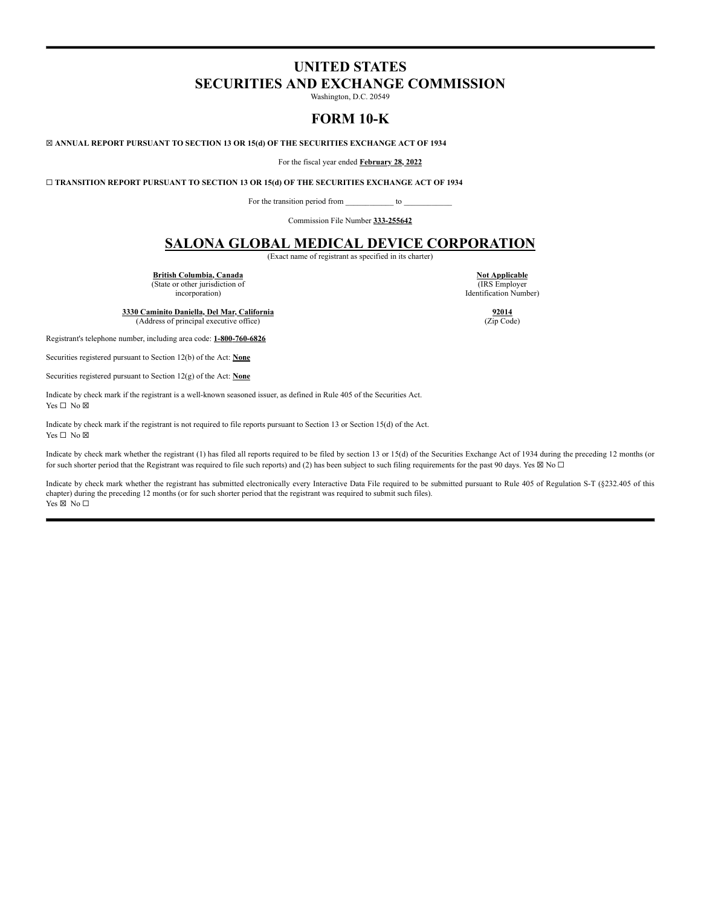# **UNITED STATES SECURITIES AND EXCHANGE COMMISSION**

Washington, D.C. 20549

# **FORM 10-K**

☒ **ANNUAL REPORT PURSUANT TO SECTION 13 OR 15(d) OF THE SECURITIES EXCHANGE ACT OF 1934**

For the fiscal year ended **February 28, 2022**

☐ **TRANSITION REPORT PURSUANT TO SECTION 13 OR 15(d) OF THE SECURITIES EXCHANGE ACT OF 1934**

For the transition period from \_\_\_\_\_\_\_\_\_\_\_\_\_ to \_

Commission File Number **333-255642**

# **SALONA GLOBAL MEDICAL DEVICE CORPORATION**

(Exact name of registrant as specified in its charter)

**British Columbia, Canada Not Applicable**<br> **Not Applicable**<br> **Not Applicable**<br> **Not Applicable**<br> **Not Applicable**<br> **Not Applicable**<br> **Not Applicable**  $(State or other jurisdiction of incorporation)$ 

**3330 Caminito Daniella, Del Mar, California 92014** (Address of principal executive office)

Identification Number)

Securities registered pursuant to Section 12(b) of the Act: **None**

Registrant's telephone number, including area code: **1-800-760-6826**

Securities registered pursuant to Section 12(g) of the Act: **None**

Indicate by check mark if the registrant is a well-known seasoned issuer, as defined in Rule 405 of the Securities Act. Yes  $\Box\,$  No  $\boxtimes$ 

Indicate by check mark if the registrant is not required to file reports pursuant to Section 13 or Section 15(d) of the Act. Yes  $\square~$  No  $\square$ 

Indicate by check mark whether the registrant (1) has filed all reports required to be filed by section 13 or 15(d) of the Securities Exchange Act of 1934 during the preceding 12 months (or for such shorter period that the Registrant was required to file such reports) and (2) has been subject to such filing requirements for the past 90 days. Yes  $\boxtimes$  No  $\Box$ 

Indicate by check mark whether the registrant has submitted electronically every Interactive Data File required to be submitted pursuant to Rule 405 of Regulation S-T (§232.405 of this chapter) during the preceding 12 months (or for such shorter period that the registrant was required to submit such files). Yes  $\boxtimes\,$  No  $\Box$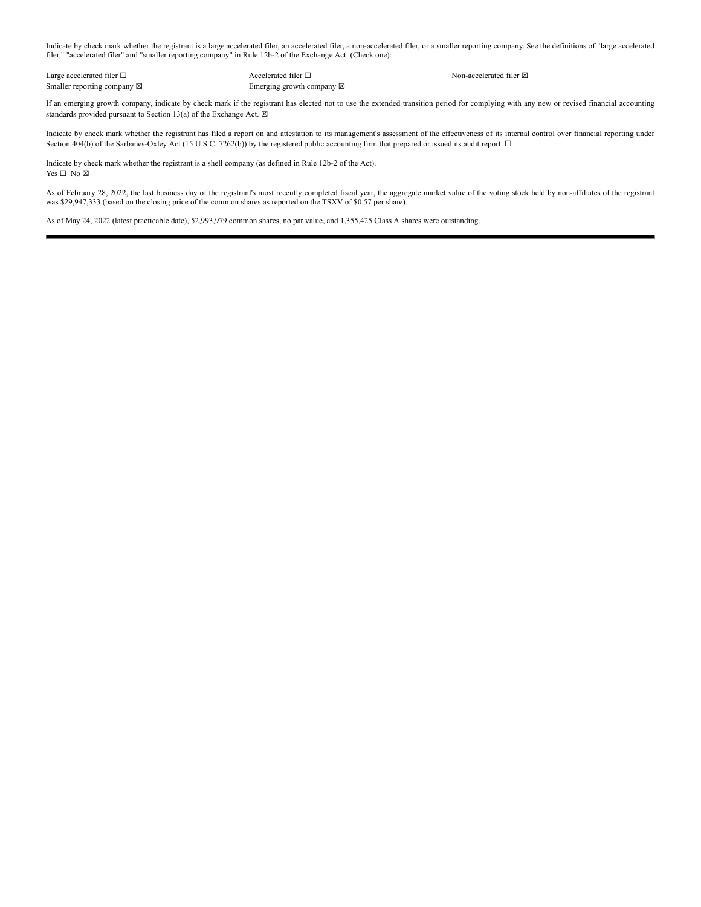Indicate by check mark whether the registrant is a large accelerated filer, an accelerated filer, a non-accelerated filer, or a smaller reporting company. See the definitions of "large accelerated filer," "accelerated filer" and "smaller reporting company" in Rule 12b-2 of the Exchange Act. (Check one):

Large accelerated filer ☐ Accelerated filer ☐ Non-accelerated filer ☒  $\label{eq:smaller} \text{Smaller reporting company} \boxtimes \text{Energy growth company}$ 

If an emerging growth company, indicate by check mark if the registrant has elected not to use the extended transition period for complying with any new or revised financial accounting standards provided pursuant to Section 13(a) of the Exchange Act.  $\boxtimes$ 

Indicate by check mark whether the registrant has filed a report on and attestation to its management's assessment of the effectiveness of its internal control over financial reporting under Section 404(b) of the Sarbanes-Oxley Act (15 U.S.C. 7262(b)) by the registered public accounting firm that prepared or issued its audit report. ☐

Indicate by check mark whether the registrant is a shell company (as defined in Rule 12b-2 of the Act).  $Yes \Box No \boxtimes$ 

As of February 28, 2022, the last business day of the registrant's most recently completed fiscal year, the aggregate market value of the voting stock held by non-affiliates of the registrant was \$29,947,333 (based on the closing price of the common shares as reported on the TSXV of \$0.57 per share).

As of May 24, 2022 (latest practicable date), 52,993,979 common shares, no par value, and 1,355,425 Class A shares were outstanding.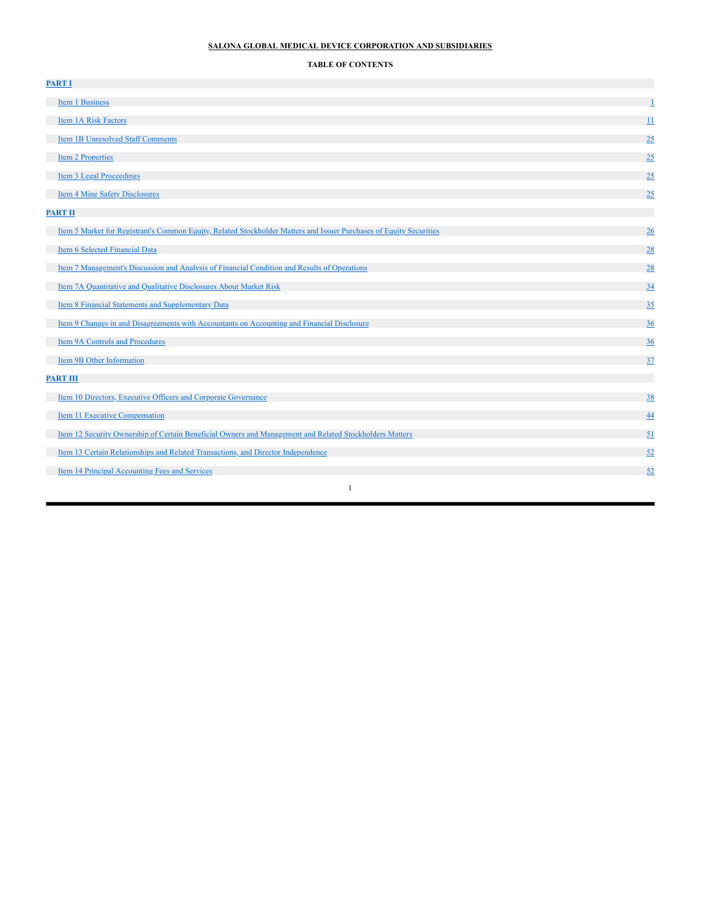# **SALONA GLOBAL MEDICAL DEVICE CORPORATION AND SUBSIDIARIES**

# **TABLE OF CONTENTS**

| <b>PART I</b>                                                                                                       |                 |
|---------------------------------------------------------------------------------------------------------------------|-----------------|
| Item 1 Business                                                                                                     |                 |
| <b>Item 1A Risk Factors</b>                                                                                         | 11              |
| <b>Item 1B Unresolved Staff Comments</b>                                                                            | 25              |
| Item 2 Properties                                                                                                   | 25              |
| Item 3 Legal Proceedings                                                                                            | 25              |
| <b>Item 4 Mine Safety Disclosures</b>                                                                               | 25              |
| <b>PART II</b>                                                                                                      |                 |
| Item 5 Market for Registrant's Common Equity, Related Stockholder Matters and Issuer Purchases of Equity Securities | 26              |
| Item 6 Selected Financial Data                                                                                      | 28              |
| Item 7 Management's Discussion and Analysis of Financial Condition and Results of Operations                        | 28              |
| Item 7A Quantitative and Qualitative Disclosures About Market Risk                                                  | 34              |
| Item 8 Financial Statements and Supplementary Data                                                                  | 35              |
| Item 9 Changes in and Disagreements with Accountants on Accounting and Financial Disclosure                         | $\frac{36}{5}$  |
| Item 9A Controls and Procedures                                                                                     | 36              |
| Item 9B Other Information                                                                                           | 37              |
| <b>PART III</b>                                                                                                     |                 |
| Item 10 Directors, Executive Officers and Corporate Governance                                                      | 38              |
| Item 11 Executive Compensation                                                                                      | $\overline{44}$ |
| Item 12 Security Ownership of Certain Beneficial Owners and Management and Related Stockholders Matters             | 51              |
| Item 13 Certain Relationships and Related Transactions, and Director Independence                                   | 52              |
| Item 14 Principal Accounting Fees and Services                                                                      | 52              |
| $\mathbf{1}$                                                                                                        |                 |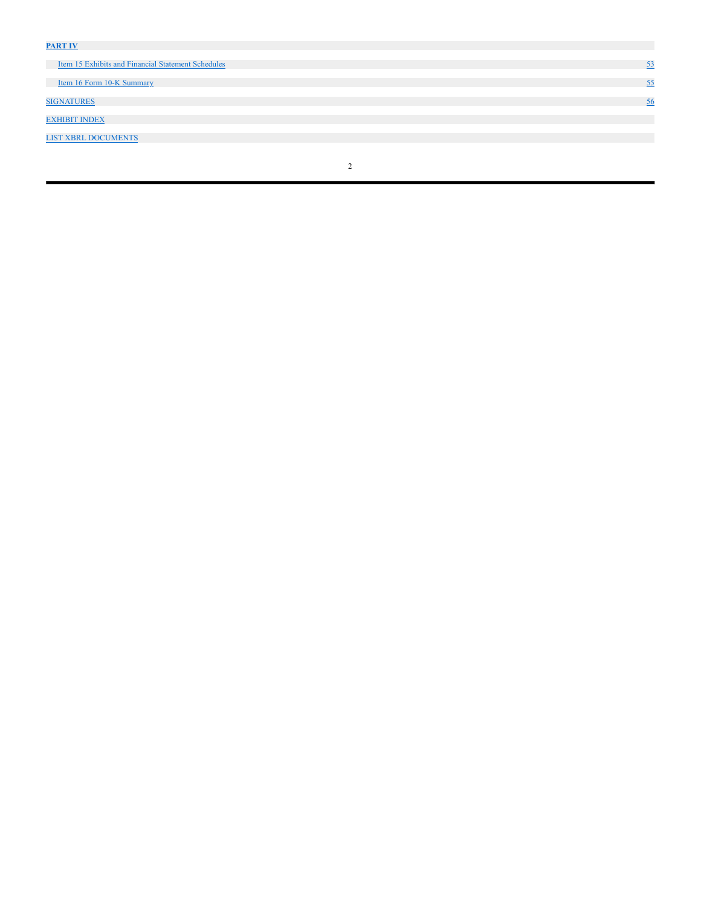# **PART IV** *PART IV*

Item 15 Exhibits and Financial Statement Schedules 53 Item 16 Form 10-K Summary 55 SIGNATURES 56 EXHIBIT INDEX LIST XBRL DOCUMENTS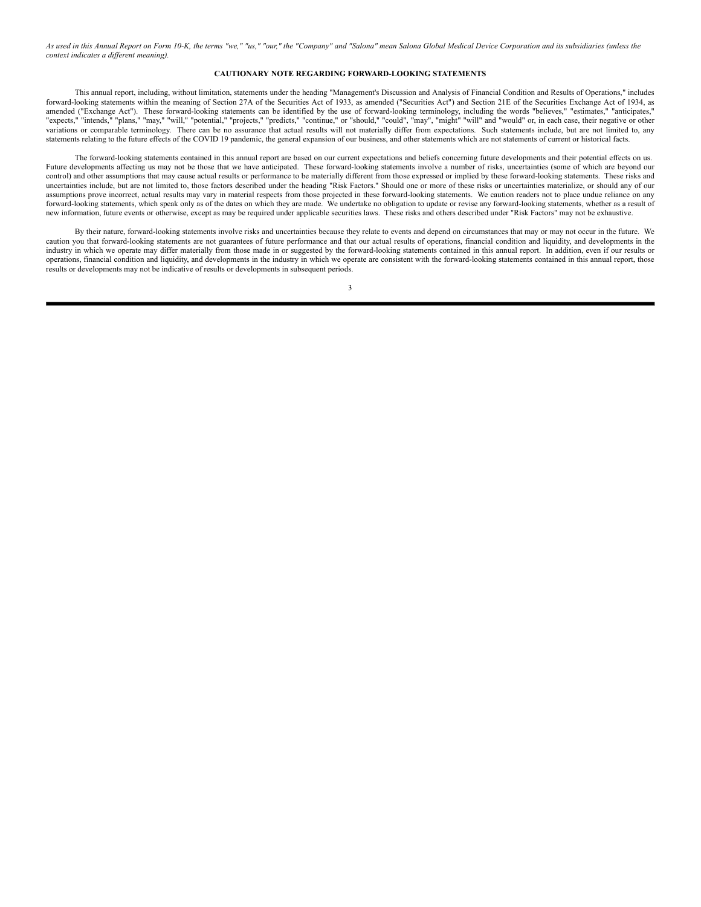*As used in this Annual Report on Form 10-K, the terms "we," "us," "our," the "Company" and "Salona" mean Salona Global Medical Device Corporation and its subsidiaries (unless the context indicates a different meaning).*

# **CAUTIONARY NOTE REGARDING FORWARD-LOOKING STATEMENTS**

This annual report, including, without limitation, statements under the heading "Management's Discussion and Analysis of Financial Condition and Results of Operations," includes forward-looking statements within the meaning of Section 27A of the Securities Act of 1933, as amended ("Securities Act") and Section 21E of the Securities Exchange Act of 1934, as amended ("Exchange Act"). These forward-looking statements can be identified by the use of forward-looking terminology, including the words "believes," "estimates," "anticipates," "expects," "intends," "plans," "may," "will," "potential," "projects," "predicts," "continue," or "should," "could", "may", "might" "will" and "would" or, in each case, their negative or other variations or comparable terminology. There can be no assurance that actual results will not materially differ from expectations. Such statements include, but are not limited to, any statements relating to the future effects of the COVID 19 pandemic, the general expansion of our business, and other statements which are not statements of current or historical facts.

The forward-looking statements contained in this annual report are based on our current expectations and beliefs concerning future developments and their potential effects on us. Future developments affecting us may not be those that we have anticipated. These forward-looking statements involve a number of risks, uncertainties (some of which are beyond our control) and other assumptions that may cause actual results or performance to be materially different from those expressed or implied by these forward-looking statements. These risks and uncertainties include, but are not limited to, those factors described under the heading "Risk Factors." Should one or more of these risks or uncertainties materialize, or should any of our assumptions prove incorrect, actual results may vary in material respects from those projected in these forward-looking statements. We caution readers not to place undue reliance on any forward-looking statements, which speak only as of the dates on which they are made. We undertake no obligation to update or revise any forward-looking statements, whether as a result of new information, future events or otherwise, except as may be required under applicable securities laws. These risks and others described under "Risk Factors" may not be exhaustive.

By their nature, forward-looking statements involve risks and uncertainties because they relate to events and depend on circumstances that may or may not occur in the future. We caution you that forward-looking statements are not guarantees of future performance and that our actual results of operations, financial condition and liquidity, and developments in the industry in which we operate may differ materially from those made in or suggested by the forward-looking statements contained in this annual report. In addition, even if our results or operations, financial condition and liquidity, and developments in the industry in which we operate are consistent with the forward-looking statements contained in this annual report, those results or developments may not be indicative of results or developments in subsequent periods.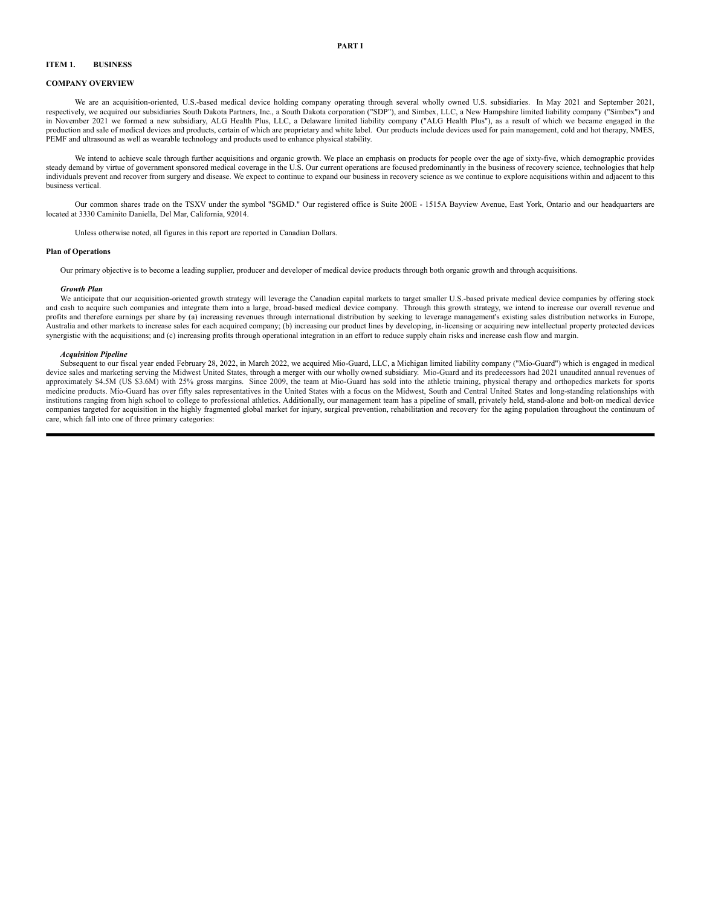# **ITEM 1. BUSINESS**

# **COMPANY OVERVIEW**

We are an acquisition-oriented, U.S.-based medical device holding company operating through several wholly owned U.S. subsidiaries. In May 2021 and September 2021, respectively, we acquired our subsidiaries South Dakota Partners, Inc., a South Dakota corporation ("SDP"), and Simbex, LLC, a New Hampshire limited liability company ("Simbex") and in November 2021 we formed a new subsidiary, ALG Health Plus, LLC, a Delaware limited liability company ("ALG Health Plus"), as a result of which we became engaged in the production and sale of medical devices and products, certain of which are proprietary and white label. Our products include devices used for pain management, cold and hot therapy, NMES, PEMF and ultrasound as well as wearable technology and products used to enhance physical stability.

We intend to achieve scale through further acquisitions and organic growth. We place an emphasis on products for people over the age of sixty-five, which demographic provides steady demand by virtue of government sponsored medical coverage in the U.S. Our current operations are focused predominantly in the business of recovery science, technologies that help individuals prevent and recover from surgery and disease. We expect to continue to expand our business in recovery science as we continue to explore acquisitions within and adjacent to this business vertical.

Our common shares trade on the TSXV under the symbol "SGMD." Our registered office is Suite 200E - 1515A Bayview Avenue, East York, Ontario and our headquarters are located at 3330 Caminito Daniella, Del Mar, California, 92014.

Unless otherwise noted, all figures in this report are reported in Canadian Dollars.

# **Plan of Operations**

Our primary objective is to become a leading supplier, producer and developer of medical device products through both organic growth and through acquisitions.

#### *Growth Plan*

We anticipate that our acquisition-oriented growth strategy will leverage the Canadian capital markets to target smaller U.S.-based private medical device companies by offering stock and cash to acquire such companies and integrate them into a large, broad-based medical device company. Through this growth strategy, we intend to increase our overall revenue and profits and therefore earnings per share by (a) increasing revenues through international distribution by seeking to leverage management's existing sales distribution networks in Europe, Australia and other markets to increase sales for each acquired company; (b) increasing our product lines by developing, in-licensing or acquiring new intellectual property protected devices synergistic with the acquisitions; and (c) increasing profits through operational integration in an effort to reduce supply chain risks and increase cash flow and margin.

#### *Acquisition Pipeline*

Subsequent to our fiscal year ended February 28, 2022, in March 2022, we acquired Mio-Guard, LLC, a Michigan limited liability company ("Mio-Guard") which is engaged in medical device sales and marketing serving the Midwest United States, through a merger with our wholly owned subsidiary. Mio-Guard and its predecessors had 2021 unaudited annual revenues of approximately \$4.5M (US \$3.6M) with 25% gross margins. Since 2009, the team at Mio-Guard has sold into the athletic training, physical therapy and orthopedics markets for sports medicine products. Mio-Guard has over fifty sales representatives in the United States with a focus on the Midwest, South and Central United States and long-standing relationships with institutions ranging from high school to college to professional athletics. Additionally, our management team has a pipeline of small, privately held, stand-alone and bolt-on medical device companies targeted for acquisition in the highly fragmented global market for injury, surgical prevention, rehabilitation and recovery for the aging population throughout the continuum of care, which fall into one of three primary categories: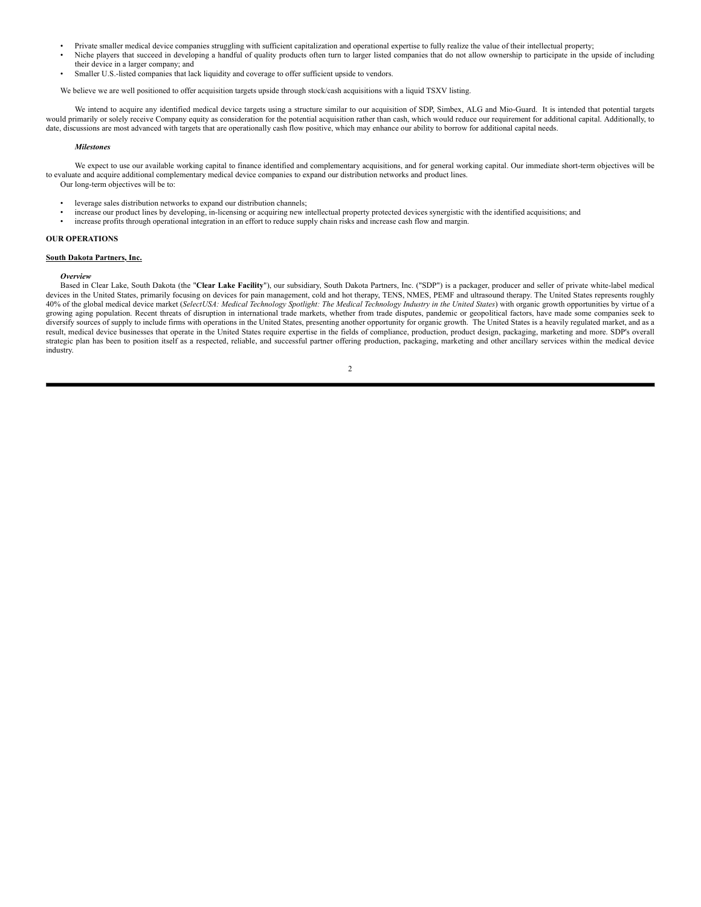- Private smaller medical device companies struggling with sufficient capitalization and operational expertise to fully realize the value of their intellectual property;
- Niche players that succeed in developing a handful of quality products often turn to larger listed companies that do not allow ownership to participate in the upside of including their device in a larger company; and
- Smaller U.S.-listed companies that lack liquidity and coverage to offer sufficient upside to vendors.

We believe we are well positioned to offer acquisition targets upside through stock/cash acquisitions with a liquid TSXV listing.

We intend to acquire any identified medical device targets using a structure similar to our acquisition of SDP, Simbex, ALG and Mio-Guard. It is intended that potential targets would primarily or solely receive Company equity as consideration for the potential acquisition rather than cash, which would reduce our requirement for additional capital. Additionally, to date, discussions are most advanced with targets that are operationally cash flow positive, which may enhance our ability to borrow for additional capital needs.

#### *Milestones*

We expect to use our available working capital to finance identified and complementary acquisitions, and for general working capital. Our immediate short-term objectives will be to evaluate and acquire additional complementary medical device companies to expand our distribution networks and product lines. Our long-term objectives will be to:

- leverage sales distribution networks to expand our distribution channels;
- increase our product lines by developing, in-licensing or acquiring new intellectual property protected devices synergistic with the identified acquisitions; and
- increase profits through operational integration in an effort to reduce supply chain risks and increase cash flow and margin.

# **OUR OPERATIONS**

# **South Dakota Partners, Inc.**

### *Overview*

Based in Clear Lake, South Dakota (the "**Clear Lake Facility**"), our subsidiary, South Dakota Partners, Inc. ("SDP") is a packager, producer and seller of private white-label medical devices in the United States, primarily focusing on devices for pain management, cold and hot therapy, TENS, NMES, PEMF and ultrasound therapy. The United States represents roughly 40% of the global medical device market (*SelectUSA: Medical Technology Spotlight: The Medical Technology Industry in the United States*) with organic growth opportunities by virtue of a growing aging population. Recent threats of disruption in international trade markets, whether from trade disputes, pandemic or geopolitical factors, have made some companies seek to diversify sources of supply to include firms with operations in the United States, presenting another opportunity for organic growth. The United States is a heavily regulated market, and as a result, medical device businesses that operate in the United States require expertise in the fields of compliance, production, product design, packaging, marketing and more. SDP's overall strategic plan has been to position itself as a respected, reliable, and successful partner offering production, packaging, marketing and other ancillary services within the medical device industry.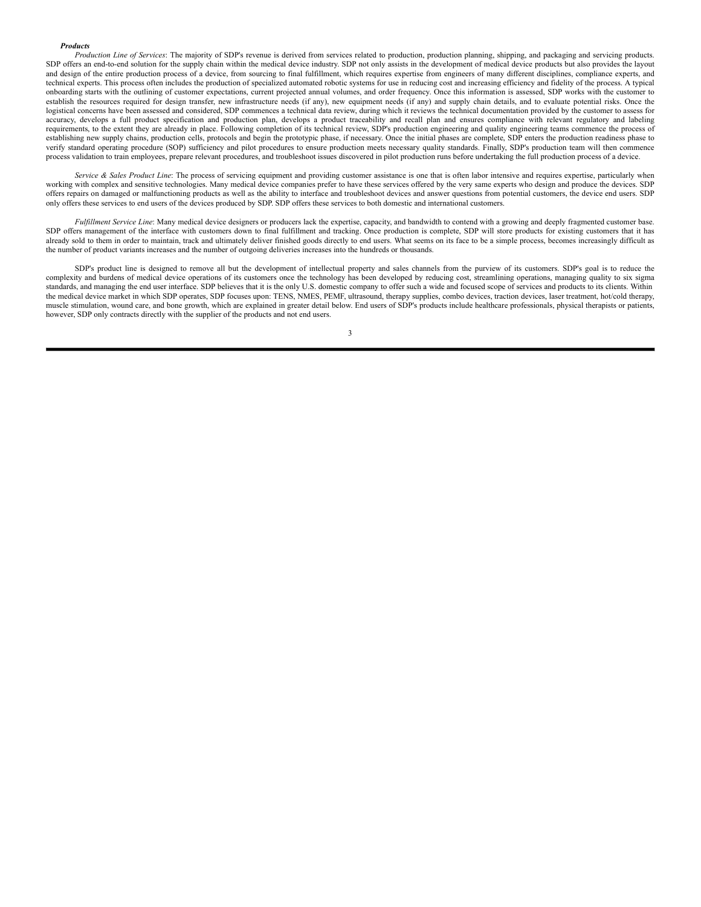#### *Products*

*Production Line of Services*: The majority of SDP's revenue is derived from services related to production, production planning, shipping, and packaging and servicing products. SDP offers an end-to-end solution for the supply chain within the medical device industry. SDP not only assists in the development of medical device products but also provides the layout and design of the entire production process of a device, from sourcing to final fulfillment, which requires expertise from engineers of many different disciplines, compliance experts, and technical experts. This process often includes the production of specialized automated robotic systems for use in reducing cost and increasing efficiency and fidelity of the process. A typical onboarding starts with the outlining of customer expectations, current projected annual volumes, and order frequency. Once this information is assessed, SDP works with the customer to establish the resources required for design transfer, new infrastructure needs (if any), new equipment needs (if any) and supply chain details, and to evaluate potential risks. Once the logistical concerns have been assessed and considered, SDP commences a technical data review, during which it reviews the technical documentation provided by the customer to assess for accuracy, develops a full product specification and production plan, develops a product traceability and recall plan and ensures compliance with relevant regulatory and labeling requirements, to the extent they are already in place. Following completion of its technical review, SDP's production engineering and quality engineering teams commence the process of establishing new supply chains, production cells, protocols and begin the prototypic phase, if necessary. Once the initial phases are complete, SDP enters the production readiness phase to verify standard operating procedure (SOP) sufficiency and pilot procedures to ensure production meets necessary quality standards. Finally, SDP's production team will then commence process validation to train employees, prepare relevant procedures, and troubleshoot issues discovered in pilot production runs before undertaking the full production process of a device.

*Service & Sales Product Line*: The process of servicing equipment and providing customer assistance is one that is often labor intensive and requires expertise, particularly when working with complex and sensitive technologies. Many medical device companies prefer to have these services offered by the very same experts who design and produce the devices. SDP offers repairs on damaged or malfunctioning products as well as the ability to interface and troubleshoot devices and answer questions from potential customers, the device end users. SDP only offers these services to end users of the devices produced by SDP. SDP offers these services to both domestic and international customers.

*Fulfillment Service Line*: Many medical device designers or producers lack the expertise, capacity, and bandwidth to contend with a growing and deeply fragmented customer base. SDP offers management of the interface with customers down to final fulfillment and tracking. Once production is complete, SDP will store products for existing customers that it has already sold to them in order to maintain, track and ultimately deliver finished goods directly to end users. What seems on its face to be a simple process, becomes increasingly difficult as the number of product variants increases and the number of outgoing deliveries increases into the hundreds or thousands.

SDP's product line is designed to remove all but the development of intellectual property and sales channels from the purview of its customers. SDP's goal is to reduce the complexity and burdens of medical device operations of its customers once the technology has been developed by reducing cost, streamlining operations, managing quality to six sigma standards, and managing the end user interface. SDP believes that it is the only U.S. domestic company to offer such a wide and focused scope of services and products to its clients. Within the medical device market in which SDP operates, SDP focuses upon: TENS, NMES, PEMF, ultrasound, therapy supplies, combo devices, traction devices, laser treatment, hot/cold therapy, muscle stimulation, wound care, and bone growth, which are explained in greater detail below. End users of SDP's products include healthcare professionals, physical therapists or patients, however, SDP only contracts directly with the supplier of the products and not end users.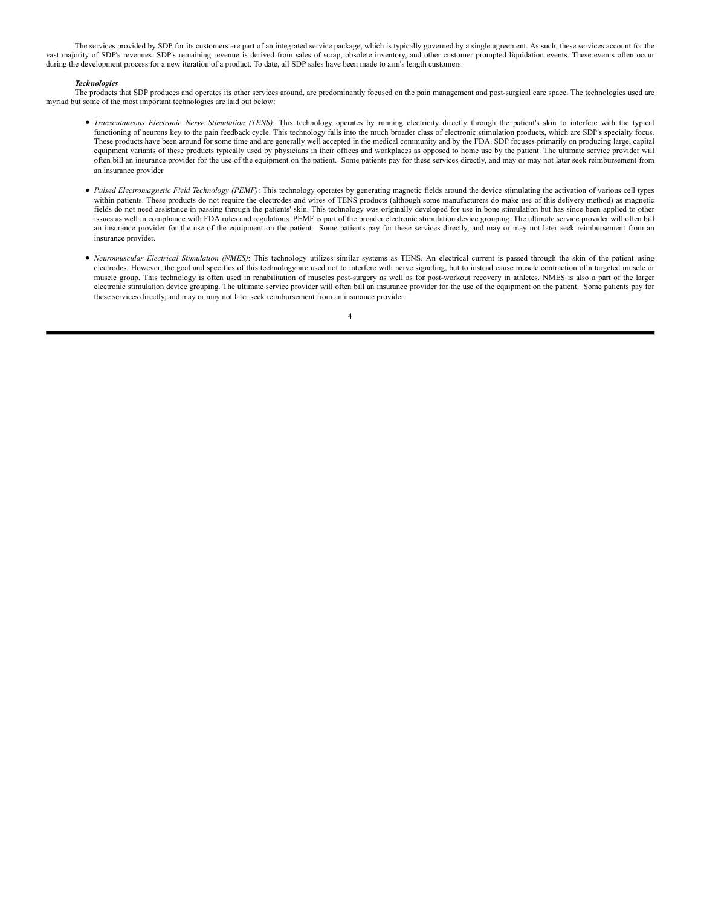The services provided by SDP for its customers are part of an integrated service package, which is typically governed by a single agreement. As such, these services account for the vast majority of SDP's revenues. SDP's remaining revenue is derived from sales of scrap, obsolete inventory, and other customer prompted liquidation events. These events often occur during the development process for a new iteration of a product. To date, all SDP sales have been made to arm's length customers.

## *Technologies*

The products that SDP produces and operates its other services around, are predominantly focused on the pain management and post-surgical care space. The technologies used are myriad but some of the most important technologies are laid out below:

- *Transcutaneous Electronic Nerve Stimulation (TENS)*: This technology operates by running electricity directly through the patient's skin to interfere with the typical functioning of neurons key to the pain feedback cycle. This technology falls into the much broader class of electronic stimulation products, which are SDP's specialty focus. These products have been around for some time and are generally well accepted in the medical community and by the FDA. SDP focuses primarily on producing large, capital equipment variants of these products typically used by physicians in their offices and workplaces as opposed to home use by the patient. The ultimate service provider will often bill an insurance provider for the use of the equipment on the patient. Some patients pay for these services directly, and may or may not later seek reimbursement from an insurance provider.
- *Pulsed Electromagnetic Field Technology (PEMF)*: This technology operates by generating magnetic fields around the device stimulating the activation of various cell types within patients. These products do not require the electrodes and wires of TENS products (although some manufacturers do make use of this delivery method) as magnetic fields do not need assistance in passing through the patients' skin. This technology was originally developed for use in bone stimulation but has since been applied to other issues as well in compliance with FDA rules and regulations. PEMF is part of the broader electronic stimulation device grouping. The ultimate service provider will often bill an insurance provider for the use of the equipment on the patient. Some patients pay for these services directly, and may or may not later seek reimbursement from an insurance provider.
- *Neuromuscular Electrical Stimulation (NMES)*: This technology utilizes similar systems as TENS. An electrical current is passed through the skin of the patient using electrodes. However, the goal and specifics of this technology are used not to interfere with nerve signaling, but to instead cause muscle contraction of a targeted muscle or muscle group. This technology is often used in rehabilitation of muscles post-surgery as well as for post-workout recovery in athletes. NMES is also a part of the larger electronic stimulation device grouping. The ultimate service provider will often bill an insurance provider for the use of the equipment on the patient. Some patients pay for these services directly, and may or may not later seek reimbursement from an insurance provider.

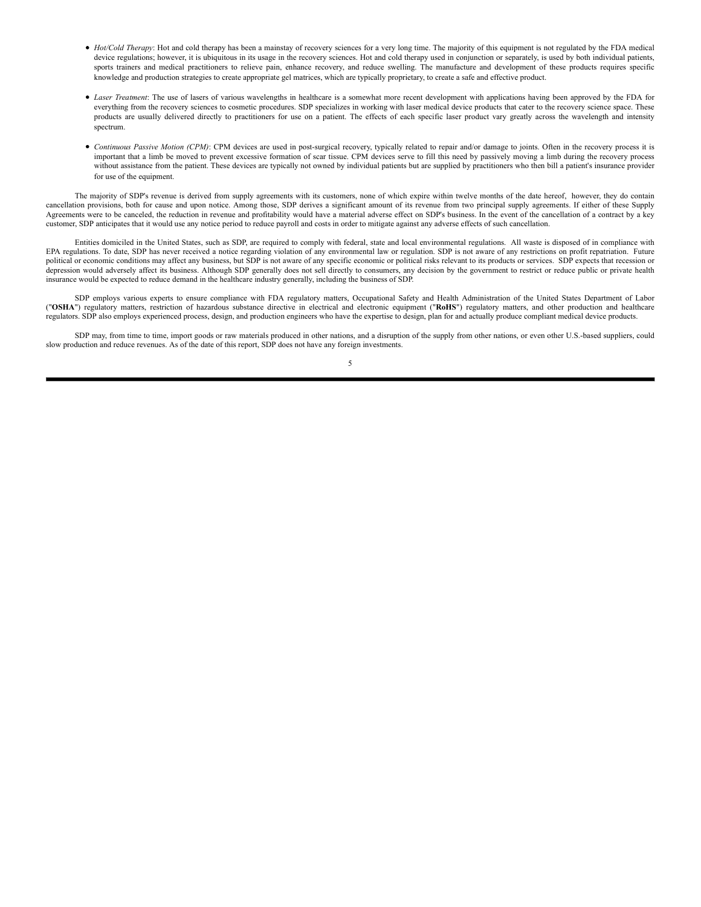- *Hot/Cold Therapy*: Hot and cold therapy has been a mainstay of recovery sciences for a very long time. The majority of this equipment is not regulated by the FDA medical device regulations; however, it is ubiquitous in its usage in the recovery sciences. Hot and cold therapy used in conjunction or separately, is used by both individual patients, sports trainers and medical practitioners to relieve pain, enhance recovery, and reduce swelling. The manufacture and development of these products requires specific knowledge and production strategies to create appropriate gel matrices, which are typically proprietary, to create a safe and effective product.
- *Laser Treatment*: The use of lasers of various wavelengths in healthcare is a somewhat more recent development with applications having been approved by the FDA for everything from the recovery sciences to cosmetic procedures. SDP specializes in working with laser medical device products that cater to the recovery science space. These products are usually delivered directly to practitioners for use on a patient. The effects of each specific laser product vary greatly across the wavelength and intensity spectrum.
- *Continuous Passive Motion (CPM)*: CPM devices are used in post-surgical recovery, typically related to repair and/or damage to joints. Often in the recovery process it is important that a limb be moved to prevent excessive formation of scar tissue. CPM devices serve to fill this need by passively moving a limb during the recovery process without assistance from the patient. These devices are typically not owned by individual patients but are supplied by practitioners who then bill a patient's insurance provider for use of the equipment.

The majority of SDP's revenue is derived from supply agreements with its customers, none of which expire within twelve months of the date hereof, however, they do contain cancellation provisions, both for cause and upon notice. Among those, SDP derives a significant amount of its revenue from two principal supply agreements. If either of these Supply Agreements were to be canceled, the reduction in revenue and profitability would have a material adverse effect on SDP's business. In the event of the cancellation of a contract by a key customer, SDP anticipates that it would use any notice period to reduce payroll and costs in order to mitigate against any adverse effects of such cancellation.

Entities domiciled in the United States, such as SDP, are required to comply with federal, state and local environmental regulations. All waste is disposed of in compliance with EPA regulations. To date, SDP has never received a notice regarding violation of any environmental law or regulation. SDP is not aware of any restrictions on profit repatriation. Future political or economic conditions may affect any business, but SDP is not aware of any specific economic or political risks relevant to its products or services. SDP expects that recession or depression would adversely affect its business. Although SDP generally does not sell directly to consumers, any decision by the government to restrict or reduce public or private health insurance would be expected to reduce demand in the healthcare industry generally, including the business of SDP.

SDP employs various experts to ensure compliance with FDA regulatory matters, Occupational Safety and Health Administration of the United States Department of Labor ("**OSHA**") regulatory matters, restriction of hazardous substance directive in electrical and electronic equipment ("**RoHS**") regulatory matters, and other production and healthcare regulators. SDP also employs experienced process, design, and production engineers who have the expertise to design, plan for and actually produce compliant medical device products.

SDP may, from time to time, import goods or raw materials produced in other nations, and a disruption of the supply from other nations, or even other U.S.-based suppliers, could slow production and reduce revenues. As of the date of this report, SDP does not have any foreign investments. 5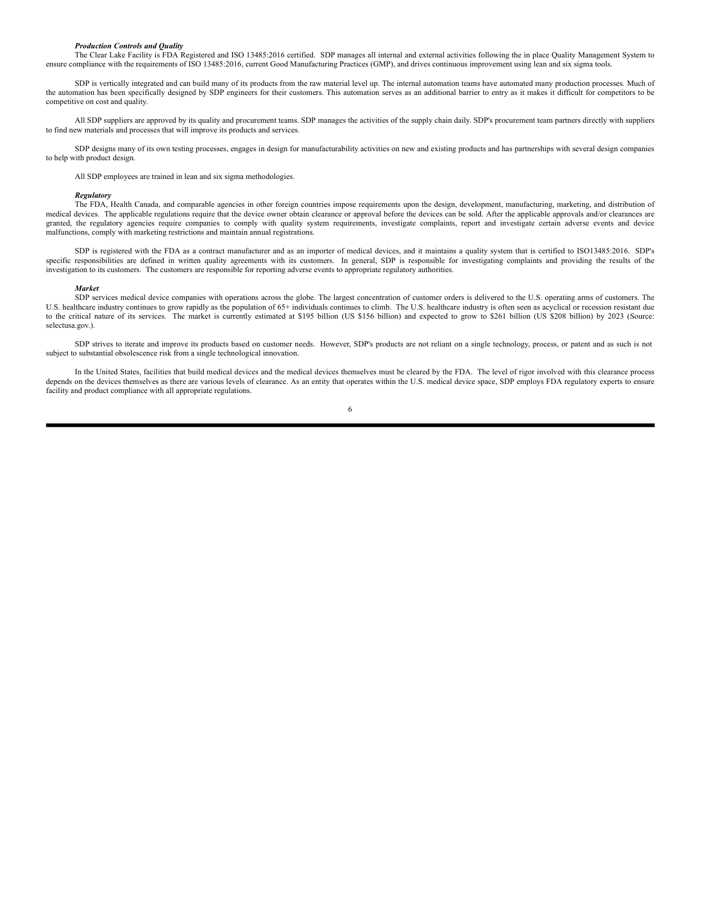#### *Production Controls and Quality*

The Clear Lake Facility is FDA Registered and ISO 13485:2016 certified. SDP manages all internal and external activities following the in place Quality Management System to ensure compliance with the requirements of ISO 13485:2016, current Good Manufacturing Practices (GMP), and drives continuous improvement using lean and six sigma tools.

SDP is vertically integrated and can build many of its products from the raw material level up. The internal automation teams have automated many production processes. Much of the automation has been specifically designed by SDP engineers for their customers. This automation serves as an additional barrier to entry as it makes it difficult for competitors to be competitive on cost and quality.

All SDP suppliers are approved by its quality and procurement teams. SDP manages the activities of the supply chain daily. SDP's procurement team partners directly with suppliers to find new materials and processes that will improve its products and services.

SDP designs many of its own testing processes, engages in design for manufacturability activities on new and existing products and has partnerships with several design companies to help with product design.

All SDP employees are trained in lean and six sigma methodologies.

#### *Regulatory*

The FDA, Health Canada, and comparable agencies in other foreign countries impose requirements upon the design, development, manufacturing, marketing, and distribution of medical devices. The applicable regulations require that the device owner obtain clearance or approval before the devices can be sold. After the applicable approvals and/or clearances are granted, the regulatory agencies require companies to comply with quality system requirements, investigate complaints, report and investigate certain adverse events and device malfunctions, comply with marketing restrictions and maintain annual registrations.

SDP is registered with the FDA as a contract manufacturer and as an importer of medical devices, and it maintains a quality system that is certified to ISO13485:2016. SDP's specific responsibilities are defined in written quality agreements with its customers. In general, SDP is responsible for investigating complaints and providing the results of the investigation to its customers. The customers are responsible for reporting adverse events to appropriate regulatory authorities.

#### *Market*

SDP services medical device companies with operations across the globe. The largest concentration of customer orders is delivered to the U.S. operating arms of customers. The U.S. healthcare industry continues to grow rapidly as the population of 65+ individuals continues to climb. The U.S. healthcare industry is often seen as acyclical or recession resistant due to the critical nature of its services. The market is currently estimated at \$195 billion (US \$156 billion) and expected to grow to \$261 billion (US \$208 billion) by 2023 (Source: selectusa.gov.).

SDP strives to iterate and improve its products based on customer needs. However, SDP's products are not reliant on a single technology, process, or patent and as such is not subject to substantial obsolescence risk from a single technological innovation.

In the United States, facilities that build medical devices and the medical devices themselves must be cleared by the FDA. The level of rigor involved with this clearance process depends on the devices themselves as there are various levels of clearance. As an entity that operates within the U.S. medical device space, SDP employs FDA regulatory experts to ensure facility and product compliance with all appropriate regulations.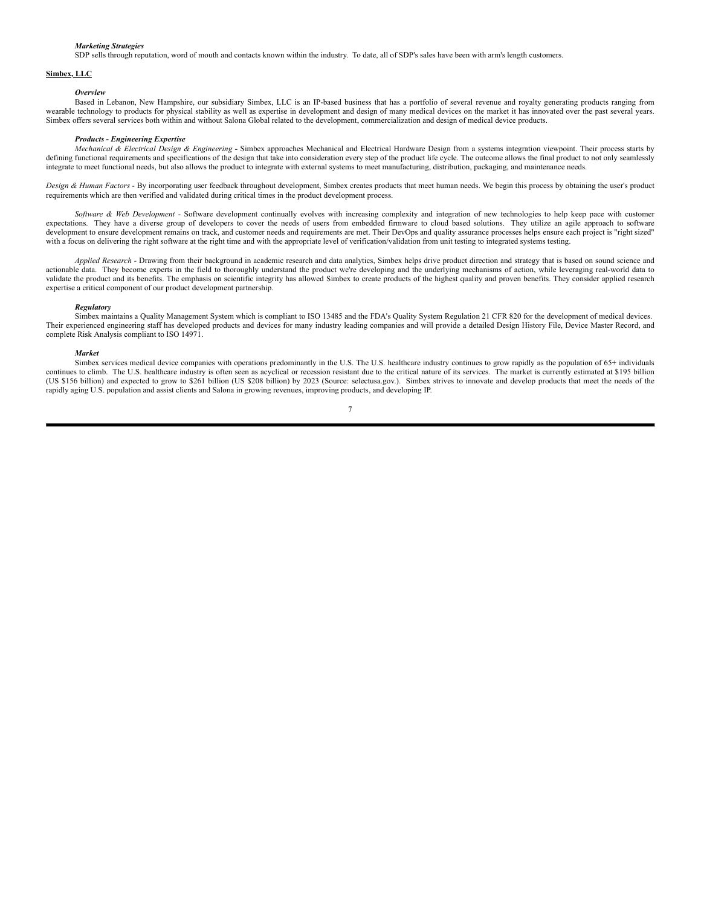#### *Marketing Strategies*

SDP sells through reputation, word of mouth and contacts known within the industry. To date, all of SDP's sales have been with arm's length customers.

#### **Simbex, LLC**

#### *Overview*

Based in Lebanon, New Hampshire, our subsidiary Simbex, LLC is an IP-based business that has a portfolio of several revenue and royalty generating products ranging from wearable technology to products for physical stability as well as expertise in development and design of many medical devices on the market it has innovated over the past several years. Simbex offers several services both within and without Salona Global related to the development, commercialization and design of medical device products.

#### *Products - Engineering Expertise*

*Mechanical & Electrical Design & Engineering* - Simbex approaches Mechanical and Electrical Hardware Design from a systems integration viewpoint. Their process starts by defining functional requirements and specifications of the design that take into consideration every step of the product life cycle. The outcome allows the final product to not only seamlessly integrate to meet functional needs, but also allows the product to integrate with external systems to meet manufacturing, distribution, packaging, and maintenance needs.

*Design & Human Factors -* By incorporating user feedback throughout development, Simbex creates products that meet human needs. We begin this process by obtaining the user's product requirements which are then verified and validated during critical times in the product development process.

*Software & Web Development -* Software development continually evolves with increasing complexity and integration of new technologies to help keep pace with customer expectations. They have a diverse group of developers to cover the needs of users from embedded firmware to cloud based solutions. They utilize an agile approach to software development to ensure development remains on track, and customer needs and requirements are met. Their DevOps and quality assurance processes helps ensure each project is "right sized" with a focus on delivering the right software at the right time and with the appropriate level of verification/validation from unit testing to integrated systems testing.

*Applied Research -* Drawing from their background in academic research and data analytics, Simbex helps drive product direction and strategy that is based on sound science and actionable data. They become experts in the field to thoroughly understand the product we're developing and the underlying mechanisms of action, while leveraging real-world data to validate the product and its benefits. The emphasis on scientific integrity has allowed Simbex to create products of the highest quality and proven benefits. They consider applied research expertise a critical component of our product development partnership.

## *Regulatory*

Simbex maintains a Quality Management System which is compliant to ISO 13485 and the FDA's Quality System Regulation 21 CFR 820 for the development of medical devices. Their experienced engineering staff has developed products and devices for many industry leading companies and will provide a detailed Design History File, Device Master Record, and complete Risk Analysis compliant to ISO 14971.

# *Market*

Simbex services medical device companies with operations predominantly in the U.S. The U.S. healthcare industry continues to grow rapidly as the population of 65+ individuals continues to climb. The U.S. healthcare industry is often seen as acyclical or recession resistant due to the critical nature of its services. The market is currently estimated at \$195 billion (US \$156 billion) and expected to grow to \$261 billion (US \$208 billion) by 2023 (Source: selectusa.gov.). Simbex strives to innovate and develop products that meet the needs of the rapidly aging U.S. population and assist clients and Salona in growing revenues, improving products, and developing IP.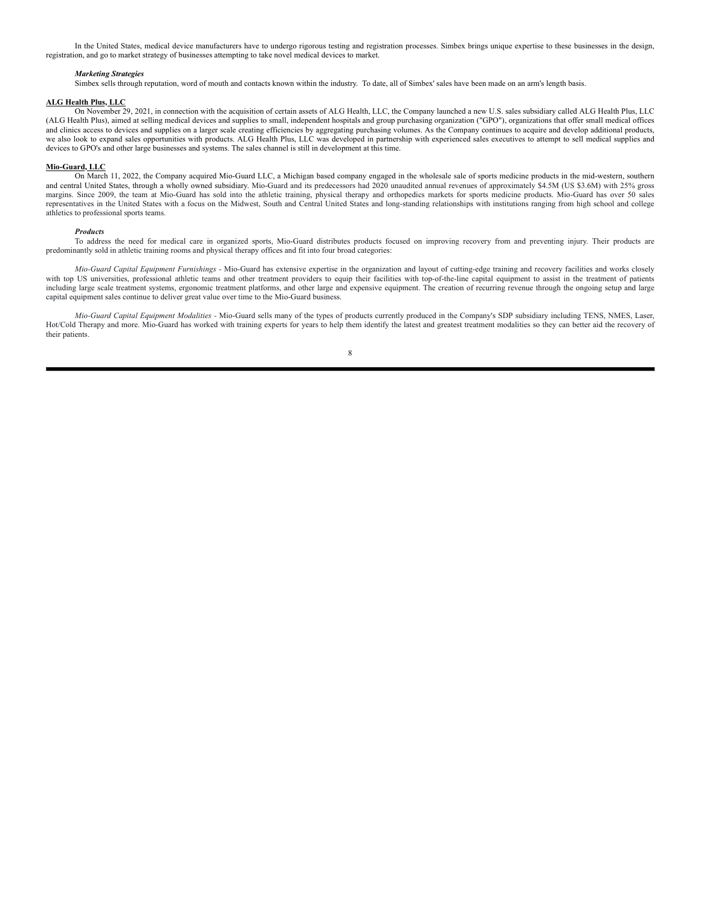In the United States, medical device manufacturers have to undergo rigorous testing and registration processes. Simbex brings unique expertise to these businesses in the design, registration, and go to market strategy of businesses attempting to take novel medical devices to market.

#### *Marketing Strategies*

Simbex sells through reputation, word of mouth and contacts known within the industry. To date, all of Simbex' sales have been made on an arm's length basis.

## **ALG Health Plus, LLC**

On November 29, 2021, in connection with the acquisition of certain assets of ALG Health, LLC, the Company launched a new U.S. sales subsidiary called ALG Health Plus, LLC (ALG Health Plus), aimed at selling medical devices and supplies to small, independent hospitals and group purchasing organization ("GPO"), organizations that offer small medical offices and clinics access to devices and supplies on a larger scale creating efficiencies by aggregating purchasing volumes. As the Company continues to acquire and develop additional products, we also look to expand sales opportunities with products. ALG Health Plus, LLC was developed in partnership with experienced sales executives to attempt to sell medical supplies and devices to GPO's and other large businesses and systems. The sales channel is still in development at this time.

#### **Mio-Guard, LLC**

On March 11, 2022, the Company acquired Mio-Guard LLC, a Michigan based company engaged in the wholesale sale of sports medicine products in the mid-western, southern and central United States, through a wholly owned subsidiary. Mio-Guard and its predecessors had 2020 unaudited annual revenues of approximately \$4.5M (US \$3.6M) with 25% gross margins. Since 2009, the team at Mio-Guard has sold into the athletic training, physical therapy and orthopedics markets for sports medicine products. Mio-Guard has over 50 sales representatives in the United States with a focus on the Midwest, South and Central United States and long-standing relationships with institutions ranging from high school and college athletics to professional sports teams.

## *Products*

To address the need for medical care in organized sports, Mio-Guard distributes products focused on improving recovery from and preventing injury. Their products are predominantly sold in athletic training rooms and physical therapy offices and fit into four broad categories:

*Mio-Guard Capital Equipment Furnishings -* Mio-Guard has extensive expertise in the organization and layout of cutting-edge training and recovery facilities and works closely with top US universities, professional athletic teams and other treatment providers to equip their facilities with top-of-the-line capital equipment to assist in the treatment of patients including large scale treatment systems, ergonomic treatment platforms, and other large and expensive equipment. The creation of recurring revenue through the ongoing setup and large capital equipment sales continue to deliver great value over time to the Mio-Guard business.

*Mio-Guard Capital Equipment Modalities -* Mio-Guard sells many of the types of products currently produced in the Company's SDP subsidiary including TENS, NMES, Laser, Hot/Cold Therapy and more. Mio-Guard has worked with training experts for years to help them identify the latest and greatest treatment modalities so they can better aid the recovery of their patients.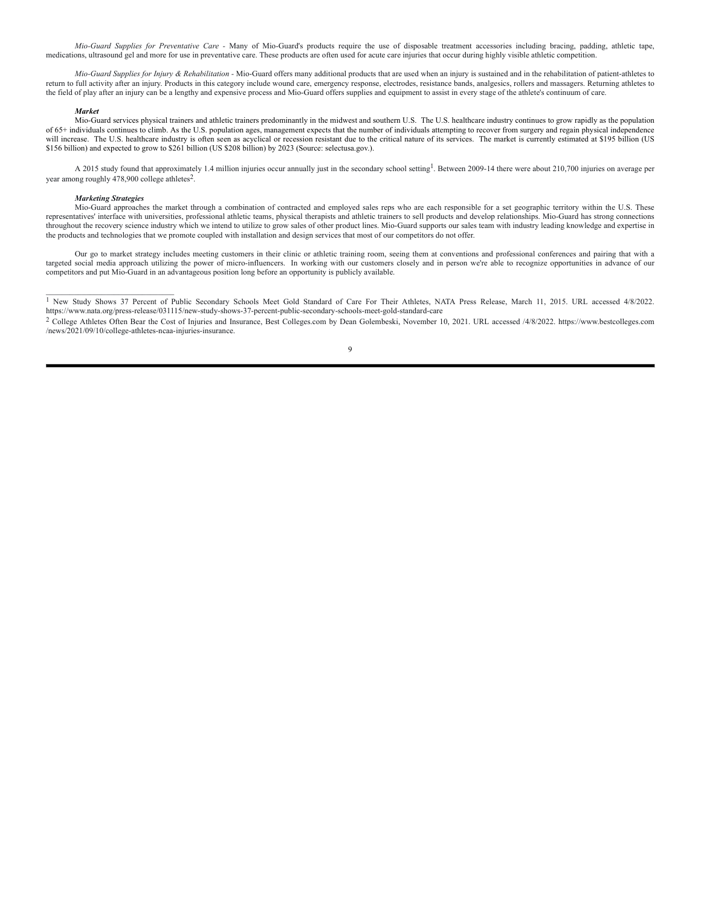*Mio-Guard Supplies for Preventative Care -* Many of Mio-Guard's products require the use of disposable treatment accessories including bracing, padding, athletic tape, medications, ultrasound gel and more for use in preventative care. These products are often used for acute care injuries that occur during highly visible athletic competition.

*Mio-Guard Supplies for Injury & Rehabilitation - Mio-Guard offers many additional products that are used when an injury is sustained and in the rehabilitation of patient-athletes to* return to full activity after an injury. Products in this category include wound care, emergency response, electrodes, resistance bands, analgesics, rollers and massagers. Returning athletes to the field of play after an injury can be a lengthy and expensive process and Mio-Guard offers supplies and equipment to assist in every stage of the athlete's continuum of care.

#### *Market*

Mio-Guard services physical trainers and athletic trainers predominantly in the midwest and southern U.S. The U.S. healthcare industry continues to grow rapidly as the population of 65+ individuals continues to climb. As the U.S. population ages, management expects that the number of individuals attempting to recover from surgery and regain physical independence will increase. The U.S. healthcare industry is often seen as acyclical or recession resistant due to the critical nature of its services. The market is currently estimated at \$195 billion (US \$156 billion) and expected to grow to \$261 billion (US \$208 billion) by 2023 (Source: selectusa.gov.).

A 2015 study found that approximately 1.4 million injuries occur annually just in the secondary school setting<sup>1</sup>. Between 2009-14 there were about 210,700 injuries on average per year among roughly 478,900 college athletes<sup>2</sup>.

#### *Marketing Strategies*

Mio-Guard approaches the market through a combination of contracted and employed sales reps who are each responsible for a set geographic territory within the U.S. These representatives' interface with universities, professional athletic teams, physical therapists and athletic trainers to sell products and develop relationships. Mio-Guard has strong connections throughout the recovery science industry which we intend to utilize to grow sales of other product lines. Mio-Guard supports our sales team with industry leading knowledge and expertise in the products and technologies that we promote coupled with installation and design services that most of our competitors do not offer.

Our go to market strategy includes meeting customers in their clinic or athletic training room, seeing them at conventions and professional conferences and pairing that with a targeted social media approach utilizing the power of micro-influencers. In working with our customers closely and in person we're able to recognize opportunities in advance of our competitors and put Mio-Guard in an advantageous position long before an opportunity is publicly available.

<sup>1&</sup>lt;br><sup>1</sup> New Study Shows 37 Percent of Public Secondary Schools Meet Gold Standard of Care For Their Athletes, NATA Press Release, March 11, 2015. URL accessed 4/8/2022. https://www.nata.org/press-release/031115/new-study-shows-37-percent-public-secondary-schools-meet-gold-standard-care

<sup>&</sup>lt;sup>2</sup> College Athletes Often Bear the Cost of Injuries and Insurance, Best Colleges.com by Dean Golembeski, November 10, 2021. URL accessed /4/8/2022. https://www.bestcolleges.com /news/2021/09/10/college-athletes-ncaa-injuries-insurance.

 $\overline{Q}$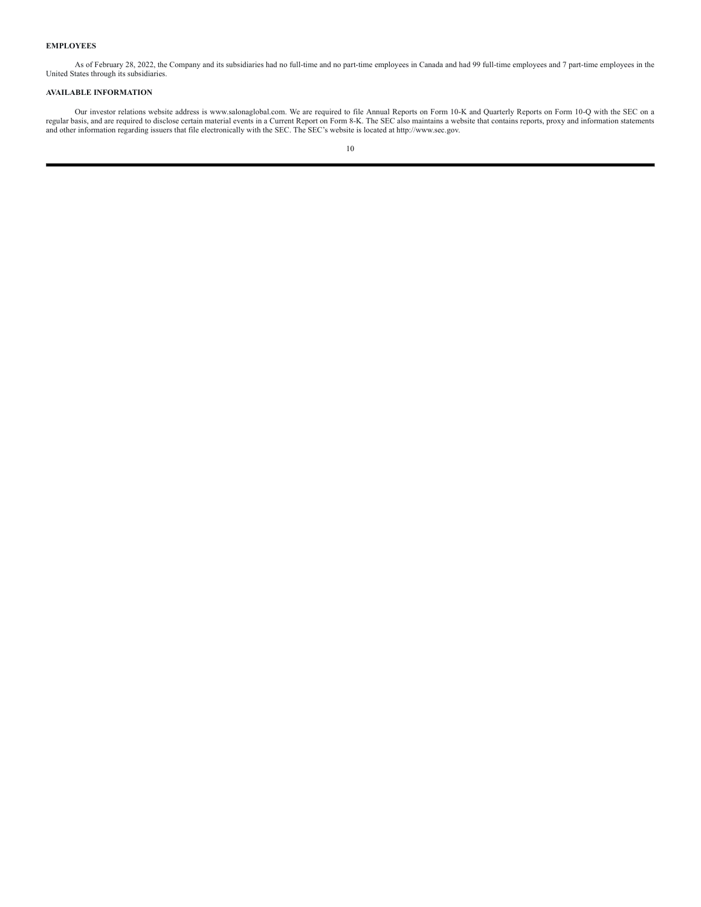# **EMPLOYEES**

As of February 28, 2022, the Company and its subsidiaries had no full-time and no part-time employees in Canada and had 99 full-time employees and 7 part-time employees in the United States through its subsidiaries.

# **AVAILABLE INFORMATION**

Our investor relations website address is www.salonaglobal.com. We are required to file Annual Reports on Form 10-K and Quarterly Reports on Form 10-Q with the SEC on a regular basis, and are required to disclose certain material events in a Current Report on Form 8-K. The SEC also maintains a website that contains reports, proxy and information statements and other information regarding issuers that file electronically with the SEC. The SEC's website is located at http://www.sec.gov.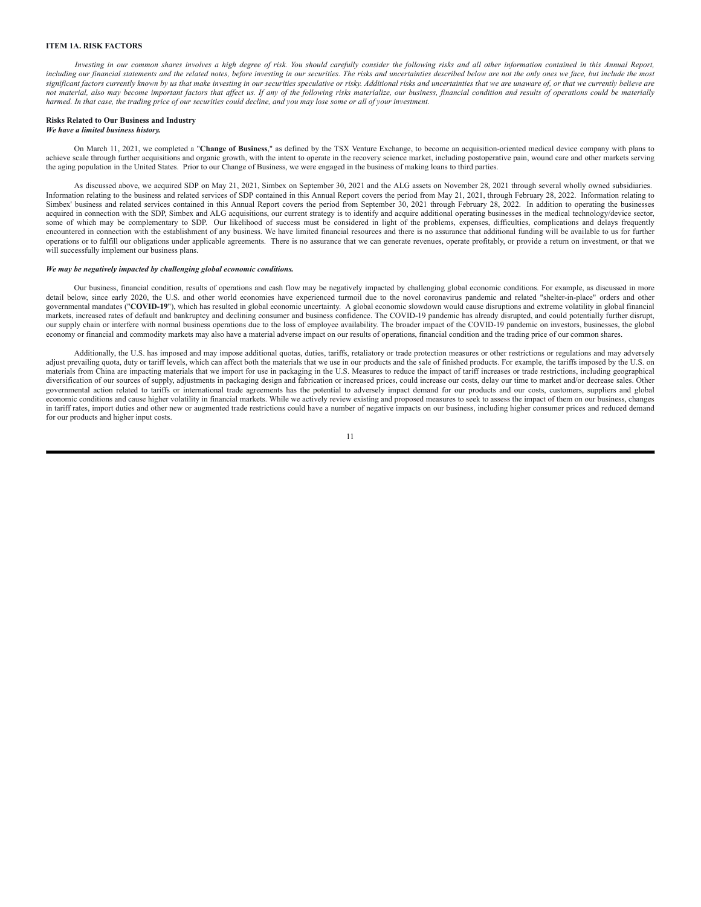# **ITEM 1A. RISK FACTORS**

*Investing in our common shares involves a high degree of risk. You should carefully consider the following risks and all other information contained in this Annual Report, including our financial statements and the related notes, before investing in our securities. The risks and uncertainties described below are not the only ones we face, but include the most significant factors currently known by us that make investing in our securities speculative or risky. Additional risks and uncertainties that we are unaware of, or that we currently believe are not material, also may become important factors that affect us. If any of the following risks materialize, our business, financial condition and results of operations could be materially harmed. In that case, the trading price of our securities could decline, and you may lose some or all of your investment.*

# **Risks Related to Our Business and Industry**

*We have a limited business history.*

On March 11, 2021, we completed a "**Change of Business**," as defined by the TSX Venture Exchange, to become an acquisition-oriented medical device company with plans to achieve scale through further acquisitions and organic growth, with the intent to operate in the recovery science market, including postoperative pain, wound care and other markets serving the aging population in the United States. Prior to our Change of Business, we were engaged in the business of making loans to third parties.

As discussed above, we acquired SDP on May 21, 2021, Simbex on September 30, 2021 and the ALG assets on November 28, 2021 through several wholly owned subsidiaries. Information relating to the business and related services of SDP contained in this Annual Report covers the period from May 21, 2021, through February 28, 2022. Information relating to Simbex' business and related services contained in this Annual Report covers the period from September 30, 2021 through February 28, 2022. In addition to operating the businesses acquired in connection with the SDP, Simbex and ALG acquisitions, our current strategy is to identify and acquire additional operating businesses in the medical technology/device sector, some of which may be complementary to SDP. Our likelihood of success must be considered in light of the problems, expenses, difficulties, complications and delays frequently encountered in connection with the establishment of any business. We have limited financial resources and there is no assurance that additional funding will be available to us for further operations or to fulfill our obligations under applicable agreements. There is no assurance that we can generate revenues, operate profitably, or provide a return on investment, or that we will successfully implement our business plans.

# *We may be negatively impacted by challenging global economic conditions.*

Our business, financial condition, results of operations and cash flow may be negatively impacted by challenging global economic conditions. For example, as discussed in more detail below, since early 2020, the U.S. and other world economies have experienced turmoil due to the novel coronavirus pandemic and related "shelter-in-place" orders and other governmental mandates ("**COVID-19**"), which has resulted in global economic uncertainty. A global economic slowdown would cause disruptions and extreme volatility in global financial markets, increased rates of default and bankruptcy and declining consumer and business confidence. The COVID-19 pandemic has already disrupted, and could potentially further disrupt, our supply chain or interfere with normal business operations due to the loss of employee availability. The broader impact of the COVID-19 pandemic on investors, businesses, the global economy or financial and commodity markets may also have a material adverse impact on our results of operations, financial condition and the trading price of our common shares.

Additionally, the U.S. has imposed and may impose additional quotas, duties, tariffs, retaliatory or trade protection measures or other restrictions or regulations and may adversely adjust prevailing quota, duty or tariff levels, which can affect both the materials that we use in our products and the sale of finished products. For example, the tariffs imposed by the U.S. on materials from China are impacting materials that we import for use in packaging in the U.S. Measures to reduce the impact of tariff increases or trade restrictions, including geographical diversification of our sources of supply, adjustments in packaging design and fabrication or increased prices, could increase our costs, delay our time to market and/or decrease sales. Other governmental action related to tariffs or international trade agreements has the potential to adversely impact demand for our products and our costs, customers, suppliers and global economic conditions and cause higher volatility in financial markets. While we actively review existing and proposed measures to seek to assess the impact of them on our business, changes in tariff rates, import duties and other new or augmented trade restrictions could have a number of negative impacts on our business, including higher consumer prices and reduced demand for our products and higher input costs.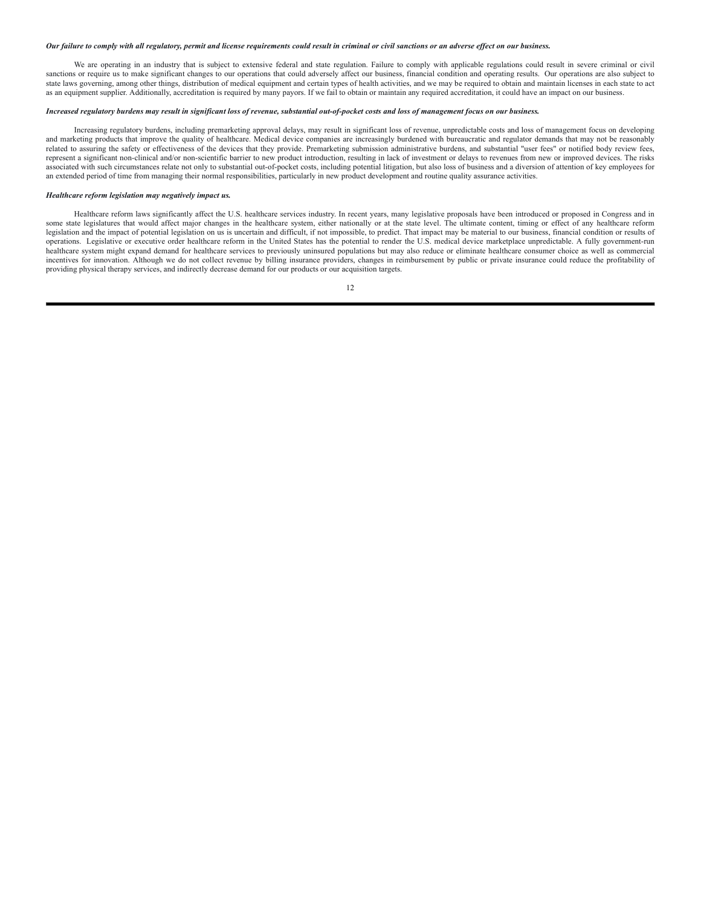# *Our failure to comply with all regulatory, permit and license requirements could result in criminal or civil sanctions or an adverse effect on our business.*

We are operating in an industry that is subject to extensive federal and state regulation. Failure to comply with applicable regulations could result in severe criminal or civil sanctions or require us to make significant changes to our operations that could adversely affect our business, financial condition and operating results. Our operations are also subject to state laws governing, among other things, distribution of medical equipment and certain types of health activities, and we may be required to obtain and maintain licenses in each state to act as an equipment supplier. Additionally, accreditation is required by many payors. If we fail to obtain or maintain any required accreditation, it could have an impact on our business.

# *Increased regulatory burdens may result in significant loss of revenue, substantial out-of-pocket costs and loss of management focus on our business.*

Increasing regulatory burdens, including premarketing approval delays, may result in significant loss of revenue, unpredictable costs and loss of management focus on developing and marketing products that improve the quality of healthcare. Medical device companies are increasingly burdened with bureaucratic and regulator demands that may not be reasonably related to assuring the safety or effectiveness of the devices that they provide. Premarketing submission administrative burdens, and substantial "user fees" or notified body review fees, represent a significant non-clinical and/or non-scientific barrier to new product introduction, resulting in lack of investment or delays to revenues from new or improved devices. The risks associated with such circumstances relate not only to substantial out-of-pocket costs, including potential litigation, but also loss of business and a diversion of attention of key employees for an extended period of time from managing their normal responsibilities, particularly in new product development and routine quality assurance activities.

## *Healthcare reform legislation may negatively impact us.*

Healthcare reform laws significantly affect the U.S. healthcare services industry. In recent years, many legislative proposals have been introduced or proposed in Congress and in some state legislatures that would affect major changes in the healthcare system, either nationally or at the state level. The ultimate content, timing or effect of any healthcare reform legislation and the impact of potential legislation on us is uncertain and difficult, if not impossible, to predict. That impact may be material to our business, financial condition or results of operations. Legislative or executive order healthcare reform in the United States has the potential to render the U.S. medical device marketplace unpredictable. A fully government-run healthcare system might expand demand for healthcare services to previously uninsured populations but may also reduce or eliminate healthcare consumer choice as well as commercial incentives for innovation. Although we do not collect revenue by billing insurance providers, changes in reimbursement by public or private insurance could reduce the profitability of providing physical therapy services, and indirectly decrease demand for our products or our acquisition targets.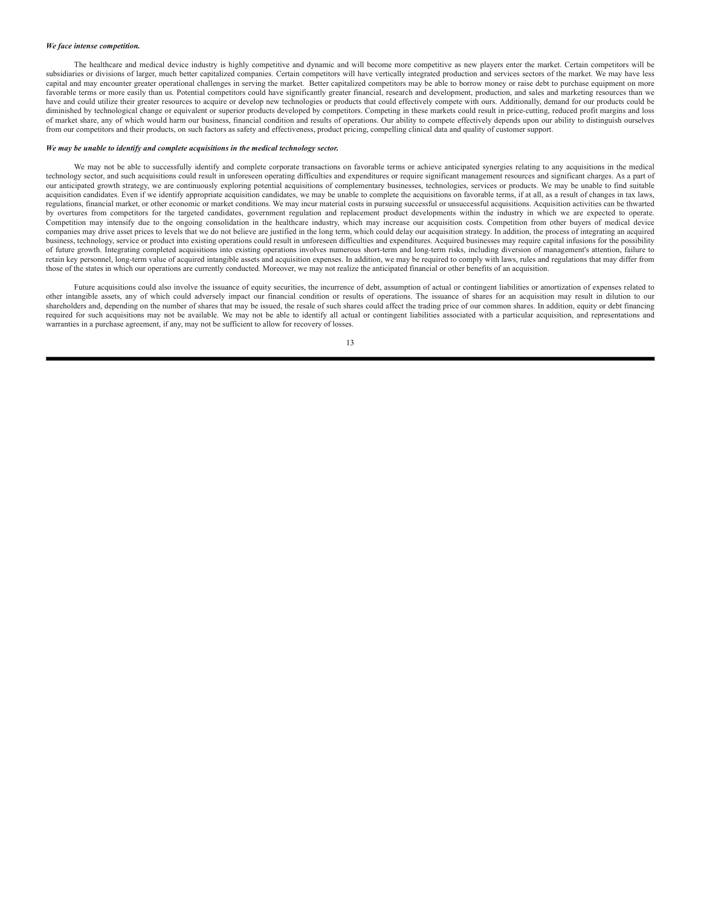#### *We face intense competition.*

The healthcare and medical device industry is highly competitive and dynamic and will become more competitive as new players enter the market. Certain competitors will be subsidiaries or divisions of larger, much better capitalized companies. Certain competitors will have vertically integrated production and services sectors of the market. We may have less capital and may encounter greater operational challenges in serving the market. Better capitalized competitors may be able to borrow money or raise debt to purchase equipment on more favorable terms or more easily than us. Potential competitors could have significantly greater financial, research and development, production, and sales and marketing resources than we have and could utilize their greater resources to acquire or develop new technologies or products that could effectively compete with ours. Additionally, demand for our products could be diminished by technological change or equivalent or superior products developed by competitors. Competing in these markets could result in price-cutting, reduced profit margins and loss of market share, any of which would harm our business, financial condition and results of operations. Our ability to compete effectively depends upon our ability to distinguish ourselves from our competitors and their products, on such factors as safety and effectiveness, product pricing, compelling clinical data and quality of customer support.

#### *We may be unable to identify and complete acquisitions in the medical technology sector.*

We may not be able to successfully identify and complete corporate transactions on favorable terms or achieve anticipated synergies relating to any acquisitions in the medical technology sector, and such acquisitions could result in unforeseen operating difficulties and expenditures or require significant management resources and significant charges. As a part of our anticipated growth strategy, we are continuously exploring potential acquisitions of complementary businesses, technologies, services or products. We may be unable to find suitable acquisition candidates. Even if we identify appropriate acquisition candidates, we may be unable to complete the acquisitions on favorable terms, if at all, as a result of changes in tax laws, regulations, financial market, or other economic or market conditions. We may incur material costs in pursuing successful or unsuccessful acquisitions. Acquisition activities can be thwarted by overtures from competitors for the targeted candidates, government regulation and replacement product developments within the industry in which we are expected to operate. Competition may intensify due to the ongoing consolidation in the healthcare industry, which may increase our acquisition costs. Competition from other buyers of medical device companies may drive asset prices to levels that we do not believe are justified in the long term, which could delay our acquisition strategy. In addition, the process of integrating an acquired business, technology, service or product into existing operations could result in unforeseen difficulties and expenditures. Acquired businesses may require capital infusions for the possibility of future growth. Integrating completed acquisitions into existing operations involves numerous short-term and long-term risks, including diversion of management's attention, failure to retain key personnel, long-term value of acquired intangible assets and acquisition expenses. In addition, we may be required to comply with laws, rules and regulations that may differ from those of the states in which our operations are currently conducted. Moreover, we may not realize the anticipated financial or other benefits of an acquisition.

Future acquisitions could also involve the issuance of equity securities, the incurrence of debt, assumption of actual or contingent liabilities or amortization of expenses related to other intangible assets, any of which could adversely impact our financial condition or results of operations. The issuance of shares for an acquisition may result in dilution to our shareholders and, depending on the number of shares that may be issued, the resale of such shares could affect the trading price of our common shares. In addition, equity or debt financing required for such acquisitions may not be available. We may not be able to identify all actual or contingent liabilities associated with a particular acquisition, and representations and warranties in a purchase agreement, if any, may not be sufficient to allow for recovery of losses.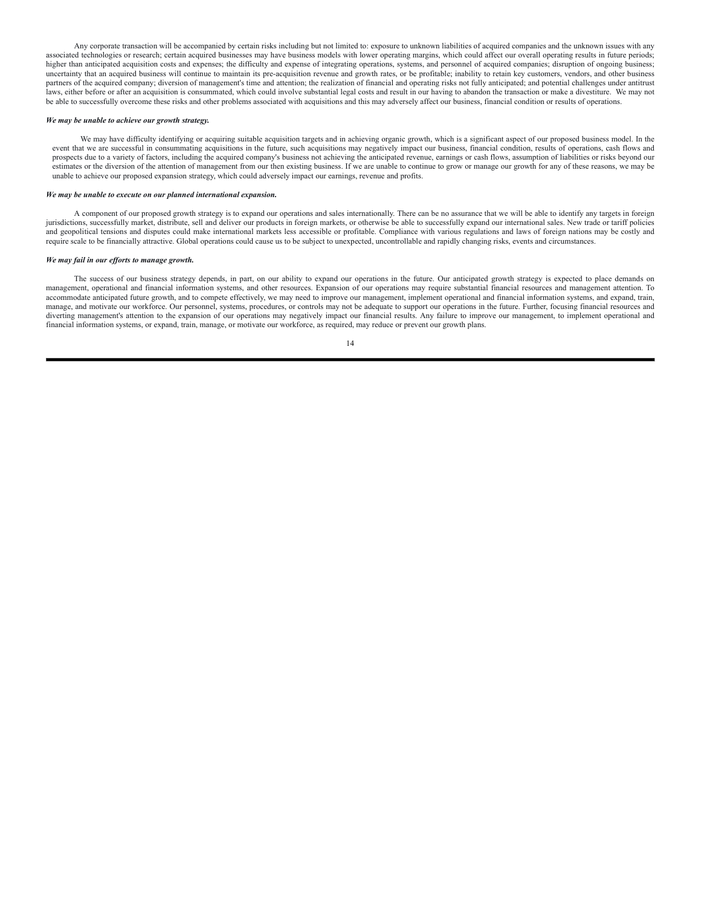Any corporate transaction will be accompanied by certain risks including but not limited to: exposure to unknown liabilities of acquired companies and the unknown issues with any associated technologies or research; certain acquired businesses may have business models with lower operating margins, which could affect our overall operating results in future periods; higher than anticipated acquisition costs and expenses; the difficulty and expense of integrating operations, systems, and personnel of acquired companies; disruption of ongoing business; uncertainty that an acquired business will continue to maintain its pre-acquisition revenue and growth rates, or be profitable; inability to retain key customers, vendors, and other business partners of the acquired company; diversion of management's time and attention; the realization of financial and operating risks not fully anticipated; and potential challenges under antitrust laws, either before or after an acquisition is consummated, which could involve substantial legal costs and result in our having to abandon the transaction or make a divestiture. We may not be able to successfully overcome these risks and other problems associated with acquisitions and this may adversely affect our business, financial condition or results of operations.

#### *We may be unable to achieve our growth strategy.*

We may have difficulty identifying or acquiring suitable acquisition targets and in achieving organic growth, which is a significant aspect of our proposed business model. In the event that we are successful in consummating acquisitions in the future, such acquisitions may negatively impact our business, financial condition, results of operations, cash flows and prospects due to a variety of factors, including the acquired company's business not achieving the anticipated revenue, earnings or cash flows, assumption of liabilities or risks beyond our estimates or the diversion of the attention of management from our then existing business. If we are unable to continue to grow or manage our growth for any of these reasons, we may be unable to achieve our proposed expansion strategy, which could adversely impact our earnings, revenue and profits.

## *We may be unable to execute on our planned international expansion.*

A component of our proposed growth strategy is to expand our operations and sales internationally. There can be no assurance that we will be able to identify any targets in foreign jurisdictions, successfully market, distribute, sell and deliver our products in foreign markets, or otherwise be able to successfully expand our international sales. New trade or tariff policies and geopolitical tensions and disputes could make international markets less accessible or profitable. Compliance with various regulations and laws of foreign nations may be costly and require scale to be financially attractive. Global operations could cause us to be subject to unexpected, uncontrollable and rapidly changing risks, events and circumstances.

#### *We may fail in our efforts to manage growth.*

The success of our business strategy depends, in part, on our ability to expand our operations in the future. Our anticipated growth strategy is expected to place demands on management, operational and financial information systems, and other resources. Expansion of our operations may require substantial financial resources and management attention. To accommodate anticipated future growth, and to compete effectively, we may need to improve our management, implement operational and financial information systems, and expand, train, manage, and motivate our workforce. Our personnel, systems, procedures, or controls may not be adequate to support our operations in the future. Further, focusing financial resources and manage, and motivate our workforce. diverting management's attention to the expansion of our operations may negatively impact our financial results. Any failure to improve our management, to implement operational and financial information systems, or expand, train, manage, or motivate our workforce, as required, may reduce or prevent our growth plans.

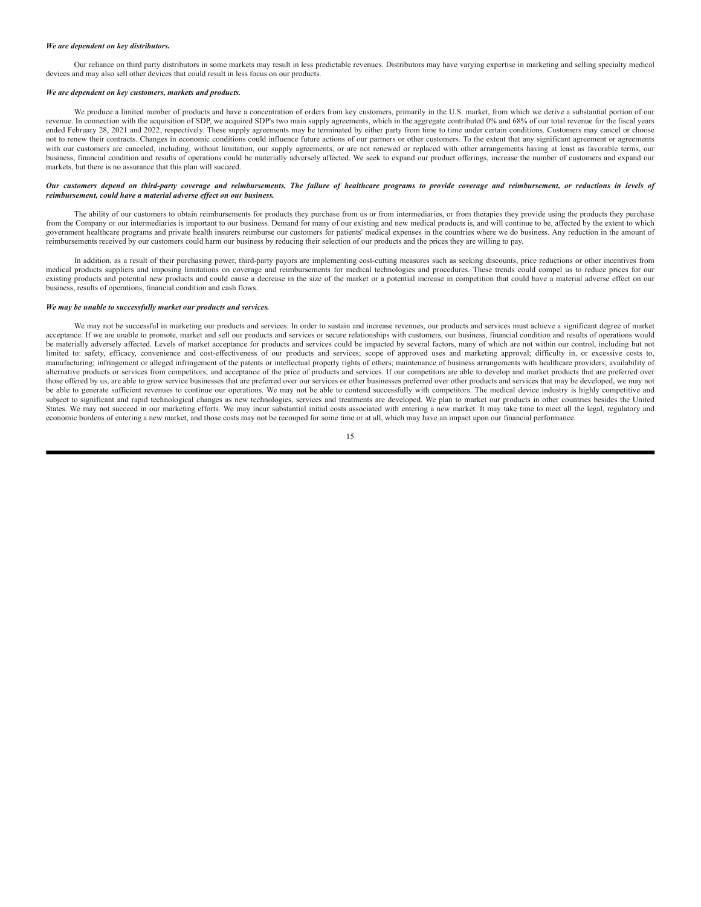#### *We are dependent on key distributors.*

Our reliance on third party distributors in some markets may result in less predictable revenues. Distributors may have varying expertise in marketing and selling specialty medical devices and may also sell other devices that could result in less focus on our products.

## *We are dependent on key customers, markets and products.*

We produce a limited number of products and have a concentration of orders from key customers, primarily in the U.S. market, from which we derive a substantial portion of our revenue. In connection with the acquisition of SDP, we acquired SDP's two main supply agreements, which in the aggregate contributed 0% and 68% of our total revenue for the fiscal years ended February 28, 2021 and 2022, respectively. These supply agreements may be terminated by either party from time to time under certain conditions. Customers may cancel or choose not to renew their contracts. Changes in economic conditions could influence future actions of our partners or other customers. To the extent that any significant agreement or agreements with our customers are canceled, including, without limitation, our supply agreements, or are not renewed or replaced with other arrangements having at least as favorable terms, our business, financial condition and results of operations could be materially adversely affected. We seek to expand our product offerings, increase the number of customers and expand our markets, but there is no assurance that this plan will succeed.

#### *Our customers depend on third-party coverage and reimbursements. The failure of healthcare programs to provide coverage and reimbursement, or reductions in levels of reimbursement, could have a material adverse effect on our business.*

The ability of our customers to obtain reimbursements for products they purchase from us or from intermediaries, or from therapies they provide using the products they purchase from the Company or our intermediaries is important to our business. Demand for many of our existing and new medical products is, and will continue to be, affected by the extent to which government healthcare programs and private health insurers reimburse our customers for patients' medical expenses in the countries where we do business. Any reduction in the amount of reimbursements received by our customers could harm our business by reducing their selection of our products and the prices they are willing to pay.

In addition, as a result of their purchasing power, third-party payors are implementing cost-cutting measures such as seeking discounts, price reductions or other incentives from medical products suppliers and imposing limitations on coverage and reimbursements for medical technologies and procedures. These trends could compel us to reduce prices for our existing products and potential new products and could cause a decrease in the size of the market or a potential increase in competition that could have a material adverse effect on our business, results of operations, financial condition and cash flows.

## *We may be unable to successfully market our products and services.*

We may not be successful in marketing our products and services. In order to sustain and increase revenues, our products and services must achieve a significant degree of market acceptance. If we are unable to promote, market and sell our products and services or secure relationships with customers, our business, financial condition and results of operations would be materially adversely affected. Levels of market acceptance for products and services could be impacted by several factors, many of which are not within our control, including but not limited to: safety, efficacy, convenience and cost-effectiveness of our products and services; scope of approved uses and marketing approval; difficulty in, or excessive costs to, manufacturing; infringement or alleged infringement of the patents or intellectual property rights of others; maintenance of business arrangements with healthcare providers; availability of alternative products or services from competitors; and acceptance of the price of products and services. If our competitors are able to develop and market products that are preferred over those offered by us, are able to grow service businesses that are preferred over our services or other businesses preferred over other products and services that may be developed, we may not be able to generate sufficient revenues to continue our operations. We may not be able to contend successfully with competitors. The medical device industry is highly competitive and subject to significant and rapid technological changes as new technologies, services and treatments are developed. We plan to market our products in other countries besides the United States. We may not succeed in our marketing efforts. We may incur substantial initial costs associated with entering a new market. It may take time to meet all the legal, regulatory and economic burdens of entering a new market, and those costs may not be recouped for some time or at all, which may have an impact upon our financial performance.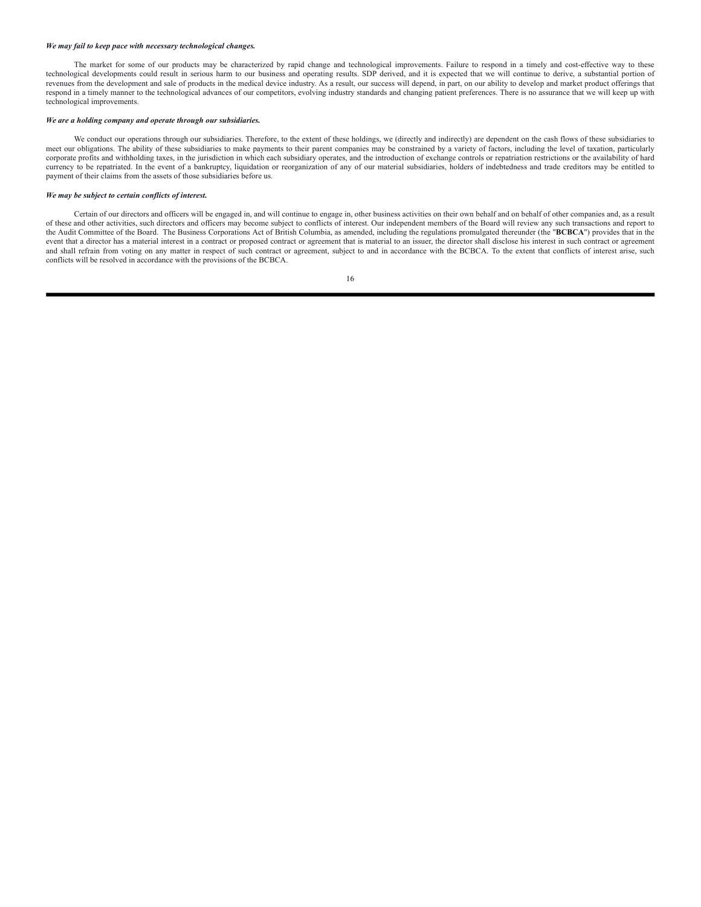#### *We may fail to keep pace with necessary technological changes.*

The market for some of our products may be characterized by rapid change and technological improvements. Failure to respond in a timely and cost-effective way to these technological developments could result in serious harm to our business and operating results. SDP derived, and it is expected that we will continue to derive, a substantial portion of revenues from the development and sale of products in the medical device industry. As a result, our success will depend, in part, on our ability to develop and market product offerings that respond in a timely manner to the technological advances of our competitors, evolving industry standards and changing patient preferences. There is no assurance that we will keep up with technological improvements.

## *We are a holding company and operate through our subsidiaries.*

We conduct our operations through our subsidiaries. Therefore, to the extent of these holdings, we (directly and indirectly) are dependent on the cash flows of these subsidiaries to meet our obligations. The ability of these subsidiaries to make payments to their parent companies may be constrained by a variety of factors, including the level of taxation, particularly corporate profits and withholding taxes, in the jurisdiction in which each subsidiary operates, and the introduction of exchange controls or repatriation restrictions or the availability of hard currency to be repatriated. In the event of a bankruptcy, liquidation or reorganization of any of our material subsidiaries, holders of indebtedness and trade creditors may be entitled to payment of their claims from the assets of those subsidiaries before us.

# *We may be subject to certain conflicts of interest.*

Certain of our directors and officers will be engaged in, and will continue to engage in, other business activities on their own behalf and on behalf of other companies and, as a result of these and other activities, such directors and officers may become subject to conflicts of interest. Our independent members of the Board will review any such transactions and report to the Audit Committee of the Board. The Business Corporations Act of British Columbia, as amended, including the regulations promulgated thereunder (the "**BCBCA**") provides that in the event that a director has a material interest in a contract or proposed contract or agreement that is material to an issuer, the director shall disclose his interest in such contract or agreement and shall refrain from voting on any matter in respect of such contract or agreement, subject to and in accordance with the BCBCA. To the extent that conflicts of interest arise, such conflicts will be resolved in accordance with the provisions of the BCBCA.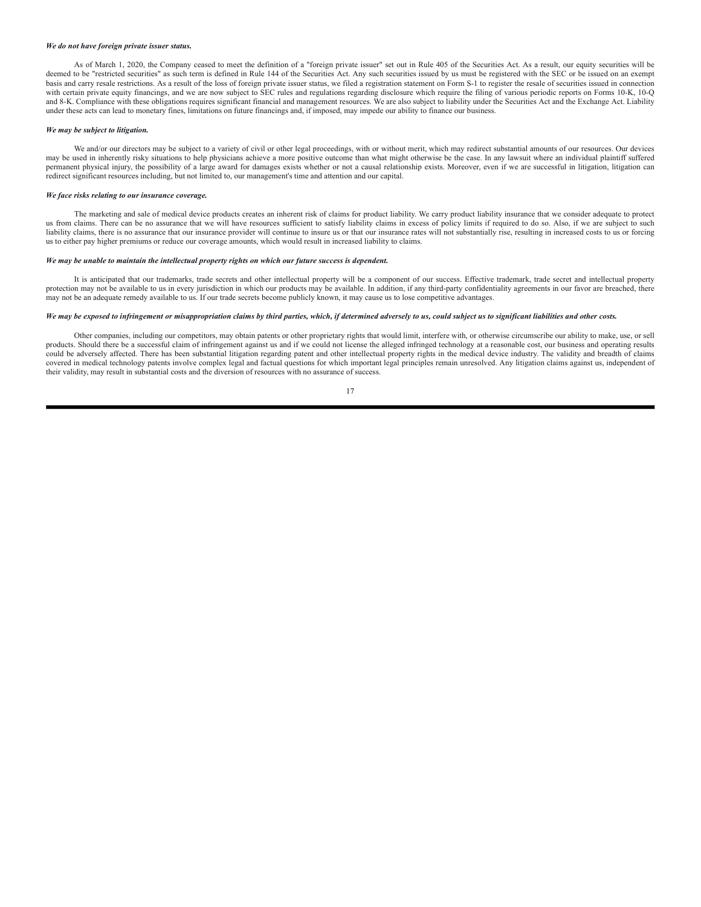## *We do not have foreign private issuer status.*

As of March 1, 2020, the Company ceased to meet the definition of a "foreign private issuer" set out in Rule 405 of the Securities Act. As a result, our equity securities will be deemed to be "restricted securities" as such term is defined in Rule 144 of the Securities Act. Any such securities issued by us must be registered with the SEC or be issued on an exempt basis and carry resale restrictions. As a result of the loss of foreign private issuer status, we filed a registration statement on Form S-1 to register the resale of securities issued in connection with certain private equity financings, and we are now subject to SEC rules and regulations regarding disclosure which require the filing of various periodic reports on Forms 10-K, 10-Q and 8-K. Compliance with these obligations requires significant financial and management resources. We are also subject to liability under the Securities Act and the Exchange Act. Liability under these acts can lead to monetary fines, limitations on future financings and, if imposed, may impede our ability to finance our business.

#### *We may be subject to litigation.*

We and/or our directors may be subject to a variety of civil or other legal proceedings, with or without merit, which may redirect substantial amounts of our resources. Our devices may be used in inherently risky situations to help physicians achieve a more positive outcome than what might otherwise be the case. In any lawsuit where an individual plaintiff suffered permanent physical injury, the possibility of a large award for damages exists whether or not a causal relationship exists. Moreover, even if we are successful in litigation, litigation can redirect significant resources including, but not limited to, our management's time and attention and our capital.

## *We face risks relating to our insurance coverage.*

The marketing and sale of medical device products creates an inherent risk of claims for product liability. We carry product liability insurance that we consider adequate to protect us from claims. There can be no assurance that we will have resources sufficient to satisfy liability claims in excess of policy limits if required to do so. Also, if we are subject to such liability claims, there is no assurance that our insurance provider will continue to insure us or that our insurance rates will not substantially rise, resulting in increased costs to us or forcing us to either pay higher premiums or reduce our coverage amounts, which would result in increased liability to claims.

## *We may be unable to maintain the intellectual property rights on which our future success is dependent.*

It is anticipated that our trademarks, trade secrets and other intellectual property will be a component of our success. Effective trademark, trade secret and intellectual property protection may not be available to us in every jurisdiction in which our products may be available. In addition, if any third-party confidentiality agreements in our favor are breached, there may not be an adequate remedy available to us. If our trade secrets become publicly known, it may cause us to lose competitive advantages.

## *We may be exposed to infringement or misappropriation claims by third parties, which, if determined adversely to us, could subject us to significant liabilities and other costs.*

Other companies, including our competitors, may obtain patents or other proprietary rights that would limit, interfere with, or otherwise circumscribe our ability to make, use, or sell products. Should there be a successful claim of infringement against us and if we could not license the alleged infringed technology at a reasonable cost, our business and operating results could be adversely affected. There has been substantial litigation regarding patent and other intellectual property rights in the medical device industry. The validity and breadth of claims covered in medical technology patents involve complex legal and factual questions for which important legal principles remain unresolved. Any litigation claims against us, independent of their validity, may result in substantial costs and the diversion of resources with no assurance of success.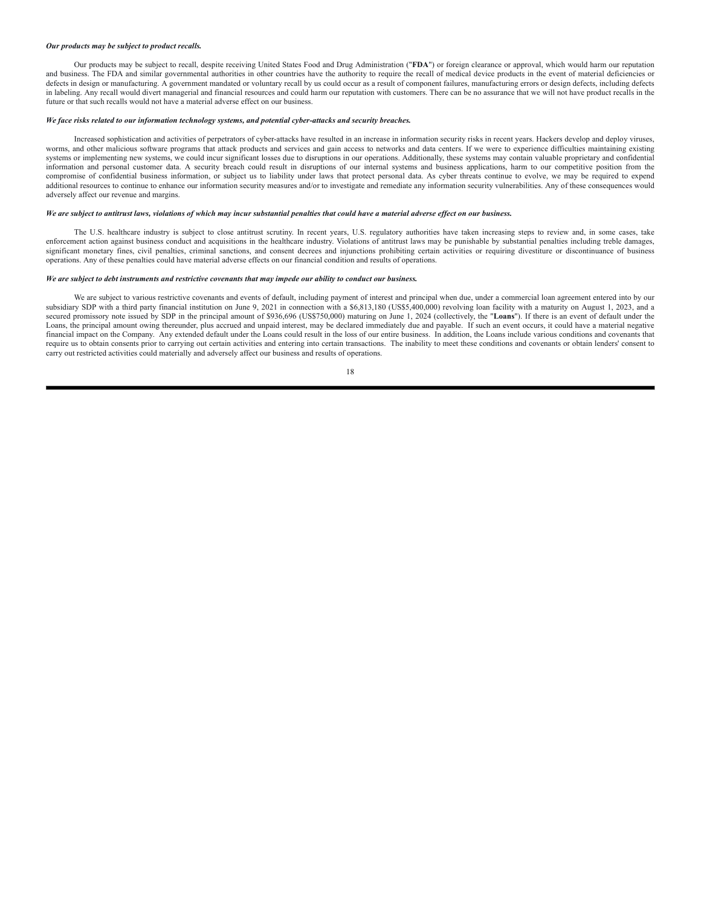#### *Our products may be subject to product recalls.*

Our products may be subject to recall, despite receiving United States Food and Drug Administration ("**FDA**") or foreign clearance or approval, which would harm our reputation and business. The FDA and similar governmental authorities in other countries have the authority to require the recall of medical device products in the event of material deficiencies or defects in design or manufacturing. A government mandated or voluntary recall by us could occur as a result of component failures, manufacturing errors or design defects, including defects in labeling. Any recall would divert managerial and financial resources and could harm our reputation with customers. There can be no assurance that we will not have product recalls in the future or that such recalls would not have a material adverse effect on our business.

## *We face risks related to our information technology systems, and potential cyber-attacks and security breaches.*

Increased sophistication and activities of perpetrators of cyber-attacks have resulted in an increase in information security risks in recent years. Hackers develop and deploy viruses, worms, and other malicious software programs that attack products and services and gain access to networks and data centers. If we were to experience difficulties maintaining existing systems or implementing new systems, we could incur significant losses due to disruptions in our operations. Additionally, these systems may contain valuable proprietary and confidential information and personal customer data. A security breach could result in disruptions of our internal systems and business applications, harm to our competitive position from the compromise of confidential business information, or subject us to liability under laws that protect personal data. As cyber threats continue to evolve, we may be required to expend additional resources to continue to enhance our information security measures and/or to investigate and remediate any information security vulnerabilities. Any of these consequences would adversely affect our revenue and margins.

# *We are subject to antitrust laws, violations of which may incur substantial penalties that could have a material adverse effect on our business.*

The U.S. healthcare industry is subject to close antitrust scrutiny. In recent years, U.S. regulatory authorities have taken increasing steps to review and, in some cases, take enforcement action against business conduct and acquisitions in the healthcare industry. Violations of antitrust laws may be punishable by substantial penalties including treble damages, significant monetary fines, civil penalties, criminal sanctions, and consent decrees and injunctions prohibiting certain activities or requiring divestiture or discontinuance of business operations. Any of these penalties could have material adverse effects on our financial condition and results of operations.

# *We are subject to debt instruments and restrictive covenants that may impede our ability to conduct our business.*

We are subject to various restrictive covenants and events of default, including payment of interest and principal when due, under a commercial loan agreement entered into by our subsidiary SDP with a third party financial institution on June 9, 2021 in connection with a \$6,813,180 (US\$5,400,000) revolving loan facility with a maturity on August 1, 2023, and a secured promissory note issued by SDP in the principal amount of \$936,696 (US\$750,000) maturing on June 1, 2024 (collectively, the "**Loans**"). If there is an event of default under the Loans, the principal amount owing thereunder, plus accrued and unpaid interest, may be declared immediately due and payable. If such an event occurs, it could have a material negative financial impact on the Company. Any extended default under the Loans could result in the loss of our entire business. In addition, the Loans include various conditions and covenants that require us to obtain consents prior to carrying out certain activities and entering into certain transactions. The inability to meet these conditions and covenants or obtain lenders' consent to carry out restricted activities could materially and adversely affect our business and results of operations.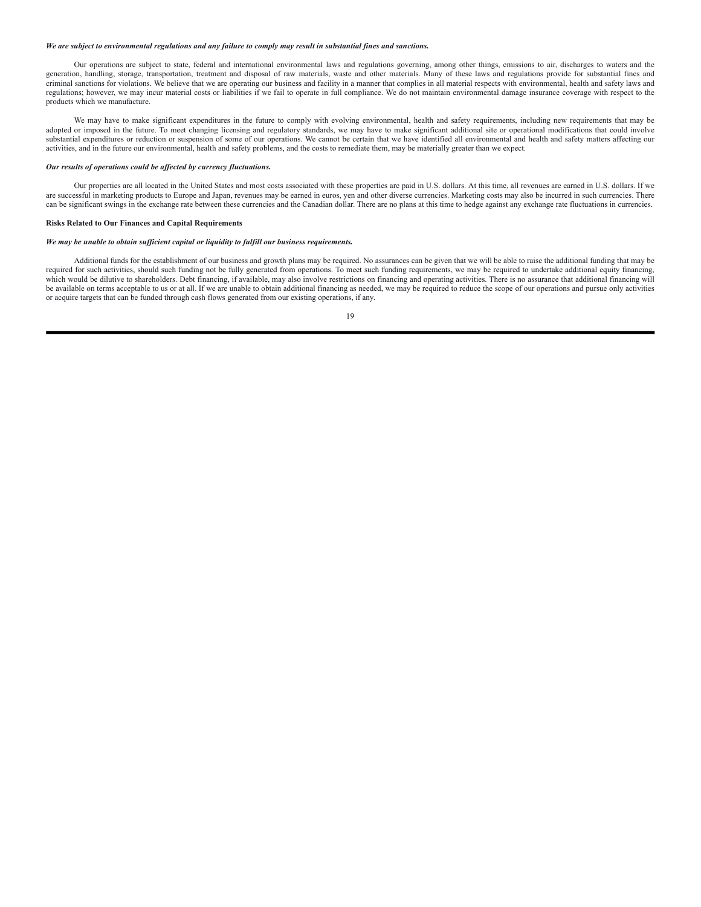## *We are subject to environmental regulations and any failure to comply may result in substantial fines and sanctions.*

Our operations are subject to state, federal and international environmental laws and regulations governing, among other things, emissions to air, discharges to waters and the generation, handling, storage, transportation, treatment and disposal of raw materials, waste and other materials. Many of these laws and regulations provide for substantial fines and criminal sanctions for violations. We believe that we are operating our business and facility in a manner that complies in all material respects with environmental, health and safety laws and regulations; however, we may incur material costs or liabilities if we fail to operate in full compliance. We do not maintain environmental damage insurance coverage with respect to the products which we manufacture.

We may have to make significant expenditures in the future to comply with evolving environmental, health and safety requirements, including new requirements that may be adopted or imposed in the future. To meet changing licensing and regulatory standards, we may have to make significant additional site or operational modifications that could involve substantial expenditures or reduction or suspension of some of our operations. We cannot be certain that we have identified all environmental and health and safety matters affecting our activities, and in the future our environmental, health and safety problems, and the costs to remediate them, may be materially greater than we expect.

#### *Our results of operations could be affected by currency fluctuations.*

Our properties are all located in the United States and most costs associated with these properties are paid in U.S. dollars. At this time, all revenues are earned in U.S. dollars. If we are successful in marketing products to Europe and Japan, revenues may be earned in euros, yen and other diverse currencies. Marketing costs may also be incurred in such currencies. There can be significant swings in the exchange rate between these currencies and the Canadian dollar. There are no plans at this time to hedge against any exchange rate fluctuations in currencies.

#### **Risks Related to Our Finances and Capital Requirements**

### *We may be unable to obtain sufficient capital or liquidity to fulfill our business requirements.*

Additional funds for the establishment of our business and growth plans may be required. No assurances can be given that we will be able to raise the additional funding that may be required for such activities, should such funding not be fully generated from operations. To meet such funding requirements, we may be required to undertake additional equity financing, which would be dilutive to shareholders. Debt financing, if available, may also involve restrictions on financing and operating activities. There is no assurance that additional financing will be available on terms acceptable to us or at all. If we are unable to obtain additional financing as needed, we may be required to reduce the scope of our operations and pursue only activities or acquire targets that can be funded through cash flows generated from our existing operations, if any.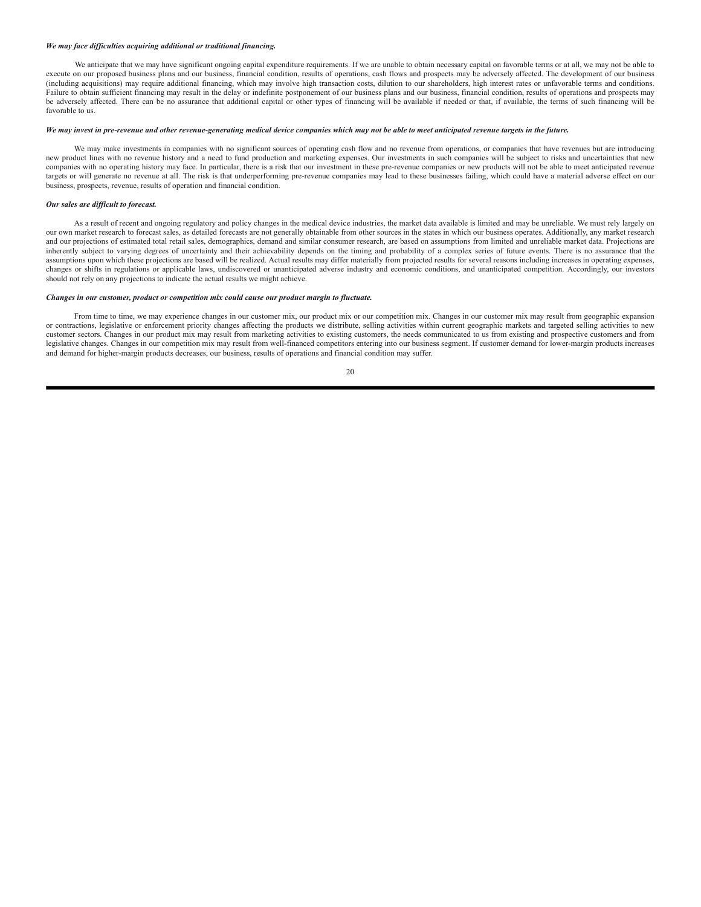#### *We may face difficulties acquiring additional or traditional financing.*

We anticipate that we may have significant ongoing capital expenditure requirements. If we are unable to obtain necessary capital on favorable terms or at all, we may not be able to execute on our proposed business plans and our business, financial condition, results of operations, cash flows and prospects may be adversely affected. The development of our business (including acquisitions) may require additional financing, which may involve high transaction costs, dilution to our shareholders, high interest rates or unfavorable terms and conditions. Failure to obtain sufficient financing may result in the delay or indefinite postponement of our business plans and our business, financial condition, results of operations and prospects may be adversely affected. There can be no assurance that additional capital or other types of financing will be available if needed or that, if available, the terms of such financing will be favorable to us.

#### *We may invest in pre-revenue and other revenue-generating medical device companies which may not be able to meet anticipated revenue targets in the future.*

We may make investments in companies with no significant sources of operating cash flow and no revenue from operations, or companies that have revenues but are introducing new product lines with no revenue history and a need to fund production and marketing expenses. Our investments in such companies will be subject to risks and uncertainties that new companies with no operating history may face. In particular, there is a risk that our investment in these pre-revenue companies or new products will not be able to meet anticipated revenue targets or will generate no revenue at all. The risk is that underperforming pre-revenue companies may lead to these businesses failing, which could have a material adverse effect on our business, prospects, revenue, results of operation and financial condition.

#### *Our sales are difficult to forecast.*

As a result of recent and ongoing regulatory and policy changes in the medical device industries, the market data available is limited and may be unreliable. We must rely largely on our own market research to forecast sales, as detailed forecasts are not generally obtainable from other sources in the states in which our business operates. Additionally, any market research and our projections of estimated total retail sales, demographics, demand and similar consumer research, are based on assumptions from limited and unreliable market data. Projections are inherently subject to varying degrees of uncertainty and their achievability depends on the timing and probability of a complex series of future events. There is no assurance that the assumptions upon which these projections are based will be realized. Actual results may differ materially from projected results for several reasons including increases in operating expenses, changes or shifts in regulations or applicable laws, undiscovered or unanticipated adverse industry and economic conditions, and unanticipated competition. Accordingly, our investors should not rely on any projections to indicate the actual results we might achieve.

# *Changes in our customer, product or competition mix could cause our product margin to fluctuate.*

From time to time, we may experience changes in our customer mix, our product mix or our competition mix. Changes in our customer mix may result from geographic expansion or contractions, legislative or enforcement priority changes affecting the products we distribute, selling activities within current geographic markets and targeted selling activities to new customer sectors. Changes in our product mix may result from marketing activities to existing customers, the needs communicated to us from existing and prospective customers and from legislative changes. Changes in our competition mix may result from well-financed competitors entering into our business segment. If customer demand for lower-margin products increases and demand for higher-margin products decreases, our business, results of operations and financial condition may suffer.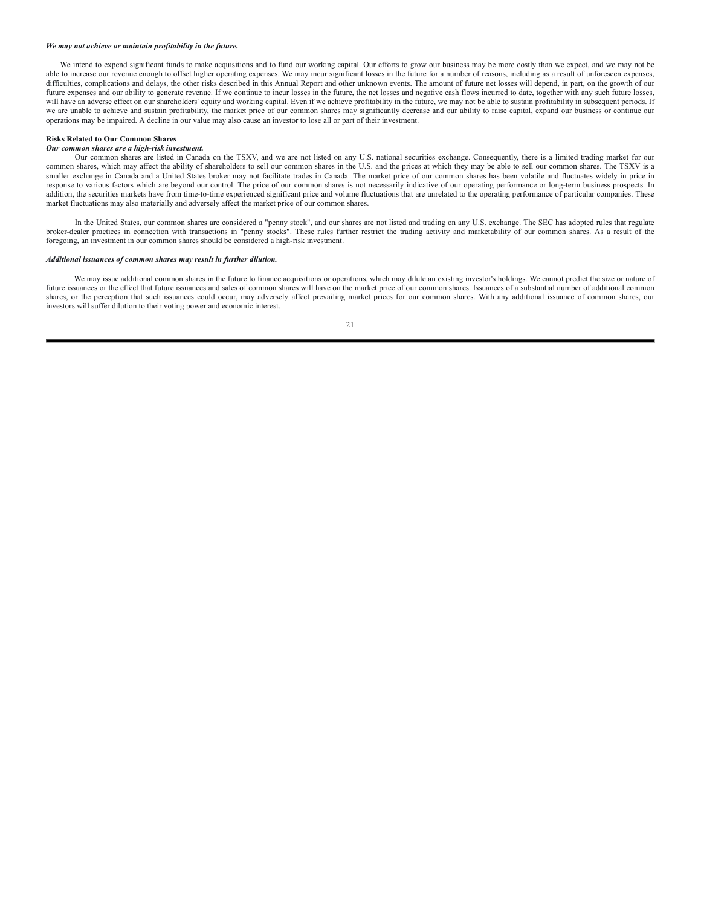# *We may not achieve or maintain profitability in the future.*

We intend to expend significant funds to make acquisitions and to fund our working capital. Our efforts to grow our business may be more costly than we expect, and we may not be able to increase our revenue enough to offset higher operating expenses. We may incur significant losses in the future for a number of reasons, including as a result of unforeseen expenses, difficulties, complications and delays, the other risks described in this Annual Report and other unknown events. The amount of future net losses will depend, in part, on the growth of our future expenses and our ability to generate revenue. If we continue to incur losses in the future, the net losses and negative cash flows incurred to date, together with any such future losses, will have an adverse effect on our shareholders' equity and working capital. Even if we achieve profitability in the future, we may not be able to sustain profitability in subsequent periods. If we are unable to achieve and sustain profitability, the market price of our common shares may significantly decrease and our ability to raise capital, expand our business or continue our operations may be impaired. A decline in our value may also cause an investor to lose all or part of their investment.

#### **Risks Related to Our Common Shares** *Our common shares are a high-risk investment.*

Our common shares are listed in Canada on the TSXV, and we are not listed on any U.S. national securities exchange. Consequently, there is a limited trading market for our common shares, which may affect the ability of shareholders to sell our common shares in the U.S. and the prices at which they may be able to sell our common shares. The TSXV is a smaller exchange in Canada and a United States broker may not facilitate trades in Canada. The market price of our common shares has been volatile and fluctuates widely in price in response to various factors which are beyond our control. The price of our common shares is not necessarily indicative of our operating performance or long-term business prospects. In addition, the securities markets have from time-to-time experienced significant price and volume fluctuations that are unrelated to the operating performance of particular companies. These market fluctuations may also materially and adversely affect the market price of our common shares.

In the United States, our common shares are considered a "penny stock", and our shares are not listed and trading on any U.S. exchange. The SEC has adopted rules that regulate broker-dealer practices in connection with transactions in "penny stocks". These rules further restrict the trading activity and marketability of our common shares. As a result of the foregoing, an investment in our common shares should be considered a high-risk investment.

#### *Additional issuances of common shares may result in further dilution.*

We may issue additional common shares in the future to finance acquisitions or operations, which may dilute an existing investor's holdings. We cannot predict the size or nature of future issuances or the effect that future issuances and sales of common shares will have on the market price of our common shares. Issuances of a substantial number of additional common shares, or the perception that such issuances could occur, may adversely affect prevailing market prices for our common shares. With any additional issuance of common shares, our investors will suffer dilution to their voting power and economic interest.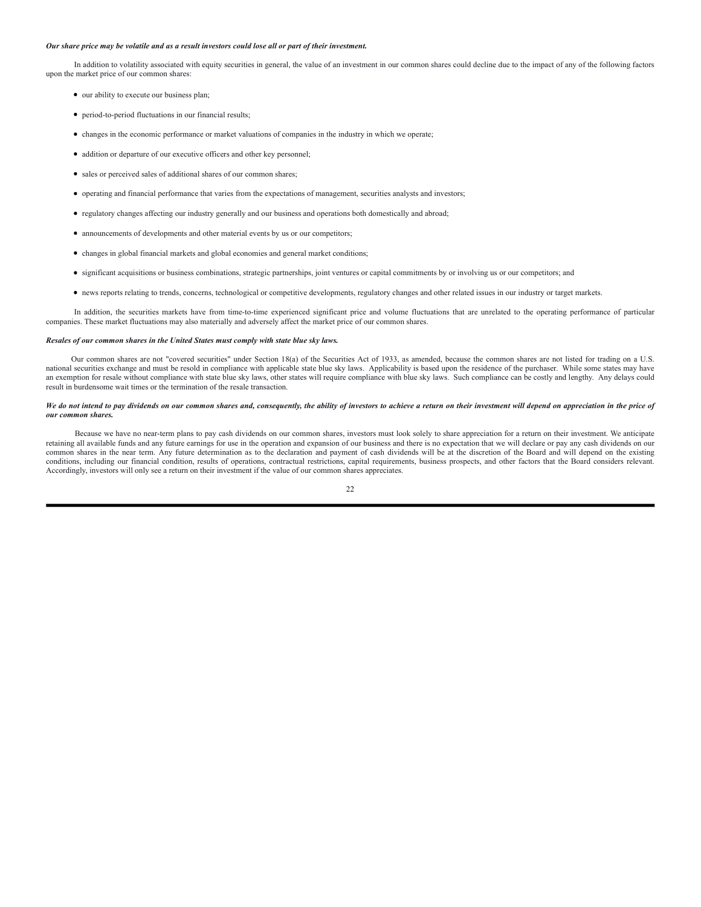#### *Our share price may be volatile and as a result investors could lose all or part of their investment.*

In addition to volatility associated with equity securities in general, the value of an investment in our common shares could decline due to the impact of any of the following factors upon the market price of our common shares:

- $\bullet$  our ability to execute our business plan;
- period-to-period fluctuations in our financial results;
- changes in the economic performance or market valuations of companies in the industry in which we operate;
- addition or departure of our executive officers and other key personnel;
- sales or perceived sales of additional shares of our common shares;
- operating and financial performance that varies from the expectations of management, securities analysts and investors;
- regulatory changes affecting our industry generally and our business and operations both domestically and abroad;
- announcements of developments and other material events by us or our competitors;
- changes in global financial markets and global economies and general market conditions;
- significant acquisitions or business combinations, strategic partnerships, joint ventures or capital commitments by or involving us or our competitors; and
- news reports relating to trends, concerns, technological or competitive developments, regulatory changes and other related issues in our industry or target markets.

In addition, the securities markets have from time-to-time experienced significant price and volume fluctuations that are unrelated to the operating performance of particular companies. These market fluctuations may also materially and adversely affect the market price of our common shares.

## *Resales of our common shares in the United States must comply with state blue sky laws.*

Our common shares are not "covered securities" under Section 18(a) of the Securities Act of 1933, as amended, because the common shares are not listed for trading on a U.S. national securities exchange and must be resold in compliance with applicable state blue sky laws. Applicability is based upon the residence of the purchaser. While some states may have an exemption for resale without compliance with state blue sky laws, other states will require compliance with blue sky laws. Such compliance can be costly and lengthy. Any delays could result in burdensome wait times or the termination of the resale transaction.

# *We do not intend to pay dividends on our common shares and, consequently, the ability of investors to achieve a return on their investment will depend on appreciation in the price of our common shares.*

Because we have no near-term plans to pay cash dividends on our common shares, investors must look solely to share appreciation for a return on their investment. We anticipate retaining all available funds and any future earnings for use in the operation and expansion of our business and there is no expectation that we will declare or pay any cash dividends on our common shares in the near term. Any future determination as to the declaration and payment of cash dividends will be at the discretion of the Board and will depend on the existing conditions, including our financial condition, results of operations, contractual restrictions, capital requirements, business prospects, and other factors that the Board considers relevant. Accordingly, investors will only see a return on their investment if the value of our common shares appreciates.

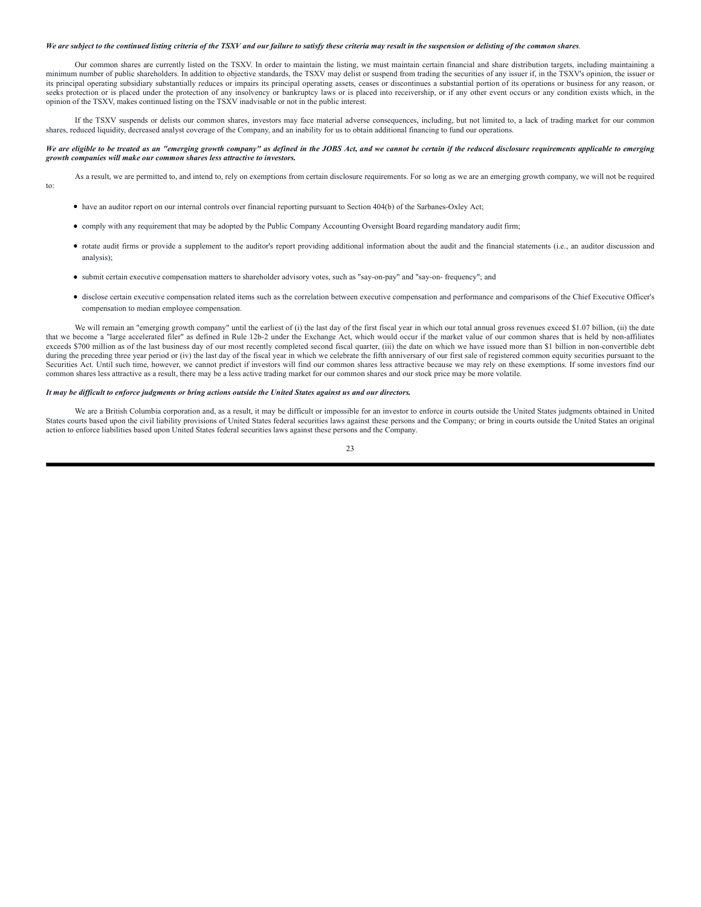# *We are subject to the continued listing criteria of the TSXV and our failure to satisfy these criteria may result in the suspension or delisting of the common shares*.

Our common shares are currently listed on the TSXV. In order to maintain the listing, we must maintain certain financial and share distribution targets, including maintaining a minimum number of public shareholders. In addition to objective standards, the TSXV may delist or suspend from trading the securities of any issuer if, in the TSXV's opinion, the issuer or its principal operating subsidiary substantially reduces or impairs its principal operating assets, ceases or discontinues a substantial portion of its operations or business for any reason, or seeks protection or is placed under the protection of any insolvency or bankruptcy laws or is placed into receivership, or if any other event occurs or any condition exists which, in the opinion of the TSXV, makes continued listing on the TSXV inadvisable or not in the public interest.

If the TSXV suspends or delists our common shares, investors may face material adverse consequences, including, but not limited to, a lack of trading market for our common shares, reduced liquidity, decreased analyst coverage of the Company, and an inability for us to obtain additional financing to fund our operations.

## *We are eligible to be treated as an "emerging growth company" as defined in the JOBS Act, and we cannot be certain if the reduced disclosure requirements applicable to emerging growth companies will make our common shares less attractive to investors.*

As a result, we are permitted to, and intend to, rely on exemptions from certain disclosure requirements. For so long as we are an emerging growth company, we will not be required

to:

- have an auditor report on our internal controls over financial reporting pursuant to Section 404(b) of the Sarbanes-Oxley Act;
- comply with any requirement that may be adopted by the Public Company Accounting Oversight Board regarding mandatory audit firm;
- rotate audit firms or provide a supplement to the auditor's report providing additional information about the audit and the financial statements (i.e., an auditor discussion and analysis);
- submit certain executive compensation matters to shareholder advisory votes, such as "say-on-pay" and "say-on- frequency"; and
- disclose certain executive compensation related items such as the correlation between executive compensation and performance and comparisons of the Chief Executive Officer's compensation to median employee compensation.

We will remain an "emerging growth company" until the earliest of (i) the last day of the first fiscal year in which our total annual gross revenues exceed \$1.07 billion, (ii) the date that we become a "large accelerated filer" as defined in Rule 12b-2 under the Exchange Act, which would occur if the market value of our common shares that is held by non-affiliates exceeds \$700 million as of the last business day of our most recently completed second fiscal quarter, (iii) the date on which we have issued more than \$1 billion in non-convertible debt during the preceding three year period or (iv) the last day of the fiscal year in which we celebrate the fifth anniversary of our first sale of registered common equity securities pursuant to the Securities Act. Until such time, however, we cannot predict if investors will find our common shares less attractive because we may rely on these exemptions. If some investors find our common shares less attractive as a result, there may be a less active trading market for our common shares and our stock price may be more volatile.

#### *It may be difficult to enforce judgments or bring actions outside the United States against us and our directors.*

We are a British Columbia corporation and, as a result, it may be difficult or impossible for an investor to enforce in courts outside the United States judgments obtained in United States courts based upon the civil liability provisions of United States federal securities laws against these persons and the Company; or bring in courts outside the United States an original action to enforce liabilities based upon United States federal securities laws against these persons and the Company.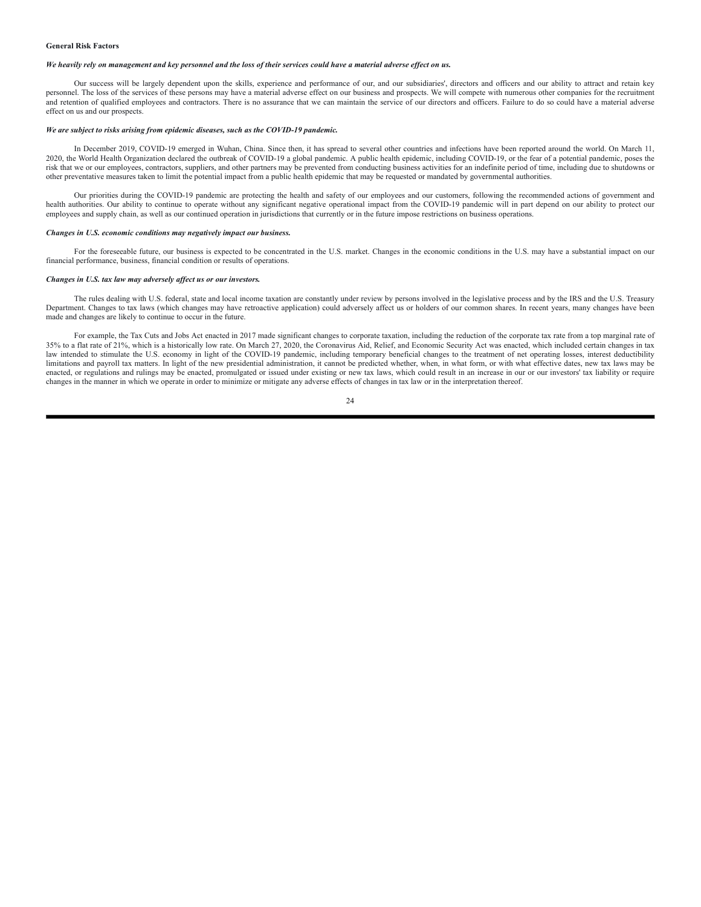# **General Risk Factors**

#### *We heavily rely on management and key personnel and the loss of their services could have a material adverse effect on us.*

Our success will be largely dependent upon the skills, experience and performance of our, and our subsidiaries', directors and officers and our ability to attract and retain key personnel. The loss of the services of these persons may have a material adverse effect on our business and prospects. We will compete with numerous other companies for the recruitment and retention of qualified employees and contractors. There is no assurance that we can maintain the service of our directors and officers. Failure to do so could have a material adverse effect on us and our prospects.

## *We are subject to risks arising from epidemic diseases, such as the COVID-19 pandemic.*

In December 2019, COVID-19 emerged in Wuhan, China. Since then, it has spread to several other countries and infections have been reported around the world. On March 11, 2020, the World Health Organization declared the outbreak of COVID-19 a global pandemic. A public health epidemic, including COVID-19, or the fear of a potential pandemic, poses the risk that we or our employees, contractors, suppliers, and other partners may be prevented from conducting business activities for an indefinite period of time, including due to shutdowns or other preventative measures taken to limit the potential impact from a public health epidemic that may be requested or mandated by governmental authorities.

Our priorities during the COVID-19 pandemic are protecting the health and safety of our employees and our customers, following the recommended actions of government and health authorities. Our ability to continue to operate without any significant negative operational impact from the COVID-19 pandemic will in part depend on our ability to protect our employees and supply chain, as well as our continued operation in jurisdictions that currently or in the future impose restrictions on business operations.

#### *Changes in U.S. economic conditions may negatively impact our business.*

For the foreseeable future, our business is expected to be concentrated in the U.S. market. Changes in the economic conditions in the U.S. may have a substantial impact on our financial performance, business, financial condition or results of operations.

#### *Changes in U.S. tax law may adversely affect us or our investors.*

The rules dealing with U.S. federal, state and local income taxation are constantly under review by persons involved in the legislative process and by the IRS and the U.S. Treasury Department. Changes to tax laws (which changes may have retroactive application) could adversely affect us or holders of our common shares. In recent years, many changes have been made and changes are likely to continue to occur in the future.

For example, the Tax Cuts and Jobs Act enacted in 2017 made significant changes to corporate taxation, including the reduction of the corporate tax rate from a top marginal rate of 35% to a flat rate of 21%, which is a historically low rate. On March 27, 2020, the Coronavirus Aid, Relief, and Economic Security Act was enacted, which included certain changes in tax law intended to stimulate the U.S. economy in light of the COVID-19 pandemic, including temporary beneficial changes to the treatment of net operating losses, interest deductibility limitations and payroll tax matters. In light of the new presidential administration, it cannot be predicted whether, when, in what form, or with what effective dates, new tax laws may be enacted, or regulations and rulings may be enacted, promulgated or issued under existing or new tax laws, which could result in an increase in our or our investors' tax liability or require changes in the manner in which we operate in order to minimize or mitigate any adverse effects of changes in tax law or in the interpretation thereof.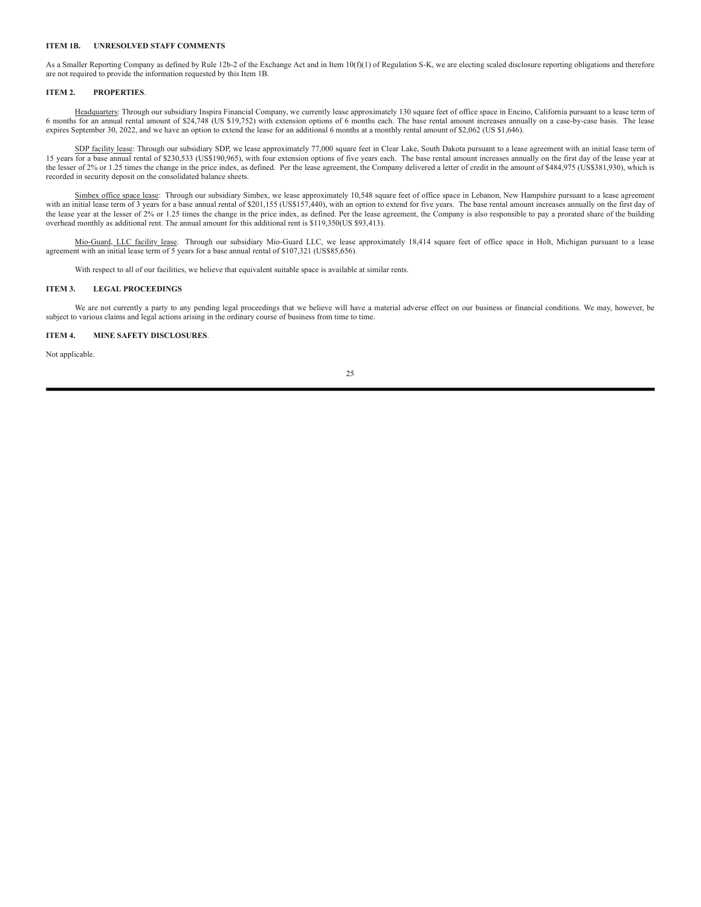## **ITEM 1B. UNRESOLVED STAFF COMMENTS**

As a Smaller Reporting Company as defined by Rule 12b-2 of the Exchange Act and in Item 10(f)(1) of Regulation S-K, we are electing scaled disclosure reporting obligations and therefore are not required to provide the information requested by this Item 1B.

# **ITEM 2. PROPERTIES**.

Headquarters: Through our subsidiary Inspira Financial Company, we currently lease approximately 130 square feet of office space in Encino, California pursuant to a lease term of 6 months for an annual rental amount of \$24,748 (US \$19,752) with extension options of 6 months each. The base rental amount increases annually on a case-by-case basis. The lease expires September 30, 2022, and we have an option to extend the lease for an additional 6 months at a monthly rental amount of \$2,062 (US \$1,646).

SDP facility lease: Through our subsidiary SDP, we lease approximately 77,000 square feet in Clear Lake, South Dakota pursuant to a lease agreement with an initial lease term of 15 years for a base annual rental of \$230,533 (US\$190,965), with four extension options of five years each. The base rental amount increases annually on the first day of the lease year at the lesser of 2% or 1.25 times the change in the price index, as defined. Per the lease agreement, the Company delivered a letter of credit in the amount of \$484,975 (US\$381,930), which is recorded in security deposit on the consolidated balance sheets.

Simbex office space lease: Through our subsidiary Simbex, we lease approximately 10,548 square feet of office space in Lebanon, New Hampshire pursuant to a lease agreement with an initial lease term of 3 years for a base annual rental of \$201,155 (US\$157,440), with an option to extend for five years. The base rental amount increases annually on the first day of the lease year at the lesser of 2% or 1.25 times the change in the price index, as defined. Per the lease agreement, the Company is also responsible to pay a prorated share of the building overhead monthly as additional rent. The annual amount for this additional rent is \$119,350(US \$93,413).

Mio-Guard, LLC facility lease. Through our subsidiary Mio-Guard LLC, we lease approximately 18,414 square feet of office space in Holt, Michigan pursuant to a lease agreement with an initial lease term of 5 years for a base annual rental of \$107,321 (US\$85,656).

With respect to all of our facilities, we believe that equivalent suitable space is available at similar rents.

## **ITEM 3. LEGAL PROCEEDINGS**

We are not currently a party to any pending legal proceedings that we believe will have a material adverse effect on our business or financial conditions. We may, however, be subject to various claims and legal actions arising in the ordinary course of business from time to time.

# **ITEM 4. MINE SAFETY DISCLOSURES**.

Not applicable.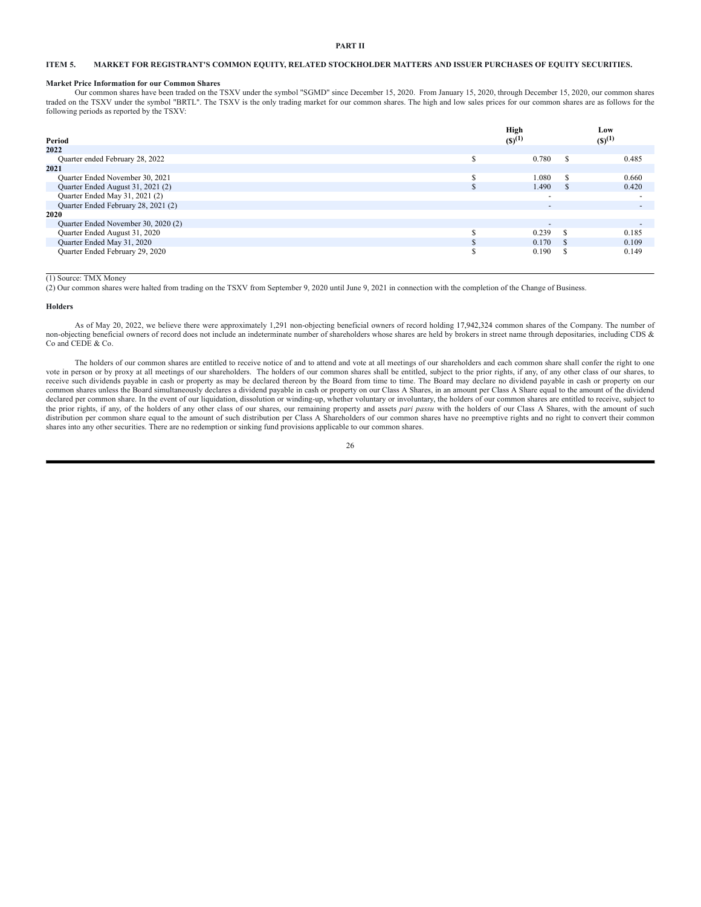# **PART II**

# **ITEM 5. MARKET FOR REGISTRANT'S COMMON EQUITY, RELATED STOCKHOLDER MATTERS AND ISSUER PURCHASES OF EQUITY SECURITIES.**

#### **Market Price Information for our Common Shares**

Our common shares have been traded on the TSXV under the symbol "SGMD" since December 15, 2020. From January 15, 2020, through December 15, 2020, our common shares traded on the TSXV under the symbol "BRTL". The TSXV is the only trading market for our common shares. The high and low sales prices for our common shares are as follows for the following periods as reported by the TSXV:

|                                     | High                     |    | Low                      |
|-------------------------------------|--------------------------|----|--------------------------|
| Period                              | $(S)^{(1)}$              |    | $(S)^{(1)}$              |
| 2022                                |                          |    |                          |
| Quarter ended February 28, 2022     | 0.780                    | S  | 0.485                    |
| 2021                                |                          |    |                          |
| Quarter Ended November 30, 2021     | 1.080                    | x  | 0.660                    |
| Quarter Ended August 31, 2021 (2)   | 1.490                    | £. | 0.420                    |
| Quarter Ended May 31, 2021 (2)      | $\overline{\phantom{a}}$ |    |                          |
| Quarter Ended February 28, 2021 (2) | ۰                        |    | $\overline{\phantom{a}}$ |
| 2020                                |                          |    |                          |
| Quarter Ended November 30, 2020 (2) | ۰                        |    |                          |
| Quarter Ended August 31, 2020       | 0.239                    |    | 0.185                    |
| Quarter Ended May 31, 2020          | 0.170                    |    | 0.109                    |
| Quarter Ended February 29, 2020     | 0.190                    | ъ  | 0.149                    |

(1) Source: TMX Money

(2) Our common shares were halted from trading on the TSXV from September 9, 2020 until June 9, 2021 in connection with the completion of the Change of Business.

#### **Holders**

As of May 20, 2022, we believe there were approximately 1,291 non-objecting beneficial owners of record holding 17,942,324 common shares of the Company. The number of non-objecting beneficial owners of record does not include an indeterminate number of shareholders whose shares are held by brokers in street name through depositaries, including CDS & Co and CEDE & Co.

The holders of our common shares are entitled to receive notice of and to attend and vote at all meetings of our shareholders and each common share shall confer the right to one vote in person or by proxy at all meetings of our shareholders. The holders of our common shares shall be entitled, subject to the prior rights, if any, of any other class of our shares, to receive such dividends payable in cash or property as may be declared thereon by the Board from time to time. The Board may declare no dividend payable in cash or property on our common shares unless the Board simultaneously declares a dividend payable in cash or property on our Class A Shares, in an amount per Class A Share equal to the amount of the dividend declared per common share. In the event of our liquidation, dissolution or winding-up, whether voluntary or involuntary, the holders of our common shares are entitled to receive, subject to the prior rights, if any, of the holders of any other class of our shares, our remaining property and assets *pari passu* with the holders of our Class A Shares, with the amount of such distribution per common share equal to the amount of such distribution per Class A Shareholders of our common shares have no preemptive rights and no right to convert their common shares into any other securities. There are no redemption or sinking fund provisions applicable to our common shares.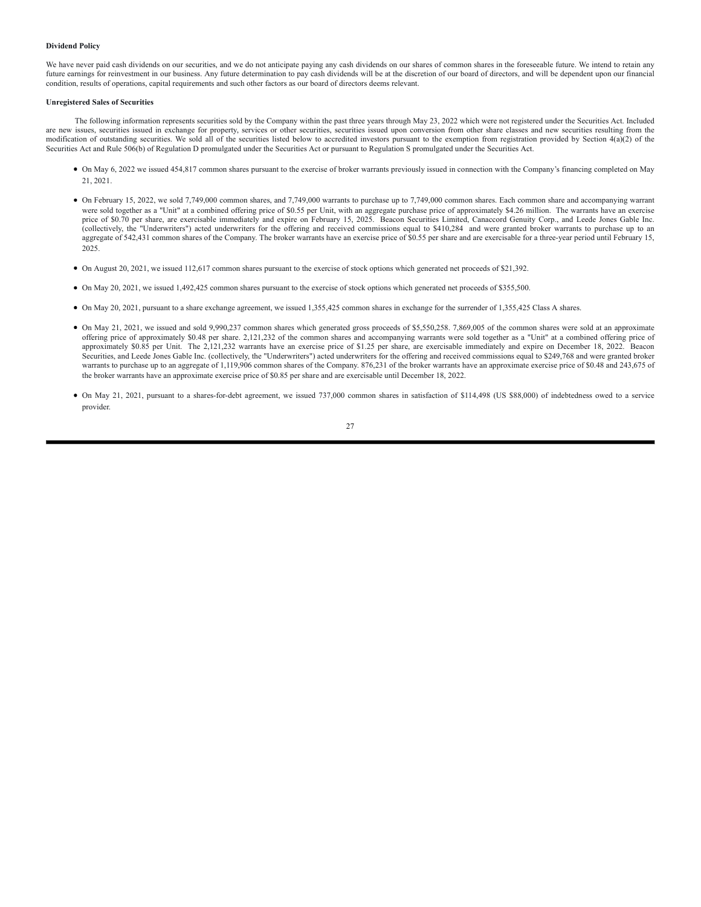# **Dividend Policy**

We have never paid cash dividends on our securities, and we do not anticipate paying any cash dividends on our shares of common shares in the foreseeable future. We intend to retain any future earnings for reinvestment in our business. Any future determination to pay cash dividends will be at the discretion of our board of directors, and will be dependent upon our financial condition, results of operations, capital requirements and such other factors as our board of directors deems relevant.

## **Unregistered Sales of Securities**

The following information represents securities sold by the Company within the past three years through May 23, 2022 which were not registered under the Securities Act. Included are new issues, securities issued in exchange for property, services or other securities, securities issued upon conversion from other share classes and new securities resulting from the modification of outstanding securities. We sold all of the securities listed below to accredited investors pursuant to the exemption from registration provided by Section 4(a)(2) of the Securities Act and Rule 506(b) of Regulation D promulgated under the Securities Act or pursuant to Regulation S promulgated under the Securities Act.

- On May 6, 2022 we issued 454,817 common shares pursuant to the exercise of broker warrants previously issued in connection with the Company's financing completed on May 21, 2021.
- On February 15, 2022, we sold 7,749,000 common shares, and 7,749,000 warrants to purchase up to 7,749,000 common shares. Each common share and accompanying warrant were sold together as a "Unit" at a combined offering price of \$0.55 per Unit, with an aggregate purchase price of approximately \$4.26 million. The warrants have an exercise price of \$0.70 per share, are exercisable immediately and expire on February 15, 2025. Beacon Securities Limited, Canaccord Genuity Corp., and Leede Jones Gable Inc. (collectively, the "Underwriters") acted underwriters for the offering and received commissions equal to \$410,284 and were granted broker warrants to purchase up to an aggregate of 542,431 common shares of the Company. The broker warrants have an exercise price of \$0.55 per share and are exercisable for a three-year period until February 15, 2025.
- On August 20, 2021, we issued 112,617 common shares pursuant to the exercise of stock options which generated net proceeds of \$21,392.
- On May 20, 2021, we issued 1,492,425 common shares pursuant to the exercise of stock options which generated net proceeds of \$355,500.
- On May 20, 2021, pursuant to a share exchange agreement, we issued 1,355,425 common shares in exchange for the surrender of 1,355,425 Class A shares.
- On May 21, 2021, we issued and sold 9,990,237 common shares which generated gross proceeds of \$5,550,258. 7,869,005 of the common shares were sold at an approximate offering price of approximately \$0.48 per share. 2,121,232 of the common shares and accompanying warrants were sold together as a "Unit" at a combined offering price of approximately \$0.85 per Unit. The 2,121,232 warrants have an exercise price of \$1.25 per share, are exercisable immediately and expire on December 18, 2022. Beacon Securities, and Leede Jones Gable Inc. (collectively, the "Underwriters") acted underwriters for the offering and received commissions equal to \$249,768 and were granted broker warrants to purchase up to an aggregate of 1,119,906 common shares of the Company. 876,231 of the broker warrants have an approximate exercise price of \$0.48 and 243,675 of the broker warrants have an approximate exercise price of \$0.85 per share and are exercisable until December 18, 2022.
- On May 21, 2021, pursuant to a shares-for-debt agreement, we issued 737,000 common shares in satisfaction of \$114,498 (US \$88,000) of indebtedness owed to a service provider.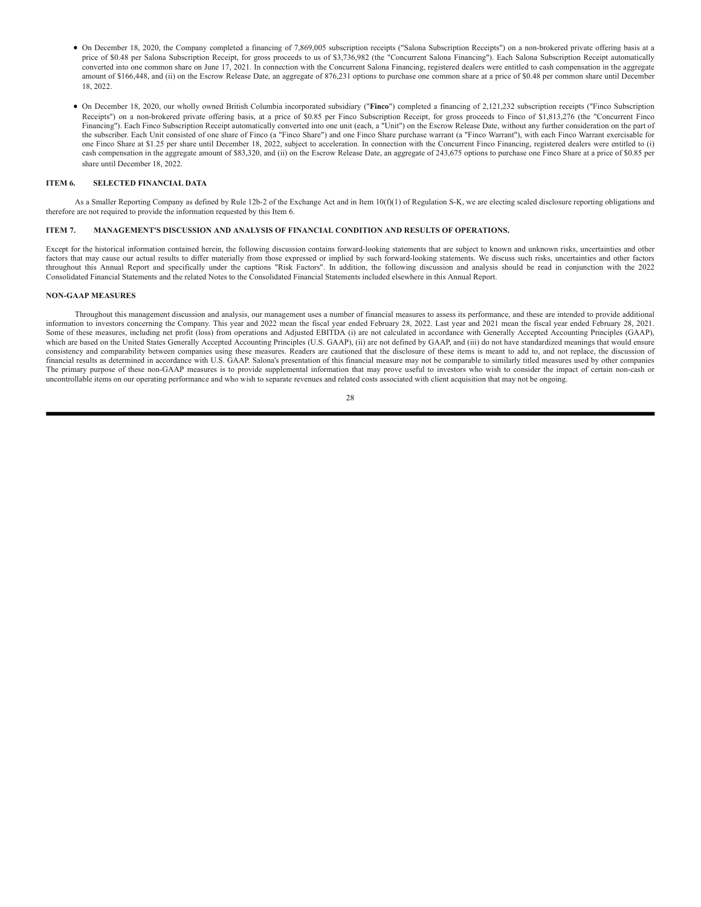- On December 18, 2020, the Company completed a financing of 7,869,005 subscription receipts ("Salona Subscription Receipts") on a non-brokered private offering basis at a price of \$0.48 per Salona Subscription Receipt, for gross proceeds to us of \$3,736,982 (the "Concurrent Salona Financing"). Each Salona Subscription Receipt automatically converted into one common share on June 17, 2021. In connection with the Concurrent Salona Financing, registered dealers were entitled to cash compensation in the aggregate amount of \$166,448, and (ii) on the Escrow Release Date, an aggregate of 876,231 options to purchase one common share at a price of \$0.48 per common share until December 18, 2022.
- On December 18, 2020, our wholly owned British Columbia incorporated subsidiary ("**Finco**") completed a financing of 2,121,232 subscription receipts ("Finco Subscription Receipts") on a non-brokered private offering basis, at a price of \$0.85 per Finco Subscription Receipt, for gross proceeds to Finco of \$1,813,276 (the "Concurrent Finco Financing"). Each Finco Subscription Receipt automatically converted into one unit (each, a "Unit") on the Escrow Release Date, without any further consideration on the part of the subscriber. Each Unit consisted of one share of Finco (a "Finco Share") and one Finco Share purchase warrant (a "Finco Warrant"), with each Finco Warrant exercisable for one Finco Share at \$1.25 per share until December 18, 2022, subject to acceleration. In connection with the Concurrent Finco Financing, registered dealers were entitled to (i) cash compensation in the aggregate amount of \$83,320, and (ii) on the Escrow Release Date, an aggregate of 243,675 options to purchase one Finco Share at a price of \$0.85 per share until December 18, 2022.

#### **ITEM 6. SELECTED FINANCIAL DATA**

As a Smaller Reporting Company as defined by Rule 12b-2 of the Exchange Act and in Item 10(f)(1) of Regulation S-K, we are electing scaled disclosure reporting obligations and therefore are not required to provide the information requested by this Item 6.

## **ITEM 7. MANAGEMENT'S DISCUSSION AND ANALYSIS OF FINANCIAL CONDITION AND RESULTS OF OPERATIONS.**

Except for the historical information contained herein, the following discussion contains forward-looking statements that are subject to known and unknown risks, uncertainties and other factors that may cause our actual results to differ materially from those expressed or implied by such forward-looking statements. We discuss such risks, uncertainties and other factors throughout this Annual Report and specifically under the captions "Risk Factors". In addition, the following discussion and analysis should be read in conjunction with the 2022 Consolidated Financial Statements and the related Notes to the Consolidated Financial Statements included elsewhere in this Annual Report.

## **NON-GAAP MEASURES**

Throughout this management discussion and analysis, our management uses a number of financial measures to assess its performance, and these are intended to provide additional information to investors concerning the Company. This year and 2022 mean the fiscal year ended February 28, 2022. Last year and 2021 mean the fiscal year ended February 28, 2021. Some of these measures, including net profit (loss) from operations and Adjusted EBITDA (i) are not calculated in accordance with Generally Accepted Accounting Principles (GAAP), which are based on the United States Generally Accepted Accounting Principles (U.S. GAAP), (ii) are not defined by GAAP, and (iii) do not have standardized meanings that would ensure consistency and comparability between companies using these measures. Readers are cautioned that the disclosure of these items is meant to add to, and not replace, the discussion of financial results as determined in accordance with U.S. GAAP. Salona's presentation of this financial measure may not be comparable to similarly titled measures used by other companies The primary purpose of these non-GAAP measures is to provide supplemental information that may prove useful to investors who wish to consider the impact of certain non-cash or uncontrollable items on our operating performance and who wish to separate revenues and related costs associated with client acquisition that may not be ongoing.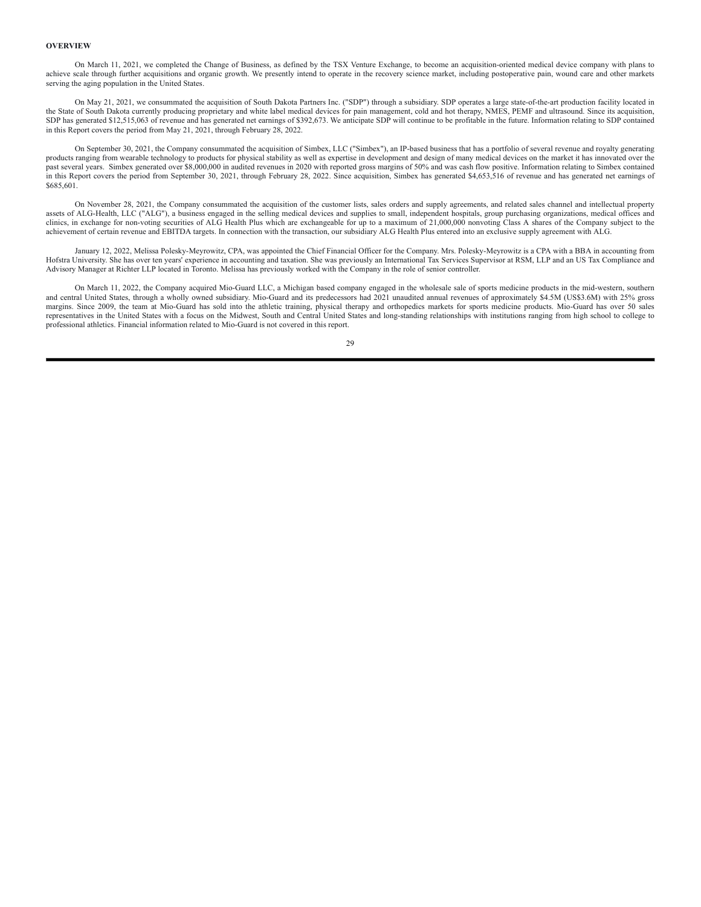## **OVERVIEW**

On March 11, 2021, we completed the Change of Business, as defined by the TSX Venture Exchange, to become an acquisition-oriented medical device company with plans to achieve scale through further acquisitions and organic growth. We presently intend to operate in the recovery science market, including postoperative pain, wound care and other markets serving the aging population in the United States.

On May 21, 2021, we consummated the acquisition of South Dakota Partners Inc. ("SDP") through a subsidiary. SDP operates a large state-of-the-art production facility located in the State of South Dakota currently producing proprietary and white label medical devices for pain management, cold and hot therapy, NMES, PEMF and ultrasound. Since its acquisition, SDP has generated \$12,515,063 of revenue and has generated net earnings of \$392,673. We anticipate SDP will continue to be profitable in the future. Information relating to SDP contained in this Report covers the period from May 21, 2021, through February 28, 2022.

On September 30, 2021, the Company consummated the acquisition of Simbex, LLC ("Simbex"), an IP-based business that has a portfolio of several revenue and royalty generating products ranging from wearable technology to products for physical stability as well as expertise in development and design of many medical devices on the market it has innovated over the past several years. Simbex generated over \$8,000,000 in audited revenues in 2020 with reported gross margins of 50% and was cash flow positive. Information relating to Simbex contained in this Report covers the period from September 30, 2021, through February 28, 2022. Since acquisition, Simbex has generated \$4,653,516 of revenue and has generated net earnings of \$685,601.

On November 28, 2021, the Company consummated the acquisition of the customer lists, sales orders and supply agreements, and related sales channel and intellectual property assets of ALG-Health, LLC ("ALG"), a business engaged in the selling medical devices and supplies to small, independent hospitals, group purchasing organizations, medical offices and clinics, in exchange for non-voting securities of ALG Health Plus which are exchangeable for up to a maximum of 21,000,000 nonvoting Class A shares of the Company subject to the achievement of certain revenue and EBITDA targets. In connection with the transaction, our subsidiary ALG Health Plus entered into an exclusive supply agreement with ALG.

January 12, 2022, Melissa Polesky-Meyrowitz, CPA, was appointed the Chief Financial Officer for the Company. Mrs. Polesky-Meyrowitz is a CPA with a BBA in accounting from Hofstra University. She has over ten years' experience in accounting and taxation. She was previously an International Tax Services Supervisor at RSM, LLP and an US Tax Compliance and Advisory Manager at Richter LLP located in Toronto. Melissa has previously worked with the Company in the role of senior controller.

On March 11, 2022, the Company acquired Mio-Guard LLC, a Michigan based company engaged in the wholesale sale of sports medicine products in the mid-western, southern and central United States, through a wholly owned subsidiary. Mio-Guard and its predecessors had 2021 unaudited annual revenues of approximately \$4.5M (US\$3.6M) with 25% gross margins. Since 2009, the team at Mio-Guard has sold into the athletic training, physical therapy and orthopedics markets for sports medicine products. Mio-Guard has over 50 sales representatives in the United States with a focus on the Midwest, South and Central United States and long-standing relationships with institutions ranging from high school to college to professional athletics. Financial information related to Mio-Guard is not covered in this report.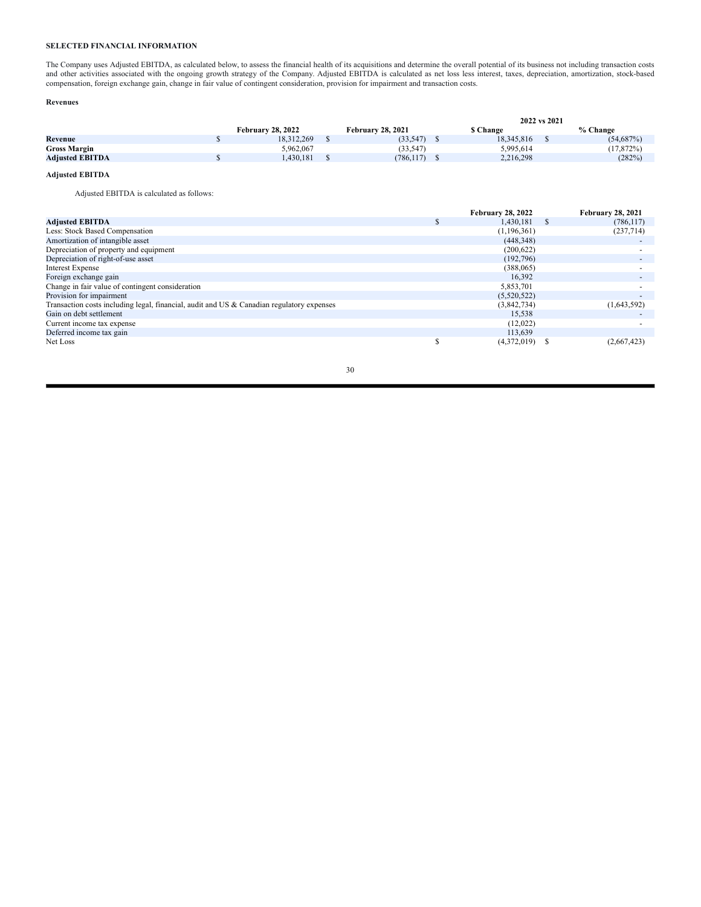# **SELECTED FINANCIAL INFORMATION**

The Company uses Adjusted EBITDA, as calculated below, to assess the financial health of its acquisitions and determine the overall potential of its business not including transaction costs and other activities associated with the ongoing growth strategy of the Company. Adjusted EBITDA is calculated as net loss less interest, taxes, depreciation, amortization, stock-based compensation, foreign exchange gain, change in fair value of contingent consideration, provision for impairment and transaction costs.

# **Revenues**

|                        |                          |  |                          |  | 2022 vs 2021    |             |  |  |
|------------------------|--------------------------|--|--------------------------|--|-----------------|-------------|--|--|
|                        | <b>February 28, 2022</b> |  | <b>February 28, 2021</b> |  | <b>S</b> Change | % Change    |  |  |
| Revenue                | 18,312,269               |  | (33, 547)                |  | 18,345,816      | (54,687%)   |  |  |
| <b>Gross Margin</b>    | 5.962.067                |  | (33, 547)                |  | 5,995,614       | $17.872\%)$ |  |  |
| <b>Adiusted EBITDA</b> | .430.181                 |  | (786, 117)               |  | 2.216.298       | (282%)      |  |  |
|                        |                          |  |                          |  |                 |             |  |  |

# **Adjusted EBITDA**

Adjusted EBITDA is calculated as follows:

|                                                                                           |   | <b>February 28, 2022</b> | <b>February 28, 2021</b> |
|-------------------------------------------------------------------------------------------|---|--------------------------|--------------------------|
| <b>Adjusted EBITDA</b>                                                                    | S | 1,430,181 \$             | (786, 117)               |
| Less: Stock Based Compensation                                                            |   | (1,196,361)              | (237,714)                |
| Amortization of intangible asset                                                          |   | (448, 348)               |                          |
| Depreciation of property and equipment                                                    |   | (200, 622)               |                          |
| Depreciation of right-of-use asset                                                        |   | (192,796)                | $\overline{\phantom{0}}$ |
| Interest Expense                                                                          |   | (388,065)                |                          |
| Foreign exchange gain                                                                     |   | 16.392                   |                          |
| Change in fair value of contingent consideration                                          |   | 5,853,701                |                          |
| Provision for impairment                                                                  |   | (5,520,522)              |                          |
| Transaction costs including legal, financial, audit and US & Canadian regulatory expenses |   | (3,842,734)              | (1,643,592)              |
| Gain on debt settlement                                                                   |   | 15.538                   |                          |
| Current income tax expense                                                                |   | (12,022)                 |                          |
| Deferred income tax gain                                                                  |   | 113.639                  |                          |
| Net Loss                                                                                  |   | $(4,372,019)$ \$         | (2,667,423)              |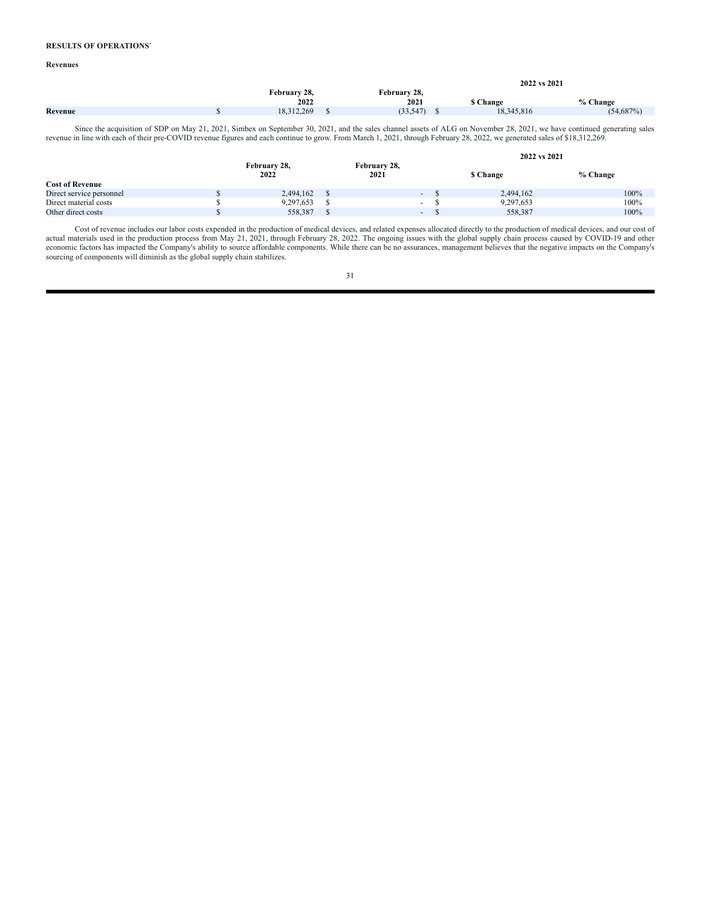# **RESULTS OF OPERATIONS`**

## **Revenues**

|         |              |  |              |  | 2022 vs 2021 |           |  |
|---------|--------------|--|--------------|--|--------------|-----------|--|
|         | February 28, |  | February 28, |  |              |           |  |
|         | 2022         |  | 2021         |  | Change       | % Change  |  |
| Revenue | 18,312,269   |  | (33, 547)    |  | 18,345,816   | (54,687%) |  |
|         |              |  |              |  |              |           |  |

Since the acquisition of SDP on May 21, 2021, Simbex on September 30, 2021, and the sales channel assets of ALG on November 28, 2021, we have continued generating sales revenue in line with each of their pre-COVID revenue figures and each continue to grow. From March 1, 2021, through February 28, 2022, we generated sales of \$18,312,269.

|                          |  |                      |  |                          | 2022 vs 2021 |                 |          |  |  |
|--------------------------|--|----------------------|--|--------------------------|--------------|-----------------|----------|--|--|
| <b>Cost of Revenue</b>   |  | February 28,<br>2022 |  | February 28,<br>2021     |              | <b>S</b> Change | % Change |  |  |
|                          |  |                      |  |                          |              |                 |          |  |  |
| Direct service personnel |  | 2,494,162            |  | $\overline{\phantom{a}}$ |              | 2.494.162       | 100%     |  |  |
| Direct material costs    |  | 9.297.653            |  | $\overline{\phantom{a}}$ |              | 9.297.653       | 100%     |  |  |
| Other direct costs       |  | 558,387              |  | $\overline{\phantom{a}}$ |              | 558,387         | 100%     |  |  |

Cost of revenue includes our labor costs expended in the production of medical devices, and related expenses allocated directly to the production of medical devices, and our cost of actual materials used in the production process from May 21, 2021, through February 28, 2022. The ongoing issues with the global supply chain process caused by COVID-19 and other economic factors has impacted the Company's ability to source affordable components. While there can be no assurances, management believes that the negative impacts on the Company's sourcing of components will diminish as the global supply chain stabilizes.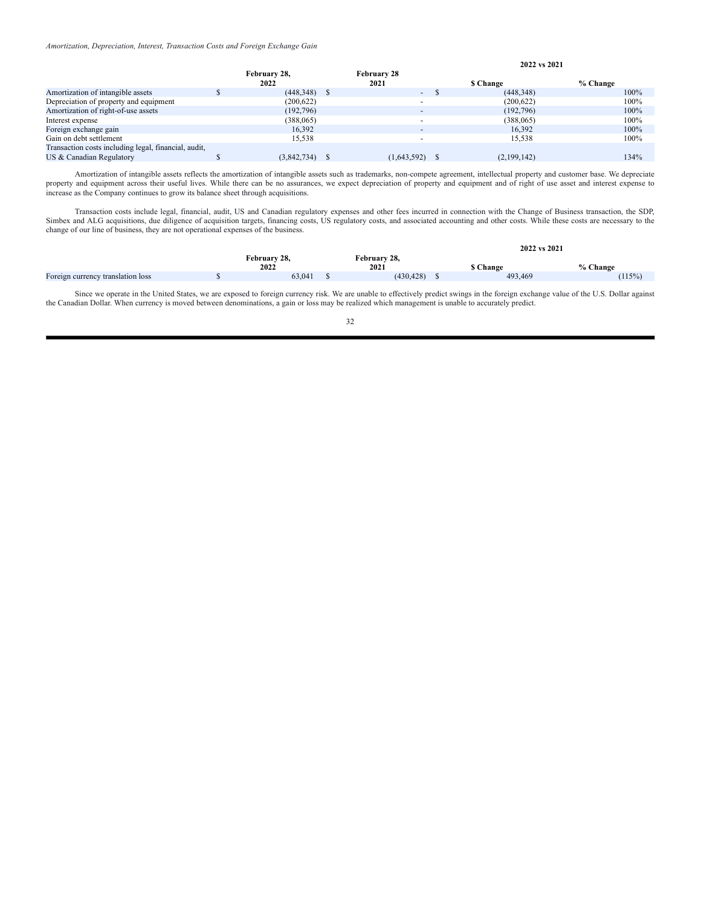## *Amortization, Depreciation, Interest, Transaction Costs and Foreign Exchange Gain*

|                                                      |                      |                            | 2022 VS 2021 |          |
|------------------------------------------------------|----------------------|----------------------------|--------------|----------|
|                                                      | February 28,<br>2022 | <b>February 28</b><br>2021 | \$ Change    | % Change |
| Amortization of intangible assets                    | $(448,348)$ \$       | $\sim$                     | (448, 348)   | 100%     |
| Depreciation of property and equipment               | (200, 622)           | $\sim$                     | (200, 622)   | 100%     |
| Amortization of right-of-use assets                  | (192,796)            | $\overline{\phantom{a}}$   | (192,796)    | 100%     |
| Interest expense                                     | (388, 065)           |                            | (388, 065)   | 100%     |
| Foreign exchange gain                                | 16.392               | $\overline{a}$             | 16.392       | 100%     |
| Gain on debt settlement                              | 15,538               |                            | 15,538       | 100%     |
| Transaction costs including legal, financial, audit, |                      |                            |              |          |
| US & Canadian Regulatory                             | $(3,842,734)$ \$     | (1,643,592)                | (2,199,142)  | 134%     |

**2022 vs 2021**

Amortization of intangible assets reflects the amortization of intangible assets such as trademarks, non-compete agreement, intellectual property and customer base. We depreciate property and equipment across their useful lives. While there can be no assurances, we expect depreciation of property and equipment and of right of use asset and interest expense to increase as the Company continues to grow its balance sheet through acquisitions.

Transaction costs include legal, financial, audit, US and Canadian regulatory expenses and other fees incurred in connection with the Change of Business transaction, the SDP, Simbex and ALG acquisitions, due diligence of acquisition targets, financing costs, US regulatory costs, and associated accounting and other costs. While these costs are necessary to the change of our line of business, they are not operational expenses of the business.

|                                   |                      |                      | 2022 vs 2021 |          |
|-----------------------------------|----------------------|----------------------|--------------|----------|
|                                   | February 28,<br>2022 | February 28,<br>2021 | Change       | % Change |
| Foreign currency translation loss | 63,041               | (430, 428)           | 493,469      | (115%)   |

Since we operate in the United States, we are exposed to foreign currency risk. We are unable to effectively predict swings in the foreign exchange value of the U.S. Dollar against the Canadian Dollar. When currency is moved between denominations, a gain or loss may be realized which management is unable to accurately predict.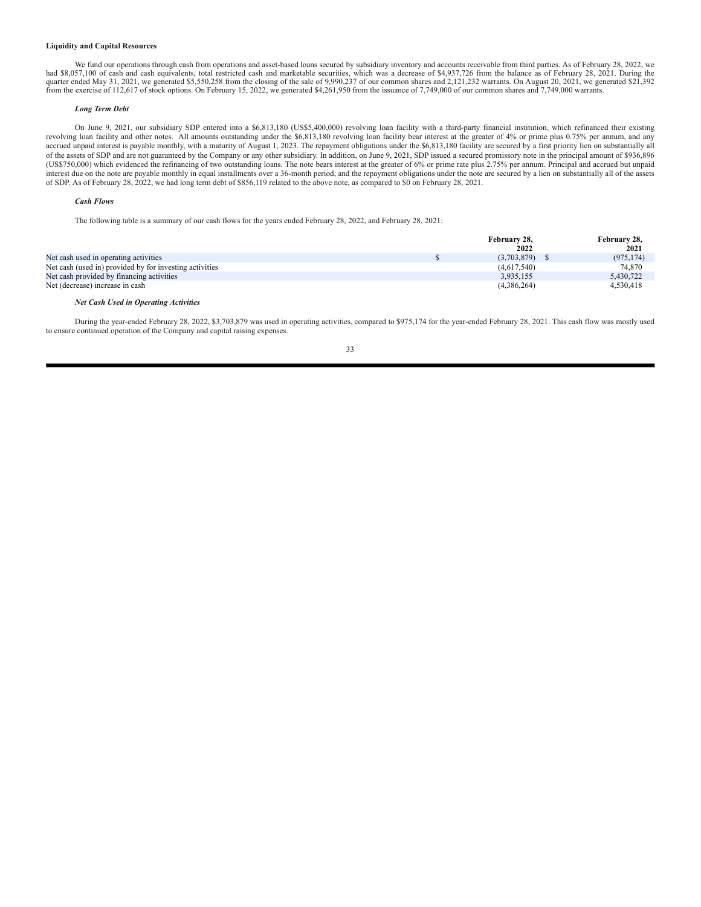## **Liquidity and Capital Resources**

We fund our operations through cash from operations and asset-based loans secured by subsidiary inventory and accounts receivable from third parties. As of February 28, 2022, we<br>had \$8,057,100 of cash and cash equivalents, from the exercise of 112,617 of stock options. On February 15, 2022, we generated \$4,261,950 from the issuance of 7,749,000 of our common shares and 7,749,000 warrants.

## *Long Term Debt*

On June 9, 2021, our subsidiary SDP entered into a \$6,813,180 (US\$5,400,000) revolving loan facility with a third-party financial institution, which refinanced their existing revolving loan facility and other notes. All amounts outstanding under the \$6,813,180 revolving loan facility bear interest at the greater of 4% or prime plus 0.75% per annum, and any accrued unpaid interest is payable monthly, with a maturity of August 1, 2023. The repayment obligations under the \$6,813,180 facility are secured by a first priority lien on substantially all of the assets of SDP and are not guaranteed by the Company or any other subsidiary. In addition, on June 9, 2021, SDP issued a secured promissory note in the principal amount of \$936,896 (US\$750,000) which evidenced the refinancing of two outstanding loans. The note bears interest at the greater of 6% or prime rate plus 2.75% per annum. Principal and accrued but unpaid interest due on the note are payable monthly in equal installments over a 36-month period, and the repayment obligations under the note are secured by a lien on substantially all of the assets of SDP. As of February 28, 2022, we had long term debt of \$856,119 related to the above note, as compared to \$0 on February 28, 2021.

### *Cash Flows*

The following table is a summary of our cash flows for the years ended February 28, 2022, and February 28, 2021:

|                                                         | February 28, | February 28, |
|---------------------------------------------------------|--------------|--------------|
|                                                         | 2022         | 2021         |
| Net cash used in operating activities                   | (3,703,879)  | (975, 174)   |
| Net cash (used in) provided by for investing activities | (4.617, 540) | 74,870       |
| Net cash provided by financing activities               | 3,935,155    | 5.430.722    |
| Net (decrease) increase in cash                         | (4,386,264)  | 4.530.418    |

## *Net Cash Used in Operating Activities*

During the year-ended February 28, 2022, \$3,703,879 was used in operating activities, compared to \$975,174 for the year-ended February 28, 2021. This cash flow was mostly used to ensure continued operation of the Company and capital raising expenses.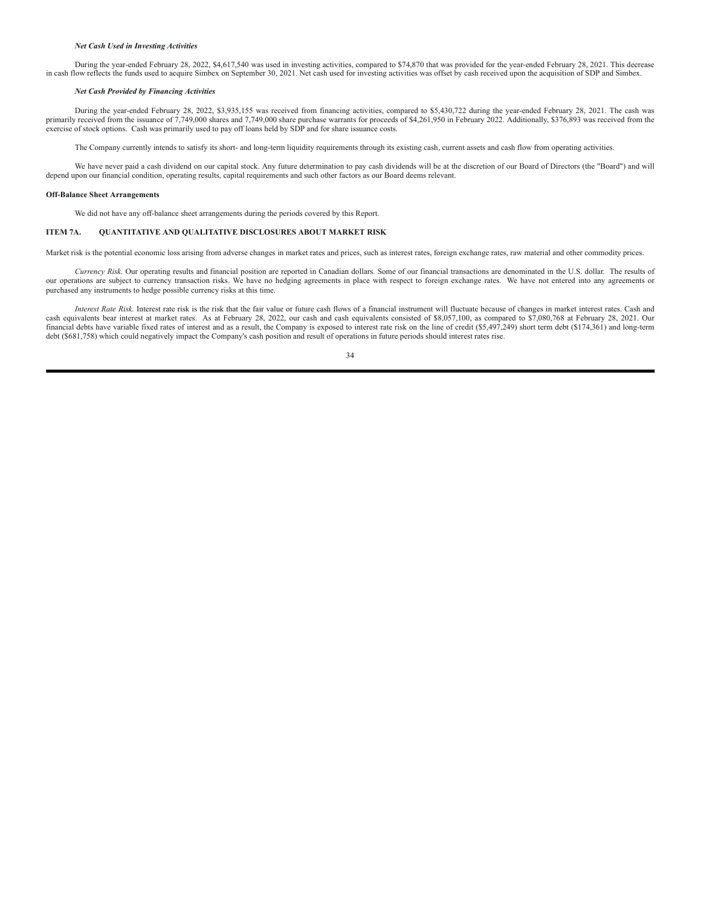## *Net Cash Used in Investing Activities*

During the year-ended February 28, 2022, \$4,617,540 was used in investing activities, compared to \$74,870 that was provided for the year-ended February 28, 2021. This decrease in cash flow reflects the funds used to acquire Simbex on September 30, 2021. Net cash used for investing activities was offset by cash received upon the acquisition of SDP and Simbex.

### *Net Cash Provided by Financing Activities*

During the year-ended February 28, 2022, \$3,935,155 was received from financing activities, compared to \$5,430,722 during the year-ended February 28, 2021. The cash was primarily received from the issuance of 7,749,000 shares and 7,749,000 share purchase warrants for proceeds of \$4,261,950 in February 2022. Additionally, \$376,893 was received from the exercise of stock options. Cash was primarily used to pay off loans held by SDP and for share issuance costs.

The Company currently intends to satisfy its short- and long-term liquidity requirements through its existing cash, current assets and cash flow from operating activities.

We have never paid a cash dividend on our capital stock. Any future determination to pay cash dividends will be at the discretion of our Board of Directors (the "Board") and will depend upon our financial condition, operating results, capital requirements and such other factors as our Board deems relevant.

#### **Off-Balance Sheet Arrangements**

We did not have any off-balance sheet arrangements during the periods covered by this Report.

## **ITEM 7A. QUANTITATIVE AND QUALITATIVE DISCLOSURES ABOUT MARKET RISK**

Market risk is the potential economic loss arising from adverse changes in market rates and prices, such as interest rates, foreign exchange rates, raw material and other commodity prices.

*Currency Risk.* Our operating results and financial position are reported in Canadian dollars. Some of our financial transactions are denominated in the U.S. dollar. The results of our operations are subject to currency transaction risks. We have no hedging agreements in place with respect to foreign exchange rates. We have not entered into any agreements or purchased any instruments to hedge possible currency risks at this time.

*Interest Rate Risk.* Interest rate risk is the risk that the fair value or future cash flows of a financial instrument will fluctuate because of changes in market interest rates. Cash and cash equivalents bear interest at market rates. As at February 28, 2022, our cash and cash equivalents consisted of \$8,057,100, as compared to \$7,080,768 at February 28, 2021. Our financial debts have variable fixed rates of interest and as a result, the Company is exposed to interest rate risk on the line of credit (\$5,497,249) short term debt (\$174,361) and long-term debt (\$681,758) which could negatively impact the Company's cash position and result of operations in future periods should interest rates rise.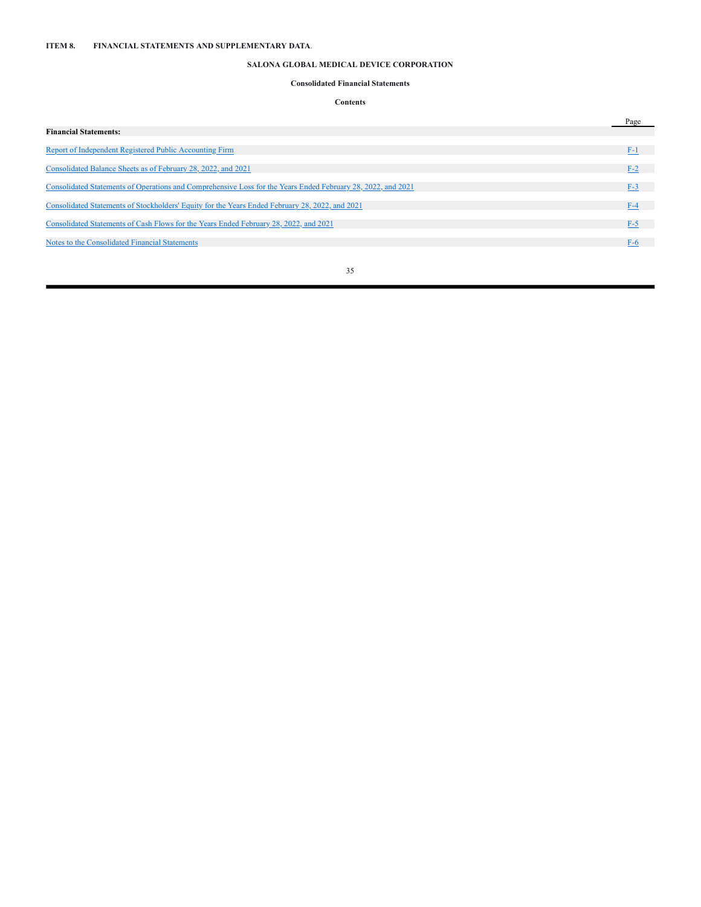# **SALONA GLOBAL MEDICAL DEVICE CORPORATION**

# **Consolidated Financial Statements**

## **Contents**

|                                                                                                              | Page  |
|--------------------------------------------------------------------------------------------------------------|-------|
| <b>Financial Statements:</b>                                                                                 |       |
|                                                                                                              |       |
| Report of Independent Registered Public Accounting Firm                                                      | $F-1$ |
|                                                                                                              |       |
| Consolidated Balance Sheets as of February 28, 2022, and 2021                                                | $F-2$ |
|                                                                                                              |       |
| Consolidated Statements of Operations and Comprehensive Loss for the Years Ended February 28, 2022, and 2021 | $F-3$ |
|                                                                                                              |       |
| Consolidated Statements of Stockholders' Equity for the Years Ended February 28, 2022, and 2021              | $F-4$ |
|                                                                                                              |       |
| Consolidated Statements of Cash Flows for the Years Ended February 28, 2022, and 2021                        | $F-5$ |
|                                                                                                              |       |
| Notes to the Consolidated Financial Statements                                                               | $F-6$ |
|                                                                                                              |       |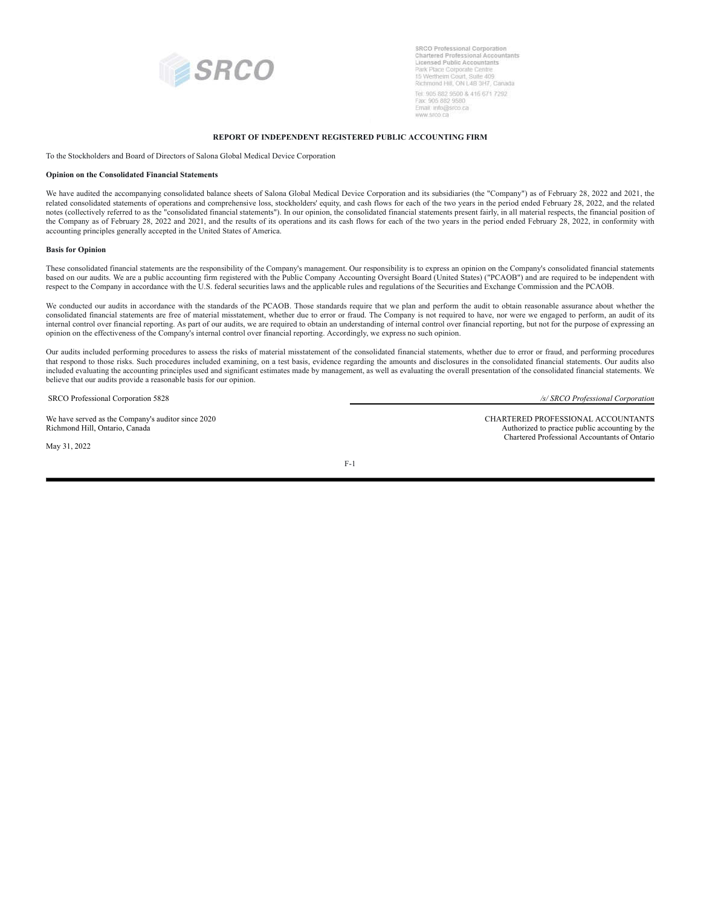

SRCO Professional Corporation Chartered Professional Accountants Licensed Public Accountants Park Place Corporate Centre 15 Werthelm Court, Suite 409 Richmond Hill, ON L48 3H7, Canada Tel: 905 882 9500 & 416 671 7292 Fax: 905 882 9580 Email info@srco.ca www.srco.ca

## **REPORT OF INDEPENDENT REGISTERED PUBLIC ACCOUNTING FIRM**

To the Stockholders and Board of Directors of Salona Global Medical Device Corporation

## **Opinion on the Consolidated Financial Statements**

We have audited the accompanying consolidated balance sheets of Salona Global Medical Device Corporation and its subsidiaries (the "Company") as of February 28, 2022 and 2021, the related consolidated statements of operations and comprehensive loss, stockholders' equity, and cash flows for each of the two years in the period ended February 28, 2022, and the related notes (collectively referred to as the "consolidated financial statements"). In our opinion, the consolidated financial statements present fairly, in all material respects, the financial position of the Company as of February 28, 2022 and 2021, and the results of its operations and its cash flows for each of the two years in the period ended February 28, 2022, in conformity with accounting principles generally accepted in the United States of America.

### **Basis for Opinion**

These consolidated financial statements are the responsibility of the Company's management. Our responsibility is to express an opinion on the Company's consolidated financial statements based on our audits. We are a public accounting firm registered with the Public Company Accounting Oversight Board (United States) ("PCAOB") and are required to be independent with respect to the Company in accordance with the U.S. federal securities laws and the applicable rules and regulations of the Securities and Exchange Commission and the PCAOB.

We conducted our audits in accordance with the standards of the PCAOB. Those standards require that we plan and perform the audit to obtain reasonable assurance about whether the consolidated financial statements are free of material misstatement, whether due to error or fraud. The Company is not required to have, nor were we engaged to perform, an audit of its internal control over financial reporting. As part of our audits, we are required to obtain an understanding of internal control over financial reporting, but not for the purpose of expressing an opinion on the effectiveness of the Company's internal control over financial reporting. Accordingly, we express no such opinion.

Our audits included performing procedures to assess the risks of material misstatement of the consolidated financial statements, whether due to error or fraud, and performing procedures that respond to those risks. Such procedures included examining, on a test basis, evidence regarding the amounts and disclosures in the consolidated financial statements. Our audits also included evaluating the accounting principles used and significant estimates made by management, as well as evaluating the overall presentation of the consolidated financial statements. We believe that our audits provide a reasonable basis for our opinion.

SRCO Professional Corporation 5828 */s/ SRCO Professional Corporation*

We have served as the Company's auditor since 2020 Richmond Hill, Ontario, Canada

May 31, 2022

CHARTERED PROFESSIONAL ACCOUNTANTS Authorized to practice public accounting by the Chartered Professional Accountants of Ontario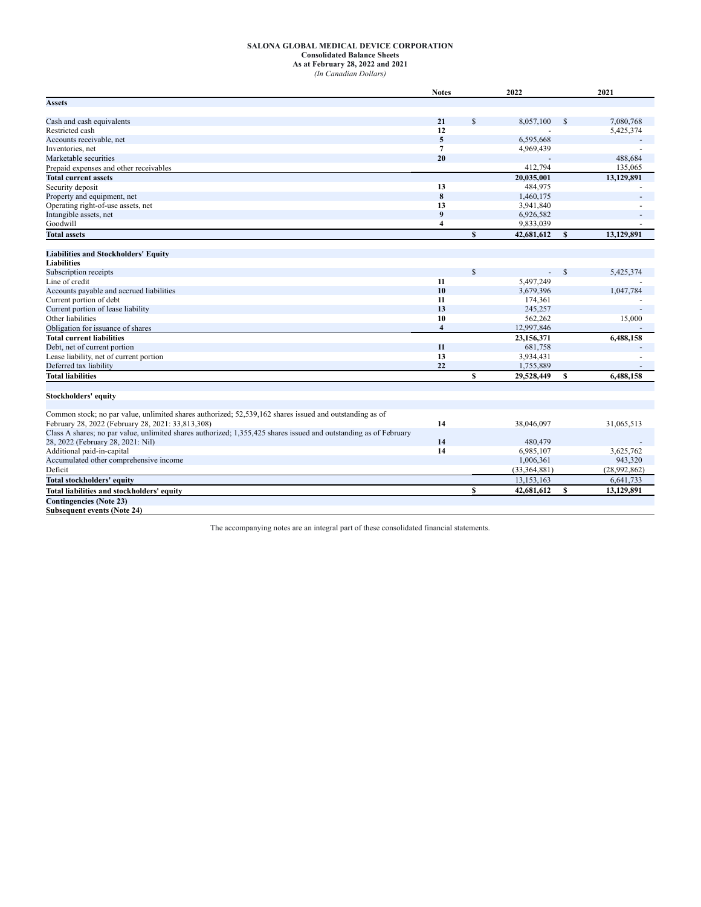### **SALONA GLOBAL MEDICAL DEVICE CORPORATION Consolidated Balance Sheets As at February 28, 2022 and 2021** *(In Canadian Dollars)*

|                                                                                                                   | <b>Notes</b>        |               | 2022                     |              | 2021         |
|-------------------------------------------------------------------------------------------------------------------|---------------------|---------------|--------------------------|--------------|--------------|
| <b>Assets</b>                                                                                                     |                     |               |                          |              |              |
|                                                                                                                   |                     |               |                          |              |              |
| Cash and cash equivalents                                                                                         | 21                  | $\mathbf S$   | 8,057,100                | $\mathbb{S}$ | 7,080,768    |
| Restricted cash                                                                                                   | 12                  |               |                          |              | 5,425,374    |
| Accounts receivable, net                                                                                          | 5                   |               | 6,595,668                |              |              |
| Inventories, net                                                                                                  | $\overline{7}$      |               | 4,969,439                |              |              |
| Marketable securities                                                                                             | 20                  |               |                          |              | 488,684      |
| Prepaid expenses and other receivables                                                                            |                     |               | 412,794                  |              | 135,065      |
| <b>Total current assets</b>                                                                                       |                     |               | 20,035,001               |              | 13,129,891   |
| Security deposit                                                                                                  | 13                  |               | 484,975                  |              |              |
| Property and equipment, net                                                                                       | 8                   |               | 1,460,175                |              |              |
| Operating right-of-use assets, net                                                                                | 13                  |               | 3,941,840                |              |              |
| Intangible assets, net                                                                                            | 9                   |               | 6,926,582                |              |              |
| Goodwill                                                                                                          | 4                   |               | 9,833,039                |              |              |
| <b>Total assets</b>                                                                                               |                     | $\mathbf{s}$  | 42,681,612               | $\mathbf{s}$ | 13,129,891   |
|                                                                                                                   |                     |               |                          |              |              |
| <b>Liabilities and Stockholders' Equity</b>                                                                       |                     |               |                          |              |              |
| <b>Liabilities</b>                                                                                                |                     |               |                          |              |              |
| Subscription receipts                                                                                             |                     | <sup>\$</sup> | $\overline{\phantom{a}}$ | $\mathbf S$  | 5,425,374    |
| Line of credit                                                                                                    | 11                  |               | 5,497,249                |              |              |
| Accounts payable and accrued liabilities                                                                          | 10                  |               | 3.679.396                |              | 1,047,784    |
| Current portion of debt                                                                                           | 11                  |               | 174,361                  |              |              |
| Current portion of lease liability                                                                                | 13                  |               | 245,257                  |              |              |
| Other liabilities                                                                                                 | 10                  |               | 562,262                  |              | 15,000       |
| Obligation for issuance of shares                                                                                 | $\overline{\bf{4}}$ |               | 12,997,846               |              |              |
| <b>Total current liabilities</b>                                                                                  |                     |               | 23,156,371               |              | 6,488,158    |
| Debt, net of current portion                                                                                      | 11                  |               | 681,758                  |              |              |
| Lease liability, net of current portion                                                                           | 13                  |               | 3,934,431                |              |              |
| Deferred tax liability                                                                                            | 22                  |               | 1,755,889                |              |              |
| <b>Total liabilities</b>                                                                                          |                     | S             | 29,528,449               | \$           | 6,488,158    |
|                                                                                                                   |                     |               |                          |              |              |
| <b>Stockholders' equity</b>                                                                                       |                     |               |                          |              |              |
|                                                                                                                   |                     |               |                          |              |              |
| Common stock; no par value, unlimited shares authorized; 52,539,162 shares issued and outstanding as of           |                     |               |                          |              |              |
| February 28, 2022 (February 28, 2021: 33,813,308)                                                                 | 14                  |               | 38,046,097               |              | 31,065,513   |
| Class A shares; no par value, unlimited shares authorized; 1,355,425 shares issued and outstanding as of February |                     |               |                          |              |              |
| 28, 2022 (February 28, 2021: Nil)                                                                                 | 14                  |               | 480,479                  |              |              |
| Additional paid-in-capital                                                                                        | 14                  |               | 6,985,107                |              | 3,625,762    |
| Accumulated other comprehensive income                                                                            |                     |               | 1,006,361                |              | 943,320      |
| Deficit                                                                                                           |                     |               | (33,364,881)             |              | (28,992,862) |
| <b>Total stockholders' equity</b>                                                                                 |                     |               | 13,153,163               |              | 6,641,733    |
| Total liabilities and stockholders' equity                                                                        |                     | \$            | 42,681,612               | \$           | 13,129,891   |
| <b>Contingencies (Note 23)</b>                                                                                    |                     |               |                          |              |              |
| <b>Subsequent events (Note 24)</b>                                                                                |                     |               |                          |              |              |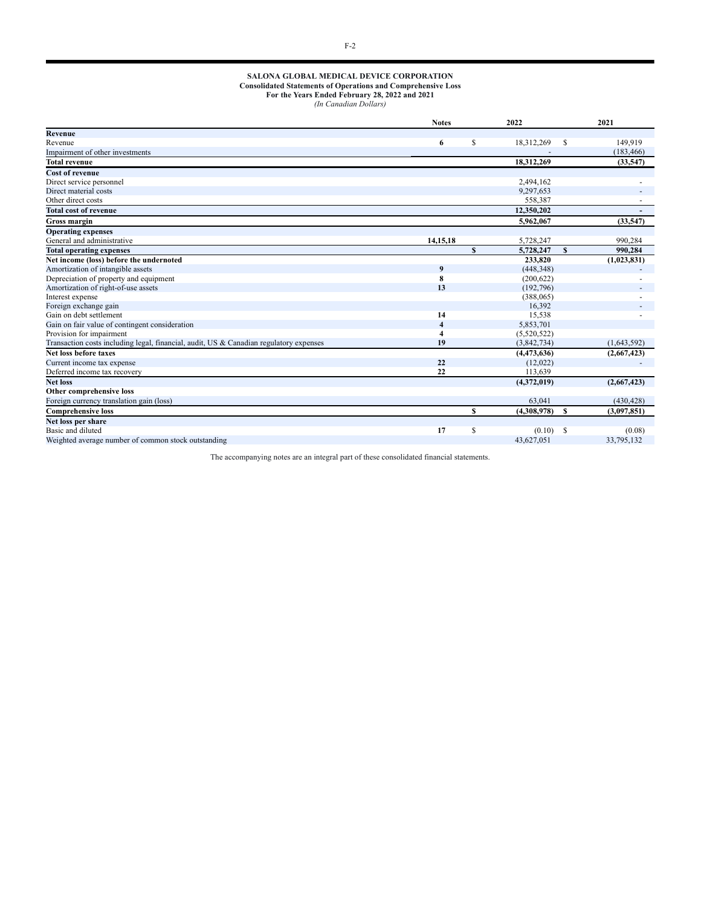### **SALONA GLOBAL MEDICAL DEVICE CORPORATION Consolidated Statements of Operations and Comprehensive Loss For the Years Ended February 28, 2022 and 2021** *(In Canadian Dollars)*

|                                                                                        | <b>Notes</b>            |              | 2022        |              | 2021        |
|----------------------------------------------------------------------------------------|-------------------------|--------------|-------------|--------------|-------------|
| Revenue                                                                                |                         |              |             |              |             |
| Revenue                                                                                | 6                       | \$           | 18,312,269  | S            | 149,919     |
| Impairment of other investments                                                        |                         |              |             |              | (183, 466)  |
| <b>Total revenue</b>                                                                   |                         |              | 18,312,269  |              | (33,547)    |
| <b>Cost of revenue</b>                                                                 |                         |              |             |              |             |
| Direct service personnel                                                               |                         |              | 2,494,162   |              |             |
| Direct material costs                                                                  |                         |              | 9,297,653   |              |             |
| Other direct costs                                                                     |                         |              | 558,387     |              |             |
| <b>Total cost of revenue</b>                                                           |                         |              | 12,350,202  |              |             |
| Gross margin                                                                           |                         |              | 5,962,067   |              | (33,547)    |
| <b>Operating expenses</b>                                                              |                         |              |             |              |             |
| General and administrative                                                             | 14, 15, 18              |              | 5,728,247   |              | 990,284     |
| <b>Total operating expenses</b>                                                        |                         | S            | 5,728,247   | S            | 990.284     |
| Net income (loss) before the undernoted                                                |                         |              | 233,820     |              | (1,023,831) |
| Amortization of intangible assets                                                      | 9                       |              | (448, 348)  |              |             |
| Depreciation of property and equipment                                                 | 8                       |              | (200, 622)  |              |             |
| Amortization of right-of-use assets                                                    | 13                      |              | (192, 796)  |              |             |
| Interest expense                                                                       |                         |              | (388, 065)  |              |             |
| Foreign exchange gain                                                                  |                         |              | 16,392      |              |             |
| Gain on debt settlement                                                                | 14                      |              | 15,538      |              |             |
| Gain on fair value of contingent consideration                                         | $\overline{\mathbf{4}}$ |              | 5,853,701   |              |             |
| Provision for impairment                                                               | $\overline{\mathbf{4}}$ |              | (5,520,522) |              |             |
| Transaction costs including legal, financial, audit, US & Canadian regulatory expenses | 19                      |              | (3,842,734) |              | (1,643,592) |
| Net loss before taxes                                                                  |                         |              | (4,473,636) |              | (2,667,423) |
| Current income tax expense                                                             | 22                      |              | (12,022)    |              |             |
| Deferred income tax recovery                                                           | 22                      |              | 113,639     |              |             |
| <b>Net loss</b>                                                                        |                         |              | (4,372,019) |              | (2,667,423) |
| Other comprehensive loss                                                               |                         |              |             |              |             |
| Foreign currency translation gain (loss)                                               |                         |              | 63,041      |              | (430, 428)  |
| <b>Comprehensive loss</b>                                                              |                         | $\mathbf{s}$ | (4,308,978) | $\mathbf{s}$ | (3,097,851) |
| Net loss per share                                                                     |                         |              |             |              |             |
| Basic and diluted                                                                      | 17                      | S            | (0.10)      | -S           | (0.08)      |
| Weighted average number of common stock outstanding                                    |                         |              | 43,627,051  |              | 33,795,132  |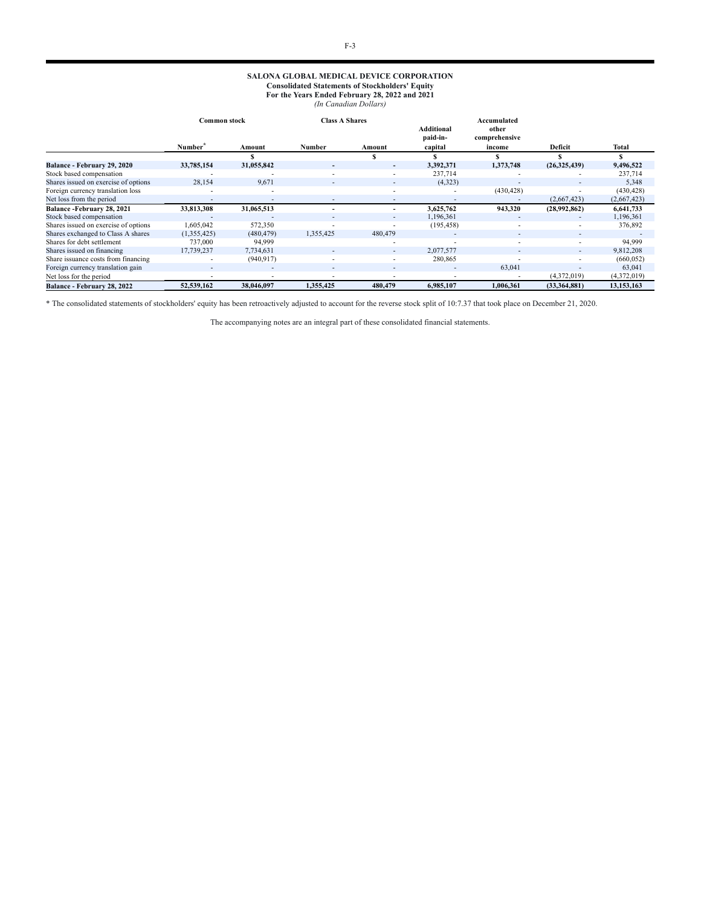### **SALONA GLOBAL MEDICAL DEVICE CORPORATION Consolidated Statements of Stockholders' Equity For the Years Ended February 28, 2022 and 2021** *(In Canadian Dollars)*

|                                      | <b>Common stock</b> |            | <b>Class A Shares</b>    |                          | Additional               | Accumulated<br>other     |                          |             |
|--------------------------------------|---------------------|------------|--------------------------|--------------------------|--------------------------|--------------------------|--------------------------|-------------|
|                                      |                     |            |                          |                          | paid-in-                 | comprehensive            |                          |             |
|                                      | Number"             | Amount     | Number                   | Amount                   | capital                  | income                   | Deficit                  | Total       |
|                                      |                     |            |                          |                          |                          |                          |                          |             |
| Balance - February 29, 2020          | 33,785,154          | 31,055,842 | $\overline{\phantom{a}}$ | $\overline{\phantom{0}}$ | 3,392,371                | 1,373,748                | (26,325,439)             | 9,496,522   |
| Stock based compensation             |                     |            |                          | ۰.                       | 237,714                  |                          |                          | 237,714     |
| Shares issued on exercise of options | 28,154              | 9,671      | $\overline{\phantom{a}}$ | ٠                        | (4, 323)                 | $\overline{\phantom{a}}$ |                          | 5,348       |
| Foreign currency translation loss    |                     |            |                          | ۰                        |                          | (430, 428)               |                          | (430, 428)  |
| Net loss from the period             | ۰                   |            | ۰                        |                          | $\overline{\phantom{a}}$ | $\overline{\phantom{a}}$ | (2,667,423)              | (2,667,423) |
| Balance - February 28, 2021          | 33,813,308          | 31,065,513 |                          | ٠                        | 3,625,762                | 943,320                  | (28,992,862)             | 6,641,733   |
| Stock based compensation             |                     |            | ۰                        | $\overline{\phantom{a}}$ | 1,196,361                | $\overline{\phantom{a}}$ |                          | 1,196,361   |
| Shares issued on exercise of options | 1,605,042           | 572,350    |                          |                          | (195, 458)               | $\overline{\phantom{a}}$ | $\overline{\phantom{a}}$ | 376,892     |
| Shares exchanged to Class A shares   | (1,355,425)         | (480, 479) | 1,355,425                | 480,479                  |                          | $\overline{\phantom{a}}$ |                          |             |
| Shares for debt settlement           | 737,000             | 94.999     |                          |                          | ۰                        |                          |                          | 94,999      |
| Shares issued on financing           | 17,739,237          | 7,734,631  | $\overline{\phantom{a}}$ |                          | 2,077,577                | $\overline{\phantom{a}}$ |                          | 9,812,208   |
| Share issuance costs from financing  | ٠                   | (940, 917) | ۰                        | ٠                        | 280,865                  |                          |                          | (660, 052)  |
| Foreign currency translation gain    | ٠                   |            | ٠                        | ۰                        | ٠                        | 63,041                   |                          | 63,041      |
| Net loss for the period              |                     |            |                          |                          |                          |                          | (4,372,019)              | (4,372,019) |
| Balance - February 28, 2022          | 52,539,162          | 38,046,097 | 1,355,425                | 480,479                  | 6,985,107                | 1.006.361                | (33.364.881)             | 13,153,163  |

\* The consolidated statements of stockholders' equity has been retroactively adjusted to account for the reverse stock split of 10:7.37 that took place on December 21, 2020.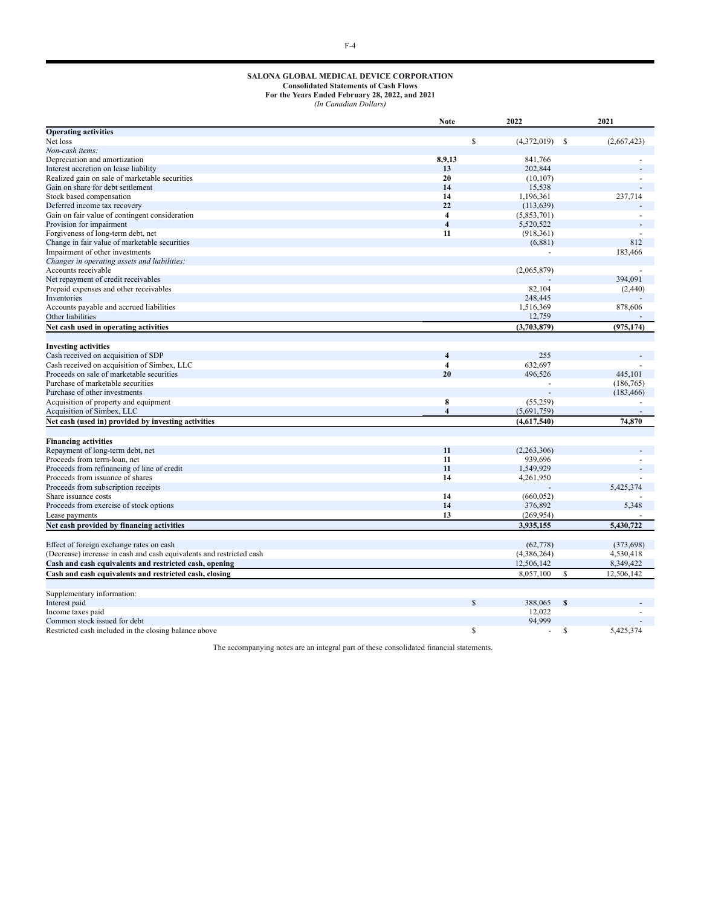### **SALONA GLOBAL MEDICAL DEVICE CORPORATION Consolidated Statements of Cash Flows For the Years Ended February 28, 2022, and 2021** *(In Canadian Dollars)*

|                                                                      | <b>Note</b>             | 2022                                  | 2021        |
|----------------------------------------------------------------------|-------------------------|---------------------------------------|-------------|
| <b>Operating activities</b>                                          |                         |                                       |             |
| Net loss                                                             | $\mathbb{S}$            | $(4,372,019)$ \$                      | (2,667,423) |
| Non-cash items:                                                      |                         |                                       |             |
| Depreciation and amortization                                        | 8,9,13                  | 841,766                               |             |
| Interest accretion on lease liability                                | 13                      | 202,844                               |             |
| Realized gain on sale of marketable securities                       | 20                      | (10, 107)                             |             |
| Gain on share for debt settlement                                    | 14                      | 15,538                                |             |
| Stock based compensation                                             | 14                      | 1,196,361                             | 237,714     |
| Deferred income tax recovery                                         | 22                      | (113, 639)                            |             |
| Gain on fair value of contingent consideration                       | $\overline{\mathbf{4}}$ | (5,853,701)                           |             |
| Provision for impairment                                             | $\overline{\mathbf{4}}$ | 5,520,522                             |             |
| Forgiveness of long-term debt, net                                   | 11                      | (918, 361)                            |             |
| Change in fair value of marketable securities                        |                         | (6,881)                               | 812         |
| Impairment of other investments                                      |                         |                                       | 183,466     |
| Changes in operating assets and liabilities:                         |                         |                                       |             |
| Accounts receivable                                                  |                         | (2,065,879)                           |             |
| Net repayment of credit receivables                                  |                         |                                       | 394,091     |
| Prepaid expenses and other receivables                               |                         | 82,104                                | (2, 440)    |
| Inventories                                                          |                         | 248,445                               |             |
| Accounts payable and accrued liabilities                             |                         | 1,516,369                             | 878,606     |
| Other liabilities                                                    |                         | 12,759                                |             |
| Net cash used in operating activities                                |                         | (3,703,879)                           | (975, 174)  |
|                                                                      |                         |                                       |             |
| <b>Investing activities</b>                                          |                         |                                       |             |
| Cash received on acquisition of SDP                                  | $\overline{\mathbf{4}}$ | 255                                   |             |
| Cash received on acquisition of Simbex, LLC                          | $\overline{\mathbf{4}}$ | 632,697                               |             |
| Proceeds on sale of marketable securities                            | 20                      | 496,526                               | 445,101     |
| Purchase of marketable securities                                    |                         | ÷.                                    | (186, 765)  |
| Purchase of other investments                                        |                         |                                       | (183, 466)  |
| Acquisition of property and equipment                                | 8                       | (55, 259)                             |             |
| Acquisition of Simbex, LLC                                           | $\overline{\mathbf{4}}$ | (5,691,759)                           |             |
| Net cash (used in) provided by investing activities                  |                         | (4,617,540)                           | 74,870      |
| <b>Financing activities</b>                                          |                         |                                       |             |
| Repayment of long-term debt, net                                     | 11                      | (2,263,306)                           |             |
| Proceeds from term-loan, net                                         | 11                      | 939,696                               |             |
| Proceeds from refinancing of line of credit                          | 11                      | 1,549,929                             |             |
| Proceeds from issuance of shares                                     | 14                      | 4,261,950                             |             |
| Proceeds from subscription receipts                                  |                         |                                       | 5,425,374   |
| Share issuance costs                                                 | 14                      | (660, 052)                            |             |
| Proceeds from exercise of stock options                              | 14                      | 376,892                               | 5,348       |
| Lease payments                                                       | 13                      | (269, 954)                            |             |
| Net cash provided by financing activities                            |                         | 3,935,155                             | 5,430,722   |
|                                                                      |                         |                                       |             |
| Effect of foreign exchange rates on cash                             |                         | (62, 778)                             | (373, 698)  |
| (Decrease) increase in cash and cash equivalents and restricted cash |                         | (4,386,264)                           | 4,530,418   |
| Cash and cash equivalents and restricted cash, opening               |                         | 12,506,142                            | 8,349,422   |
| Cash and cash equivalents and restricted cash, closing               |                         | 8,057,100<br>\$                       | 12,506,142  |
|                                                                      |                         |                                       |             |
| Supplementary information:                                           | $\mathsf{\$}$           |                                       |             |
| Interest paid                                                        |                         | 388,065<br>$\boldsymbol{s}$<br>12,022 |             |
| Income taxes paid<br>Common stock issued for debt                    |                         | 94.999                                |             |
|                                                                      | $\mathbf S$             | <sup>\$</sup>                         |             |
| Restricted cash included in the closing balance above                |                         |                                       | 5.425.374   |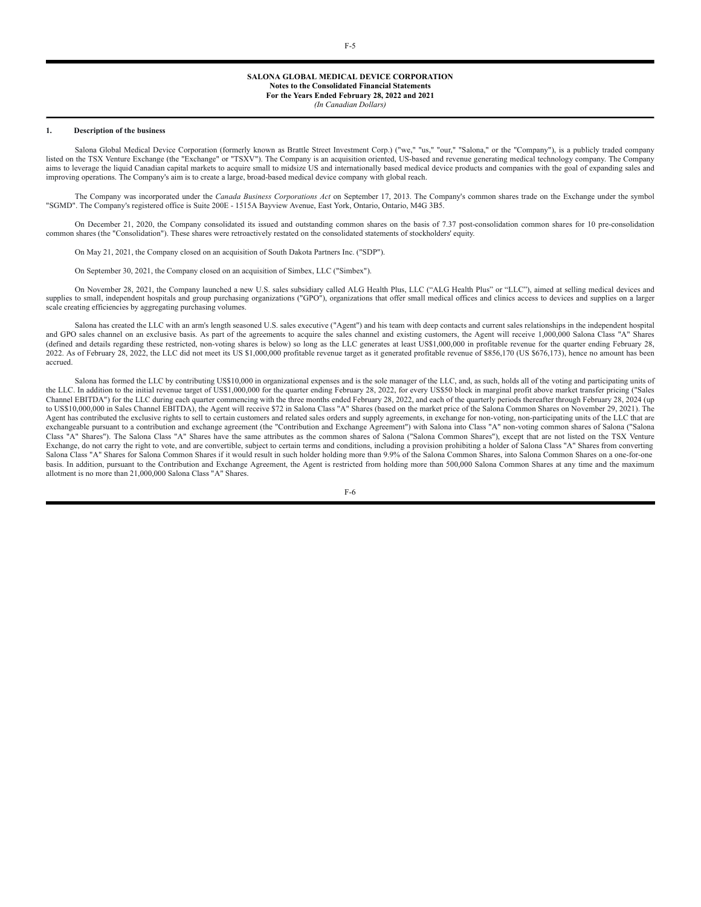### **SALONA GLOBAL MEDICAL DEVICE CORPORATION Notes to the Consolidated Financial Statements For the Years Ended February 28, 2022 and 2021** *(In Canadian Dollars)*

### **1. Description of the business**

Salona Global Medical Device Corporation (formerly known as Brattle Street Investment Corp.) ("we," "us," "our," "Salona," or the "Company"), is a publicly traded company listed on the TSX Venture Exchange (the "Exchange" or "TSXV"). The Company is an acquisition oriented, US-based and revenue generating medical technology company. The Company aims to leverage the liquid Canadian capital markets to acquire small to midsize US and internationally based medical device products and companies with the goal of expanding sales and improving operations. The Company's aim is to create a large, broad-based medical device company with global reach.

The Company was incorporated under the *Canada Business Corporations Act* on September 17, 2013. The Company's common shares trade on the Exchange under the symbol "SGMD". The Company's registered office is Suite 200E - 1515A Bayview Avenue, East York, Ontario, Ontario, M4G 3B5.

On December 21, 2020, the Company consolidated its issued and outstanding common shares on the basis of 7.37 post-consolidation common shares for 10 pre-consolidation common shares (the "Consolidation"). These shares were retroactively restated on the consolidated statements of stockholders' equity.

On May 21, 2021, the Company closed on an acquisition of South Dakota Partners Inc. ("SDP").

On September 30, 2021, the Company closed on an acquisition of Simbex, LLC ("Simbex").

On November 28, 2021, the Company launched a new U.S. sales subsidiary called ALG Health Plus, LLC ("ALG Health Plus" or "LLC"), aimed at selling medical devices and supplies to small, independent hospitals and group purchasing organizations ("GPO"), organizations that offer small medical offices and clinics access to devices and supplies on a larger scale creating efficiencies by aggregating purchasing volumes.

Salona has created the LLC with an arm's length seasoned U.S. sales executive ("Agent") and his team with deep contacts and current sales relationships in the independent hospital and GPO sales channel on an exclusive basis. As part of the agreements to acquire the sales channel and existing customers, the Agent will receive 1,000,000 Salona Class "A" Shares (defined and details regarding these restricted, non-voting shares is below) so long as the LLC generates at least US\$1,000,000 in profitable revenue for the quarter ending February 28, 2022. As of February 28, 2022, the LLC did not meet its US \$1,000,000 profitable revenue target as it generated profitable revenue of \$856,170 (US \$676,173), hence no amount has been accrued.

Salona has formed the LLC by contributing US\$10,000 in organizational expenses and is the sole manager of the LLC, and, as such, holds all of the voting and participating units of the LLC. In addition to the initial revenue target of US\$1,000,000 for the quarter ending February 28, 2022, for every US\$50 block in marginal profit above market transfer pricing ("Sales Channel EBITDA") for the LLC during each quarter commencing with the three months ended February 28, 2022, and each of the quarterly periods thereafter through February 28, 2024 (up to US\$10,000,000 in Sales Channel EBITDA), the Agent will receive \$72 in Salona Class "A" Shares (based on the market price of the Salona Common Shares on November 29, 2021). The Agent has contributed the exclusive rights to sell to certain customers and related sales orders and supply agreements, in exchange for non-voting, non-participating units of the LLC that are exchangeable pursuant to a contribution and exchange agreement (the "Contribution and Exchange Agreement") with Salona into Class "A" non-voting common shares of Salona ("Salona Class "A" Shares"). The Salona Class "A" Shares have the same attributes as the common shares of Salona ("Salona Common Shares"), except that are not listed on the TSX Venture Exchange, do not carry the right to vote, and are convertible, subject to certain terms and conditions, including a provision prohibiting a holder of Salona Class "A" Shares from converting Salona Class "A" Shares for Salona Common Shares if it would result in such holder holding more than 9.9% of the Salona Common Shares, into Salona Common Shares on a one-for-one basis. In addition, pursuant to the Contribution and Exchange Agreement, the Agent is restricted from holding more than 500,000 Salona Common Shares at any time and the maximum allotment is no more than 21,000,000 Salona Class "A" Shares.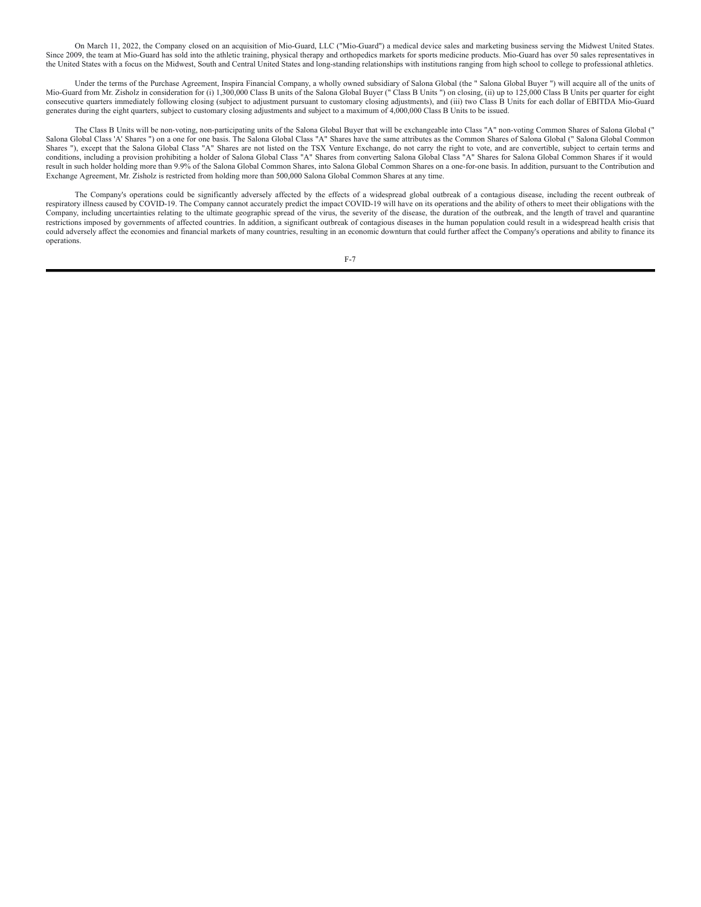On March 11, 2022, the Company closed on an acquisition of Mio-Guard, LLC ("Mio-Guard") a medical device sales and marketing business serving the Midwest United States. Since 2009, the team at Mio-Guard has sold into the athletic training, physical therapy and orthopedics markets for sports medicine products. Mio-Guard has over 50 sales representatives in the United States with a focus on the Midwest, South and Central United States and long-standing relationships with institutions ranging from high school to college to professional athletics.

Under the terms of the Purchase Agreement, Inspira Financial Company, a wholly owned subsidiary of Salona Global (the " Salona Global Buyer ") will acquire all of the units of Mio-Guard from Mr. Zisholz in consideration for (i) 1,300,000 Class B units of the Salona Global Buyer (" Class B Units ") on closing, (ii) up to 125,000 Class B Units per quarter for eight consecutive quarters immediately following closing (subject to adjustment pursuant to customary closing adjustments), and (iii) two Class B Units for each dollar of EBITDA Mio-Guard generates during the eight quarters, subject to customary closing adjustments and subject to a maximum of 4,000,000 Class B Units to be issued.

The Class B Units will be non-voting, non-participating units of the Salona Global Buyer that will be exchangeable into Class "A" non-voting Common Shares of Salona Global (" Salona Global Class 'A' Shares ") on a one for one basis. The Salona Global Class "A" Shares have the same attributes as the Common Shares of Salona Global (" Salona Global Common Shares "), except that the Salona Global Class "A" Shares are not listed on the TSX Venture Exchange, do not carry the right to vote, and are convertible, subject to certain terms and conditions, including a provision prohibiting a holder of Salona Global Class "A" Shares from converting Salona Global Class "A" Shares for Salona Global Common Shares if it would result in such holder holding more than 9.9% of the Salona Global Common Shares, into Salona Global Common Shares on a one-for-one basis. In addition, pursuant to the Contribution and Exchange Agreement, Mr. Zisholz is restricted from holding more than 500,000 Salona Global Common Shares at any time.

The Company's operations could be significantly adversely affected by the effects of a widespread global outbreak of a contagious disease, including the recent outbreak of respiratory illness caused by COVID-19. The Company cannot accurately predict the impact COVID-19 will have on its operations and the ability of others to meet their obligations with the Company, including uncertainties relating to the ultimate geographic spread of the virus, the severity of the disease, the duration of the outbreak, and the length of travel and quarantine restrictions imposed by governments of affected countries. In addition, a significant outbreak of contagious diseases in the human population could result in a widespread health crisis that could adversely affect the economies and financial markets of many countries, resulting in an economic downturn that could further affect the Company's operations and ability to finance its operations.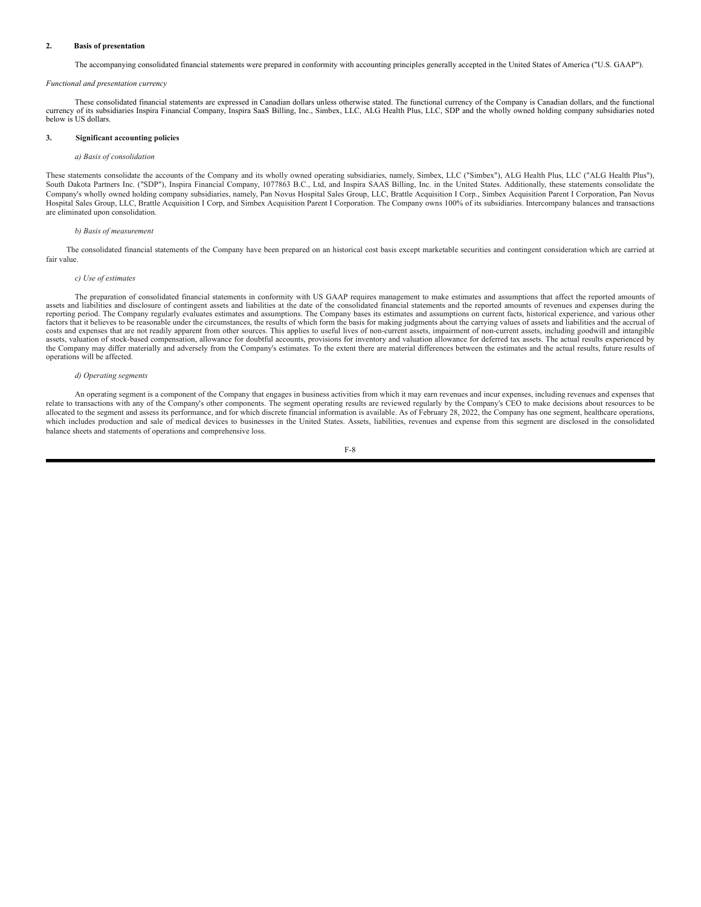### **2. Basis of presentation**

The accompanying consolidated financial statements were prepared in conformity with accounting principles generally accepted in the United States of America ("U.S. GAAP").

### *Functional and presentation currency*

These consolidated financial statements are expressed in Canadian dollars unless otherwise stated. The functional currency of the Company is Canadian dollars, and the functional currency of its subsidiaries Inspira Financial Company, Inspira SaaS Billing, Inc., Simbex, LLC, ALG Health Plus, LLC, SDP and the wholly owned holding company subsidiaries noted below is US dollars.

### **3. Significant accounting policies**

### *a) Basis of consolidation*

These statements consolidate the accounts of the Company and its wholly owned operating subsidiaries, namely, Simbex, LLC ("Simbex"), ALG Health Plus, LLC ("ALG Health Plus"), South Dakota Partners Inc. ("SDP"), Inspira Financial Company, 1077863 B.C., Ltd, and Inspira SAAS Billing, Inc. in the United States. Additionally, these statements consolidate the Company's wholly owned holding company subsidiaries, namely, Pan Novus Hospital Sales Group, LLC, Brattle Acquisition I Corp., Simbex Acquisition Parent I Corporation, Pan Novus Hospital Sales Group, LLC, Brattle Acquisition I Corp, and Simbex Acquisition Parent I Corporation. The Company owns 100% of its subsidiaries. Intercompany balances and transactions are eliminated upon consolidation.

### *b) Basis of measurement*

The consolidated financial statements of the Company have been prepared on an historical cost basis except marketable securities and contingent consideration which are carried at fair value.

### *c) Use of estimates*

The preparation of consolidated financial statements in conformity with US GAAP requires management to make estimates and assumptions that affect the reported amounts of assets and liabilities and disclosure of contingent assets and liabilities at the date of the consolidated financial statements and the reported amounts of revenues and expenses during the reporting period. The Company regularly evaluates estimates and assumptions. The Company bases its estimates and assumptions on current facts, historical experience, and various other factors that it believes to be reasonable under the circumstances, the results of which form the basis for making judgments about the carrying values of assets and liabilities and the accrual of costs and expenses that are not readily apparent from other sources. This applies to useful lives of non-current assets, impairment of non-current assets, including goodwill and intangible assets, valuation of stock-based compensation, allowance for doubtful accounts, provisions for inventory and valuation allowance for deferred tax assets. The actual results experienced by the Company may differ materially and adversely from the Company's estimates. To the extent there are material differences between the estimates and the actual results, future results of operations will be affected.

### *d) Operating segments*

An operating segment is a component of the Company that engages in business activities from which it may earn revenues and incur expenses, including revenues and expenses that relate to transactions with any of the Company's other components. The segment operating results are reviewed regularly by the Company's CEO to make decisions about resources to be allocated to the segment and assess its performance, and for which discrete financial information is available. As of February 28, 2022, the Company has one segment, healthcare operations, which includes production and sale of medical devices to businesses in the United States. Assets, liabilities, revenues and expense from this segment are disclosed in the consolidated balance sheets and statements of operations and comprehensive loss.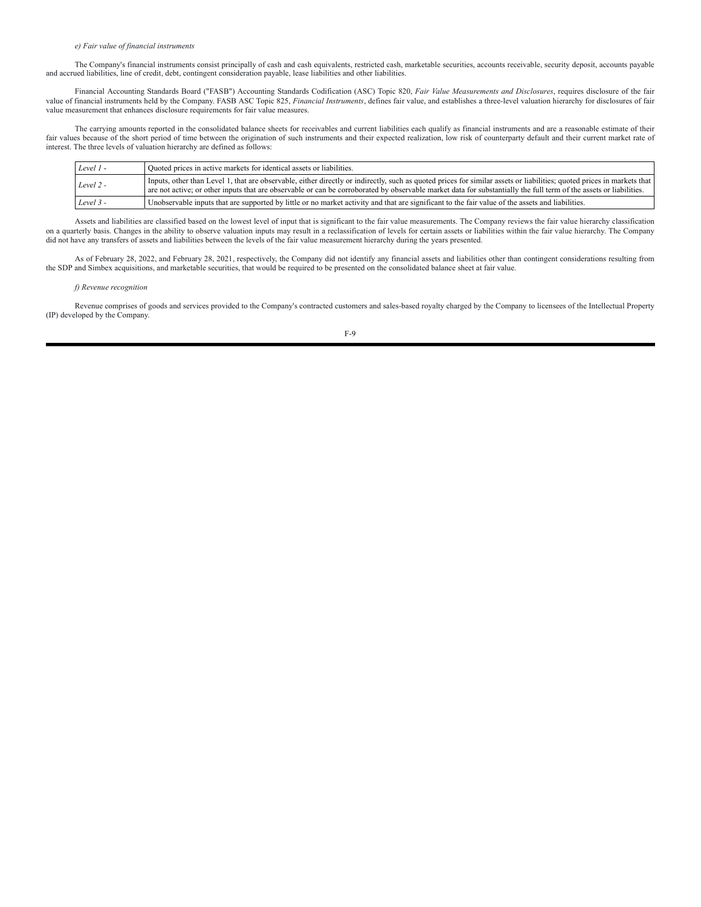### *e) Fair value of financial instruments*

The Company's financial instruments consist principally of cash and cash equivalents, restricted cash, marketable securities, accounts receivable, security deposit, accounts payable and accrued liabilities, line of credit, debt, contingent consideration payable, lease liabilities and other liabilities.

Financial Accounting Standards Board ("FASB") Accounting Standards Codification (ASC) Topic 820, *Fair Value Measurements and Disclosures*, requires disclosure of the fair value of financial instruments held by the Company. FASB ASC Topic 825, *Financial Instruments*, defines fair value, and establishes a three-level valuation hierarchy for disclosures of fair value measurement that enhances disclosure requirements for fair value measures.

The carrying amounts reported in the consolidated balance sheets for receivables and current liabilities each qualify as financial instruments and are a reasonable estimate of their fair values because of the short period of time between the origination of such instruments and their expected realization, low risk of counterparty default and their current market rate of interest. The three levels of valuation hierarchy are defined as follows:

| Level 1 - | Ouoted prices in active markets for identical assets or liabilities.                                                                                                                                                                                                                                                                         |
|-----------|----------------------------------------------------------------------------------------------------------------------------------------------------------------------------------------------------------------------------------------------------------------------------------------------------------------------------------------------|
| Level 2 - | Inputs, other than Level 1, that are observable, either directly or indirectly, such as quoted prices for similar assets or liabilities; quoted prices in markets that<br>are not active; or other inputs that are observable or can be corroborated by observable market data for substantially the full term of the assets or liabilities. |
| Level 3 - | Unobservable inputs that are supported by little or no market activity and that are significant to the fair value of the assets and liabilities.                                                                                                                                                                                             |

Assets and liabilities are classified based on the lowest level of input that is significant to the fair value measurements. The Company reviews the fair value hierarchy classification on a quarterly basis. Changes in the ability to observe valuation inputs may result in a reclassification of levels for certain assets or liabilities within the fair value hierarchy. The Company did not have any transfers of assets and liabilities between the levels of the fair value measurement hierarchy during the years presented.

As of February 28, 2022, and February 28, 2021, respectively, the Company did not identify any financial assets and liabilities other than contingent considerations resulting from the SDP and Simbex acquisitions, and marketable securities, that would be required to be presented on the consolidated balance sheet at fair value.

### *f) Revenue recognition*

Revenue comprises of goods and services provided to the Company's contracted customers and sales-based royalty charged by the Company to licensees of the Intellectual Property (IP) developed by the Company.

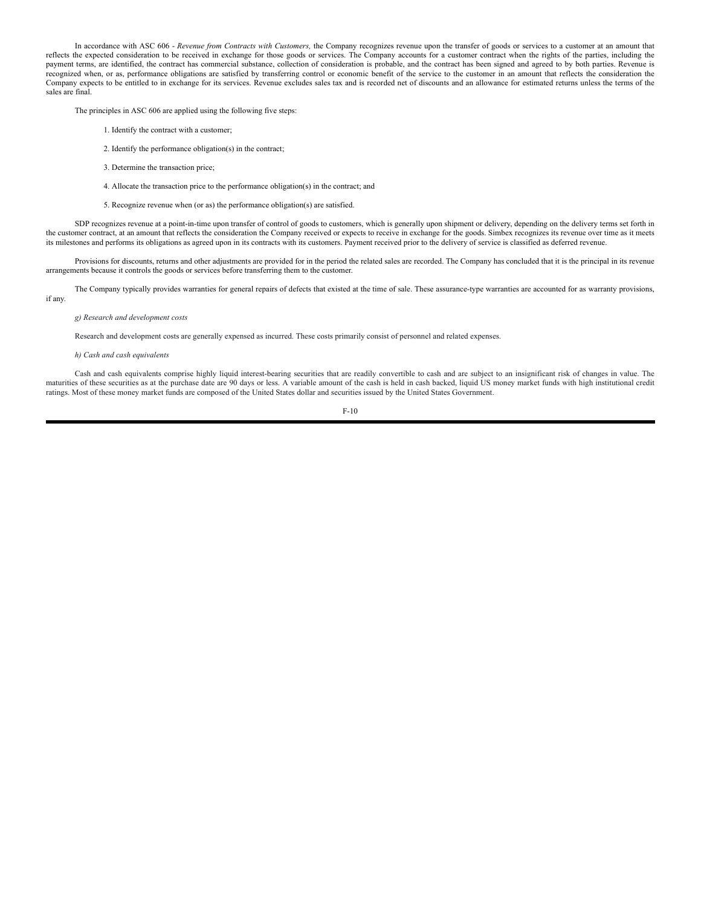In accordance with ASC 606 - *Revenue from Contracts with Customers,* the Company recognizes revenue upon the transfer of goods or services to a customer at an amount that reflects the expected consideration to be received in exchange for those goods or services. The Company accounts for a customer contract when the rights of the parties, including the payment terms, are identified, the contract has commercial substance, collection of consideration is probable, and the contract has been signed and agreed to by both parties. Revenue is recognized when, or as, performance obligations are satisfied by transferring control or economic benefit of the service to the customer in an amount that reflects the consideration the Company expects to be entitled to in exchange for its services. Revenue excludes sales tax and is recorded net of discounts and an allowance for estimated returns unless the terms of the sales are final.

The principles in ASC 606 are applied using the following five steps:

- 1. Identify the contract with a customer;
- 2. Identify the performance obligation(s) in the contract;
- 3. Determine the transaction price;
- 4. Allocate the transaction price to the performance obligation(s) in the contract; and
- 5. Recognize revenue when (or as) the performance obligation(s) are satisfied.

SDP recognizes revenue at a point-in-time upon transfer of control of goods to customers, which is generally upon shipment or delivery, depending on the delivery terms set forth in the customer contract, at an amount that reflects the consideration the Company received or expects to receive in exchange for the goods. Simbex recognizes its revenue over time as it meets its milestones and performs its obligations as agreed upon in its contracts with its customers. Payment received prior to the delivery of service is classified as deferred revenue.

Provisions for discounts, returns and other adjustments are provided for in the period the related sales are recorded. The Company has concluded that it is the principal in its revenue arrangements because it controls the goods or services before transferring them to the customer.

The Company typically provides warranties for general repairs of defects that existed at the time of sale. These assurance-type warranties are accounted for as warranty provisions, if any.

*g) Research and development costs*

Research and development costs are generally expensed as incurred. These costs primarily consist of personnel and related expenses.

*h) Cash and cash equivalents*

Cash and cash equivalents comprise highly liquid interest-bearing securities that are readily convertible to cash and are subject to an insignificant risk of changes in value. The maturities of these securities as at the purchase date are 90 days or less. A variable amount of the cash is held in cash backed, liquid US money market funds with high institutional credit ratings. Most of these money market funds are composed of the United States dollar and securities issued by the United States Government.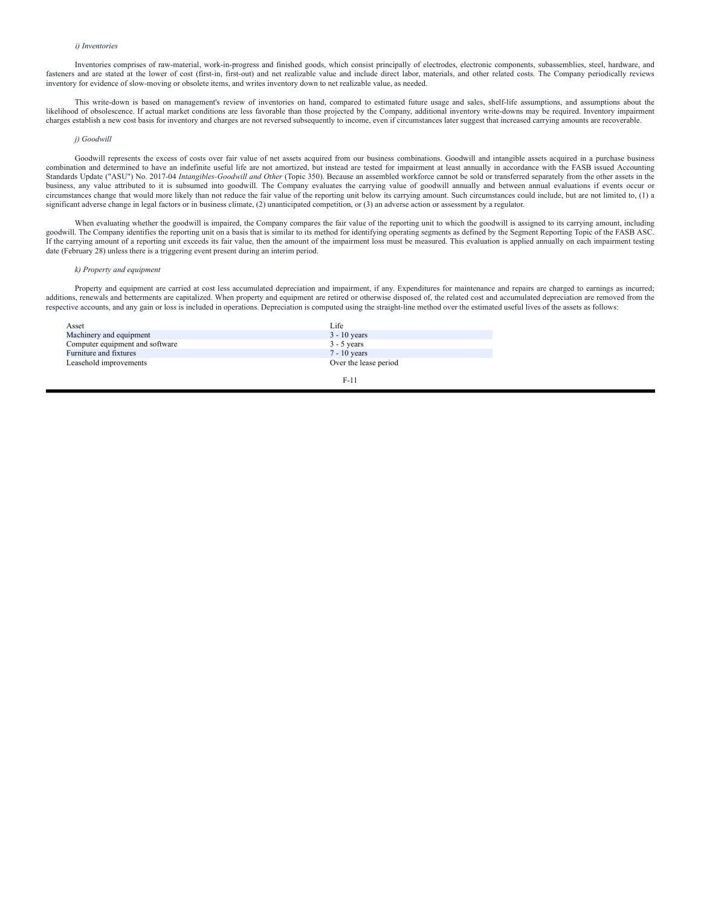### *i) Inventories*

Inventories comprises of raw-material, work-in-progress and finished goods, which consist principally of electrodes, electronic components, subassemblies, steel, hardware, and fasteners and are stated at the lower of cost (first-in, first-out) and net realizable value and include direct labor, materials, and other related costs. The Company periodically reviews inventory for evidence of slow-moving or obsolete items, and writes inventory down to net realizable value, as needed.

This write-down is based on management's review of inventories on hand, compared to estimated future usage and sales, shelf-life assumptions, and assumptions about the likelihood of obsolescence. If actual market conditions are less favorable than those projected by the Company, additional inventory write-downs may be required. Inventory impairment charges establish a new cost basis for inventory and charges are not reversed subsequently to income, even if circumstances later suggest that increased carrying amounts are recoverable.

### *j) Goodwill*

Goodwill represents the excess of costs over fair value of net assets acquired from our business combinations. Goodwill and intangible assets acquired in a purchase business combination and determined to have an indefinite useful life are not amortized, but instead are tested for impairment at least annually in accordance with the FASB issued Accounting Standards Update ("ASU") No. 2017-04 *Intangibles-Goodwill and Other* (Topic 350). Because an assembled workforce cannot be sold or transferred separately from the other assets in the business, any value attributed to it is subsumed into goodwill. The Company evaluates the carrying value of goodwill annually and between annual evaluations if events occur or circumstances change that would more likely than not reduce the fair value of the reporting unit below its carrying amount. Such circumstances could include, but are not limited to, (1) a significant adverse change in legal factors or in business climate, (2) unanticipated competition, or (3) an adverse action or assessment by a regulator.

When evaluating whether the goodwill is impaired, the Company compares the fair value of the reporting unit to which the goodwill is assigned to its carrying amount, including goodwill. The Company identifies the reporting unit on a basis that is similar to its method for identifying operating segments as defined by the Segment Reporting Topic of the FASB ASC. If the carrying amount of a reporting unit exceeds its fair value, then the amount of the impairment loss must be measured. This evaluation is applied annually on each impairment testing date (February 28) unless there is a triggering event present during an interim period.

## *k) Property and equipment*

Property and equipment are carried at cost less accumulated depreciation and impairment, if any. Expenditures for maintenance and repairs are charged to earnings as incurred; additions, renewals and betterments are capitalized. When property and equipment are retired or otherwise disposed of, the related cost and accumulated depreciation are removed from the respective accounts, and any gain or loss is included in operations. Depreciation is computed using the straight-line method over the estimated useful lives of the assets as follows:

| Asset                           | Life                  |
|---------------------------------|-----------------------|
| Machinery and equipment         | $3 - 10$ years        |
| Computer equipment and software | $3 - 5$ years         |
| Furniture and fixtures          | $7 - 10$ vears        |
| Leasehold improvements          | Over the lease period |
|                                 |                       |

F-11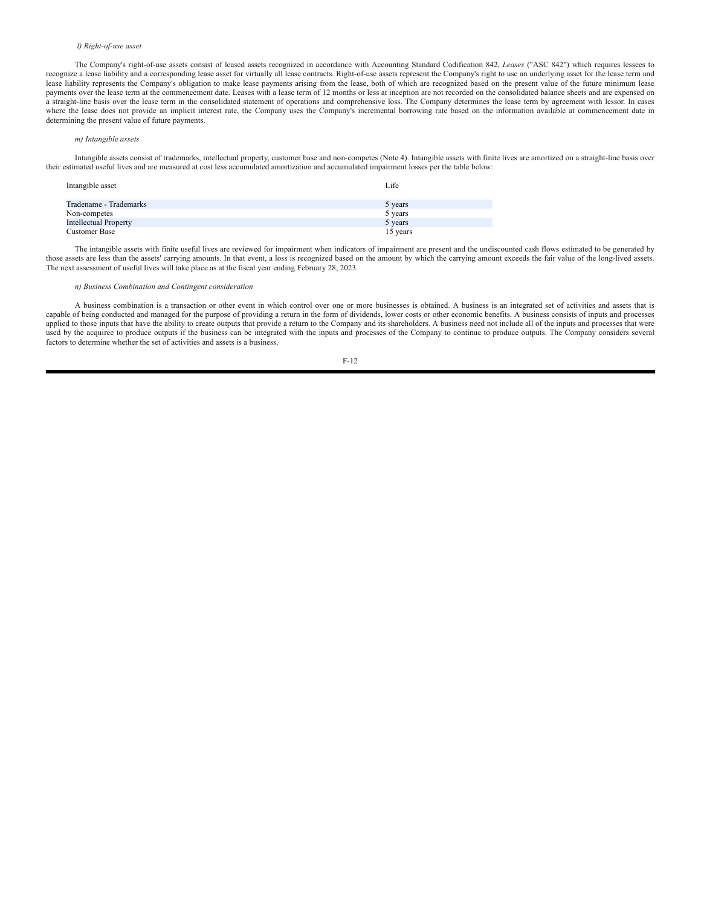## *l) Right-of-use asset*

The Company's right-of-use assets consist of leased assets recognized in accordance with Accounting Standard Codification 842, *Leases* ("ASC 842") which requires lessees to recognize a lease liability and a corresponding lease asset for virtually all lease contracts. Right-of-use assets represent the Company's right to use an underlying asset for the lease term and lease liability represents the Company's obligation to make lease payments arising from the lease, both of which are recognized based on the present value of the future minimum lease payments over the lease term at the commencement date. Leases with a lease term of 12 months or less at inception are not recorded on the consolidated balance sheets and are expensed on a straight-line basis over the lease term in the consolidated statement of operations and comprehensive loss. The Company determines the lease term by agreement with lessor. In cases where the lease does not provide an implicit interest rate, the Company uses the Company's incremental borrowing rate based on the information available at commencement date in determining the present value of future payments.

## *m) Intangible assets*

Intangible assets consist of trademarks, intellectual property, customer base and non-competes (Note 4). Intangible assets with finite lives are amortized on a straight-line basis over their estimated useful lives and are measured at cost less accumulated amortization and accumulated impairment losses per the table below:

| Intangible asset             | Life     |
|------------------------------|----------|
| Tradename - Trademarks       | 5 years  |
| Non-competes                 | 5 years  |
| <b>Intellectual Property</b> | 5 years  |
| <b>Customer Base</b>         | 15 years |

The intangible assets with finite useful lives are reviewed for impairment when indicators of impairment are present and the undiscounted cash flows estimated to be generated by those assets are less than the assets' carrying amounts. In that event, a loss is recognized based on the amount by which the carrying amount exceeds the fair value of the long-lived assets. The next assessment of useful lives will take place as at the fiscal year ending February 28, 2023.

### *n) Business Combination and Contingent consideration*

A business combination is a transaction or other event in which control over one or more businesses is obtained. A business is an integrated set of activities and assets that is capable of being conducted and managed for the purpose of providing a return in the form of dividends, lower costs or other economic benefits. A business consists of inputs and processes applied to those inputs that have the ability to create outputs that provide a return to the Company and its shareholders. A business need not include all of the inputs and processes that were used by the acquiree to produce outputs if the business can be integrated with the inputs and processes of the Company to continue to produce outputs. The Company considers several factors to determine whether the set of activities and assets is a business.

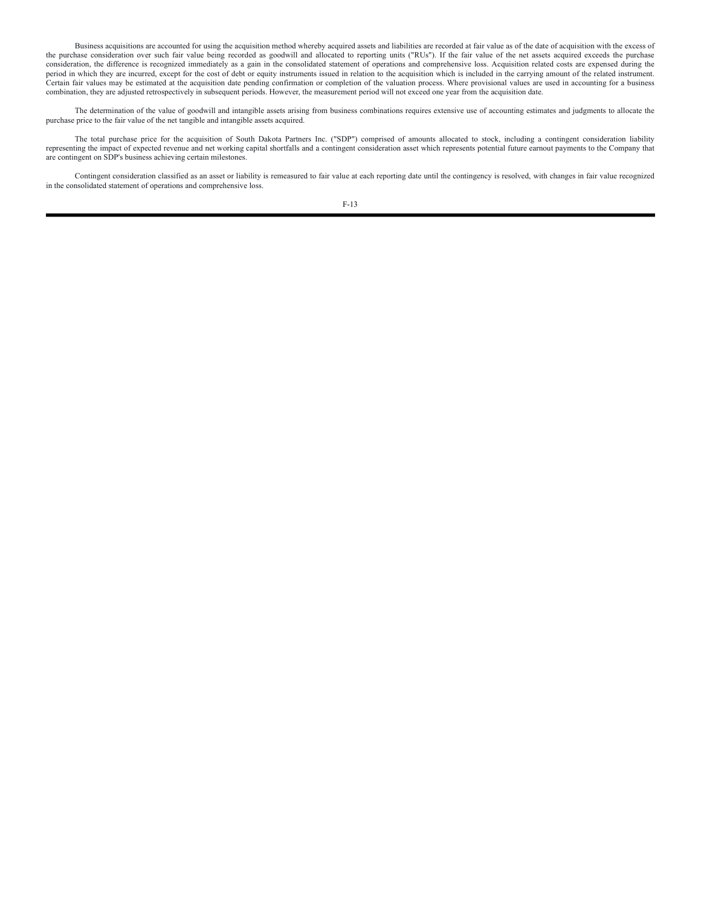Business acquisitions are accounted for using the acquisition method whereby acquired assets and liabilities are recorded at fair value as of the date of acquisition with the excess of the purchase consideration over such fair value being recorded as goodwill and allocated to reporting units ("RUs"). If the fair value of the net assets acquired exceeds the purchase consideration, the difference is recognized immediately as a gain in the consolidated statement of operations and comprehensive loss. Acquisition related costs are expensed during the period in which they are incurred, except for the cost of debt or equity instruments issued in relation to the acquisition which is included in the carrying amount of the related instrument. Certain fair values may be estimated at the acquisition date pending confirmation or completion of the valuation process. Where provisional values are used in accounting for a business combination, they are adjusted retrospectively in subsequent periods. However, the measurement period will not exceed one year from the acquisition date.

The determination of the value of goodwill and intangible assets arising from business combinations requires extensive use of accounting estimates and judgments to allocate the purchase price to the fair value of the net tangible and intangible assets acquired.

The total purchase price for the acquisition of South Dakota Partners Inc. ("SDP") comprised of amounts allocated to stock, including a contingent consideration liability representing the impact of expected revenue and net working capital shortfalls and a contingent consideration asset which represents potential future earnout payments to the Company that are contingent on SDP's business achieving certain milestones.

Contingent consideration classified as an asset or liability is remeasured to fair value at each reporting date until the contingency is resolved, with changes in fair value recognized in the consolidated statement of operations and comprehensive loss.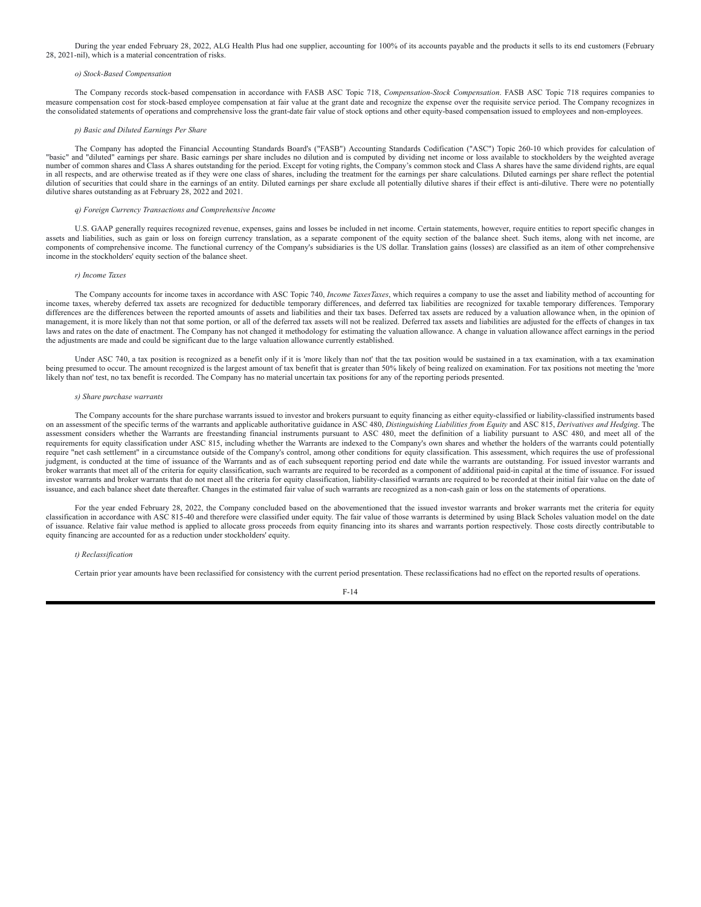During the year ended February 28, 2022, ALG Health Plus had one supplier, accounting for 100% of its accounts payable and the products it sells to its end customers (February 28, 2021-nil), which is a material concentration of risks.

## *o) Stock-Based Compensation*

The Company records stock-based compensation in accordance with FASB ASC Topic 718, *Compensation-Stock Compensation*. FASB ASC Topic 718 requires companies to measure compensation cost for stock-based employee compensation at fair value at the grant date and recognize the expense over the requisite service period. The Company recognizes in the consolidated statements of operations and comprehensive loss the grant-date fair value of stock options and other equity-based compensation issued to employees and non-employees.

### *p) Basic and Diluted Earnings Per Share*

The Company has adopted the Financial Accounting Standards Board's ("FASB") Accounting Standards Codification ("ASC") Topic 260-10 which provides for calculation of "basic" and "diluted" earnings per share. Basic earnings per share includes no dilution and is computed by dividing net income or loss available to stockholders by the weighted average number of common shares and Class A shares outstanding for the period. Except for voting rights, the Company's common stock and Class A shares have the same dividend rights, are equal in all respects, and are otherwise treated as if they were one class of shares, including the treatment for the earnings per share calculations. Diluted earnings per share reflect the potential dilution of securities that could share in the earnings of an entity. Diluted earnings per share exclude all potentially dilutive shares if their effect is anti-dilutive. There were no potentially<br>dilutive shares outstandi

#### *q) Foreign Currency Transactions and Comprehensive Income*

U.S. GAAP generally requires recognized revenue, expenses, gains and losses be included in net income. Certain statements, however, require entities to report specific changes in assets and liabilities, such as gain or loss on foreign currency translation, as a separate component of the equity section of the balance sheet. Such items, along with net income, are components of comprehensive income. The functional currency of the Company's subsidiaries is the US dollar. Translation gains (losses) are classified as an item of other comprehensive income in the stockholders' equity section of the balance sheet.

## *r) Income Taxes*

The Company accounts for income taxes in accordance with ASC Topic 740, *Income TaxesTaxes*, which requires a company to use the asset and liability method of accounting for income taxes, whereby deferred tax assets are recognized for deductible temporary differences, and deferred tax liabilities are recognized for taxable temporary differences. Temporary differences are the differences between the reported amounts of assets and liabilities and their tax bases. Deferred tax assets are reduced by a valuation allowance when, in the opinion of management, it is more likely than not that some portion, or all of the deferred tax assets will not be realized. Deferred tax assets and liabilities are adjusted for the effects of changes in tax laws and rates on the date of enactment. The Company has not changed it methodology for estimating the valuation allowance. A change in valuation allowance affect earnings in the period the adjustments are made and could be significant due to the large valuation allowance currently established.

Under ASC 740, a tax position is recognized as a benefit only if it is 'more likely than not' that the tax position would be sustained in a tax examination, with a tax examination being presumed to occur. The amount recognized is the largest amount of tax benefit that is greater than 50% likely of being realized on examination. For tax positions not meeting the 'more likely than not' test, no tax benefit is recorded. The Company has no material uncertain tax positions for any of the reporting periods presented.

## *s) Share purchase warrants*

The Company accounts for the share purchase warrants issued to investor and brokers pursuant to equity financing as either equity-classified or liability-classified instruments based on an assessment of the specific terms of the warrants and applicable authoritative guidance in ASC 480, *Distinguishing Liabilities from Equity* and ASC 815, *Derivatives and Hedging*. The assessment considers whether the Warrants are freestanding financial instruments pursuant to ASC 480, meet the definition of a liability pursuant to ASC 480, and meet all of the requirements for equity classification under ASC 815, including whether the Warrants are indexed to the Company's own shares and whether the holders of the warrants could potentially require "net cash settlement" in a circumstance outside of the Company's control, among other conditions for equity classification. This assessment, which requires the use of professional judgment, is conducted at the time of issuance of the Warrants and as of each subsequent reporting period end date while the warrants are outstanding. For issued investor warrants and broker warrants that meet all of the criteria for equity classification, such warrants are required to be recorded as a component of additional paid-in capital at the time of issuance. For issued investor warrants and broker warrants that do not meet all the criteria for equity classification, liability-classified warrants are required to be recorded at their initial fair value on the date of issuance, and each balance sheet date thereafter. Changes in the estimated fair value of such warrants are recognized as a non-cash gain or loss on the statements of operations.

For the year ended February 28, 2022, the Company concluded based on the abovementioned that the issued investor warrants and broker warrants met the criteria for equity classification in accordance with ASC 815-40 and therefore were classified under equity. The fair value of those warrants is determined by using Black Scholes valuation model on the date of issuance. Relative fair value method is applied to allocate gross proceeds from equity financing into its shares and warrants portion respectively. Those costs directly contributable to equity financing are accounted for as a reduction under stockholders' equity.

#### *t) Reclassification*

Certain prior year amounts have been reclassified for consistency with the current period presentation. These reclassifications had no effect on the reported results of operations.

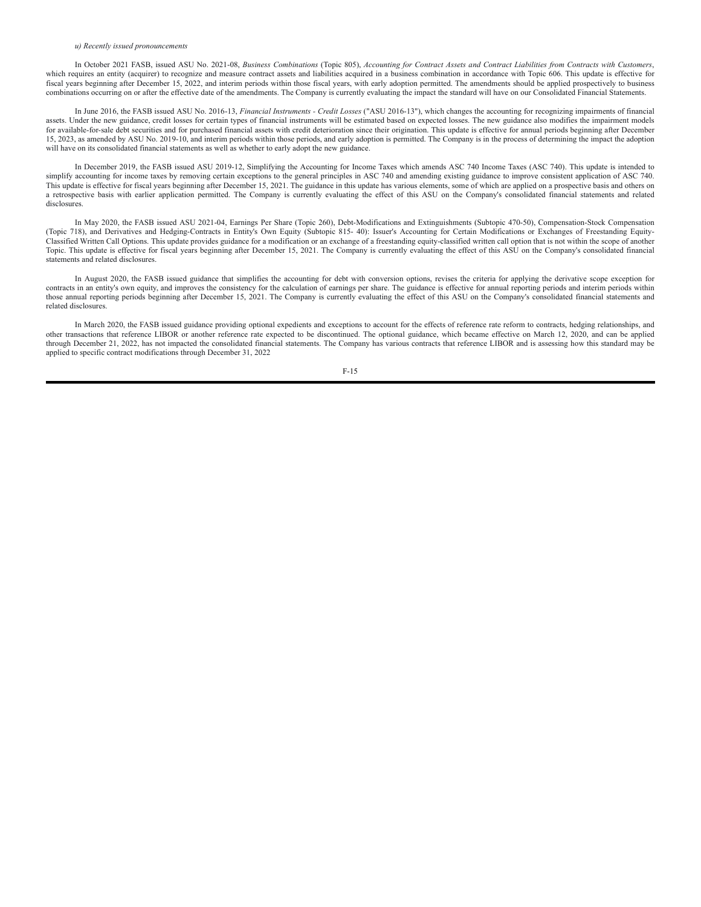### *u) Recently issued pronouncements*

In October 2021 FASB, issued ASU No. 2021-08, *Business Combinations* (Topic 805), *Accounting for Contract Assets and Contract Liabilities from Contracts with Customers*, which requires an entity (acquirer) to recognize and measure contract assets and liabilities acquired in a business combination in accordance with Topic 606. This update is effective for fiscal years beginning after December 15, 2022, and interim periods within those fiscal years, with early adoption permitted. The amendments should be applied prospectively to business combinations occurring on or after the effective date of the amendments. The Company is currently evaluating the impact the standard will have on our Consolidated Financial Statements.

In June 2016, the FASB issued ASU No. 2016-13, *Financial Instruments - Credit Losses* ("ASU 2016-13"), which changes the accounting for recognizing impairments of financial assets. Under the new guidance, credit losses for certain types of financial instruments will be estimated based on expected losses. The new guidance also modifies the impairment models for available-for-sale debt securities and for purchased financial assets with credit deterioration since their origination. This update is effective for annual periods beginning after December 15, 2023, as amended by ASU No. 2019-10, and interim periods within those periods, and early adoption is permitted. The Company is in the process of determining the impact the adoption will have on its consolidated financial statements as well as whether to early adopt the new guidance.

In December 2019, the FASB issued ASU 2019-12, Simplifying the Accounting for Income Taxes which amends ASC 740 Income Taxes (ASC 740). This update is intended to simplify accounting for income taxes by removing certain exceptions to the general principles in ASC 740 and amending existing guidance to improve consistent application of ASC 740. This update is effective for fiscal years beginning after December 15, 2021. The guidance in this update has various elements, some of which are applied on a prospective basis and others on a retrospective basis with earlier application permitted. The Company is currently evaluating the effect of this ASU on the Company's consolidated financial statements and related disclosures.

In May 2020, the FASB issued ASU 2021-04, Earnings Per Share (Topic 260), Debt-Modifications and Extinguishments (Subtopic 470-50), Compensation-Stock Compensation (Topic 718), and Derivatives and Hedging-Contracts in Entity's Own Equity (Subtopic 815- 40): Issuer's Accounting for Certain Modifications or Exchanges of Freestanding Equity-Classified Written Call Options. This update provides guidance for a modification or an exchange of a freestanding equity-classified written call option that is not within the scope of another Topic. This update is effective for fiscal years beginning after December 15, 2021. The Company is currently evaluating the effect of this ASU on the Company's consolidated financial statements and related disclosures.

In August 2020, the FASB issued guidance that simplifies the accounting for debt with conversion options, revises the criteria for applying the derivative scope exception for contracts in an entity's own equity, and improves the consistency for the calculation of earnings per share. The guidance is effective for annual reporting periods and interim periods within those annual reporting periods beginning after December 15, 2021. The Company is currently evaluating the effect of this ASU on the Company's consolidated financial statements and related disclosures.

In March 2020, the FASB issued guidance providing optional expedients and exceptions to account for the effects of reference rate reform to contracts, hedging relationships, and other transactions that reference LIBOR or another reference rate expected to be discontinued. The optional guidance, which became effective on March 12, 2020, and can be applied through December 21, 2022, has not impacted the consolidated financial statements. The Company has various contracts that reference LIBOR and is assessing how this standard may be applied to specific contract modifications through December 31, 2022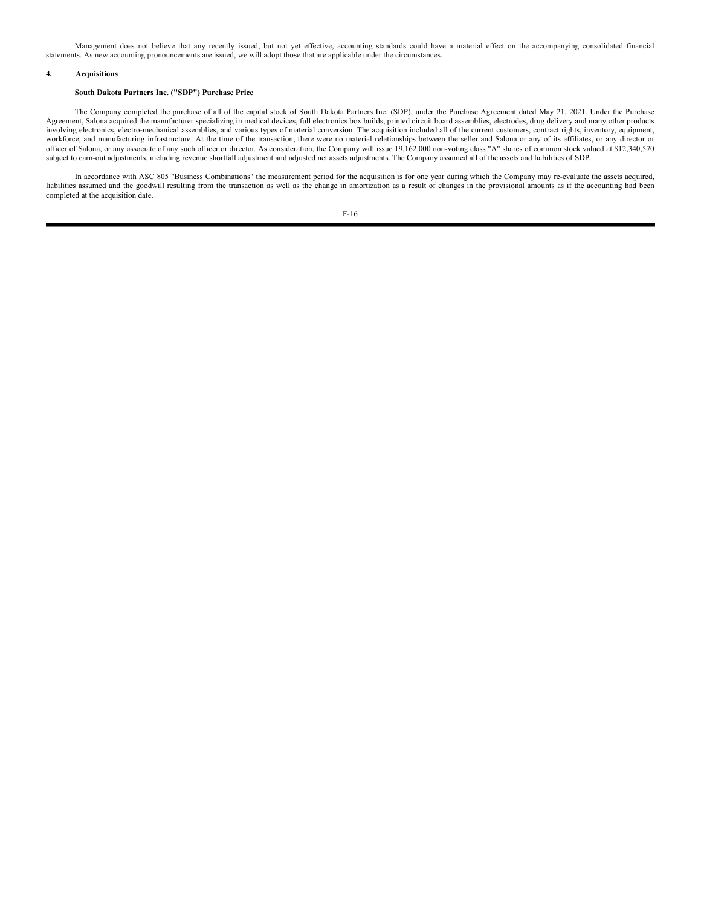Management does not believe that any recently issued, but not yet effective, accounting standards could have a material effect on the accompanying consolidated financial statements. As new accounting pronouncements are issued, we will adopt those that are applicable under the circumstances.

## **4. Acquisitions**

## **South Dakota Partners Inc. ("SDP") Purchase Price**

The Company completed the purchase of all of the capital stock of South Dakota Partners Inc. (SDP), under the Purchase Agreement dated May 21, 2021. Under the Purchase Agreement, Salona acquired the manufacturer specializing in medical devices, full electronics box builds, printed circuit board assemblies, electrodes, drug delivery and many other products involving electronics, electro-mechanical assemblies, and various types of material conversion. The acquisition included all of the current customers, contract rights, inventory, equipment, workforce, and manufacturing infrastructure. At the time of the transaction, there were no material relationships between the seller and Salona or any of its affiliates, or any director or officer of Salona, or any associate of any such officer or director. As consideration, the Company will issue 19,162,000 non-voting class "A" shares of common stock valued at \$12,340,570 subject to earn-out adjustments, including revenue shortfall adjustment and adjusted net assets adjustments. The Company assumed all of the assets and liabilities of SDP.

In accordance with ASC 805 "Business Combinations" the measurement period for the acquisition is for one year during which the Company may re-evaluate the assets acquired, liabilities assumed and the goodwill resulting from the transaction as well as the change in amortization as a result of changes in the provisional amounts as if the accounting had been completed at the acquisition date.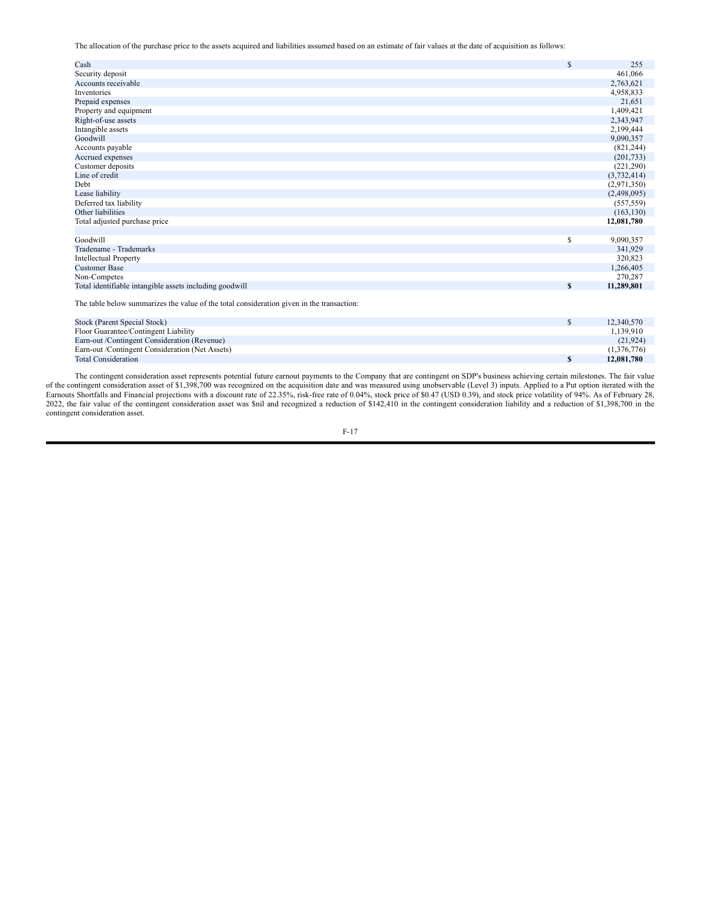The allocation of the purchase price to the assets acquired and liabilities assumed based on an estimate of fair values at the date of acquisition as follows:

| Cash                                                                                      | $\mathcal{S}$ | 255         |
|-------------------------------------------------------------------------------------------|---------------|-------------|
| Security deposit                                                                          |               | 461,066     |
| Accounts receivable                                                                       |               | 2,763,621   |
| Inventories                                                                               |               | 4,958,833   |
| Prepaid expenses                                                                          |               | 21,651      |
| Property and equipment                                                                    |               | 1,409,421   |
| Right-of-use assets                                                                       |               | 2,343,947   |
| Intangible assets                                                                         |               | 2,199,444   |
| Goodwill                                                                                  |               | 9,090,357   |
| Accounts payable                                                                          |               | (821, 244)  |
| Accrued expenses                                                                          |               | (201, 733)  |
| Customer deposits                                                                         |               | (221, 290)  |
| Line of credit                                                                            |               | (3,732,414) |
| Debt                                                                                      |               | (2,971,350) |
| Lease liability                                                                           |               | (2,498,095) |
| Deferred tax liability                                                                    |               | (557, 559)  |
| Other liabilities                                                                         |               | (163, 130)  |
| Total adjusted purchase price                                                             |               | 12,081,780  |
|                                                                                           |               |             |
| Goodwill                                                                                  | \$            | 9,090,357   |
| Tradename - Trademarks                                                                    |               | 341,929     |
| <b>Intellectual Property</b>                                                              |               | 320,823     |
| <b>Customer Base</b>                                                                      |               | 1,266,405   |
| Non-Competes                                                                              |               | 270,287     |
| Total identifiable intangible assets including goodwill                                   | $\mathbf{s}$  | 11,289,801  |
|                                                                                           |               |             |
| The table below summarizes the value of the total consideration given in the transaction: |               |             |
|                                                                                           |               |             |
| Stock (Parent Special Stock)                                                              | $\mathbb{S}$  | 12,340,570  |
| Floor Guarantee/Contingent Liability                                                      |               | 1,139,910   |
| Earn-out /Contingent Consideration (Revenue)                                              |               | (21, 924)   |
| Earn-out /Contingent Consideration (Net Assets)                                           |               | (1,376,776) |
| <b>Total Consideration</b>                                                                | \$            | 12,081,780  |

The contingent consideration asset represents potential future earnout payments to the Company that are contingent on SDP's business achieving certain milestones. The fair value of the contingent consideration asset of \$1,398,700 was recognized on the acquisition date and was measured using unobservable (Level 3) inputs. Applied to a Put option iterated with the Earnouts Shortfalls and Financial projections with a discount rate of 22.35%, risk-free rate of 0.04%, stock price of \$0.47 (USD 0.39), and stock price volatility of 94%. As of February 28, 2022, the fair value of the contingent consideration asset was \$nil and recognized a reduction of \$142,410 in the contingent consideration liability and a reduction of \$1,398,700 in the contingent consideration asset.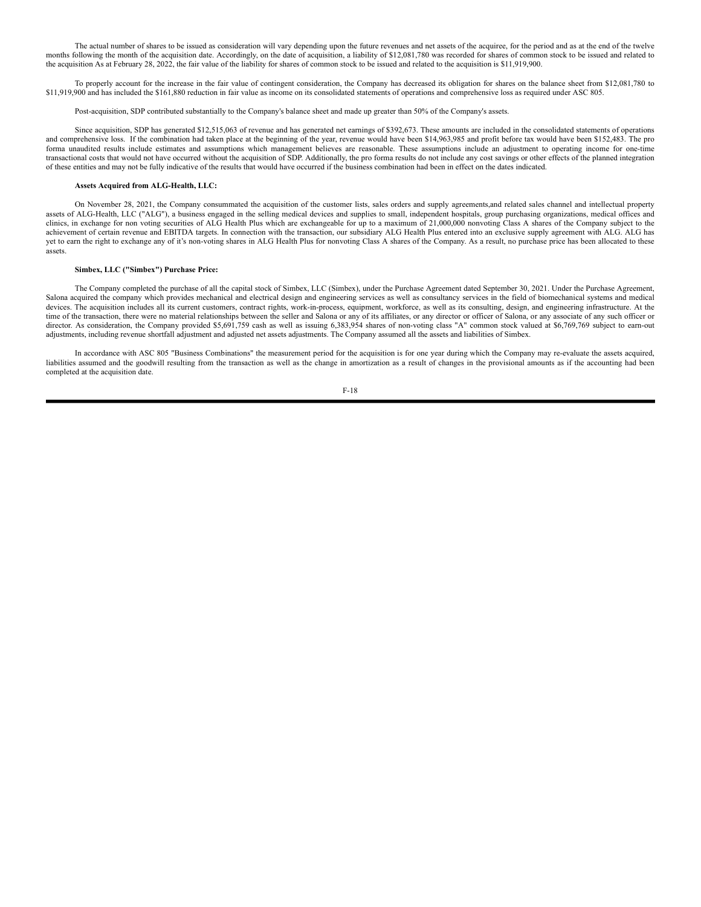The actual number of shares to be issued as consideration will vary depending upon the future revenues and net assets of the acquiree, for the period and as at the end of the twelve months following the month of the acquisition date. Accordingly, on the date of acquisition, a liability of \$12,081,780 was recorded for shares of common stock to be issued and related to the acquisition As at February 28, 2022, the fair value of the liability for shares of common stock to be issued and related to the acquisition is \$11,919,900.

To properly account for the increase in the fair value of contingent consideration, the Company has decreased its obligation for shares on the balance sheet from \$12,081,780 to \$11,919,900 and has included the \$161,880 reduction in fair value as income on its consolidated statements of operations and comprehensive loss as required under ASC 805.

Post-acquisition, SDP contributed substantially to the Company's balance sheet and made up greater than 50% of the Company's assets.

Since acquisition, SDP has generated \$12,515,063 of revenue and has generated net earnings of \$392,673. These amounts are included in the consolidated statements of operations and comprehensive loss. If the combination had taken place at the beginning of the year, revenue would have been \$14,963,985 and profit before tax would have been \$152,483. The pro forma unaudited results include estimates and assumptions which management believes are reasonable. These assumptions include an adjustment to operating income for one-time transactional costs that would not have occurred without the acquisition of SDP. Additionally, the pro forma results do not include any cost savings or other effects of the planned integration of these entities and may not be fully indicative of the results that would have occurred if the business combination had been in effect on the dates indicated.

### **Assets Acquired from ALG-Health, LLC:**

On November 28, 2021, the Company consummated the acquisition of the customer lists, sales orders and supply agreements,and related sales channel and intellectual property assets of ALG-Health, LLC ("ALG"), a business engaged in the selling medical devices and supplies to small, independent hospitals, group purchasing organizations, medical offices and clinics, in exchange for non voting securities of ALG Health Plus which are exchangeable for up to a maximum of 21,000,000 nonvoting Class A shares of the Company subject to the achievement of certain revenue and EBITDA targets. In connection with the transaction, our subsidiary ALG Health Plus entered into an exclusive supply agreement with ALG. ALG has yet to earn the right to exchange any of it's non-voting shares in ALG Health Plus for nonvoting Class A shares of the Company. As a result, no purchase price has been allocated to these assets.

## **Simbex, LLC ("Simbex") Purchase Price:**

The Company completed the purchase of all the capital stock of Simbex, LLC (Simbex), under the Purchase Agreement dated September 30, 2021. Under the Purchase Agreement, Salona acquired the company which provides mechanical and electrical design and engineering services as well as consultancy services in the field of biomechanical systems and medical devices. The acquisition includes all its current customers, contract rights, work-in-process, equipment, workforce, as well as its consulting, design, and engineering infrastructure. At the time of the transaction, there were no material relationships between the seller and Salona or any of its affiliates, or any director or officer of Salona, or any associate of any such officer or director. As consideration, the Company provided \$5,691,759 cash as well as issuing 6,383,954 shares of non-voting class "A" common stock valued at \$6,769,769 subject to earn-out adjustments, including revenue shortfall adjustment and adjusted net assets adjustments. The Company assumed all the assets and liabilities of Simbex.

In accordance with ASC 805 "Business Combinations" the measurement period for the acquisition is for one year during which the Company may re-evaluate the assets acquired, liabilities assumed and the goodwill resulting from the transaction as well as the change in amortization as a result of changes in the provisional amounts as if the accounting had been completed at the acquisition date.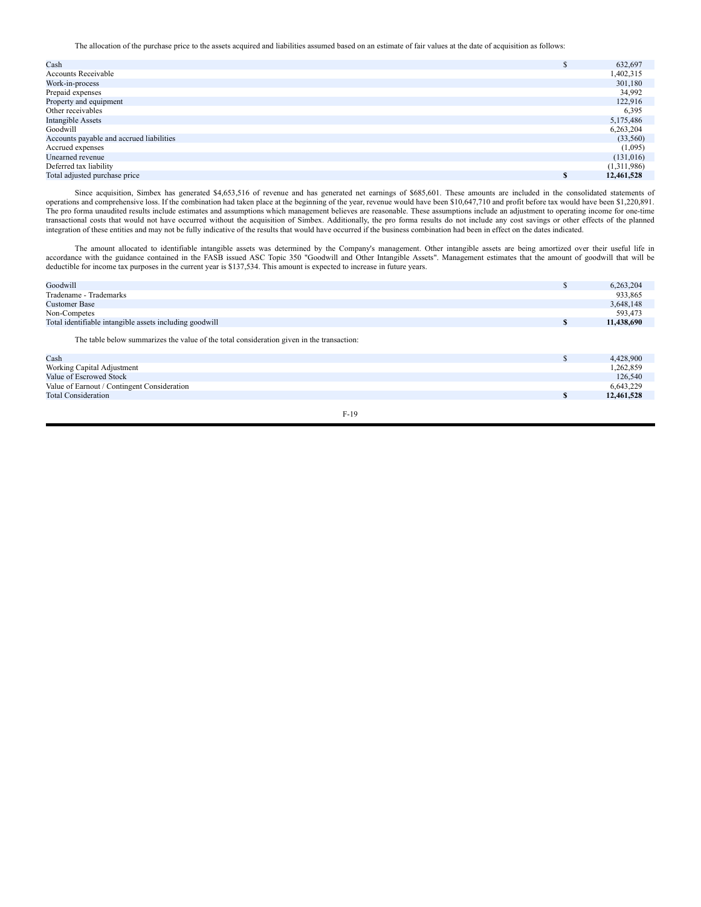The allocation of the purchase price to the assets acquired and liabilities assumed based on an estimate of fair values at the date of acquisition as follows:

| Cash                                     |        | 632,697     |
|------------------------------------------|--------|-------------|
| Accounts Receivable                      |        | 1,402,315   |
| Work-in-process                          |        | 301,180     |
| Prepaid expenses                         |        | 34,992      |
| Property and equipment                   |        | 122,916     |
| Other receivables                        |        | 6,395       |
| <b>Intangible Assets</b>                 |        | 5,175,486   |
| Goodwill                                 |        | 6,263,204   |
| Accounts payable and accrued liabilities |        | (33,560)    |
| Accrued expenses                         |        | (1,095)     |
| Unearned revenue                         |        | (131,016)   |
| Deferred tax liability                   |        | (1,311,986) |
| Total adjusted purchase price            | ¢<br>а | 12,461,528  |

Since acquisition, Simbex has generated \$4,653,516 of revenue and has generated net earnings of \$685,601. These amounts are included in the consolidated statements of operations and comprehensive loss. If the combination had taken place at the beginning of the year, revenue would have been \$10,647,710 and profit before tax would have been \$1,220,891. The pro forma unaudited results include estimates and assumptions which management believes are reasonable. These assumptions include an adjustment to operating income for one-time transactional costs that would not have occurred without the acquisition of Simbex. Additionally, the pro forma results do not include any cost savings or other effects of the planned integration of these entities and may not be fully indicative of the results that would have occurred if the business combination had been in effect on the dates indicated.

The amount allocated to identifiable intangible assets was determined by the Company's management. Other intangible assets are being amortized over their useful life in accordance with the guidance contained in the FASB issued ASC Topic 350 "Goodwill and Other Intangible Assets". Management estimates that the amount of goodwill that will be deductible for income tax purposes in the current year is \$137,534. This amount is expected to increase in future years.

| Goodwill                                                                                  |    | 6,263,204  |
|-------------------------------------------------------------------------------------------|----|------------|
| Tradename - Trademarks                                                                    |    | 933,865    |
| <b>Customer Base</b>                                                                      |    | 3,648,148  |
| Non-Competes                                                                              |    | 593,473    |
| Total identifiable intangible assets including goodwill                                   | ъ  | 11,438,690 |
| The table below summarizes the value of the total consideration given in the transaction: |    |            |
| Cash                                                                                      |    | 4,428,900  |
| Working Capital Adjustment                                                                |    | 1,262,859  |
| Value of Escrowed Stock                                                                   |    | 126,540    |
| Value of Earnout / Contingent Consideration                                               |    | 6,643,229  |
| <b>Total Consideration</b>                                                                | \$ | 12,461,528 |
|                                                                                           |    |            |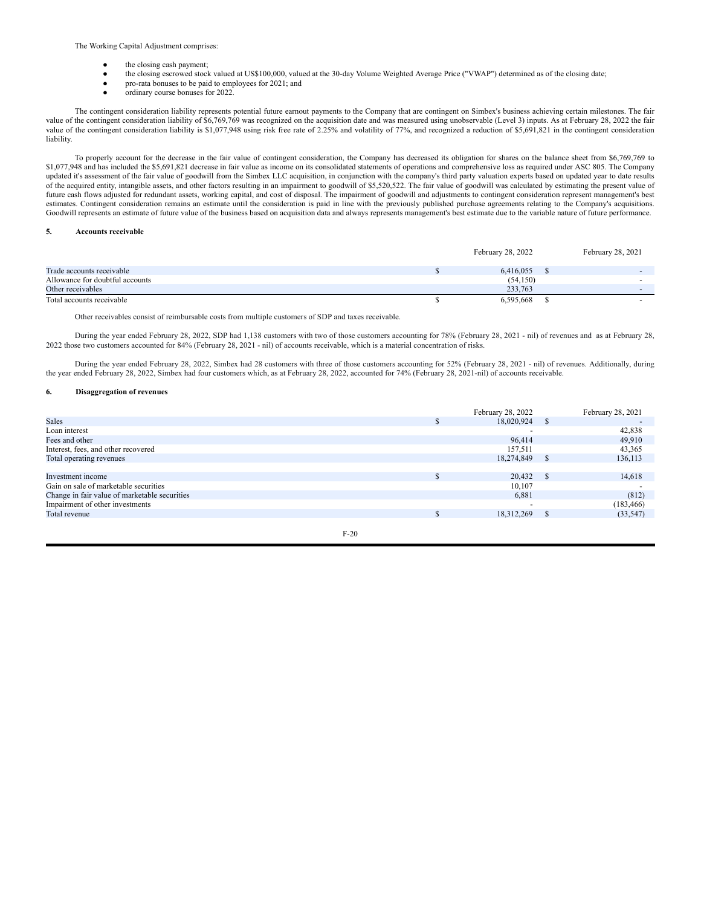The Working Capital Adjustment comprises:

- the closing cash payment;
- the closing escrowed stock valued at US\$100,000, valued at the 30-day Volume Weighted Average Price ("VWAP") determined as of the closing date;
- pro-rata bonuses to be paid to employees for  $2021$ ; and ordinary course bonuses for  $2022$
- ordinary course bonuses for 2022.

The contingent consideration liability represents potential future earnout payments to the Company that are contingent on Simbex's business achieving certain milestones. The fair value of the contingent consideration liability of \$6,769,769 was recognized on the acquisition date and was measured using unobservable (Level 3) inputs. As at February 28, 2022 the fair value of the contingent consideration liability is \$1,077,948 using risk free rate of 2.25% and volatility of 77%, and recognized a reduction of \$5,691,821 in the contingent consideration liability.

To properly account for the decrease in the fair value of contingent consideration, the Company has decreased its obligation for shares on the balance sheet from \$6,769,769 to \$1,077,948 and has included the \$5,691,821 decrease in fair value as income on its consolidated statements of operations and comprehensive loss as required under ASC 805. The Company updated it's assessment of the fair value of goodwill from the Simbex LLC acquisition, in conjunction with the company's third party valuation experts based on updated year to date results of the acquired entity, intangible assets, and other factors resulting in an impairment to goodwill of \$5,520,522. The fair value of goodwill was calculated by estimating the present value of future cash flows adjusted for redundant assets, working capital, and cost of disposal. The impairment of goodwill and adjustments to contingent consideration represent management's best estimates. Contingent consideration remains an estimate until the consideration is paid in line with the previously published purchase agreements relating to the Company's acquisitions. Goodwill represents an estimate of future value of the business based on acquisition data and always represents management's best estimate due to the variable nature of future performance.

### **5. Accounts receivable**

|                                 | February 28, 2022 | February 28, 2021 |
|---------------------------------|-------------------|-------------------|
|                                 |                   |                   |
| Trade accounts receivable       | 6.416.055         |                   |
| Allowance for doubtful accounts | (54, 150)         |                   |
| Other receivables               | 233,763           |                   |
| Total accounts receivable       | 6,595,668         |                   |

Other receivables consist of reimbursable costs from multiple customers of SDP and taxes receivable.

During the year ended February 28, 2022, SDP had 1,138 customers with two of those customers accounting for 78% (February 28, 2021 - nil) of revenues and as at February 28, 2022 those two customers accounted for 84% (February 28, 2021 - nil) of accounts receivable, which is a material concentration of risks.

During the year ended February 28, 2022, Simbex had 28 customers with three of those customers accounting for 52% (February 28, 2021 - nil) of revenues. Additionally, during the year ended February 28, 2022, Simbex had four customers which, as at February 28, 2022, accounted for 74% (February 28, 2021-nil) of accounts receivable.

### **6. Disaggregation of revenues**

|                                               |          | February 28, 2022 |              | February 28, 2021 |
|-----------------------------------------------|----------|-------------------|--------------|-------------------|
| <b>Sales</b>                                  |          | 18,020,924        | <sup>S</sup> |                   |
| Loan interest                                 |          |                   |              | 42,838            |
| Fees and other                                |          | 96,414            |              | 49,910            |
| Interest, fees, and other recovered           |          | 157.511           |              | 43,365            |
| Total operating revenues                      |          | 18,274,849        | - \$         | 136,113           |
|                                               |          |                   |              |                   |
| Investment income                             |          | 20,432 \$         |              | 14,618            |
| Gain on sale of marketable securities         |          | 10.107            |              |                   |
| Change in fair value of marketable securities |          | 6,881             |              | (812)             |
| Impairment of other investments               |          |                   |              | (183, 466)        |
| Total revenue                                 |          | 18,312,269        | S            | (33, 547)         |
|                                               |          |                   |              |                   |
|                                               | $E_{20}$ |                   |              |                   |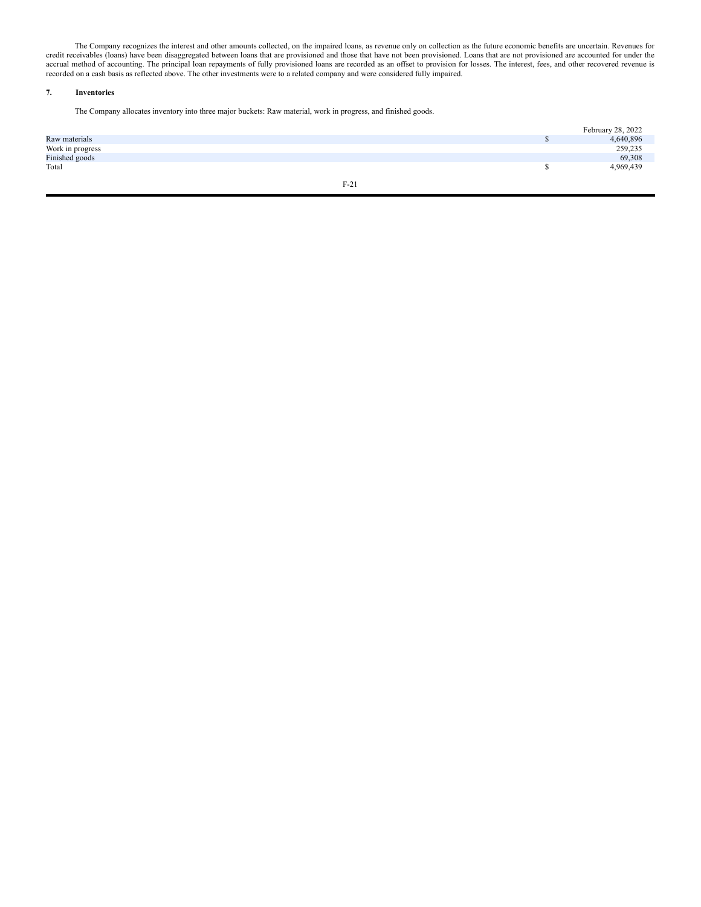The Company recognizes the interest and other amounts collected, on the impaired loans, as revenue only on collection as the future economic benefits are uncertain. Revenues for credit receivables (loans) have been disaggregated between loans that are provisioned and those that have not been provisioned. Loans that are not provisioned are accounted for under the accrual method of accounting. The principal loan repayments of fully provisioned loans are recorded as an offset to provision for losses. The interest, fees, and other recovered revenue is recorded on a cash basis as reflected above. The other investments were to a related company and were considered fully impaired.

## **7. Inventories**

The Company allocates inventory into three major buckets: Raw material, work in progress, and finished goods.

|                  | February 28, 2022 |
|------------------|-------------------|
| Raw materials    | 4,640,896         |
| Work in progress | 259,235           |
| Finished goods   | 69,308            |
| Total            | 4,969,439         |
|                  |                   |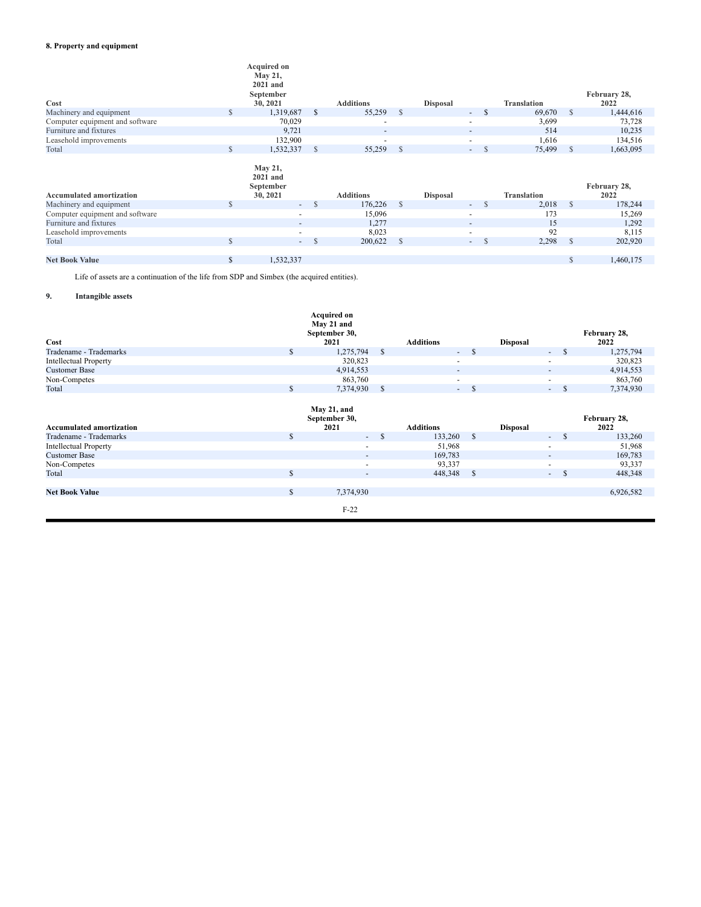# **8. Property and equipment**

|                                 |              | <b>Acquired on</b><br>May 21,<br>2021 and<br>September |               |                          |              |                          |               |                    |               | February 28,         |
|---------------------------------|--------------|--------------------------------------------------------|---------------|--------------------------|--------------|--------------------------|---------------|--------------------|---------------|----------------------|
| Cost                            |              | 30, 2021                                               |               | <b>Additions</b>         |              | <b>Disposal</b>          |               | <b>Translation</b> |               | 2022                 |
| Machinery and equipment         | S            | 1,319,687                                              | $\mathbb{S}$  | 55,259                   | <sup>S</sup> | $\overline{\phantom{a}}$ | <sup>\$</sup> | 69,670             | <sup>S</sup>  | 1,444,616            |
| Computer equipment and software |              | 70,029                                                 |               | $\overline{\phantom{a}}$ |              | $\blacksquare$           |               | 3,699              |               | 73,728               |
| Furniture and fixtures          |              | 9,721                                                  |               | $\overline{a}$           |              | ٠                        |               | 514                |               | 10,235               |
| Leasehold improvements          |              | 132,900                                                |               | $\overline{\phantom{0}}$ |              | $\overline{a}$           |               | 1,616              |               | 134,516              |
| Total                           | S.           | 1,532,337                                              | S             | 55,259                   | - S          | $\sim 100$               | <sup>\$</sup> | 75,499             | <sup>S</sup>  | 1,663,095            |
| <b>Accumulated amortization</b> |              | May 21,<br>2021 and<br>September<br>30, 2021           |               | <b>Additions</b>         |              | <b>Disposal</b>          |               | <b>Translation</b> |               | February 28,<br>2022 |
| Machinery and equipment         |              | $\sim$                                                 | $\mathcal{S}$ | 176,226                  | <sup>S</sup> | $\sim$                   | $\mathcal{S}$ | 2,018              | <sup>S</sup>  | 178,244              |
| Computer equipment and software |              | ٠                                                      |               | 15,096                   |              | $\overline{\phantom{a}}$ |               | 173                |               | 15,269               |
| Furniture and fixtures          |              | $\overline{\phantom{a}}$                               |               | 1,277                    |              | $\sim$                   |               | 15                 |               | 1,292                |
| Leasehold improvements          |              | $\overline{a}$                                         |               | 8,023                    |              | $\overline{a}$           |               | 92                 |               | 8,115                |
| Total                           | S.           | $\sim$                                                 | $\mathcal{S}$ | 200,622                  | -S           | $\omega_{\rm{max}}$      | $\mathcal{S}$ | 2,298              | $\mathcal{S}$ | 202,920              |
| <b>Net Book Value</b>           | $\mathbb{S}$ | 1,532,337                                              |               |                          |              |                          |               |                    | $\mathcal{S}$ | 1,460,175            |

Life of assets are a continuation of the life from SDP and Simbex (the acquired entities).

# **9. Intangible assets**

| Cost                            |              | <b>Acquired on</b><br>May 21 and<br>September 30,<br>2021 |    | <b>Additions</b>         |          | <b>Disposal</b> |                          |               | February 28,<br>2022 |
|---------------------------------|--------------|-----------------------------------------------------------|----|--------------------------|----------|-----------------|--------------------------|---------------|----------------------|
| Tradename - Trademarks          | \$           | 1,275,794                                                 | -S | $\sim 100$               | -S       |                 | $\sim 100$               | <sup>\$</sup> | 1,275,794            |
| <b>Intellectual Property</b>    |              | 320,823                                                   |    | $\overline{\phantom{0}}$ |          |                 | ۰                        |               | 320,823              |
| <b>Customer Base</b>            |              | 4,914,553                                                 |    | $\sim$                   |          |                 | $\sim$                   |               | 4,914,553            |
| Non-Competes                    |              | 863,760                                                   |    | $\overline{\phantom{0}}$ |          |                 | $\sim$                   |               | 863,760              |
| Total                           | $\mathbb{S}$ | 7,374,930                                                 | -S | $\omega_{\rm{eff}}$      | -S       |                 |                          | $- S$         | 7,374,930            |
|                                 |              | May 21, and                                               |    |                          |          |                 |                          |               |                      |
| <b>Accumulated amortization</b> |              | September 30,<br>2021                                     |    | <b>Additions</b>         |          | <b>Disposal</b> |                          |               | February 28,<br>2022 |
| Tradename - Trademarks          | $\mathbb{S}$ | $\sim$ 10 $\pm$                                           | -S | 133,260                  | <b>S</b> |                 | $\sim 100$               | S             | 133,260              |
| <b>Intellectual Property</b>    |              | $\overline{\phantom{a}}$                                  |    | 51,968                   |          |                 | ٠                        |               | 51,968               |
| <b>Customer Base</b>            |              | $\overline{a}$                                            |    | 169,783                  |          |                 | $\overline{\phantom{a}}$ |               | 169,783              |
| Non-Competes                    |              |                                                           |    | 93,337                   |          |                 | ٠                        |               | 93,337               |
| Total                           | \$           | $\overline{\phantom{a}}$                                  |    | 448,348                  | - \$     |                 | $\omega_{\rm{max}}$      | -S            | 448,348              |
|                                 |              |                                                           |    |                          |          |                 |                          |               |                      |
| <b>Net Book Value</b>           | $\mathbb{S}$ | 7,374,930                                                 |    |                          |          |                 |                          |               | 6,926,582            |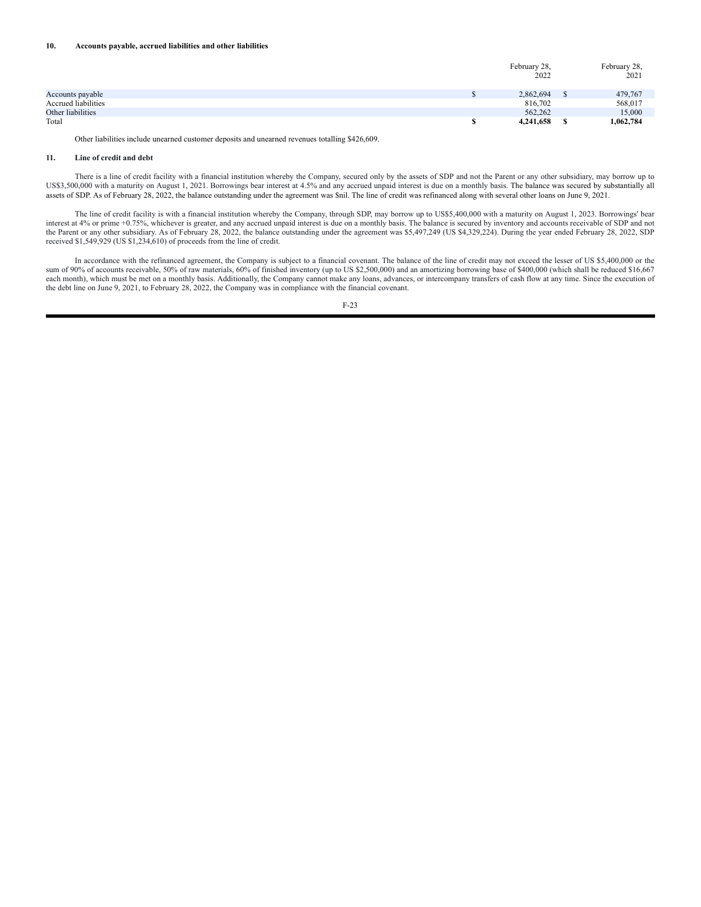|                     | February 28,<br>2022 |   | February 28,<br>2021 |
|---------------------|----------------------|---|----------------------|
| Accounts payable    | 2,862,694            |   | 479,767              |
| Accrued liabilities | 816,702              |   | 568,017              |
| Other liabilities   | 562,262              |   | 15,000               |
| Total               | 4,241,658            | S | 1,062,784            |

Other liabilities include unearned customer deposits and unearned revenues totalling \$426,609.

## **11. Line of credit and debt**

There is a line of credit facility with a financial institution whereby the Company, secured only by the assets of SDP and not the Parent or any other subsidiary, may borrow up to US\$3,500,000 with a maturity on August 1, 2021. Borrowings bear interest at 4.5% and any accrued unpaid interest is due on a monthly basis. The balance was secured by substantially all assets of SDP. As of February 28, 2022, the balance outstanding under the agreement was \$nil. The line of credit was refinanced along with several other loans on June 9, 2021.

The line of credit facility is with a financial institution whereby the Company, through SDP, may borrow up to US\$5,400,000 with a maturity on August 1, 2023. Borrowings' bear interest at 4% or prime +0.75%, whichever is greater, and any accrued unpaid interest is due on a monthly basis. The balance is secured by inventory and accounts receivable of SDP and not the Parent or any other subsidiary. As of February 28, 2022, the balance outstanding under the agreement was \$5,497,249 (US \$4,329,224). During the year ended February 28, 2022, SDP received \$1,549,929 (US \$1,234,610) of proceeds from the line of credit.

In accordance with the refinanced agreement, the Company is subject to a financial covenant. The balance of the line of credit may not exceed the lesser of US \$5,400,000 or the sum of 90% of accounts receivable, 50% of raw materials, 60% of finished inventory (up to US \$2,500,000) and an amortizing borrowing base of \$400,000 (which shall be reduced \$16,667 each month), which must be met on a monthly basis. Additionally, the Company cannot make any loans, advances, or intercompany transfers of cash flow at any time. Since the execution of the debt line on June 9, 2021, to February 28, 2022, the Company was in compliance with the financial covenant.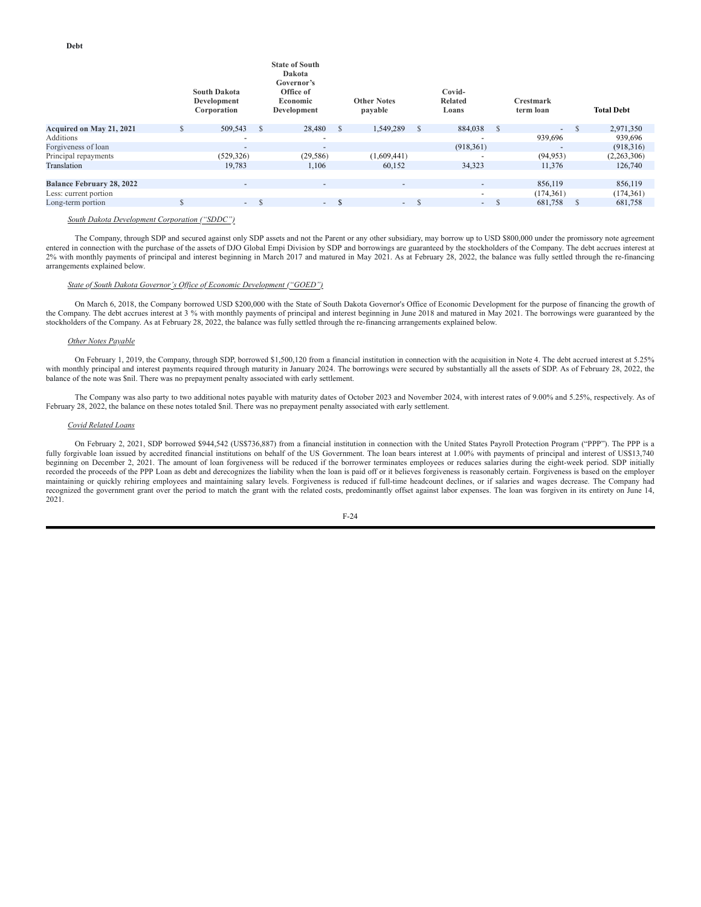|                                  | <b>South Dakota</b><br>Development<br>Corporation |      | State of South<br>Dakota<br>Governor's<br>Office of<br>Economic<br>Development |          | <b>Other Notes</b><br>payable |               | Covid-<br><b>Related</b><br>Loans |               | <b>Crestmark</b><br>term loan |               | <b>Total Debt</b> |
|----------------------------------|---------------------------------------------------|------|--------------------------------------------------------------------------------|----------|-------------------------------|---------------|-----------------------------------|---------------|-------------------------------|---------------|-------------------|
| Acquired on May 21, 2021         | 509,543                                           | - \$ | 28,480                                                                         | <b>S</b> | 1,549,289                     | <sup>\$</sup> | 884,038                           | S.            | $\sim$                        | $\mathcal{L}$ | 2,971,350         |
| Additions                        | $\overline{\phantom{a}}$                          |      | $\overline{a}$                                                                 |          |                               |               |                                   |               | 939,696                       |               | 939,696           |
| Forgiveness of loan              | $\overline{\phantom{a}}$                          |      | $\overline{\phantom{a}}$                                                       |          |                               |               | (918, 361)                        |               | ۰                             |               | (918,316)         |
| Principal repayments             | (529, 326)                                        |      | (29, 586)                                                                      |          | (1,609,441)                   |               |                                   |               | (94, 953)                     |               | (2, 263, 306)     |
| Translation                      | 19,783                                            |      | 1.106                                                                          |          | 60,152                        |               | 34,323                            |               | 11,376                        |               | 126,740           |
|                                  |                                                   |      |                                                                                |          |                               |               |                                   |               |                               |               |                   |
| <b>Balance February 28, 2022</b> | $\sim$                                            |      | $\overline{\phantom{a}}$                                                       |          | $\sim$                        |               | $\overline{\phantom{a}}$          |               | 856,119                       |               | 856,119           |
| Less: current portion            |                                                   |      |                                                                                |          |                               |               | $\overline{a}$                    |               | (174, 361)                    |               | (174, 361)        |
| Long-term portion                | $-$ \$                                            |      | $\sim 100$                                                                     | -S       | $-$ \$                        |               | $\sim$ 10 $\pm$                   | $\mathcal{L}$ | 681,758                       | <b>S</b>      | 681,758           |
|                                  |                                                   |      |                                                                                |          |                               |               |                                   |               |                               |               |                   |

**State of South**

### *South Dakota Development Corporation ("SDDC")*

The Company, through SDP and secured against only SDP assets and not the Parent or any other subsidiary, may borrow up to USD \$800,000 under the promissory note agreement entered in connection with the purchase of the assets of DJO Global Empi Division by SDP and borrowings are guaranteed by the stockholders of the Company. The debt accrues interest at 2% with monthly payments of principal and interest beginning in March 2017 and matured in May 2021. As at February 28, 2022, the balance was fully settled through the re-financing arrangements explained below.

### *State of South Dakota Governor's Office of Economic Development ("GOED")*

On March 6, 2018, the Company borrowed USD \$200,000 with the State of South Dakota Governor's Office of Economic Development for the purpose of financing the growth of the Company. The debt accrues interest at 3 % with monthly payments of principal and interest beginning in June 2018 and matured in May 2021. The borrowings were guaranteed by the stockholders of the Company. As at February 28, 2022, the balance was fully settled through the re-financing arrangements explained below.

## *Other Notes Payable*

On February 1, 2019, the Company, through SDP, borrowed \$1,500,120 from a financial institution in connection with the acquisition in Note 4. The debt accrued interest at 5.25% with monthly principal and interest payments required through maturity in January 2024. The borrowings were secured by substantially all the assets of SDP. As of February 28, 2022, the balance of the note was \$nil. There was no prepayment penalty associated with early settlement.

The Company was also party to two additional notes payable with maturity dates of October 2023 and November 2024, with interest rates of 9.00% and 5.25%, respectively. As of February 28, 2022, the balance on these notes totaled \$nil. There was no prepayment penalty associated with early settlement.

#### *Covid Related Loans*

On February 2, 2021, SDP borrowed \$944,542 (US\$736,887) from a financial institution in connection with the United States Payroll Protection Program ("PPP"). The PPP is a fully forgivable loan issued by accredited financial institutions on behalf of the US Government. The loan bears interest at 1.00% with payments of principal and interest of US\$13,740 beginning on December 2, 2021. The amount of loan forgiveness will be reduced if the borrower terminates employees or reduces salaries during the eight-week period. SDP initially recorded the proceeds of the PPP Loan as debt and derecognizes the liability when the loan is paid off or it believes forgiveness is reasonably certain. Forgiveness is based on the employer maintaining or quickly rehiring employees and maintaining salary levels. Forgiveness is reduced if full-time headcount declines, or if salaries and wages decrease. The Company had recognized the government grant over the period to match the grant with the related costs, predominantly offset against labor expenses. The loan was forgiven in its entirety on June 14, 2021.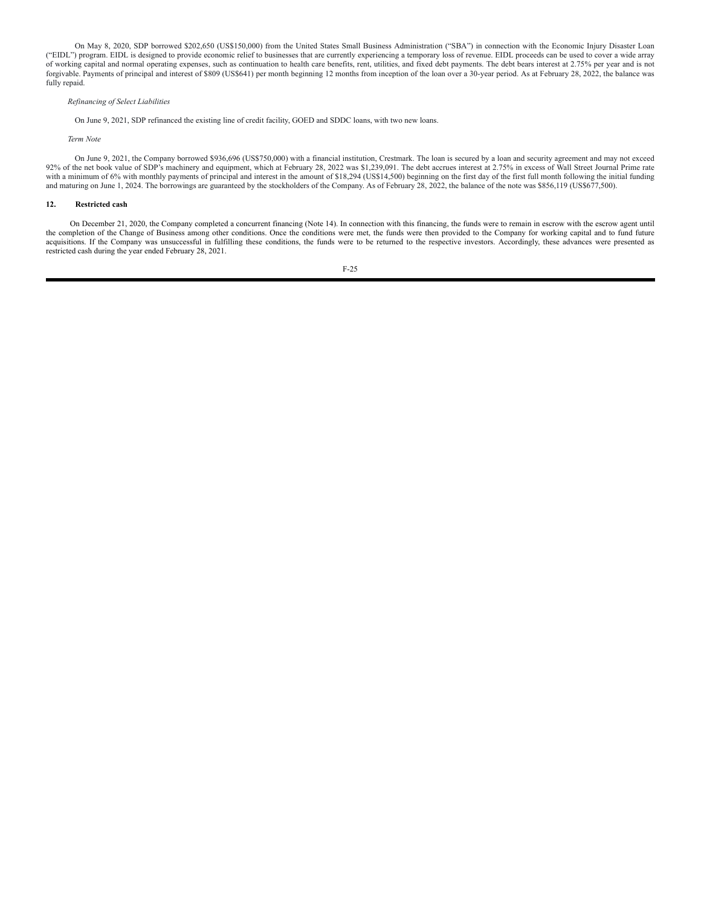On May 8, 2020, SDP borrowed \$202,650 (US\$150,000) from the United States Small Business Administration ("SBA") in connection with the Economic Injury Disaster Loan ("EIDL") program. EIDL is designed to provide economic relief to businesses that are currently experiencing a temporary loss of revenue. EIDL proceeds can be used to cover a wide array of working capital and normal operating expenses, such as continuation to health care benefits, rent, utilities, and fixed debt payments. The debt bears interest at 2.75% per year and is not forgivable. Payments of principal and interest of \$809 (US\$641) per month beginning 12 months from inception of the loan over a 30-year period. As at February 28, 2022, the balance was fully repaid.

## *Refinancing of Select Liabilities*

On June 9, 2021, SDP refinanced the existing line of credit facility, GOED and SDDC loans, with two new loans.

*Term Note*

On June 9, 2021, the Company borrowed \$936,696 (US\$750,000) with a financial institution, Crestmark. The loan is secured by a loan and security agreement and may not exceed 92% of the net book value of SDP's machinery and equipment, which at February 28, 2022 was \$1,239,091. The debt accrues interest at 2.75% in excess of Wall Street Journal Prime rate with a minimum of 6% with monthly payments of principal and interest in the amount of \$18,294 (US\$14,500) beginning on the first day of the first full month following the initial funding and maturing on June 1, 2024. The borrowings are guaranteed by the stockholders of the Company. As of February 28, 2022, the balance of the note was \$856,119 (US\$677,500).

### **12. Restricted cash**

On December 21, 2020, the Company completed a concurrent financing (Note 14). In connection with this financing, the funds were to remain in escrow with the escrow agent until the completion of the Change of Business among other conditions. Once the conditions were met, the funds were then provided to the Company for working capital and to fund future acquisitions. If the Company was unsuccessful in fulfilling these conditions, the funds were to be returned to the respective investors. Accordingly, these advances were presented as restricted cash during the year ended February 28, 2021.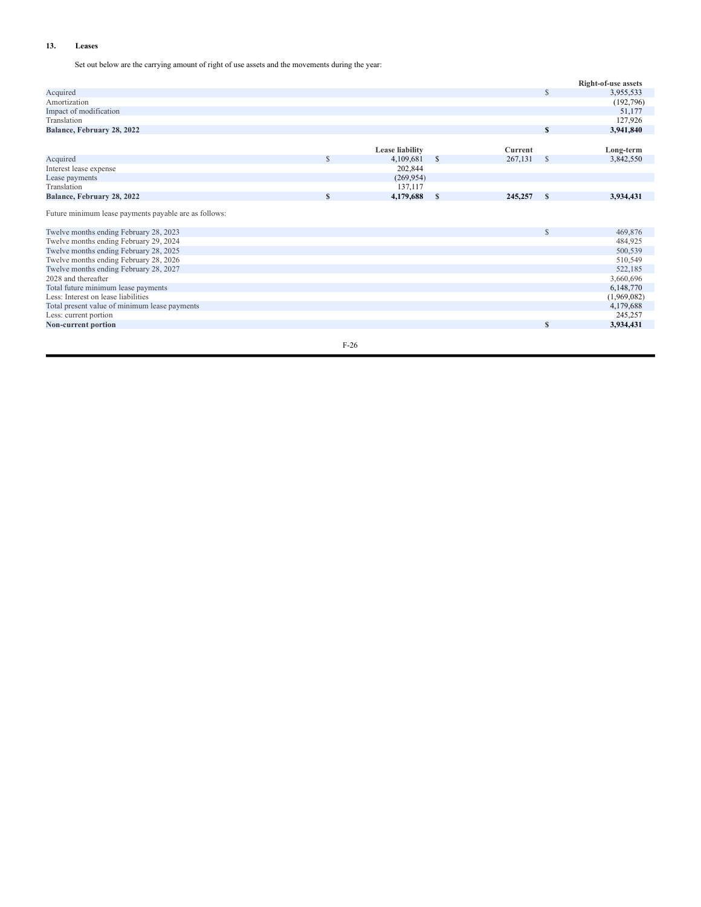# **13. Leases**

Set out below are the carrying amount of right of use assets and the movements during the year:

|                                                       |   |                 |               |                |               | <b>Right-of-use assets</b> |
|-------------------------------------------------------|---|-----------------|---------------|----------------|---------------|----------------------------|
| Acquired                                              |   |                 |               |                | $\mathbb{S}$  | 3,955,533                  |
| Amortization                                          |   |                 |               |                |               | (192,796)                  |
| Impact of modification                                |   |                 |               |                |               | 51,177                     |
| Translation                                           |   |                 |               |                |               | 127,926                    |
| Balance, February 28, 2022                            |   |                 |               |                | <sup>\$</sup> | 3,941,840                  |
|                                                       |   |                 |               |                |               |                            |
|                                                       |   | Lease liability |               | <b>Current</b> |               | Long-term                  |
| Acquired                                              | S | 4,109,681       | <sup>\$</sup> | 267,131        | <sup>S</sup>  | 3,842,550                  |
| Interest lease expense                                |   | 202,844         |               |                |               |                            |
| Lease payments                                        |   | (269, 954)      |               |                |               |                            |
| Translation                                           |   | 137,117         |               |                |               |                            |
| Balance, February 28, 2022                            | S | 4,179,688       | <sup>S</sup>  | 245,257        | <sup>S</sup>  | 3,934,431                  |
| Future minimum lease payments payable are as follows: |   |                 |               |                |               |                            |
| Twelve months ending February 28, 2023                |   |                 |               |                | <sup>S</sup>  | 469,876                    |
| Twelve months ending February 29, 2024                |   |                 |               |                |               | 484,925                    |
| Twelve months ending February 28, 2025                |   |                 |               |                |               | 500,539                    |
| Twelve months ending February 28, 2026                |   |                 |               |                |               | 510,549                    |
| Twelve months ending February 28, 2027                |   |                 |               |                |               | 522,185                    |
| 2028 and thereafter                                   |   |                 |               |                |               | 3,660,696                  |
| Total future minimum lease payments                   |   |                 |               |                |               | 6,148,770                  |
| Less: Interest on lease liabilities                   |   |                 |               |                |               | (1,969,082)                |
| Total present value of minimum lease payments         |   |                 |               |                |               | 4,179,688                  |
| Less: current portion                                 |   |                 |               |                |               | 245,257                    |
| <b>Non-current portion</b>                            |   |                 |               |                | \$            | 3,934,431                  |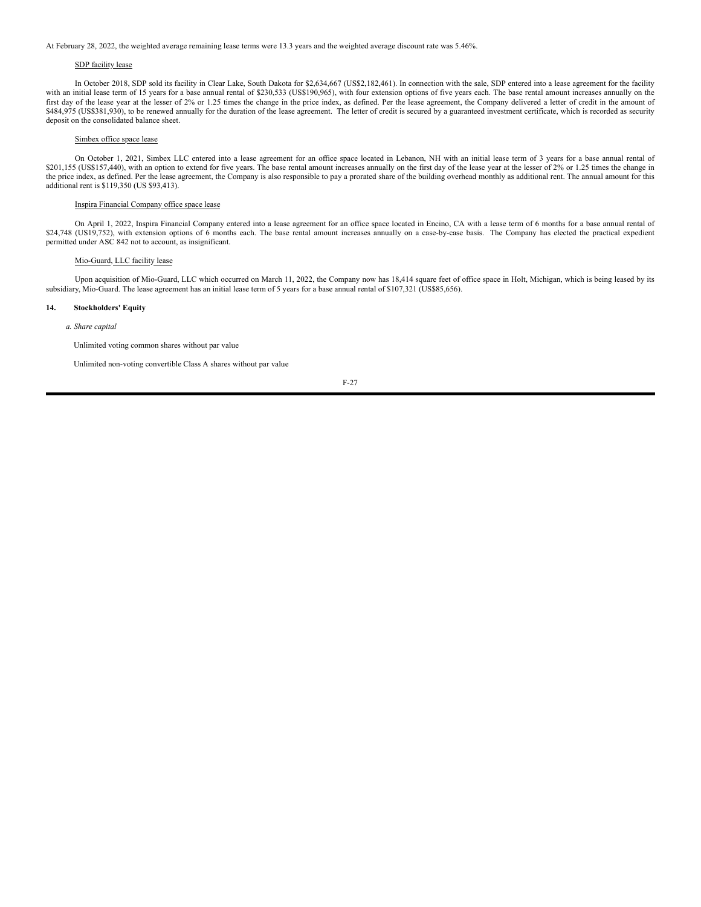At February 28, 2022, the weighted average remaining lease terms were 13.3 years and the weighted average discount rate was 5.46%.

## SDP facility lease

In October 2018, SDP sold its facility in Clear Lake, South Dakota for \$2,634,667 (US\$2,182,461). In connection with the sale, SDP entered into a lease agreement for the facility with an initial lease term of 15 years for a base annual rental of \$230,533 (US\$190,965), with four extension options of five years each. The base rental amount increases annually on the first day of the lease year at the lesser of 2% or 1.25 times the change in the price index, as defined. Per the lease agreement, the Company delivered a letter of credit in the amount of \$484,975 (US\$381,930), to be renewed annually for the duration of the lease agreement. The letter of credit is secured by a guaranteed investment certificate, which is recorded as security deposit on the consolidated balance sheet.

## Simbex office space lease

On October 1, 2021, Simbex LLC entered into a lease agreement for an office space located in Lebanon, NH with an initial lease term of 3 years for a base annual rental of \$201,155 (US\$157,440), with an option to extend for five years. The base rental amount increases annually on the first day of the lease year at the lesser of 2% or 1.25 times the change in the price index, as defined. Per the lease agreement, the Company is also responsible to pay a prorated share of the building overhead monthly as additional rent. The annual amount for this additional rent is \$119,350 (US \$93,413).

## Inspira Financial Company office space lease

On April 1, 2022, Inspira Financial Company entered into a lease agreement for an office space located in Encino, CA with a lease term of 6 months for a base annual rental of \$24,748 (US19,752), with extension options of 6 months each. The base rental amount increases annually on a case-by-case basis. The Company has elected the practical expedient permitted under ASC 842 not to account, as insignificant.

### Mio-Guard, LLC facility lease

Upon acquisition of Mio-Guard, LLC which occurred on March 11, 2022, the Company now has 18,414 square feet of office space in Holt, Michigan, which is being leased by its subsidiary, Mio-Guard. The lease agreement has an initial lease term of 5 years for a base annual rental of \$107,321 (US\$85,656).

## **14. Stockholders' Equity**

## *a. Share capital*

Unlimited voting common shares without par value

Unlimited non-voting convertible Class A shares without par value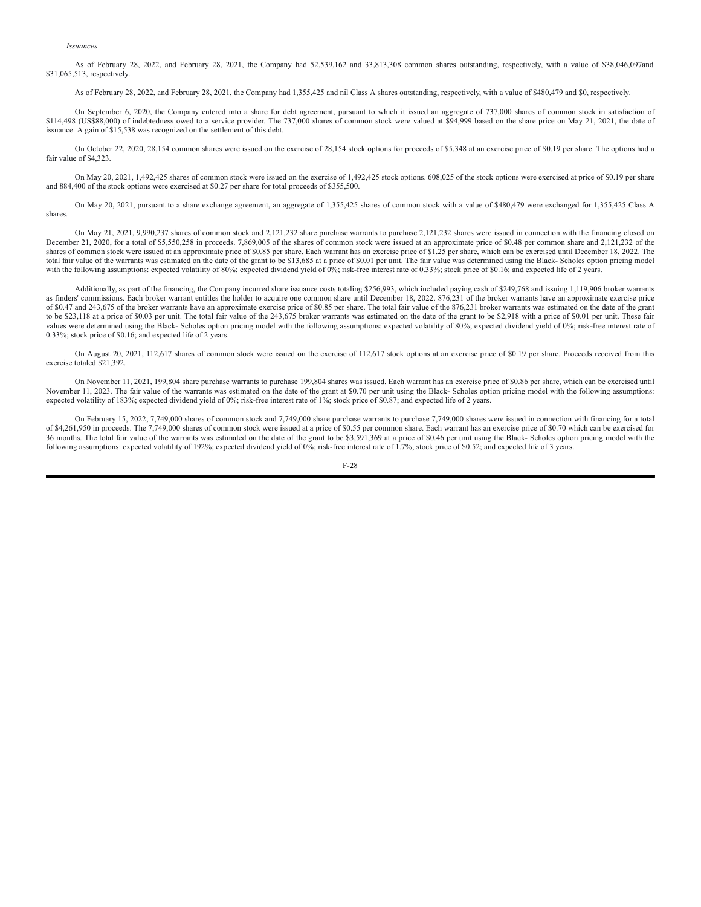*Issuances*

As of February 28, 2022, and February 28, 2021, the Company had 52,539,162 and 33,813,308 common shares outstanding, respectively, with a value of \$38,046,097and \$31,065,513, respectively.

As of February 28, 2022, and February 28, 2021, the Company had 1,355,425 and nil Class A shares outstanding, respectively, with a value of \$480,479 and \$0, respectively.

On September 6, 2020, the Company entered into a share for debt agreement, pursuant to which it issued an aggregate of 737,000 shares of common stock in satisfaction of \$114,498 (US\$88,000) of indebtedness owed to a service provider. The 737,000 shares of common stock were valued at \$94,999 based on the share price on May 21, 2021, the date of issuance. A gain of \$15,538 was recognized on the settlement of this debt.

On October 22, 2020, 28,154 common shares were issued on the exercise of 28,154 stock options for proceeds of \$5,348 at an exercise price of \$0.19 per share. The options had a fair value of \$4,323.

On May 20, 2021, 1,492,425 shares of common stock were issued on the exercise of 1,492,425 stock options. 608,025 of the stock options were exercised at price of \$0.19 per share and 884,400 of the stock options were exercised at \$0.27 per share for total proceeds of \$355,500.

On May 20, 2021, pursuant to a share exchange agreement, an aggregate of 1,355,425 shares of common stock with a value of \$480,479 were exchanged for 1,355,425 Class A shares.

On May 21, 2021, 9,990,237 shares of common stock and 2,121,232 share purchase warrants to purchase 2,121,232 shares were issued in connection with the financing closed on December 21, 2020, for a total of \$5,550,258 in proceeds. 7,869,005 of the shares of common stock were issued at an approximate price of \$0.48 per common share and 2,121,232 of the shares of common stock were issued at an approximate price of \$0.85 per share. Each warrant has an exercise price of \$1.25 per share, which can be exercised until December 18, 2022. The total fair value of the warrants was estimated on the date of the grant to be \$13,685 at a price of \$0.01 per unit. The fair value was determined using the Black- Scholes option pricing model with the following assumptions: expected volatility of 80%; expected dividend yield of 0%; risk-free interest rate of 0.33%; stock price of \$0.16; and expected life of 2 years.

Additionally, as part of the financing, the Company incurred share issuance costs totaling \$256,993, which included paying cash of \$249,768 and issuing 1,119,906 broker warrants as finders' commissions. Each broker warrant entitles the holder to acquire one common share until December 18, 2022. 876,231 of the broker warrants have an approximate exercise price of \$0.47 and 243,675 of the broker warrants have an approximate exercise price of \$0.85 per share. The total fair value of the 876,231 broker warrants was estimated on the date of the grant to be \$23,118 at a price of \$0.03 per unit. The total fair value of the 243,675 broker warrants was estimated on the date of the grant to be \$2,918 with a price of \$0.01 per unit. These fair values were determined using the Black- Scholes option pricing model with the following assumptions: expected volatility of 80%; expected dividend yield of 0%; risk-free interest rate of 0.33%; stock price of \$0.16; and expected life of 2 years.

On August 20, 2021, 112,617 shares of common stock were issued on the exercise of 112,617 stock options at an exercise price of \$0.19 per share. Proceeds received from this exercise totaled \$21,392.

On November 11, 2021, 199,804 share purchase warrants to purchase 199,804 shares was issued. Each warrant has an exercise price of \$0.86 per share, which can be exercised until November 11, 2023. The fair value of the warrants was estimated on the date of the grant at \$0.70 per unit using the Black- Scholes option pricing model with the following assumptions: expected volatility of 183%; expected dividend yield of 0%; risk-free interest rate of 1%; stock price of \$0.87; and expected life of 2 years.

On February 15, 2022, 7,749,000 shares of common stock and 7,749,000 share purchase warrants to purchase 7,749,000 shares were issued in connection with financing for a total of \$4,261,950 in proceeds. The 7,749,000 shares of common stock were issued at a price of \$0.55 per common share. Each warrant has an exercise price of \$0.70 which can be exercised for 36 months. The total fair value of the warrants was estimated on the date of the grant to be \$3,591,369 at a price of \$0.46 per unit using the Black- Scholes option pricing model with the following assumptions: expected volatility of 192%; expected dividend yield of 0%; risk-free interest rate of 1.7%; stock price of \$0.52; and expected life of 3 years.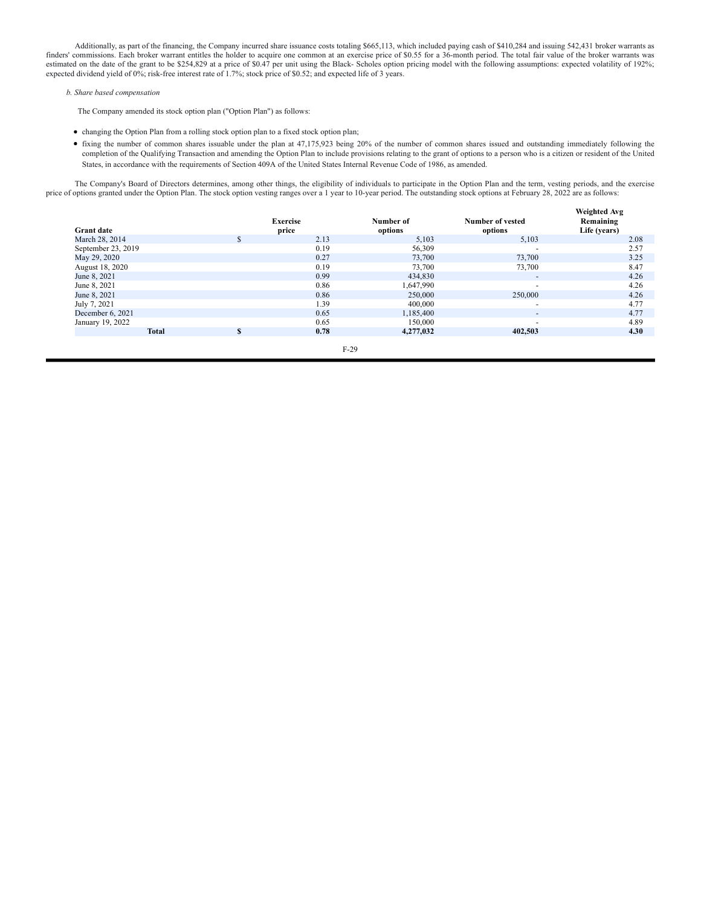Additionally, as part of the financing, the Company incurred share issuance costs totaling \$665,113, which included paying cash of \$410,284 and issuing 542,431 broker warrants as finders' commissions. Each broker warrant entitles the holder to acquire one common at an exercise price of \$0.55 for a 36-month period. The total fair value of the broker warrants was estimated on the date of the grant to be \$254,829 at a price of \$0.47 per unit using the Black- Scholes option pricing model with the following assumptions: expected volatility of 192%; expected dividend yield of 0%; risk-free interest rate of 1.7%; stock price of \$0.52; and expected life of 3 years.

- *b. Share based compensation*
	- The Company amended its stock option plan ("Option Plan") as follows:
- changing the Option Plan from a rolling stock option plan to a fixed stock option plan;
- fixing the number of common shares issuable under the plan at 47,175,923 being 20% of the number of common shares issued and outstanding immediately following the completion of the Qualifying Transaction and amending the Option Plan to include provisions relating to the grant of options to a person who is a citizen or resident of the United States, in accordance with the requirements of Section 409A of the United States Internal Revenue Code of 1986, as amended.

The Company's Board of Directors determines, among other things, the eligibility of individuals to participate in the Option Plan and the term, vesting periods, and the exercise price of options granted under the Option Plan. The stock option vesting ranges over a 1 year to 10-year period. The outstanding stock options at February 28, 2022 are as follows:

| <b>Grant date</b>  |   | <b>Exercise</b><br>price | Number of<br>options | <b>Number of vested</b><br>options | <b>Weighted Avg</b><br>Remaining<br>Life (years) |
|--------------------|---|--------------------------|----------------------|------------------------------------|--------------------------------------------------|
| March 28, 2014     | S | 2.13                     | 5,103                | 5,103                              | 2.08                                             |
| September 23, 2019 |   | 0.19                     | 56,309               |                                    | 2.57                                             |
| May 29, 2020       |   | 0.27                     | 73,700               | 73,700                             | 3.25                                             |
| August 18, 2020    |   | 0.19                     | 73,700               | 73,700                             | 8.47                                             |
| June 8, 2021       |   | 0.99                     | 434,830              | $\sim$                             | 4.26                                             |
| June 8, 2021       |   | 0.86                     | 1,647,990            | $\overline{a}$                     | 4.26                                             |
| June 8, 2021       |   | 0.86                     | 250,000              | 250,000                            | 4.26                                             |
| July 7, 2021       |   | 1.39                     | 400,000              | $\overline{\phantom{a}}$           | 4.77                                             |
| December 6, 2021   |   | 0.65                     | 1,185,400            | $\overline{\phantom{a}}$           | 4.77                                             |
| January 19, 2022   |   | 0.65                     | 150,000              | $\overline{\phantom{a}}$           | 4.89                                             |
| <b>Total</b>       | S | 0.78                     | 4,277,032            | 402,503                            | 4.30                                             |
|                    |   |                          |                      |                                    |                                                  |

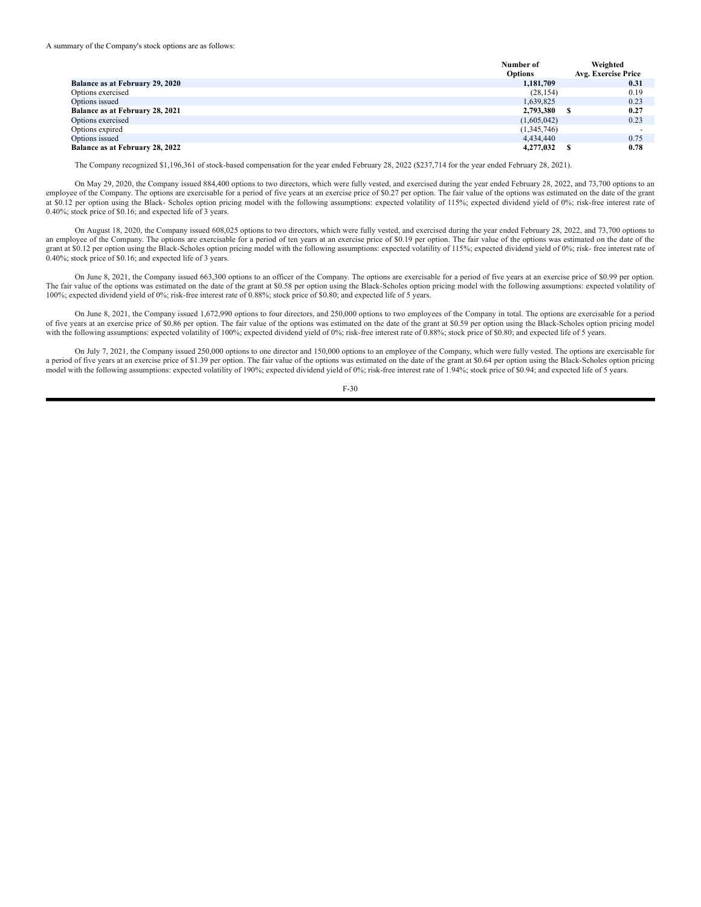A summary of the Company's stock options are as follows:

|                                        | Number of      | Weighted            |
|----------------------------------------|----------------|---------------------|
|                                        | <b>Options</b> | Avg. Exercise Price |
| <b>Balance as at February 29, 2020</b> | 1,181,709      | 0.31                |
| Options exercised                      | (28, 154)      | 0.19                |
| Options issued                         | 1,639,825      | 0.23                |
| Balance as at February 28, 2021        | 2,793,380      | 0.27                |
| Options exercised                      | (1,605,042)    | 0.23                |
| Options expired                        | (1,345,746)    |                     |
| Options issued                         | 4,434,440      | 0.75                |
| Balance as at February 28, 2022        | 4,277,032      | 0.78                |

The Company recognized \$1,196,361 of stock-based compensation for the year ended February 28, 2022 (\$237,714 for the year ended February 28, 2021).

On May 29, 2020, the Company issued 884,400 options to two directors, which were fully vested, and exercised during the year ended February 28, 2022, and 73,700 options to an employee of the Company. The options are exercisable for a period of five years at an exercise price of \$0.27 per option. The fair value of the options was estimated on the date of the grant at \$0.12 per option using the Black- Scholes option pricing model with the following assumptions: expected volatility of 115%; expected dividend yield of 0%; risk-free interest rate of 0.40%; stock price of \$0.16; and expected life of 3 years.

On August 18, 2020, the Company issued 608,025 options to two directors, which were fully vested, and exercised during the year ended February 28, 2022, and 73,700 options to an employee of the Company. The options are exercisable for a period of ten years at an exercise price of \$0.19 per option. The fair value of the options was estimated on the date of the grant at \$0.12 per option using the Black-Scholes option pricing model with the following assumptions: expected volatility of 115%; expected dividend yield of 0%; risk- free interest rate of 0.40%; stock price of \$0.16; and expected life of 3 years.

On June 8, 2021, the Company issued 663,300 options to an officer of the Company. The options are exercisable for a period of five years at an exercise price of \$0.99 per option. The fair value of the options was estimated on the date of the grant at \$0.58 per option using the Black-Scholes option pricing model with the following assumptions: expected volatility of 100%; expected dividend yield of 0%; risk-free interest rate of 0.88%; stock price of \$0.80; and expected life of 5 years.

On June 8, 2021, the Company issued 1,672,990 options to four directors, and 250,000 options to two employees of the Company in total. The options are exercisable for a period of five years at an exercise price of \$0.86 per option. The fair value of the options was estimated on the date of the grant at \$0.59 per option using the Black-Scholes option pricing model with the following assumptions: expected volatility of 100%; expected dividend yield of 0%; risk-free interest rate of 0.88%; stock price of \$0.80; and expected life of 5 years.

On July 7, 2021, the Company issued 250,000 options to one director and 150,000 options to an employee of the Company, which were fully vested. The options are exercisable for a period of five years at an exercise price of \$1.39 per option. The fair value of the options was estimated on the date of the grant at \$0.64 per option using the Black-Scholes option pricing model with the following assumptions: expected volatility of 190%; expected dividend yield of 0%; risk-free interest rate of 1.94%; stock price of \$0.94; and expected life of 5 years.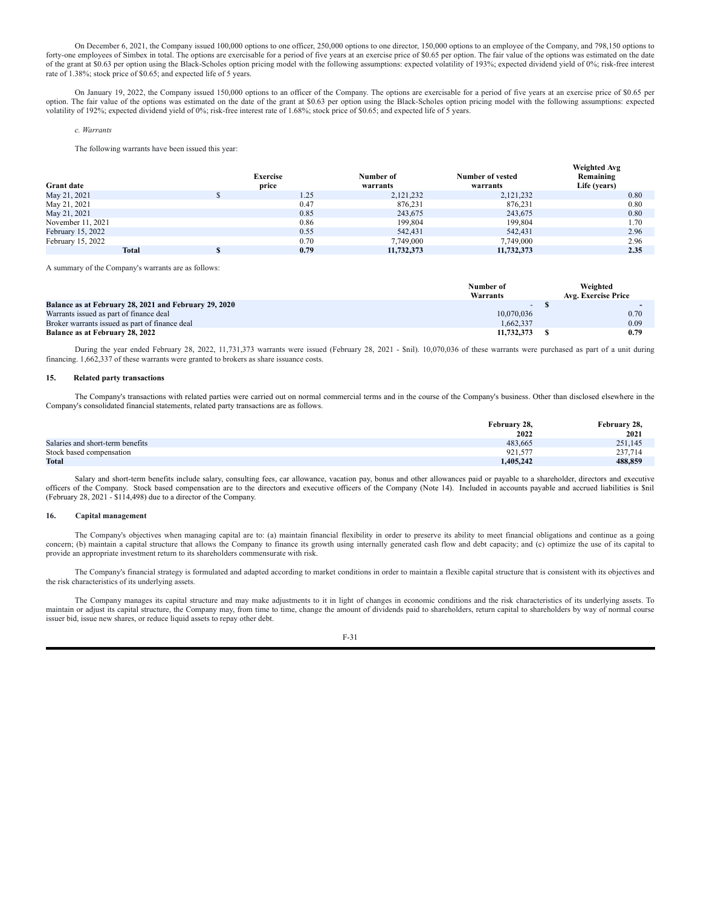On December 6, 2021, the Company issued 100,000 options to one officer, 250,000 options to one director, 150,000 options to an employee of the Company, and 798,150 options to forty-one employees of Simbex in total. The options are exercisable for a period of five years at an exercise price of \$0.65 per option. The fair value of the options was estimated on the date of the grant at \$0.63 per option using the Black-Scholes option pricing model with the following assumptions: expected volatility of 193%; expected dividend yield of 0%; risk-free interest rate of 1.38%; stock price of \$0.65; and expected life of 5 years.

On January 19, 2022, the Company issued 150,000 options to an officer of the Company. The options are exercisable for a period of five years at an exercise price of \$0.65 per option. The fair value of the options was estimated on the date of the grant at \$0.63 per option using the Black-Scholes option pricing model with the following assumptions: expected volatility of 192%; expected dividend yield of 0%; risk-free interest rate of 1.68%; stock price of \$0.65; and expected life of 5 years.

#### *c. Warrants*

The following warrants have been issued this year:

| <b>Grant date</b> |              | <b>Exercise</b><br>price | Number of<br>warrants | Number of vested<br>warrants | <b>Weighted Avg</b><br>Remaining<br>Life (years) |
|-------------------|--------------|--------------------------|-----------------------|------------------------------|--------------------------------------------------|
| May 21, 2021      |              | 1.25                     | 2,121,232             | 2,121,232                    | 0.80                                             |
| May 21, 2021      |              | 0.47                     | 876.231               | 876.231                      | 0.80                                             |
| May 21, 2021      |              | 0.85                     | 243,675               | 243,675                      | 0.80                                             |
| November 11, 2021 |              | 0.86                     | 199,804               | 199,804                      | 1.70                                             |
| February 15, 2022 |              | 0.55                     | 542,431               | 542,431                      | 2.96                                             |
| February 15, 2022 |              | 0.70                     | 7,749,000             | 7.749.000                    | 2.96                                             |
|                   | <b>Total</b> | 0.79                     | 11,732,373            | 11,732,373                   | 2.35                                             |

A summary of the Company's warrants are as follows:

|                                                       | Number of  | Weighted            |
|-------------------------------------------------------|------------|---------------------|
|                                                       | Warrants   | Avg. Exercise Price |
| Balance as at February 28, 2021 and February 29, 2020 | -          |                     |
| Warrants issued as part of finance deal               | 10.070.036 | 0.70                |
| Broker warrants issued as part of finance deal        | 1.662.337  | 0.09                |
| <b>Balance as at February 28, 2022</b>                | 11,732,373 | 0.79                |

During the year ended February 28, 2022, 11,731,373 warrants were issued (February 28, 2021 - \$nil). 10,070,036 of these warrants were purchased as part of a unit during financing. 1,662,337 of these warrants were granted to brokers as share issuance costs.

### **15. Related party transactions**

The Company's transactions with related parties were carried out on normal commercial terms and in the course of the Company's business. Other than disclosed elsewhere in the Company's consolidated financial statements, related party transactions are as follows.

|                                  | February 28, | February 28, |
|----------------------------------|--------------|--------------|
|                                  | 2022         | 2021         |
| Salaries and short-term benefits | 483.665      | 251.145      |
| Stock based compensation         | 921.577      | 237.714      |
| <b>Total</b>                     | 1.405.242    | 488,859      |

Salary and short-term benefits include salary, consulting fees, car allowance, vacation pay, bonus and other allowances paid or payable to a shareholder, directors and executive officers of the Company. Stock based compensation are to the directors and executive officers of the Company (Note 14). Included in accounts payable and accrued liabilities is \$nil (February 28, 2021 - \$114,498) due to a director of the Company.

### **16. Capital management**

The Company's objectives when managing capital are to: (a) maintain financial flexibility in order to preserve its ability to meet financial obligations and continue as a going concern; (b) maintain a capital structure that allows the Company to finance its growth using internally generated cash flow and debt capacity; and (c) optimize the use of its capital to provide an appropriate investment return to its shareholders commensurate with risk.

The Company's financial strategy is formulated and adapted according to market conditions in order to maintain a flexible capital structure that is consistent with its objectives and the risk characteristics of its underlying assets.

The Company manages its capital structure and may make adjustments to it in light of changes in economic conditions and the risk characteristics of its underlying assets. To maintain or adjust its capital structure, the Company may, from time to time, change the amount of dividends paid to shareholders, return capital to shareholders by way of normal course issuer bid, issue new shares, or reduce liquid assets to repay other debt.

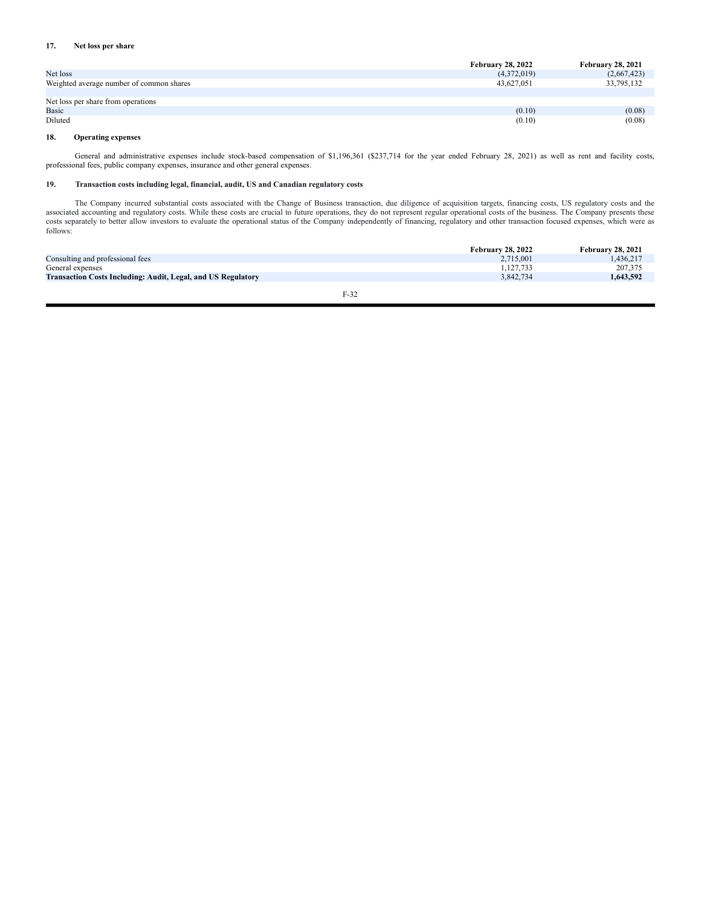## **17. Net loss per share**

|                                          | <b>February 28, 2022</b> | <b>February 28, 2021</b> |
|------------------------------------------|--------------------------|--------------------------|
| Net loss                                 | (4,372,019)              | (2,667,423)              |
| Weighted average number of common shares | 43,627,051               | 33,795,132               |
|                                          |                          |                          |
| Net loss per share from operations       |                          |                          |
| <b>Basic</b>                             | (0.10)                   | (0.08)                   |
| Diluted                                  | (0.10)                   | (0.08)                   |

## **18. Operating expenses**

General and administrative expenses include stock-based compensation of \$1,196,361 (\$237,714 for the year ended February 28, 2021) as well as rent and facility costs, professional fees, public company expenses, insurance and other general expenses.

## **19. Transaction costs including legal, financial, audit, US and Canadian regulatory costs**

The Company incurred substantial costs associated with the Change of Business transaction, due diligence of acquisition targets, financing costs, US regulatory costs and the associated accounting and regulatory costs. While these costs are crucial to future operations, they do not represent regular operational costs of the business. The Company presents these costs separately to better allow investors to evaluate the operational status of the Company independently of financing, regulatory and other transaction focused expenses, which were as follows:

|                                                                     | <b>February 28, 2022</b> | <b>February 28, 2021</b> |
|---------------------------------------------------------------------|--------------------------|--------------------------|
| Consulting and professional fees                                    | 2.715,001                | .436,217                 |
| General expenses                                                    | 1.127.733                | 207,375                  |
| <b>Transaction Costs Including: Audit, Legal, and US Regulatory</b> | 3.842.734                | 1.643.592                |
|                                                                     |                          |                          |
|                                                                     | F-32                     |                          |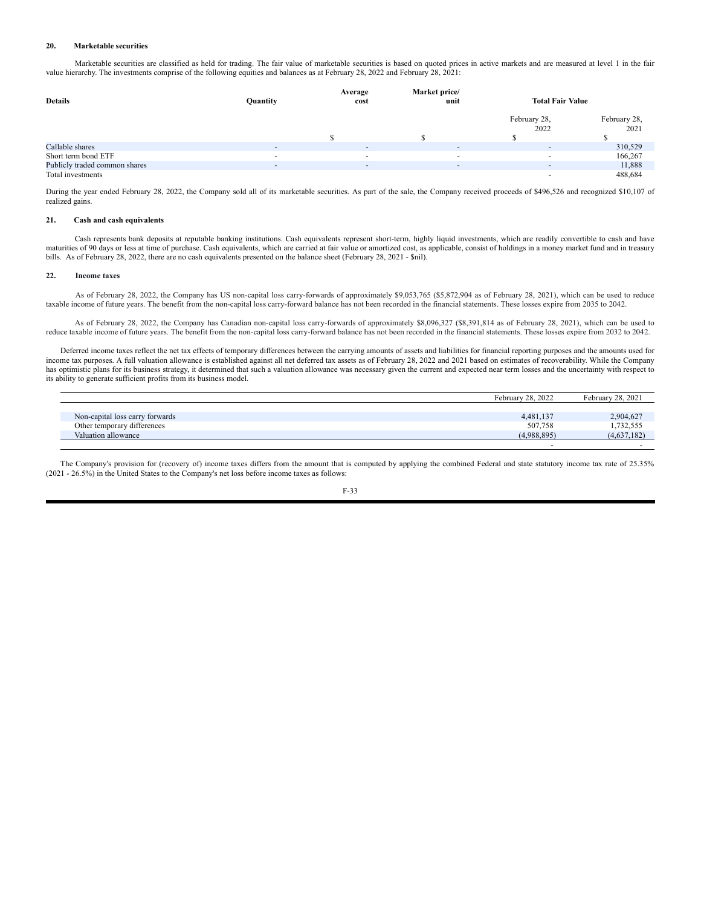# **20. Marketable securities**

Marketable securities are classified as held for trading. The fair value of marketable securities is based on quoted prices in active markets and are measured at level 1 in the fair value hierarchy. The investments comprise of the following equities and balances as at February 28, 2022 and February 28, 2021:

| <b>Details</b>                | Quantity                 | Average<br>cost          | Market price/<br>unit    |                      | <b>Total Fair Value</b> |
|-------------------------------|--------------------------|--------------------------|--------------------------|----------------------|-------------------------|
|                               |                          |                          |                          | February 28,<br>2022 | February 28,<br>2021    |
| Callable shares               | $\overline{\phantom{a}}$ | $\overline{\phantom{a}}$ | $\overline{\phantom{a}}$ |                      | 310,529                 |
| Short term bond ETF           | $\overline{\phantom{a}}$ | $\overline{\phantom{a}}$ | $\overline{a}$           |                      | 166,267                 |
| Publicly traded common shares | <b>-</b>                 | $\overline{\phantom{a}}$ | $\overline{\phantom{a}}$ |                      | 11,888                  |
| Total investments             |                          |                          |                          |                      | 488,684                 |

During the year ended February 28, 2022, the Company sold all of its marketable securities. As part of the sale, the Company received proceeds of \$496,526 and recognized \$10,107 of realized gains.

## **21. Cash and cash equivalents**

Cash represents bank deposits at reputable banking institutions. Cash equivalents represent short-term, highly liquid investments, which are readily convertible to cash and have maturities of 90 days or less at time of purchase. Cash equivalents, which are carried at fair value or amortized cost, as applicable, consist of holdings in a money market fund and in treasury bills. As of February 28, 2022, there are no cash equivalents presented on the balance sheet (February 28, 2021 - \$nil).

# **22. Income taxes**

As of February 28, 2022, the Company has US non-capital loss carry-forwards of approximately \$9,053,765 (\$5,872,904 as of February 28, 2021), which can be used to reduce taxable income of future years. The benefit from the non-capital loss carry-forward balance has not been recorded in the financial statements. These losses expire from 2035 to 2042.

As of February 28, 2022, the Company has Canadian non-capital loss carry-forwards of approximately \$8,096,327 (\$8,391,814 as of February 28, 2021), which can be used to reduce taxable income of future years. The benefit from the non-capital loss carry-forward balance has not been recorded in the financial statements. These losses expire from 2032 to 2042.

Deferred income taxes reflect the net tax effects of temporary differences between the carrying amounts of assets and liabilities for financial reporting purposes and the amounts used for income tax purposes. A full valuation allowance is established against all net deferred tax assets as of February 28, 2022 and 2021 based on estimates of recoverability. While the Company has optimistic plans for its business strategy, it determined that such a valuation allowance was necessary given the current and expected near term losses and the uncertainty with respect to has optimistic plans for its b its ability to generate sufficient profits from its business model.

|                                 | February 28, 2022 | February 28, 2021 |
|---------------------------------|-------------------|-------------------|
|                                 |                   |                   |
| Non-capital loss carry forwards | 4.481.137         | 2,904,627         |
| Other temporary differences     | 507,758           | 1,732,555         |
| Valuation allowance             | (4.988.895)       | (4,637,182)       |
|                                 | -                 |                   |

The Company's provision for (recovery of) income taxes differs from the amount that is computed by applying the combined Federal and state statutory income tax rate of 25.35% (2021 - 26.5%) in the United States to the Company's net loss before income taxes as follows:

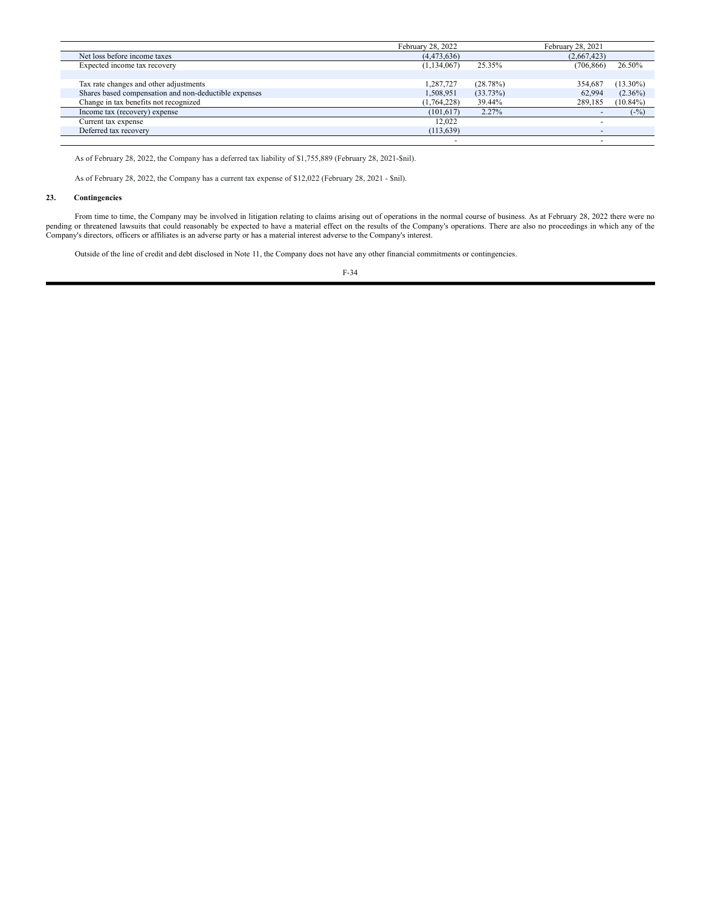|                                                       | February 28, 2022 |          | February 28, 2021        |             |
|-------------------------------------------------------|-------------------|----------|--------------------------|-------------|
| Net loss before income taxes                          | (4,473,636)       |          | (2,667,423)              |             |
| Expected income tax recovery                          | (1, 134, 067)     | 25.35%   | (706, 866)               | 26.50%      |
|                                                       |                   |          |                          |             |
| Tax rate changes and other adjustments                | 1,287,727         | (28.78%) | 354,687                  | $(13.30\%)$ |
| Shares based compensation and non-deductible expenses | 1,508,951         | (33.73%) | 62.994                   | $(2.36\%)$  |
| Change in tax benefits not recognized                 | (1,764,228)       | 39.44%   | 289,185                  | $(10.84\%)$ |
| Income tax (recovery) expense                         | (101, 617)        | 2.27%    | $\overline{\phantom{0}}$ | $(-\%)$     |
| Current tax expense                                   | 12.022            |          | $\overline{\phantom{0}}$ |             |
| Deferred tax recovery                                 | (113, 639)        |          | $\overline{\phantom{0}}$ |             |
|                                                       |                   |          | $\overline{\phantom{0}}$ |             |

As of February 28, 2022, the Company has a deferred tax liability of \$1,755,889 (February 28, 2021-\$nil).

As of February 28, 2022, the Company has a current tax expense of \$12,022 (February 28, 2021 - \$nil).

# **23. Contingencies**

From time to time, the Company may be involved in litigation relating to claims arising out of operations in the normal course of business. As at February 28, 2022 there were no pending or threatened lawsuits that could reasonably be expected to have a material effect on the results of the Company's operations. There are also no proceedings in which any of the Company's directors, officers or affiliates is an adverse party or has a material interest adverse to the Company's interest.

Outside of the line of credit and debt disclosed in Note 11, the Company does not have any other financial commitments or contingencies.

F-34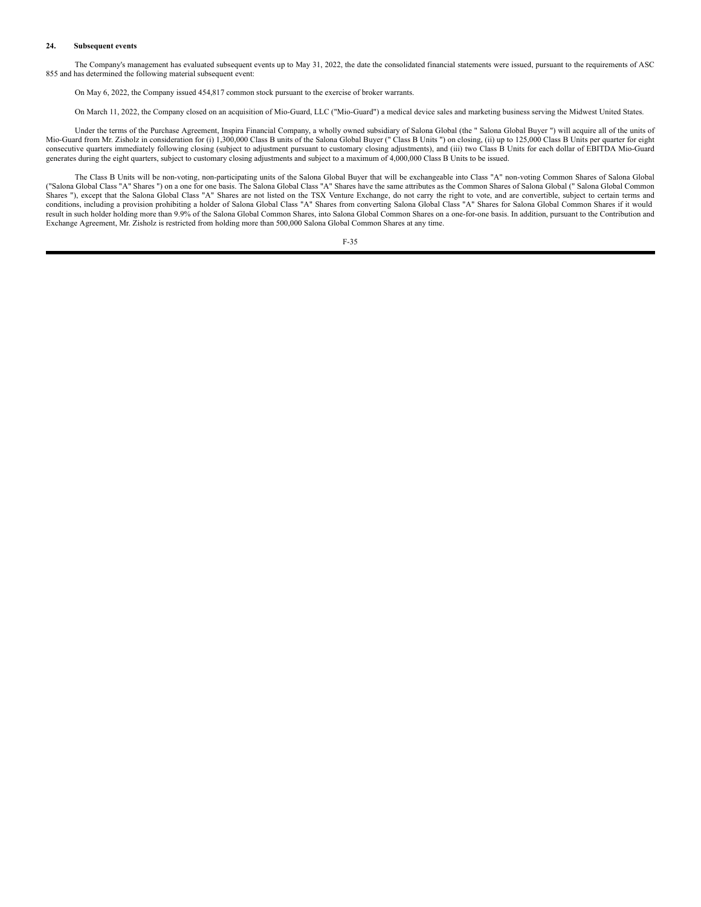#### **24. Subsequent events**

The Company's management has evaluated subsequent events up to May 31, 2022, the date the consolidated financial statements were issued, pursuant to the requirements of ASC 855 and has determined the following material subsequent event:

On May 6, 2022, the Company issued 454,817 common stock pursuant to the exercise of broker warrants.

On March 11, 2022, the Company closed on an acquisition of Mio-Guard, LLC ("Mio-Guard") a medical device sales and marketing business serving the Midwest United States.

Under the terms of the Purchase Agreement, Inspira Financial Company, a wholly owned subsidiary of Salona Global (the " Salona Global Buyer ") will acquire all of the units of Mio-Guard from Mr. Zisholz in consideration for (i) 1,300,000 Class B units of the Salona Global Buyer (" Class B Units ") on closing, (ii) up to 125,000 Class B Units per quarter for eight consecutive quarters immediately following closing (subject to adjustment pursuant to customary closing adjustments), and (iii) two Class B Units for each dollar of EBITDA Mio-Guard generates during the eight quarters, subject to customary closing adjustments and subject to a maximum of 4,000,000 Class B Units to be issued.

The Class B Units will be non-voting, non-participating units of the Salona Global Buyer that will be exchangeable into Class "A" non-voting Common Shares of Salona Global ("Salona Global Class "A" Shares ") on a one for one basis. The Salona Global Class "A" Shares have the same attributes as the Common Shares of Salona Global (" Salona Global Common Shares "), except that the Salona Global Class "A" Shares are not listed on the TSX Venture Exchange, do not carry the right to vote, and are convertible, subject to certain terms and conditions, including a provision prohibiting a holder of Salona Global Class "A" Shares from converting Salona Global Class "A" Shares for Salona Global Common Shares if it would result in such holder holding more than 9.9% of the Salona Global Common Shares, into Salona Global Common Shares on a one-for-one basis. In addition, pursuant to the Contribution and Exchange Agreement, Mr. Zisholz is restricted from holding more than 500,000 Salona Global Common Shares at any time.

F-35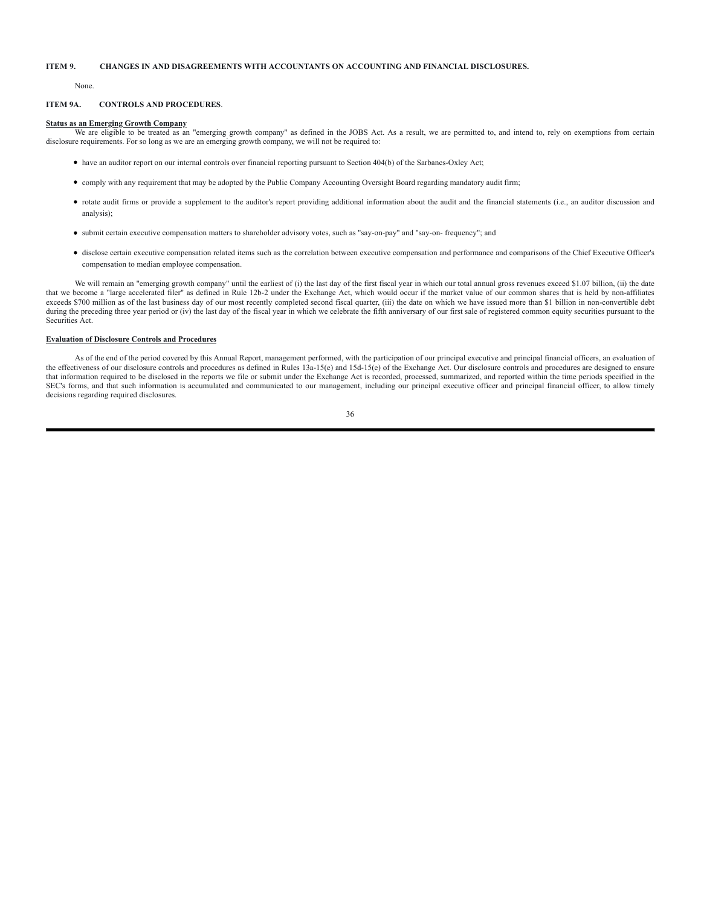# **ITEM 9. CHANGES IN AND DISAGREEMENTS WITH ACCOUNTANTS ON ACCOUNTING AND FINANCIAL DISCLOSURES.**

None.

### **ITEM 9A. CONTROLS AND PROCEDURES**.

#### **Status as an Emerging Growth Company**

We are eligible to be treated as an "emerging growth company" as defined in the JOBS Act. As a result, we are permitted to, and intend to, rely on exemptions from certain disclosure requirements. For so long as we are an emerging growth company, we will not be required to:

- have an auditor report on our internal controls over financial reporting pursuant to Section 404(b) of the Sarbanes-Oxley Act;
- comply with any requirement that may be adopted by the Public Company Accounting Oversight Board regarding mandatory audit firm;
- rotate audit firms or provide a supplement to the auditor's report providing additional information about the audit and the financial statements (i.e., an auditor discussion and analysis);
- submit certain executive compensation matters to shareholder advisory votes, such as "say-on-pay" and "say-on- frequency"; and
- disclose certain executive compensation related items such as the correlation between executive compensation and performance and comparisons of the Chief Executive Officer's compensation to median employee compensation.

We will remain an "emerging growth company" until the earliest of (i) the last day of the first fiscal year in which our total annual gross revenues exceed \$1.07 billion, (ii) the date that we become a "large accelerated filer" as defined in Rule 12b-2 under the Exchange Act, which would occur if the market value of our common shares that is held by non-affiliates exceeds \$700 million as of the last business day of our most recently completed second fiscal quarter, (iii) the date on which we have issued more than \$1 billion in non-convertible debt during the preceding three year period or (iv) the last day of the fiscal year in which we celebrate the fifth anniversary of our first sale of registered common equity securities pursuant to the Securities Act.

# **Evaluation of Disclosure Controls and Procedures**

As of the end of the period covered by this Annual Report, management performed, with the participation of our principal executive and principal financial officers, an evaluation of the effectiveness of our disclosure controls and procedures as defined in Rules 13a-15(e) and 15d-15(e) of the Exchange Act. Our disclosure controls and procedures are designed to ensure that information required to be disclosed in the reports we file or submit under the Exchange Act is recorded, processed, summarized, and reported within the time periods specified in the SEC's forms, and that such information is accumulated and communicated to our management, including our principal executive officer and principal financial officer, to allow timely decisions regarding required disclosures.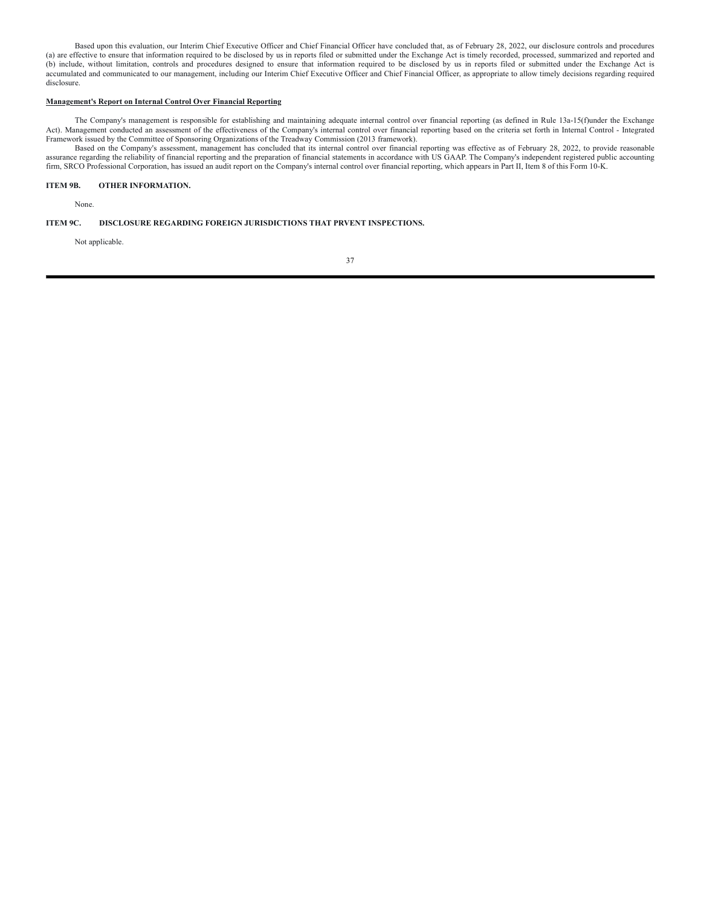Based upon this evaluation, our Interim Chief Executive Officer and Chief Financial Officer have concluded that, as of February 28, 2022, our disclosure controls and procedures (a) are effective to ensure that information required to be disclosed by us in reports filed or submitted under the Exchange Act is timely recorded, processed, summarized and reported and (b) include, without limitation, controls and procedures designed to ensure that information required to be disclosed by us in reports filed or submitted under the Exchange Act is accumulated and communicated to our management, including our Interim Chief Executive Officer and Chief Financial Officer, as appropriate to allow timely decisions regarding required disclosure.

# **Management's Report on Internal Control Over Financial Reporting**

The Company's management is responsible for establishing and maintaining adequate internal control over financial reporting (as defined in Rule 13a-15(f)under the Exchange Act). Management conducted an assessment of the effectiveness of the Company's internal control over financial reporting based on the criteria set forth in Internal Control - Integrated Framework issued by the Committee of Sponsoring Organizations of the Treadway Commission (2013 framework).

Based on the Company's assessment, management has concluded that its internal control over financial reporting was effective as of February 28, 2022, to provide reasonable assurance regarding the reliability of financial reporting and the preparation of financial statements in accordance with US GAAP. The Company's independent registered public accounting firm, SRCO Professional Corporation, has issued an audit report on the Company's internal control over financial reporting, which appears in Part II, Item 8 of this Form 10-K.

# **ITEM 9B. OTHER INFORMATION.**

None.

## **ITEM 9C. DISCLOSURE REGARDING FOREIGN JURISDICTIONS THAT PRVENT INSPECTIONS.**

Not applicable.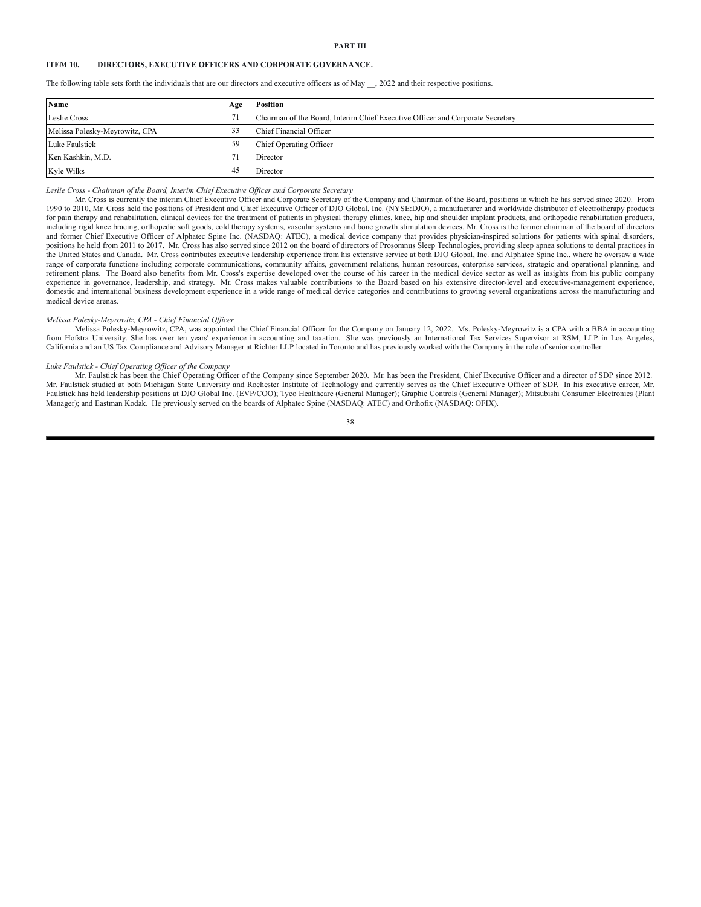### **PART III**

# **ITEM 10. DIRECTORS, EXECUTIVE OFFICERS AND CORPORATE GOVERNANCE.**

The following table sets forth the individuals that are our directors and executive officers as of May \_\_, 2022 and their respective positions.

| Name                           | Age | Position                                                                       |
|--------------------------------|-----|--------------------------------------------------------------------------------|
| Leslie Cross                   | 71  | Chairman of the Board, Interim Chief Executive Officer and Corporate Secretary |
| Melissa Polesky-Meyrowitz, CPA | 33  | Chief Financial Officer                                                        |
| Luke Faulstick                 | 59  | Chief Operating Officer                                                        |
| Ken Kashkin, M.D.              |     | Director                                                                       |
| Kyle Wilks                     | 45  | Director                                                                       |

*Leslie Cross - Chairman of the Board, Interim Chief Executive Officer and Corporate Secretary*

Mr. Cross is currently the interim Chief Executive Officer and Corporate Secretary of the Company and Chairman of the Board, positions in which he has served since 2020. From 1990 to 2010, Mr. Cross held the positions of President and Chief Executive Officer of DJO Global, Inc. (NYSE:DJO), a manufacturer and worldwide distributor of electrotherapy products for pain therapy and rehabilitation, clinical devices for the treatment of patients in physical therapy clinics, knee, hip and shoulder implant products, and orthopedic rehabilitation products, including rigid knee bracing, orthopedic soft goods, cold therapy systems, vascular systems and bone growth stimulation devices. Mr. Cross is the former chairman of the board of directors and former Chief Executive Officer of Alphatec Spine Inc. (NASDAQ: ATEC), a medical device company that provides physician-inspired solutions for patients with spinal disorders, positions he held from 2011 to 2017. Mr. Cross has also served since 2012 on the board of directors of Prosomnus Sleep Technologies, providing sleep apnea solutions to dental practices in the United States and Canada. Mr. Cross contributes executive leadership experience from his extensive service at both DJO Global, Inc. and Alphatec Spine Inc., where he oversaw a wide range of corporate functions including corporate communications, community affairs, government relations, human resources, enterprise services, strategic and operational planning, and retirement plans. The Board also benefits from Mr. Cross's expertise developed over the course of his career in the medical device sector as well as insights from his public company experience in governance, leadership, and strategy. Mr. Cross makes valuable contributions to the Board based on his extensive director-level and executive-management experience, domestic and international business development experience in a wide range of medical device categories and contributions to growing several organizations across the manufacturing and medical device arenas.

#### *Melissa Polesky-Meyrowitz, CPA - Chief Financial Officer*

Melissa Polesky-Meyrowitz, CPA, was appointed the Chief Financial Officer for the Company on January 12, 2022. Ms. Polesky-Meyrowitz is a CPA with a BBA in accounting from Hofstra University. She has over ten years' experience in accounting and taxation. She was previously an International Tax Services Supervisor at RSM, LLP in Los Angeles, California and an US Tax Compliance and Advisory Manager at Richter LLP located in Toronto and has previously worked with the Company in the role of senior controller.

#### *Luke Faulstick - Chief Operating Officer of the Company*

Mr. Faulstick has been the Chief Operating Officer of the Company since September 2020. Mr. has been the President, Chief Executive Officer and a director of SDP since 2012. Mr. Faulstick studied at both Michigan State University and Rochester Institute of Technology and currently serves as the Chief Executive Officer of SDP. In his executive career, Mr. Faulstick has held leadership positions at DJO Global Inc. (EVP/COO); Tyco Healthcare (General Manager); Graphic Controls (General Manager); Mitsubishi Consumer Electronics (Plant Manager); and Eastman Kodak. He previously served on the boards of Alphatec Spine (NASDAQ: ATEC) and Orthofix (NASDAQ: OFIX).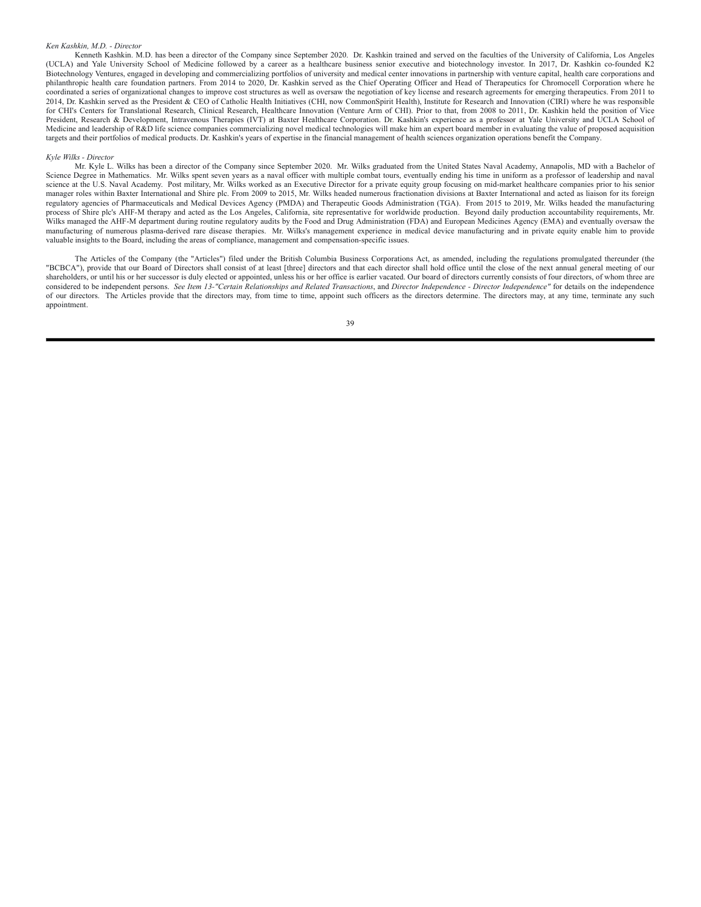# *Ken Kashkin, M.D. - Director*

Kenneth Kashkin. M.D. has been a director of the Company since September 2020. Dr. Kashkin trained and served on the faculties of the University of California, Los Angeles (UCLA) and Yale University School of Medicine followed by a career as a healthcare business senior executive and biotechnology investor. In 2017, Dr. Kashkin co-founded K2 Biotechnology Ventures, engaged in developing and commercializing portfolios of university and medical center innovations in partnership with venture capital, health care corporations and philanthropic health care foundation partners. From 2014 to 2020, Dr. Kashkin served as the Chief Operating Officer and Head of Therapeutics for Chromocell Corporation where he coordinated a series of organizational changes to improve cost structures as well as oversaw the negotiation of key license and research agreements for emerging therapeutics. From 2011 to 2014, Dr. Kashkin served as the President & CEO of Catholic Health Initiatives (CHI, now CommonSpirit Health), Institute for Research and Innovation (CIRI) where he was responsible for CHI's Centers for Translational Research, Clinical Research, Healthcare Innovation (Venture Arm of CHI). Prior to that, from 2008 to 2011, Dr. Kashkin held the position of Vice President, Research & Development, Intravenous Therapies (IVT) at Baxter Healthcare Corporation. Dr. Kashkin's experience as a professor at Yale University and UCLA School of Medicine and leadership of R&D life science companies commercializing novel medical technologies will make him an expert board member in evaluating the value of proposed acquisition targets and their portfolios of medical products. Dr. Kashkin's years of expertise in the financial management of health sciences organization operations benefit the Company.

#### *Kyle Wilks - Director*

Mr. Kyle L. Wilks has been a director of the Company since September 2020. Mr. Wilks graduated from the United States Naval Academy, Annapolis, MD with a Bachelor of Science Degree in Mathematics. Mr. Wilks spent seven years as a naval officer with multiple combat tours, eventually ending his time in uniform as a professor of leadership and naval science at the U.S. Naval Academy. Post military, Mr. Wilks worked as an Executive Director for a private equity group focusing on mid-market healthcare companies prior to his senior manager roles within Baxter International and Shire plc. From 2009 to 2015, Mr. Wilks headed numerous fractionation divisions at Baxter International and acted as liaison for its foreign regulatory agencies of Pharmaceuticals and Medical Devices Agency (PMDA) and Therapeutic Goods Administration (TGA). From 2015 to 2019, Mr. Wilks headed the manufacturing process of Shire plc's AHF-M therapy and acted as the Los Angeles, California, site representative for worldwide production. Beyond daily production accountability requirements, Mr. Wilks managed the AHF-M department during routine regulatory audits by the Food and Drug Administration (FDA) and European Medicines Agency (EMA) and eventually oversaw the manufacturing of numerous plasma-derived rare disease therapies. Mr. Wilks's management experience in medical device manufacturing and in private equity enable him to provide valuable insights to the Board, including the areas of compliance, management and compensation-specific issues.

The Articles of the Company (the "Articles") filed under the British Columbia Business Corporations Act, as amended, including the regulations promulgated thereunder (the "BCBCA"), provide that our Board of Directors shall consist of at least [three] directors and that each director shall hold office until the close of the next annual general meeting of our shareholders, or until his or her successor is duly elected or appointed, unless his or her office is earlier vacated. Our board of directors currently consists of four directors, of whom three are considered to be independent persons. *See Item 13-"Certain Relationships and Related Transactions*, and *Director Independence - Director Independence"* for details on the independence of our directors. The Articles provide that the directors may, from time to time, appoint such officers as the directors determine. The directors may, at any time, terminate any such appointment.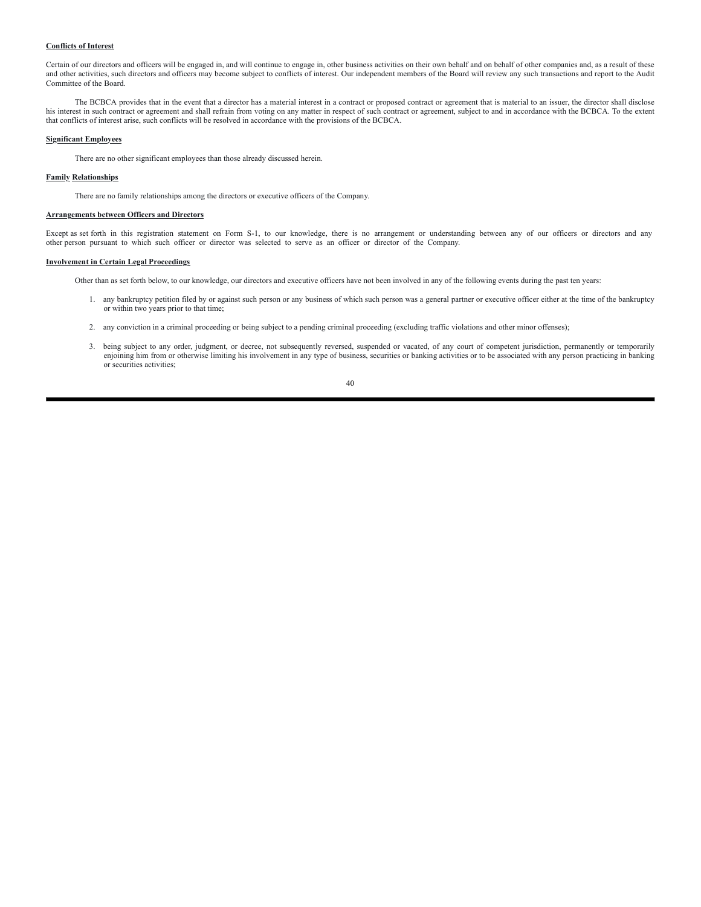## **Conflicts of Interest**

Certain of our directors and officers will be engaged in, and will continue to engage in, other business activities on their own behalf and on behalf of other companies and, as a result of these and other activities, such directors and officers may become subject to conflicts of interest. Our independent members of the Board will review any such transactions and report to the Audit Committee of the Board.

The BCBCA provides that in the event that a director has a material interest in a contract or proposed contract or agreement that is material to an issuer, the director shall disclose his interest in such contract or agreement and shall refrain from voting on any matter in respect of such contract or agreement, subject to and in accordance with the BCBCA. To the extent that conflicts of interest arise, such conflicts will be resolved in accordance with the provisions of the BCBCA.

# **Significant Employees**

There are no other significant employees than those already discussed herein.

# **Family Relationships**

There are no family relationships among the directors or executive officers of the Company.

# **Arrangements between Officers and Directors**

Except as set forth in this registration statement on Form S-1, to our knowledge, there is no arrangement or understanding between any of our officers or directors and any other person pursuant to which such officer or director was selected to serve as an officer or director of the Company.

### **Involvement in Certain Legal Proceedings**

Other than as set forth below, to our knowledge, our directors and executive officers have not been involved in any of the following events during the past ten years:

- 1. any bankruptcy petition filed by or against such person or any business of which such person was a general partner or executive officer either at the time of the bankruptcy or within two years prior to that time;
- 2. any conviction in a criminal proceeding or being subject to a pending criminal proceeding (excluding traffic violations and other minor offenses);
- 3. being subject to any order, judgment, or decree, not subsequently reversed, suspended or vacated, of any court of competent jurisdiction, permanently or temporarily enjoining him from or otherwise limiting his involvement in any type of business, securities or banking activities or to be associated with any person practicing in banking or securities activities;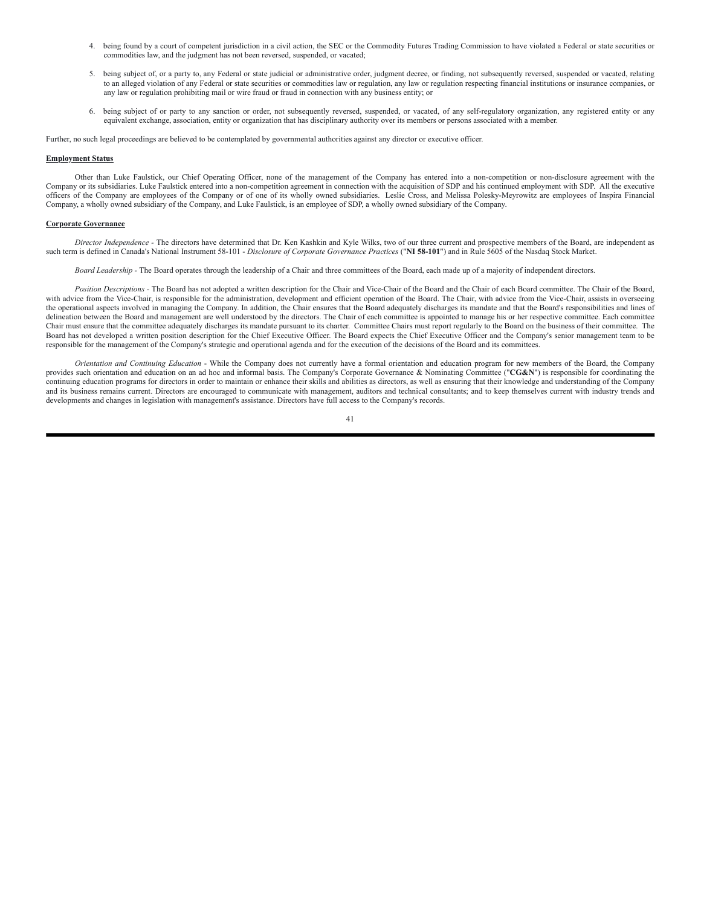- 4. being found by a court of competent jurisdiction in a civil action, the SEC or the Commodity Futures Trading Commission to have violated a Federal or state securities or commodities law, and the judgment has not been reversed, suspended, or vacated;
- 5. being subject of, or a party to, any Federal or state judicial or administrative order, judgment decree, or finding, not subsequently reversed, suspended or vacated, relating to an alleged violation of any Federal or state securities or commodities law or regulation, any law or regulation respecting financial institutions or insurance companies, or any law or regulation prohibiting mail or wire fraud or fraud in connection with any business entity; or
- 6. being subject of or party to any sanction or order, not subsequently reversed, suspended, or vacated, of any self-regulatory organization, any registered entity or any equivalent exchange, association, entity or organization that has disciplinary authority over its members or persons associated with a member.

Further, no such legal proceedings are believed to be contemplated by governmental authorities against any director or executive officer.

#### **Employment Status**

Other than Luke Faulstick, our Chief Operating Officer, none of the management of the Company has entered into a non-competition or non-disclosure agreement with the Company or its subsidiaries. Luke Faulstick entered into a non-competition agreement in connection with the acquisition of SDP and his continued employment with SDP. All the executive officers of the Company are employees of the Company or of one of its wholly owned subsidiaries. Leslie Cross, and Melissa Polesky-Meyrowitz are employees of Inspira Financial Company, a wholly owned subsidiary of the Company, and Luke Faulstick, is an employee of SDP, a wholly owned subsidiary of the Company.

### **Corporate Governance**

*Director Independence -* The directors have determined that Dr. Ken Kashkin and Kyle Wilks, two of our three current and prospective members of the Board, are independent as such term is defined in Canada's National Instrument 58-101 - *Disclosure of Corporate Governance Practices* ("**NI 58-101**") and in Rule 5605 of the Nasdaq Stock Market.

*Board Leadership -* The Board operates through the leadership of a Chair and three committees of the Board, each made up of a majority of independent directors.

*Position Descriptions -* The Board has not adopted a written description for the Chair and Vice-Chair of the Board and the Chair of each Board committee. The Chair of the Board, with advice from the Vice-Chair, is responsible for the administration, development and efficient operation of the Board. The Chair, with advice from the Vice-Chair, assists in overseeing the operational aspects involved in managing the Company. In addition, the Chair ensures that the Board adequately discharges its mandate and that the Board's responsibilities and lines of delineation between the Board and management are well understood by the directors. The Chair of each committee is appointed to manage his or her respective committee. Each committee Chair must ensure that the committee adequately discharges its mandate pursuant to its charter. Committee Chairs must report regularly to the Board on the business of their committee. The Board has not developed a written position description for the Chief Executive Officer. The Board expects the Chief Executive Officer and the Company's senior management team to be responsible for the management of the Company's strategic and operational agenda and for the execution of the decisions of the Board and its committees.

*Orientation and Continuing Education* - While the Company does not currently have a formal orientation and education program for new members of the Board, the Company provides such orientation and education on an ad hoc and informal basis. The Company's Corporate Governance & Nominating Committee ("**CG&N**") is responsible for coordinating the continuing education programs for directors in order to maintain or enhance their skills and abilities as directors, as well as ensuring that their knowledge and understanding of the Company and its business remains current. Directors are encouraged to communicate with management, auditors and technical consultants; and to keep themselves current with industry trends and developments and changes in legislation with management's assistance. Directors have full access to the Company's records.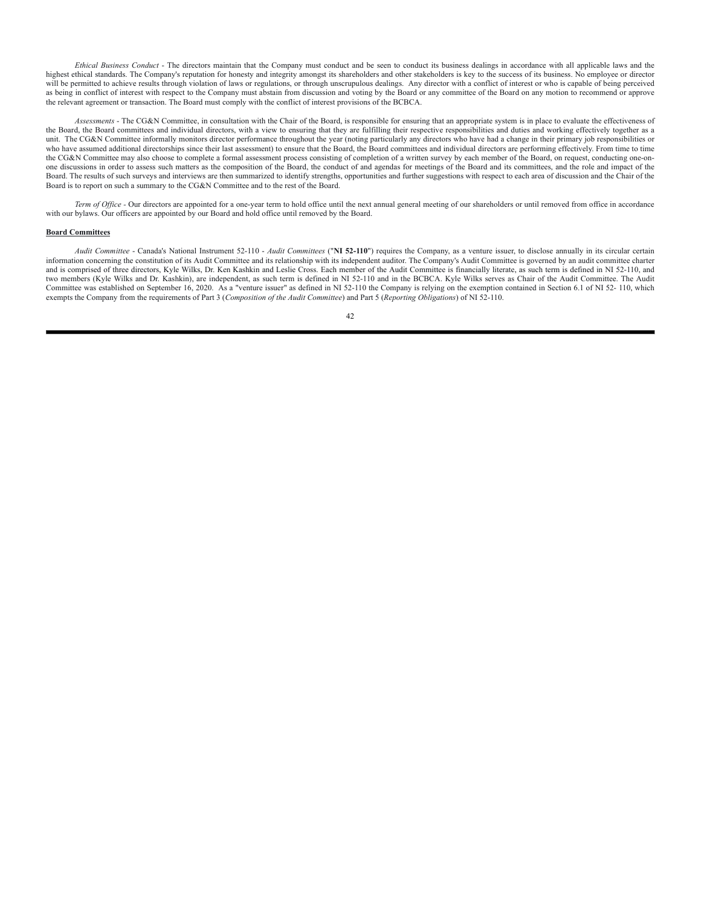*Ethical Business Conduct* - The directors maintain that the Company must conduct and be seen to conduct its business dealings in accordance with all applicable laws and the highest ethical standards. The Company's reputation for honesty and integrity amongst its shareholders and other stakeholders is key to the success of its business. No employee or director will be permitted to achieve results through violation of laws or regulations, or through unscrupulous dealings. Any director with a conflict of interest or who is capable of being perceived as being in conflict of interest with respect to the Company must abstain from discussion and voting by the Board or any committee of the Board on any motion to recommend or approve the relevant agreement or transaction. The Board must comply with the conflict of interest provisions of the BCBCA.

*Assessments* - The CG&N Committee, in consultation with the Chair of the Board, is responsible for ensuring that an appropriate system is in place to evaluate the effectiveness of the Board, the Board committees and individual directors, with a view to ensuring that they are fulfilling their respective responsibilities and duties and working effectively together as a unit. The CG&N Committee informally monitors director performance throughout the year (noting particularly any directors who have had a change in their primary job responsibilities or who have assumed additional directorships since their last assessment) to ensure that the Board, the Board committees and individual directors are performing effectively. From time to time the CG&N Committee may also choose to complete a formal assessment process consisting of completion of a written survey by each member of the Board, on request, conducting one-onone discussions in order to assess such matters as the composition of the Board, the conduct of and agendas for meetings of the Board and its committees, and the role and impact of the Board. The results of such surveys and interviews are then summarized to identify strengths, opportunities and further suggestions with respect to each area of discussion and the Chair of the Board is to report on such a summary to the CG&N Committee and to the rest of the Board.

*Term of Office -* Our directors are appointed for a one-year term to hold office until the next annual general meeting of our shareholders or until removed from office in accordance with our bylaws. Our officers are appointed by our Board and hold office until removed by the Board.

## **Board Committees**

*Audit Committee* - Canada's National Instrument 52-110 - *Audit Committees* ("**NI 52-110**") requires the Company, as a venture issuer, to disclose annually in its circular certain information concerning the constitution of its Audit Committee and its relationship with its independent auditor. The Company's Audit Committee is governed by an audit committee charter and is comprised of three directors, Kyle Wilks, Dr. Ken Kashkin and Leslie Cross. Each member of the Audit Committee is financially literate, as such term is defined in NI 52-110, and two members (Kyle Wilks and Dr. Kashkin), are independent, as such term is defined in NI 52-110 and in the BCBCA. Kyle Wilks serves as Chair of the Audit Committee. The Audit Committee was established on September 16, 2020. As a "venture issuer" as defined in NI 52-110 the Company is relying on the exemption contained in Section 6.1 of NI 52- 110, which exempts the Company from the requirements of Part 3 (*Composition of the Audit Committee*) and Part 5 (*Reporting Obligations*) of NI 52-110.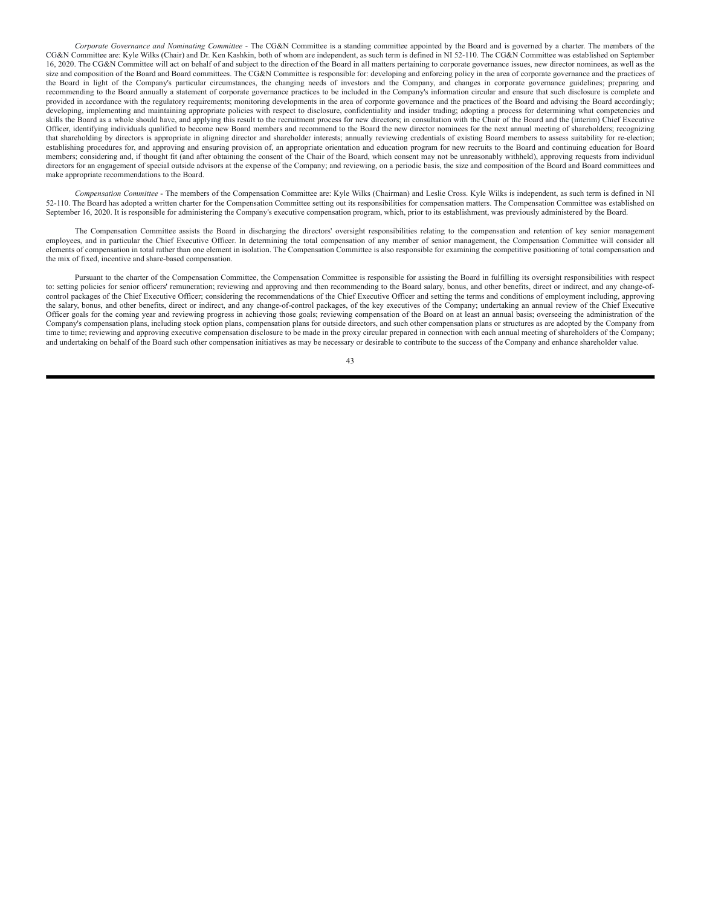*Corporate Governance and Nominating Committee* - The CG&N Committee is a standing committee appointed by the Board and is governed by a charter. The members of the CG&N Committee are: Kyle Wilks (Chair) and Dr. Ken Kashkin, both of whom are independent, as such term is defined in NI 52-110. The CG&N Committee was established on September 16, 2020. The CG&N Committee will act on behalf of and subject to the direction of the Board in all matters pertaining to corporate governance issues, new director nominees, as well as the size and composition of the Board and Board committees. The CG&N Committee is responsible for: developing and enforcing policy in the area of corporate governance and the practices of the Board in light of the Company's particular circumstances, the changing needs of investors and the Company, and changes in corporate governance guidelines; preparing and recommending to the Board annually a statement of corporate governance practices to be included in the Company's information circular and ensure that such disclosure is complete and provided in accordance with the regulatory requirements; monitoring developments in the area of corporate governance and the practices of the Board and advising the Board accordingly; developing, implementing and maintaining appropriate policies with respect to disclosure, confidentiality and insider trading; adopting a process for determining what competencies and skills the Board as a whole should have, and applying this result to the recruitment process for new directors; in consultation with the Chair of the Board and the (interim) Chief Executive Officer, identifying individuals qualified to become new Board members and recommend to the Board the new director nominees for the next annual meeting of shareholders; recognizing that shareholding by directors is appropriate in aligning director and shareholder interests; annually reviewing credentials of existing Board members to assess suitability for re-election; establishing procedures for, and approving and ensuring provision of, an appropriate orientation and education program for new recruits to the Board and continuing education for Board members; considering and, if thought fit (and after obtaining the consent of the Chair of the Board, which consent may not be unreasonably withheld), approving requests from individual directors for an engagement of special outside advisors at the expense of the Company; and reviewing, on a periodic basis, the size and composition of the Board and Board committees and make appropriate recommendations to the Board.

*Compensation Committee* - The members of the Compensation Committee are: Kyle Wilks (Chairman) and Leslie Cross. Kyle Wilks is independent, as such term is defined in NI 52-110. The Board has adopted a written charter for the Compensation Committee setting out its responsibilities for compensation matters. The Compensation Committee was established on September 16, 2020. It is responsible for administering the Company's executive compensation program, which, prior to its establishment, was previously administered by the Board.

The Compensation Committee assists the Board in discharging the directors' oversight responsibilities relating to the compensation and retention of key senior management employees, and in particular the Chief Executive Officer. In determining the total compensation of any member of senior management, the Compensation Committee will consider all elements of compensation in total rather than one element in isolation. The Compensation Committee is also responsible for examining the competitive positioning of total compensation and the mix of fixed, incentive and share-based compensation.

Pursuant to the charter of the Compensation Committee, the Compensation Committee is responsible for assisting the Board in fulfilling its oversight responsibilities with respect to: setting policies for senior officers' remuneration; reviewing and approving and then recommending to the Board salary, bonus, and other benefits, direct or indirect, and any change-ofcontrol packages of the Chief Executive Officer; considering the recommendations of the Chief Executive Officer and setting the terms and conditions of employment including, approving the salary, bonus, and other benefits, direct or indirect, and any change-of-control packages, of the key executives of the Company; undertaking an annual review of the Chief Executive Officer goals for the coming year and reviewing progress in achieving those goals; reviewing compensation of the Board on at least an annual basis; overseeing the administration of the Company's compensation plans, including stock option plans, compensation plans for outside directors, and such other compensation plans or structures as are adopted by the Company from time to time; reviewing and approving executive compensation disclosure to be made in the proxy circular prepared in connection with each annual meeting of shareholders of the Company; and undertaking on behalf of the Board such other compensation initiatives as may be necessary or desirable to contribute to the success of the Company and enhance shareholder value.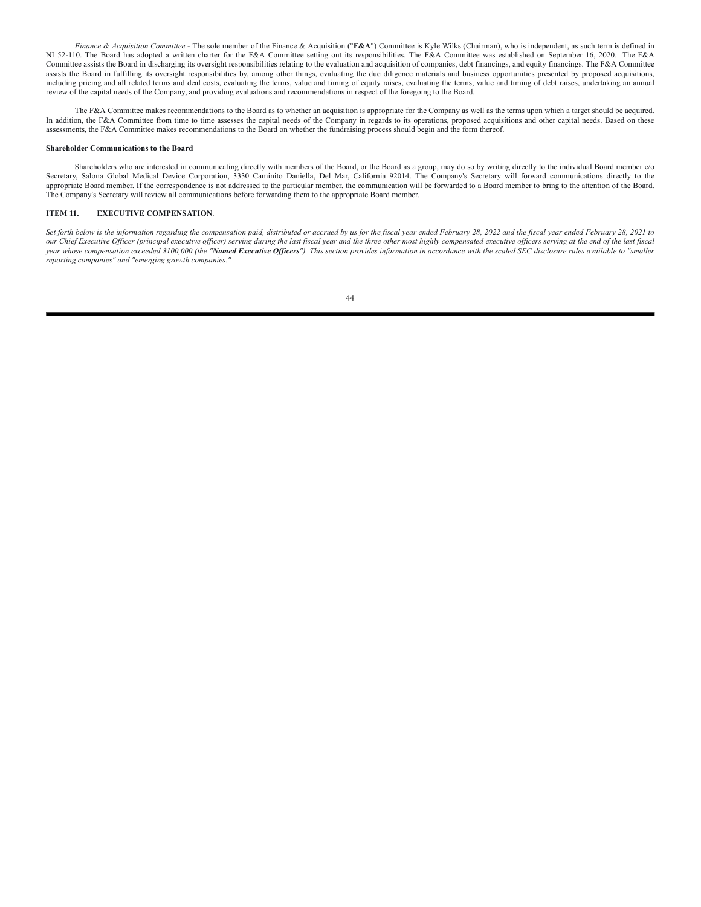*Finance & Acquisition Committee* - The sole member of the Finance & Acquisition ("**F&A**") Committee is Kyle Wilks (Chairman), who is independent, as such term is defined in NI 52-110. The Board has adopted a written charter for the F&A Committee setting out its responsibilities. The F&A Committee was established on September 16, 2020. The F&A Committee assists the Board in discharging its oversight responsibilities relating to the evaluation and acquisition of companies, debt financings, and equity financings. The F&A Committee assists the Board in fulfilling its oversight responsibilities by, among other things, evaluating the due diligence materials and business opportunities presented by proposed acquisitions, including pricing and all related terms and deal costs, evaluating the terms, value and timing of equity raises, evaluating the terms, value and timing of debt raises, undertaking an annual review of the capital needs of the Company, and providing evaluations and recommendations in respect of the foregoing to the Board.

The F&A Committee makes recommendations to the Board as to whether an acquisition is appropriate for the Company as well as the terms upon which a target should be acquired. In addition, the F&A Committee from time to time assesses the capital needs of the Company in regards to its operations, proposed acquisitions and other capital needs. Based on these assessments, the F&A Committee makes recommendations to the Board on whether the fundraising process should begin and the form thereof.

#### **Shareholder Communications to the Board**

Shareholders who are interested in communicating directly with members of the Board, or the Board as a group, may do so by writing directly to the individual Board member c/o Secretary, Salona Global Medical Device Corporation, 3330 Caminito Daniella, Del Mar, California 92014. The Company's Secretary will forward communications directly to the appropriate Board member. If the correspondence is not addressed to the particular member, the communication will be forwarded to a Board member to bring to the attention of the Board. The Company's Secretary will review all communications before forwarding them to the appropriate Board member.

## **ITEM 11. EXECUTIVE COMPENSATION**.

*Set forth below is the information regarding the compensation paid, distributed or accrued by us for the fiscal year ended February 28, 2022 and the fiscal year ended February 28, 2021 to our Chief Executive Officer (principal executive officer) serving during the last fiscal year and the three other most highly compensated executive officers serving at the end of the last fiscal year whose compensation exceeded \$100,000 (the "Named Executive Officers"). This section provides information in accordance with the scaled SEC disclosure rules available to "smaller reporting companies" and "emerging growth companies."*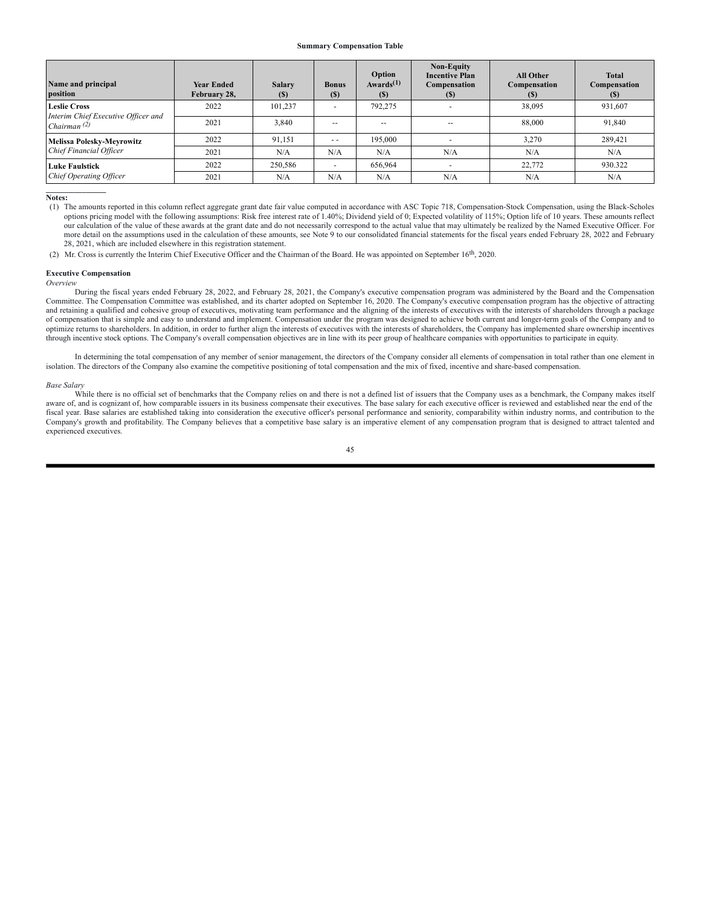#### **Summary Compensation Table**

| Name and principal<br>position                             | <b>Year Ended</b><br>February 28, | <b>Salary</b><br>(S) | <b>Bonus</b><br><b>(S)</b> | Option<br>Awards <sup><math>(1)</math></sup><br>(S) | <b>Non-Equity</b><br><b>Incentive Plan</b><br>Compensation<br>(S) | <b>All Other</b><br>Compensation<br>(S) | <b>Total</b><br>Compensation<br><b>(S)</b> |
|------------------------------------------------------------|-----------------------------------|----------------------|----------------------------|-----------------------------------------------------|-------------------------------------------------------------------|-----------------------------------------|--------------------------------------------|
| <b>Leslie Cross</b><br>Interim Chief Executive Officer and | 2022                              | 101.237              | $\overline{\phantom{a}}$   | 792,275                                             |                                                                   | 38,095                                  | 931,607                                    |
| Chairman <sup>(2)</sup>                                    | 2021                              | 3.840                | $- -$                      | --                                                  |                                                                   | 88,000                                  | 91.840                                     |
| <b>Melissa Polesky-Meyrowitz</b>                           | 2022                              | 91,151               | $\sim$ $\sim$              | 195,000                                             |                                                                   | 3.270                                   | 289,421                                    |
| Chief Financial Officer                                    | 2021                              | N/A                  | N/A                        | N/A                                                 | N/A                                                               | N/A                                     | N/A                                        |
| <b>Luke Faulstick</b>                                      | 2022                              | 250,586              | $\overline{\phantom{a}}$   | 656,964                                             |                                                                   | 22,772                                  | 930.322                                    |
| Chief Operating Officer                                    | 2021                              | N/A                  | N/A                        | N/A                                                 | N/A                                                               | N/A                                     | N/A                                        |

**Notes:**

**\_\_\_\_\_\_\_\_\_\_\_\_\_\_\_**

(1) The amounts reported in this column reflect aggregate grant date fair value computed in accordance with ASC Topic 718, Compensation-Stock Compensation, using the Black-Scholes options pricing model with the following assumptions: Risk free interest rate of 1.40%; Dividend yield of 0; Expected volatility of 115%; Option life of 10 years. These amounts reflect our calculation of the value of these awards at the grant date and do not necessarily correspond to the actual value that may ultimately be realized by the Named Executive Officer. For more detail on the assumptions used in the calculation of these amounts, see Note 9 to our consolidated financial statements for the fiscal years ended February 28, 2022 and February 28, 2021, which are included elsewhere in this registration statement.

(2) Mr. Cross is currently the Interim Chief Executive Officer and the Chairman of the Board. He was appointed on September  $16<sup>th</sup>$ , 2020.

#### **Executive Compensation**

*Overview*

During the fiscal years ended February 28, 2022, and February 28, 2021, the Company's executive compensation program was administered by the Board and the Compensation Committee. The Compensation Committee was established, and its charter adopted on September 16, 2020. The Company's executive compensation program has the objective of attracting and retaining a qualified and cohesive group of executives, motivating team performance and the aligning of the interests of executives with the interests of shareholders through a package of compensation that is simple and easy to understand and implement. Compensation under the program was designed to achieve both current and longer-term goals of the Company and to optimize returns to shareholders. In addition, in order to further align the interests of executives with the interests of shareholders, the Company has implemented share ownership incentives through incentive stock options. The Company's overall compensation objectives are in line with its peer group of healthcare companies with opportunities to participate in equity.

In determining the total compensation of any member of senior management, the directors of the Company consider all elements of compensation in total rather than one element in isolation. The directors of the Company also examine the competitive positioning of total compensation and the mix of fixed, incentive and share-based compensation.

#### *Base Salary*

While there is no official set of benchmarks that the Company relies on and there is not a defined list of issuers that the Company uses as a benchmark, the Company makes itself aware of, and is cognizant of, how comparable issuers in its business compensate their executives. The base salary for each executive officer is reviewed and established near the end of the fiscal year. Base salaries are established taking into consideration the executive officer's personal performance and seniority, comparability within industry norms, and contribution to the Company's growth and profitability. The Company believes that a competitive base salary is an imperative element of any compensation program that is designed to attract talented and experienced executives.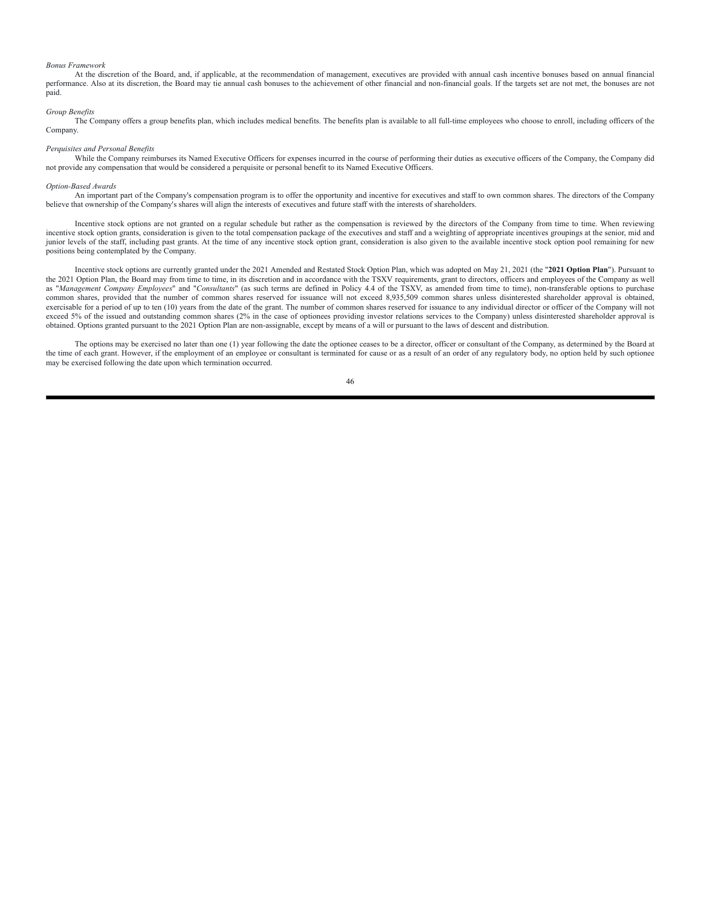#### *Bonus Framework*

At the discretion of the Board, and, if applicable, at the recommendation of management, executives are provided with annual cash incentive bonuses based on annual financial performance. Also at its discretion, the Board may tie annual cash bonuses to the achievement of other financial and non-financial goals. If the targets set are not met, the bonuses are not paid.

# *Group Benefits*

The Company offers a group benefits plan, which includes medical benefits. The benefits plan is available to all full-time employees who choose to enroll, including officers of the Company.

# *Perquisites and Personal Benefits*

While the Company reimburses its Named Executive Officers for expenses incurred in the course of performing their duties as executive officers of the Company, the Company did not provide any compensation that would be considered a perquisite or personal benefit to its Named Executive Officers.

#### *Option-Based Awards*

An important part of the Company's compensation program is to offer the opportunity and incentive for executives and staff to own common shares. The directors of the Company believe that ownership of the Company's shares will align the interests of executives and future staff with the interests of shareholders.

Incentive stock options are not granted on a regular schedule but rather as the compensation is reviewed by the directors of the Company from time to time. When reviewing incentive stock option grants, consideration is given to the total compensation package of the executives and staff and a weighting of appropriate incentives groupings at the senior, mid and junior levels of the staff, including past grants. At the time of any incentive stock option grant, consideration is also given to the available incentive stock option pool remaining for new positions being contemplated by the Company.

Incentive stock options are currently granted under the 2021 Amended and Restated Stock Option Plan, which was adopted on May 21, 2021 (the "**2021 Option Plan**"). Pursuant to the 2021 Option Plan, the Board may from time to time, in its discretion and in accordance with the TSXV requirements, grant to directors, officers and employees of the Company as well as "*Management Company Employees*" and "*Consultants*" (as such terms are defined in Policy 4.4 of the TSXV, as amended from time to time), non-transferable options to purchase common shares, provided that the number of common shares reserved for issuance will not exceed 8,935,509 common shares unless disinterested shareholder approval is obtained, exercisable for a period of up to ten (10) years from the date of the grant. The number of common shares reserved for issuance to any individual director or officer of the Company will not exceed 5% of the issued and outstanding common shares (2% in the case of optionees providing investor relations services to the Company) unless disinterested shareholder approval is obtained. Options granted pursuant to the 2021 Option Plan are non-assignable, except by means of a will or pursuant to the laws of descent and distribution.

The options may be exercised no later than one (1) year following the date the optionee ceases to be a director, officer or consultant of the Company, as determined by the Board at the time of each grant. However, if the employment of an employee or consultant is terminated for cause or as a result of an order of any regulatory body, no option held by such optionee may be exercised following the date upon which termination occurred.

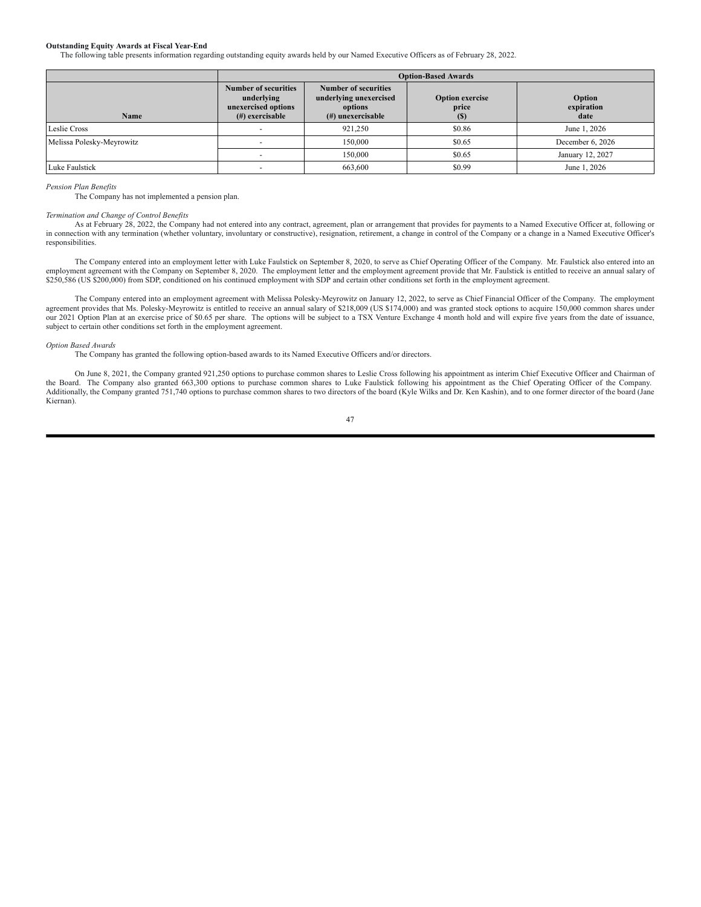#### **Outstanding Equity Awards at Fiscal Year-End**

The following table presents information regarding outstanding equity awards held by our Named Executive Officers as of February 28, 2022.

|                           | <b>Option-Based Awards</b>                                                             |                                                                                          |                                        |                              |  |  |  |
|---------------------------|----------------------------------------------------------------------------------------|------------------------------------------------------------------------------------------|----------------------------------------|------------------------------|--|--|--|
| Name                      | <b>Number of securities</b><br>underlying<br>unexercised options<br>$(\#)$ exercisable | <b>Number of securities</b><br>underlying unexercised<br>options<br>$(\#)$ unexercisable | <b>Option exercise</b><br>price<br>(S) | Option<br>expiration<br>date |  |  |  |
| Leslie Cross              | $\overline{\phantom{a}}$                                                               | 921,250                                                                                  | \$0.86                                 | June 1, 2026                 |  |  |  |
| Melissa Polesky-Meyrowitz | $\overline{\phantom{a}}$                                                               | 150,000                                                                                  | \$0.65                                 | December 6, 2026             |  |  |  |
|                           | $\overline{\phantom{a}}$                                                               | 150,000                                                                                  | \$0.65                                 | January 12, 2027             |  |  |  |
| Luke Faulstick            | $\overline{\phantom{a}}$                                                               | 663,600                                                                                  | \$0.99                                 | June 1, 2026                 |  |  |  |

#### *Pension Plan Benefits*

The Company has not implemented a pension plan.

#### *Termination and Change of Control Benefits*

As at February 28, 2022, the Company had not entered into any contract, agreement, plan or arrangement that provides for payments to a Named Executive Officer at, following or in connection with any termination (whether voluntary, involuntary or constructive), resignation, retirement, a change in control of the Company or a change in a Named Executive Officer's responsibilities.

The Company entered into an employment letter with Luke Faulstick on September 8, 2020, to serve as Chief Operating Officer of the Company. Mr. Faulstick also entered into an employment agreement with the Company on September 8, 2020. The employment letter and the employment agreement provide that Mr. Faulstick is entitled to receive an annual salary of \$250,586 (US \$200,000) from SDP, conditioned on his continued employment with SDP and certain other conditions set forth in the employment agreement.

The Company entered into an employment agreement with Melissa Polesky-Meyrowitz on January 12, 2022, to serve as Chief Financial Officer of the Company. The employment agreement provides that Ms. Polesky-Meyrowitz is entitled to receive an annual salary of \$218,009 (US \$174,000) and was granted stock options to acquire 150,000 common shares under our 2021 Option Plan at an exercise price of \$0.65 per share. The options will be subject to a TSX Venture Exchange 4 month hold and will expire five years from the date of issuance, subject to certain other conditions set forth in the employment agreement.

#### *Option Based Awards*

The Company has granted the following option-based awards to its Named Executive Officers and/or directors.

On June 8, 2021, the Company granted 921,250 options to purchase common shares to Leslie Cross following his appointment as interim Chief Executive Officer and Chairman of the Board. The Company also granted 663,300 options to purchase common shares to Luke Faulstick following his appointment as the Chief Operating Officer of the Company. Additionally, the Company granted 751,740 options to purchase common shares to two directors of the board (Kyle Wilks and Dr. Ken Kashin), and to one former director of the board (Jane Kiernan).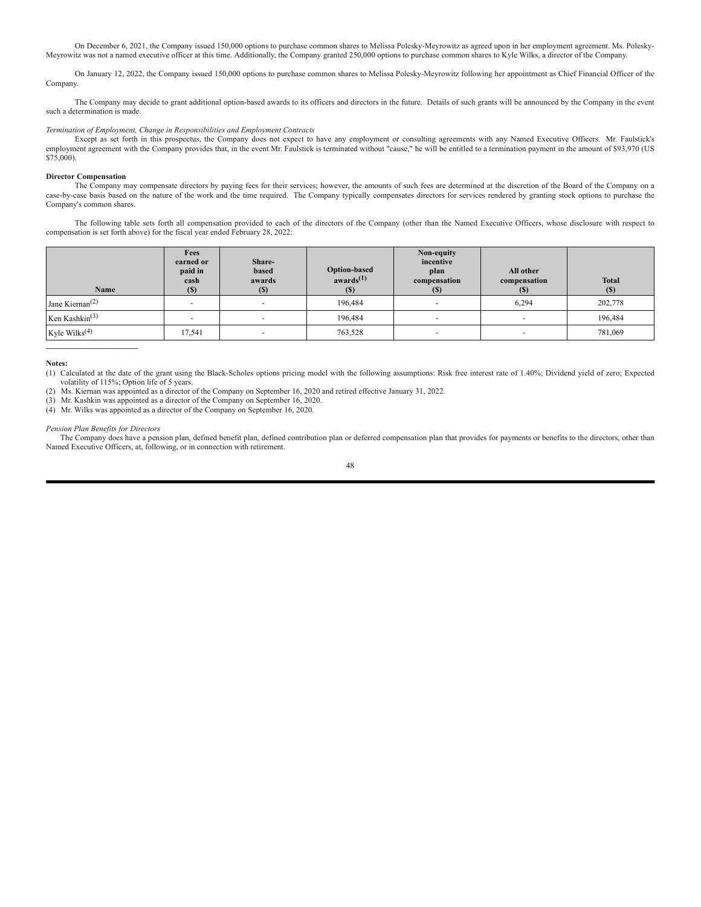On December 6, 2021, the Company issued 150,000 options to purchase common shares to Melissa Polesky-Meyrowitz as agreed upon in her employment agreement. Ms. Polesky-Meyrowitz was not a named executive officer at this time. Additionally, the Company granted 250,000 options to purchase common shares to Kyle Wilks, a director of the Company.

On January 12, 2022, the Company issued 150,000 options to purchase common shares to Melissa Polesky-Meyrowitz following her appointment as Chief Financial Officer of the Company.

The Company may decide to grant additional option-based awards to its officers and directors in the future. Details of such grants will be announced by the Company in the event such a determination is made.

# *Termination of Employment, Change in Responsibilities and Employment Contracts*

Except as set forth in this prospectus, the Company does not expect to have any employment or consulting agreements with any Named Executive Officers. Mr. Faulstick's employment agreement with the Company provides that, in the event Mr. Faulstick is terminated without "cause," he will be entitled to a termination payment in the amount of \$93,970 (US) \$75,000).

#### **Director Compensation**

The Company may compensate directors by paying fees for their services; however, the amounts of such fees are determined at the discretion of the Board of the Company on a case-by-case basis based on the nature of the work and the time required. The Company typically compensates directors for services rendered by granting stock options to purchase the Company's common shares.

The following table sets forth all compensation provided to each of the directors of the Company (other than the Named Executive Officers, whose disclosure with respect to compensation is set forth above) for the fiscal year ended February 28, 2022:

| Name                                     | Fees<br>earned or<br>paid in<br>cash<br>$(S)$ | Share-<br>based<br>awards<br>(S) | <b>Option-based</b><br>awards $(1)$<br>$(S)$ | Non-equity<br>incentive<br>plan<br>compensation<br>$(\$)$ | All other<br>compensation<br>$(\$)$ | <b>Total</b><br>(S) |
|------------------------------------------|-----------------------------------------------|----------------------------------|----------------------------------------------|-----------------------------------------------------------|-------------------------------------|---------------------|
| Jane Kiernan <sup><math>(2)</math></sup> |                                               |                                  | 196.484                                      |                                                           | 6,294                               | 202,778             |
| Ken Kashkin <sup>(3)</sup>               |                                               |                                  | 196,484                                      |                                                           |                                     | 196,484             |
| Kyle Wilks $(4)$                         | 17.541                                        |                                  | 763,528                                      |                                                           |                                     | 781,069             |
|                                          |                                               |                                  |                                              |                                                           |                                     |                     |

### **Notes:**

(1) Calculated at the date of the grant using the Black-Scholes options pricing model with the following assumptions: Risk free interest rate of 1.40%; Dividend yield of zero; Expected volatility of 115%; Option life of 5 years.

- (2) Ms. Kiernan was appointed as a director of the Company on September 16, 2020 and retired effective January 31, 2022.
- (3) Mr. Kashkin was appointed as a director of the Company on September 16, 2020.
- (4) Mr. Wilks was appointed as a director of the Company on September 16, 2020.

# *Pension Plan Benefits for Directors*

The Company does have a pension plan, defined benefit plan, defined contribution plan or deferred compensation plan that provides for payments or benefits to the directors, other than Named Executive Officers, at, following, or in connection with retirement.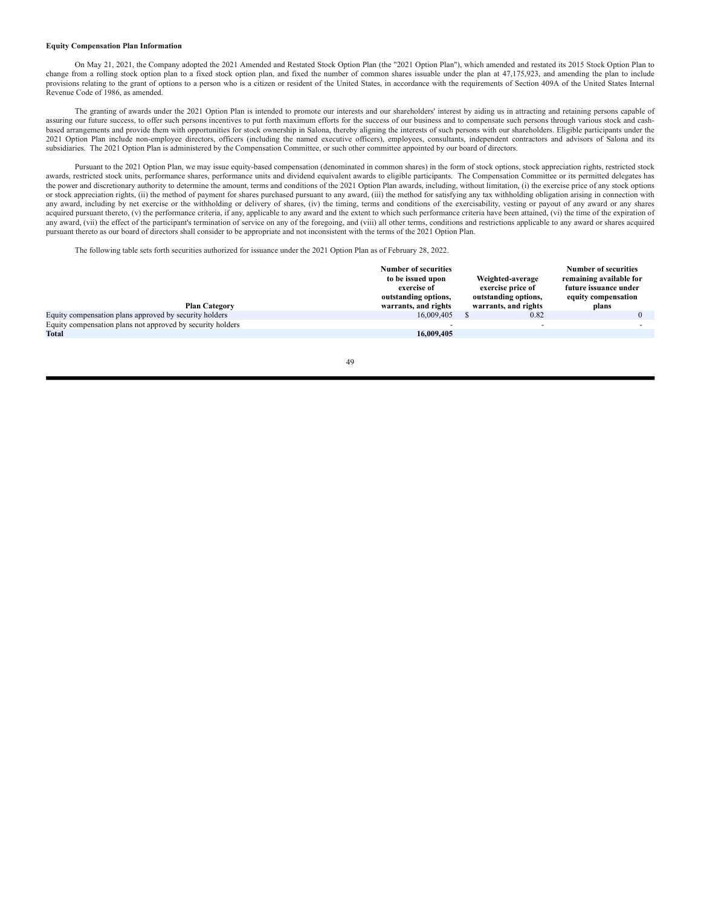#### **Equity Compensation Plan Information**

On May 21, 2021, the Company adopted the 2021 Amended and Restated Stock Option Plan (the "2021 Option Plan"), which amended and restated its 2015 Stock Option Plan to change from a rolling stock option plan to a fixed stock option plan, and fixed the number of common shares issuable under the plan at 47,175,923, and amending the plan to include provisions relating to the grant of options to a person who is a citizen or resident of the United States, in accordance with the requirements of Section 409A of the United States Internal Revenue Code of 1986, as amended.

The granting of awards under the 2021 Option Plan is intended to promote our interests and our shareholders' interest by aiding us in attracting and retaining persons capable of assuring our future success, to offer such persons incentives to put forth maximum efforts for the success of our business and to compensate such persons through various stock and cashbased arrangements and provide them with opportunities for stock ownership in Salona, thereby aligning the interests of such persons with our shareholders. Eligible participants under the 2021 Option Plan include non-employee directors, officers (including the named executive officers), employees, consultants, independent contractors and advisors of Salona and its subsidiaries. The 2021 Option Plan is administered by the Compensation Committee, or such other committee appointed by our board of directors.

Pursuant to the 2021 Option Plan, we may issue equity-based compensation (denominated in common shares) in the form of stock options, stock appreciation rights, restricted stock awards, restricted stock units, performance shares, performance units and dividend equivalent awards to eligible participants. The Compensation Committee or its permitted delegates has the power and discretionary authority to determine the amount, terms and conditions of the 2021 Option Plan awards, including, without limitation, (i) the exercise price of any stock options or stock appreciation rights, (ii) the method of payment for shares purchased pursuant to any award, (iii) the method for satisfying any tax withholding obligation arising in connection with any award, including by net exercise or the withholding or delivery of shares, (iv) the timing, terms and conditions of the exercisability, vesting or payout of any award or any shares acquired pursuant thereto, (v) the performance criteria, if any, applicable to any award and the extent to which such performance criteria have been attained, (vi) the time of the expiration of any award, (vii) the effect of the participant's termination of service on any of the foregoing, and (viii) all other terms, conditions and restrictions applicable to any award or shares acquired pursuant thereto as our board of directors shall consider to be appropriate and not inconsistent with the terms of the 2021 Option Plan.

The following table sets forth securities authorized for issuance under the 2021 Option Plan as of February 28, 2022.

| remaining available for<br>to be issued upon<br>Weighted-average<br>future issuance under<br>exercise price of<br>exercise of<br>outstanding options,<br>outstanding options,<br>equity compensation<br><b>Plan Category</b><br>warrants, and rights<br>warrants, and rights<br>plans |  |
|---------------------------------------------------------------------------------------------------------------------------------------------------------------------------------------------------------------------------------------------------------------------------------------|--|
| 16,009,405<br>Equity compensation plans approved by security holders<br>0.82                                                                                                                                                                                                          |  |
| Equity compensation plans not approved by security holders                                                                                                                                                                                                                            |  |
| 16,009,405<br>Total                                                                                                                                                                                                                                                                   |  |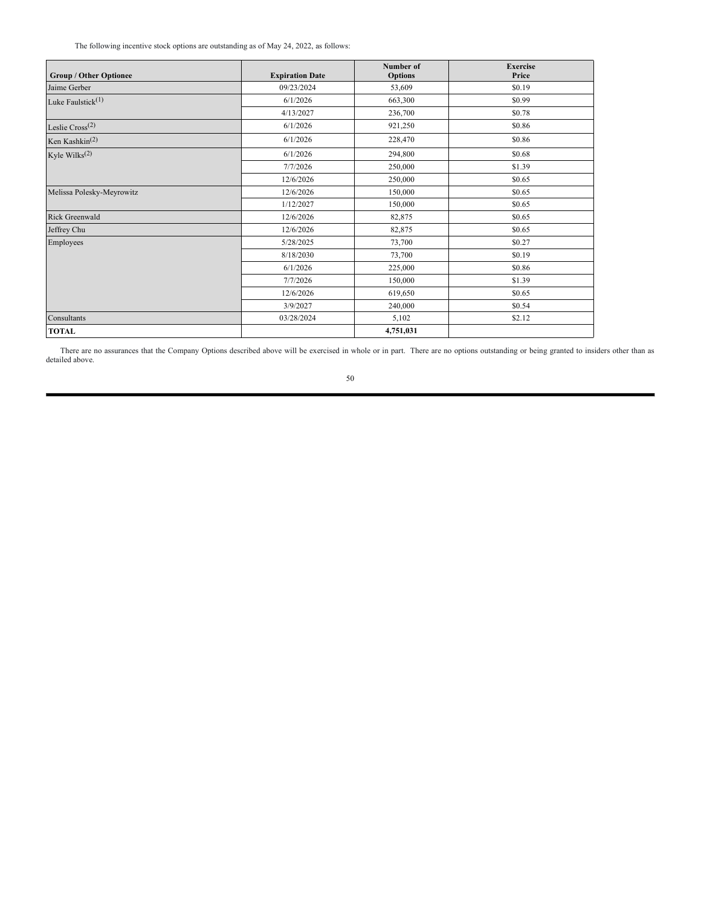The following incentive stock options are outstanding as of May 24, 2022, as follows:

| <b>Group / Other Optionee</b> | <b>Expiration Date</b> | Number of<br><b>Options</b> | <b>Exercise</b><br>Price |
|-------------------------------|------------------------|-----------------------------|--------------------------|
| Jaime Gerber                  | 09/23/2024             | 53,609                      | \$0.19                   |
| Luke Faulstick $(1)$          | 6/1/2026               | 663,300                     | \$0.99                   |
|                               | 4/13/2027              | 236,700                     | \$0.78                   |
| Leslie $Cross(2)$             | 6/1/2026               | 921,250                     | \$0.86                   |
| Ken Kashkin $(2)$             | 6/1/2026               | 228,470                     | \$0.86                   |
| Kyle Wilks <sup>(2)</sup>     | 6/1/2026               | 294,800                     | \$0.68                   |
|                               | 7/7/2026               | 250,000                     | \$1.39                   |
|                               | 12/6/2026              | 250,000                     | \$0.65                   |
| Melissa Polesky-Meyrowitz     | 12/6/2026              | 150,000                     | \$0.65                   |
|                               | 1/12/2027              | 150,000                     | \$0.65                   |
| Rick Greenwald                | 12/6/2026              | 82,875                      | \$0.65                   |
| Jeffrey Chu                   | 12/6/2026              | 82,875                      | \$0.65                   |
| Employees                     | 5/28/2025              | 73,700                      | \$0.27                   |
|                               | 8/18/2030              | 73,700                      | \$0.19                   |
|                               | 6/1/2026               | 225,000                     | \$0.86                   |
|                               | 7/7/2026               | 150,000                     | \$1.39                   |
|                               | 12/6/2026              | 619,650                     | \$0.65                   |
|                               | 3/9/2027               | 240,000                     | \$0.54                   |
| Consultants                   | 03/28/2024             | 5,102                       | \$2.12                   |
| <b>TOTAL</b>                  |                        | 4,751,031                   |                          |

There are no assurances that the Company Options described above will be exercised in whole or in part. There are no options outstanding or being granted to insiders other than as detailed above.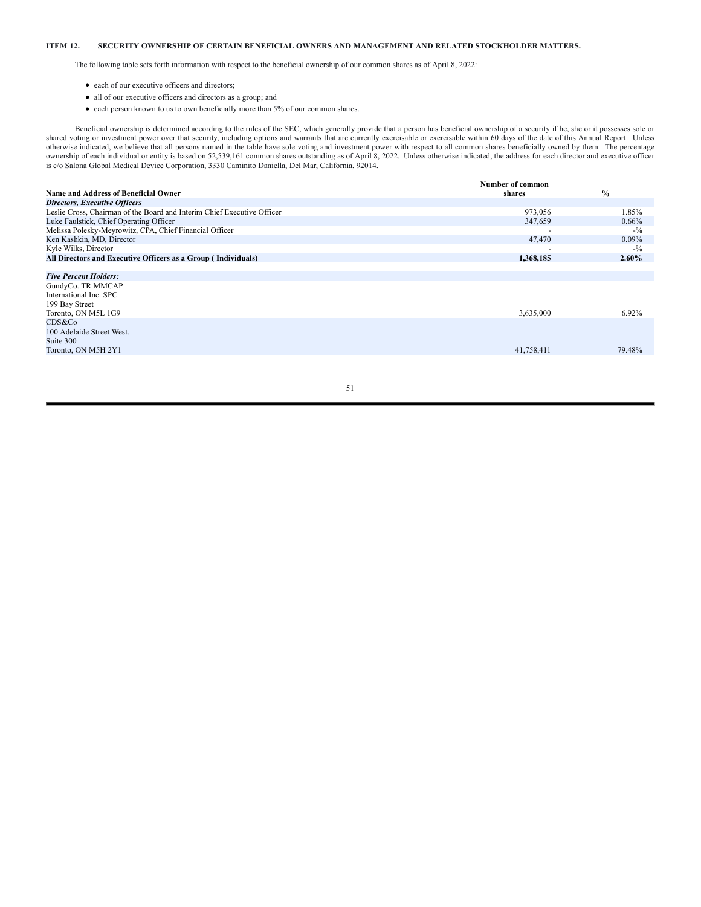# **ITEM 12. SECURITY OWNERSHIP OF CERTAIN BENEFICIAL OWNERS AND MANAGEMENT AND RELATED STOCKHOLDER MATTERS.**

The following table sets forth information with respect to the beneficial ownership of our common shares as of April 8, 2022:

- each of our executive officers and directors;
- all of our executive officers and directors as a group; and
- each person known to us to own beneficially more than 5% of our common shares.

Beneficial ownership is determined according to the rules of the SEC, which generally provide that a person has beneficial ownership of a security if he, she or it possesses sole or shared voting or investment power over that security, including options and warrants that are currently exercisable or exercisable within 60 days of the date of this Annual Report. Unless otherwise indicated, we believe that all persons named in the table have sole voting and investment power with respect to all common shares beneficially owned by them. The percentage ownership of each individual or entity is based on 52,539,161 common shares outstanding as of April 8, 2022. Unless otherwise indicated, the address for each director and executive officer is c/o Salona Global Medical Device Corporation, 3330 Caminito Daniella, Del Mar, California, 92014.

|                                                                         | Number of common |               |
|-------------------------------------------------------------------------|------------------|---------------|
| <b>Name and Address of Beneficial Owner</b>                             | shares           | $\frac{0}{0}$ |
| <b>Directors, Executive Officers</b>                                    |                  |               |
| Leslie Cross, Chairman of the Board and Interim Chief Executive Officer | 973,056          | 1.85%         |
| Luke Faulstick, Chief Operating Officer                                 | 347,659          | $0.66\%$      |
| Melissa Polesky-Meyrowitz, CPA, Chief Financial Officer                 |                  | $-9/0$        |
| Ken Kashkin, MD, Director                                               | 47,470           | $0.09\%$      |
| Kyle Wilks, Director                                                    |                  | $-9/0$        |
| All Directors and Executive Officers as a Group (Individuals)           | 1,368,185        | $2.60\%$      |
|                                                                         |                  |               |
| <b>Five Percent Holders:</b>                                            |                  |               |
| GundyCo. TR MMCAP                                                       |                  |               |
| International Inc. SPC                                                  |                  |               |
| 199 Bay Street                                                          |                  |               |
| Toronto, ON M5L 1G9                                                     | 3,635,000        | 6.92%         |
| CDS&Co                                                                  |                  |               |
| 100 Adelaide Street West.                                               |                  |               |
| Suite 300                                                               |                  |               |
| Toronto, ON M5H 2Y1                                                     | 41,758,411       | 79.48%        |
|                                                                         |                  |               |

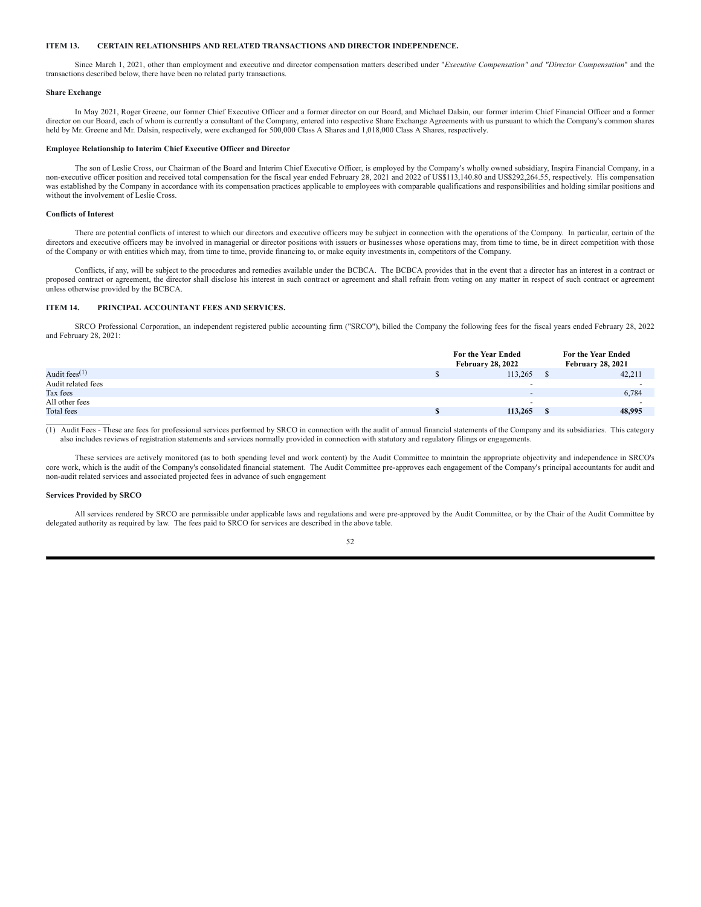# **ITEM 13. CERTAIN RELATIONSHIPS AND RELATED TRANSACTIONS AND DIRECTOR INDEPENDENCE.**

Since March 1, 2021, other than employment and executive and director compensation matters described under "*Executive Compensation" and "Director Compensation*" and the transactions described below, there have been no related party transactions.

### **Share Exchange**

In May 2021, Roger Greene, our former Chief Executive Officer and a former director on our Board, and Michael Dalsin, our former interim Chief Financial Officer and a former director on our Board, each of whom is currently a consultant of the Company, entered into respective Share Exchange Agreements with us pursuant to which the Company's common shares held by Mr. Greene and Mr. Dalsin, respectively, were exchanged for 500,000 Class A Shares and 1,018,000 Class A Shares, respectively.

# **Employee Relationship to Interim Chief Executive Officer and Director**

The son of Leslie Cross, our Chairman of the Board and Interim Chief Executive Officer, is employed by the Company's wholly owned subsidiary, Inspira Financial Company, in a non-executive officer position and received total compensation for the fiscal year ended February 28, 2021 and 2022 of US\$113,140.80 and US\$292,264.55, respectively. His compensation was established by the Company in accordance with its compensation practices applicable to employees with comparable qualifications and responsibilities and holding similar positions and without the involvement of Leslie Cross.

#### **Conflicts of Interest**

There are potential conflicts of interest to which our directors and executive officers may be subject in connection with the operations of the Company. In particular, certain of the directors and executive officers may be involved in managerial or director positions with issuers or businesses whose operations may, from time to time, be in direct competition with those of the Company or with entities which may, from time to time, provide financing to, or make equity investments in, competitors of the Company.

Conflicts, if any, will be subject to the procedures and remedies available under the BCBCA. The BCBCA provides that in the event that a director has an interest in a contract or proposed contract or agreement, the director shall disclose his interest in such contract or agreement and shall refrain from voting on any matter in respect of such contract or agreement unless otherwise provided by the BCBCA.

# **ITEM 14. PRINCIPAL ACCOUNTANT FEES AND SERVICES.**

SRCO Professional Corporation, an independent registered public accounting firm ("SRCO"), billed the Company the following fees for the fiscal years ended February 28, 2022 and February 28, 2021:

|                    | <b>For the Year Ended</b><br><b>February 28, 2022</b> | For the Year Ended<br><b>February 28, 2021</b> |
|--------------------|-------------------------------------------------------|------------------------------------------------|
| Audit fees $(1)$   | 113,265                                               | 42,211                                         |
| Audit related fees | $\overline{\phantom{0}}$                              | $\overline{\phantom{a}}$                       |
| Tax fees           | $\overline{\phantom{a}}$                              | 6,784                                          |
| All other fees     | -                                                     | $\overline{\phantom{a}}$                       |
| Total fees         | $113,265$ \$                                          | 48,995                                         |
|                    |                                                       |                                                |

(1) Audit Fees - These are fees for professional services performed by SRCO in connection with the audit of annual financial statements of the Company and its subsidiaries. This category also includes reviews of registration statements and services normally provided in connection with statutory and regulatory filings or engagements.

These services are actively monitored (as to both spending level and work content) by the Audit Committee to maintain the appropriate objectivity and independence in SRCO's core work, which is the audit of the Company's consolidated financial statement. The Audit Committee pre-approves each engagement of the Company's principal accountants for audit and non-audit related services and associated projected fees in advance of such engagement

#### **Services Provided by SRCO**

All services rendered by SRCO are permissible under applicable laws and regulations and were pre-approved by the Audit Committee, or by the Chair of the Audit Committee by delegated authority as required by law. The fees paid to SRCO for services are described in the above table.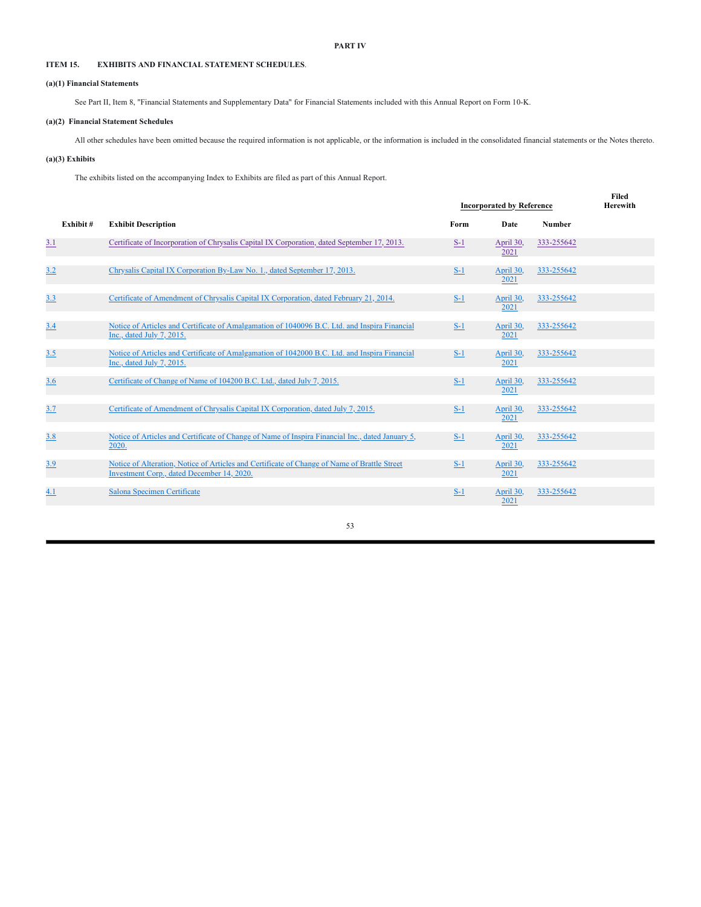# **ITEM 15. EXHIBITS AND FINANCIAL STATEMENT SCHEDULES**.

# **(a)(1) Financial Statements**

See Part II, Item 8, "Financial Statements and Supplementary Data" for Financial Statements included with this Annual Report on Form 10-K.

# **(a)(2) Financial Statement Schedules**

All other schedules have been omitted because the required information is not applicable, or the information is included in the consolidated financial statements or the Notes thereto.

# **(a)(3) Exhibits**

The exhibits listed on the accompanying Index to Exhibits are filed as part of this Annual Report.

|           |                                                                                                                                            |       | <b>Incorporated by Reference</b> |               | <b>Filed</b><br><b>Herewith</b> |
|-----------|--------------------------------------------------------------------------------------------------------------------------------------------|-------|----------------------------------|---------------|---------------------------------|
| Exhibit # | <b>Exhibit Description</b>                                                                                                                 | Form  | Date                             | <b>Number</b> |                                 |
| 3.1       | Certificate of Incorporation of Chrysalis Capital IX Corporation, dated September 17, 2013.                                                | $S-1$ | April 30,<br>2021                | 333-255642    |                                 |
| 3.2       | Chrysalis Capital IX Corporation By-Law No. 1., dated September 17, 2013.                                                                  | $S-1$ | April 30,<br>2021                | 333-255642    |                                 |
| 3.3       | Certificate of Amendment of Chrysalis Capital IX Corporation, dated February 21, 2014.                                                     | $S-1$ | April 30,<br>2021                | 333-255642    |                                 |
| 3.4       | Notice of Articles and Certificate of Amalgamation of 1040096 B.C. Ltd. and Inspira Financial<br>Inc., dated July 7, 2015.                 | $S-1$ | April 30,<br>2021                | 333-255642    |                                 |
| 3.5       | Notice of Articles and Certificate of Amalgamation of 1042000 B.C. Ltd. and Inspira Financial<br>Inc., dated July 7, 2015.                 | $S-1$ | April 30,<br>2021                | 333-255642    |                                 |
| 3.6       | Certificate of Change of Name of 104200 B.C. Ltd., dated July 7, 2015.                                                                     | $S-1$ | April 30,<br>2021                | 333-255642    |                                 |
| 3.7       | Certificate of Amendment of Chrysalis Capital IX Corporation, dated July 7, 2015.                                                          | $S-1$ | April 30,<br>2021                | 333-255642    |                                 |
| 3.8       | Notice of Articles and Certificate of Change of Name of Inspira Financial Inc., dated January 5,<br>2020.                                  | $S-1$ | April 30,<br>2021                | 333-255642    |                                 |
| 3.9       | Notice of Alteration, Notice of Articles and Certificate of Change of Name of Brattle Street<br>Investment Corp., dated December 14, 2020. | $S-1$ | April 30,<br>2021                | 333-255642    |                                 |
| 4.1       | Salona Specimen Certificate                                                                                                                | $S-1$ | April 30,<br>2021                | 333-255642    |                                 |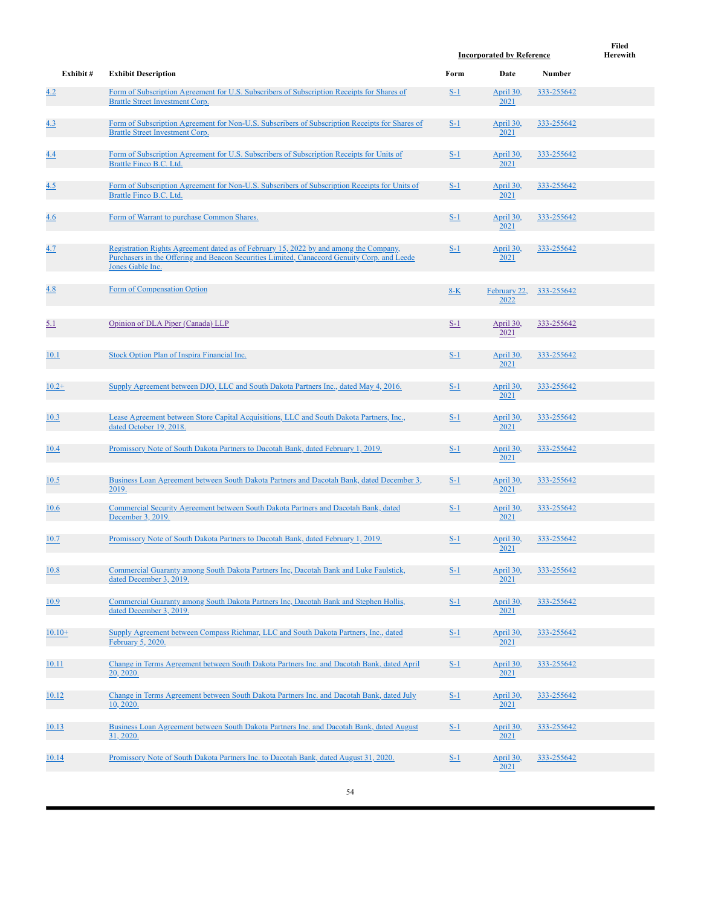|              |                                                                                                                                                                                                          | <b>Incorporated by Reference</b> |                          | Filed<br>Herewith |  |
|--------------|----------------------------------------------------------------------------------------------------------------------------------------------------------------------------------------------------------|----------------------------------|--------------------------|-------------------|--|
| Exhibit#     | <b>Exhibit Description</b>                                                                                                                                                                               | Form                             | Date                     | <b>Number</b>     |  |
| <u>4.2</u>   | Form of Subscription Agreement for U.S. Subscribers of Subscription Receipts for Shares of<br>Brattle Street Investment Corp.                                                                            | $S-1$                            | April 30,<br>2021        | 333-255642        |  |
| 4.3          | Form of Subscription Agreement for Non-U.S. Subscribers of Subscription Receipts for Shares of<br>Brattle Street Investment Corp.                                                                        | $S-1$                            | <b>April 30,</b><br>2021 | 333-255642        |  |
| <u>4.4</u>   | Form of Subscription Agreement for U.S. Subscribers of Subscription Receipts for Units of<br>Brattle Finco B.C. Ltd.                                                                                     | $S-1$                            | April 30,<br>2021        | 333-255642        |  |
| <u>4.5</u>   | Form of Subscription Agreement for Non-U.S. Subscribers of Subscription Receipts for Units of<br>Brattle Finco B.C. Ltd.                                                                                 | $S-1$                            | <b>April 30,</b><br>2021 | 333-255642        |  |
| <u>4.6</u>   | Form of Warrant to purchase Common Shares.                                                                                                                                                               | $S-1$                            | <b>April 30,</b><br>2021 | 333-255642        |  |
| <u>4.7</u>   | Registration Rights Agreement dated as of February 15, 2022 by and among the Company,<br>Purchasers in the Offering and Beacon Securities Limited, Canaccord Genuity Corp. and Leede<br>Jones Gable Inc. | $S-1$                            | <u>April 30,</u><br>2021 | 333-255642        |  |
| 4.8          | Form of Compensation Option                                                                                                                                                                              | $8-K$                            | February 22,<br>2022     | 333-255642        |  |
| <u>5.1</u>   | Opinion of DLA Piper (Canada) LLP                                                                                                                                                                        | $S-1$                            | <u>April 30,</u><br>2021 | 333-255642        |  |
| 10.1         | Stock Option Plan of Inspira Financial Inc.                                                                                                                                                              | $S-1$                            | <u>April 30,</u><br>2021 | 333-255642        |  |
| $10.2+$      | Supply Agreement between DJO, LLC and South Dakota Partners Inc., dated May 4, 2016.                                                                                                                     | $S-1$                            | <u>April 30,</u><br>2021 | 333-255642        |  |
| 10.3         | Lease Agreement between Store Capital Acquisitions, LLC and South Dakota Partners, Inc.,<br>dated October 19, 2018.                                                                                      | $S-1$                            | <b>April 30,</b><br>2021 | 333-255642        |  |
| 10.4         | Promissory Note of South Dakota Partners to Dacotah Bank, dated February 1, 2019.                                                                                                                        | $S-1$                            | <b>April 30,</b><br>2021 | 333-255642        |  |
| 10.5         | Business Loan Agreement between South Dakota Partners and Dacotah Bank, dated December 3,<br>2019.                                                                                                       | $S-1$                            | April 30,<br>2021        | 333-255642        |  |
| 10.6         | Commercial Security Agreement between South Dakota Partners and Dacotah Bank, dated<br>December 3, 2019.                                                                                                 | $S-1$                            | April 30,<br>2021        | 333-255642        |  |
| 10.7         | Promissory Note of South Dakota Partners to Dacotah Bank, dated February 1, 2019.                                                                                                                        | $S-1$                            | <u>April 30,</u><br>2021 | 333-255642        |  |
| 10.8         | Commercial Guaranty among South Dakota Partners Inc, Dacotah Bank and Luke Faulstick,<br>dated December 3, 2019.                                                                                         | $S-1$                            | <b>April 30,</b><br>2021 | 333-255642        |  |
| 10.9         | Commercial Guaranty among South Dakota Partners Inc, Dacotah Bank and Stephen Hollis,<br>dated December 3, 2019.                                                                                         | $S-1$                            | <b>April 30,</b><br>2021 | 333-255642        |  |
| $10.10+$     | Supply Agreement between Compass Richmar, LLC and South Dakota Partners, Inc., dated<br>February 5, 2020.                                                                                                | $S-1$                            | <b>April 30,</b><br>2021 | 333-255642        |  |
| <u>10.11</u> | Change in Terms Agreement between South Dakota Partners Inc. and Dacotah Bank, dated April<br>20, 2020.                                                                                                  | $S-1$                            | April 30,<br>2021        | 333-255642        |  |
| 10.12        | Change in Terms Agreement between South Dakota Partners Inc. and Dacotah Bank, dated July<br>10, 2020.                                                                                                   | $S-1$                            | April 30,<br>2021        | 333-255642        |  |
| 10.13        | Business Loan Agreement between South Dakota Partners Inc. and Dacotah Bank, dated August<br>31, 2020.                                                                                                   | $S-1$                            | <u>April 30,</u><br>2021 | 333-255642        |  |
| 10.14        | Promissory Note of South Dakota Partners Inc. to Dacotah Bank, dated August 31, 2020.                                                                                                                    | $S-1$                            | <b>April 30,</b><br>2021 | 333-255642        |  |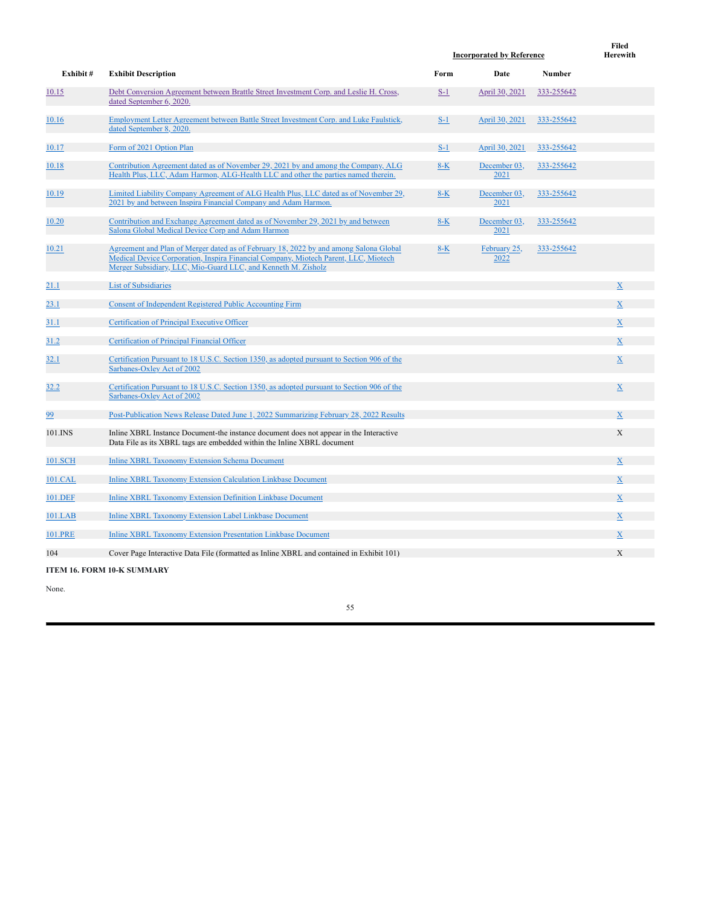|             |                                                                                                                                                                                                                                               | <b>Incorporated by Reference</b> |                      |            | Filed<br><b>Herewith</b>  |
|-------------|-----------------------------------------------------------------------------------------------------------------------------------------------------------------------------------------------------------------------------------------------|----------------------------------|----------------------|------------|---------------------------|
| Exhibit #   | <b>Exhibit Description</b>                                                                                                                                                                                                                    | Form                             | Date                 | Number     |                           |
| 10.15       | Debt Conversion Agreement between Brattle Street Investment Corp. and Leslie H. Cross,<br>dated September 6, 2020.                                                                                                                            | $S-1$                            | April 30, 2021       | 333-255642 |                           |
| 10.16       | Employment Letter Agreement between Battle Street Investment Corp. and Luke Faulstick,<br>dated September 8, 2020.                                                                                                                            | $S-1$                            | April 30, 2021       | 333-255642 |                           |
| 10.17       | Form of 2021 Option Plan                                                                                                                                                                                                                      | $S-1$                            | April 30, 2021       | 333-255642 |                           |
| 10.18       | Contribution Agreement dated as of November 29, 2021 by and among the Company, ALG<br>Health Plus, LLC, Adam Harmon, ALG-Health LLC and other the parties named therein.                                                                      | $8-K$                            | December 03,<br>2021 | 333-255642 |                           |
| 10.19       | Limited Liability Company Agreement of ALG Health Plus, LLC dated as of November 29,<br>2021 by and between Inspira Financial Company and Adam Harmon.                                                                                        | $8-K$                            | December 03,<br>2021 | 333-255642 |                           |
| 10.20       | Contribution and Exchange Agreement dated as of November 29, 2021 by and between<br>Salona Global Medical Device Corp and Adam Harmon                                                                                                         | $8-K$                            | December 03,<br>2021 | 333-255642 |                           |
| 10.21       | Agreement and Plan of Merger dated as of February 18, 2022 by and among Salona Global<br>Medical Device Corporation, Inspira Financial Company, Miotech Parent, LLC, Miotech<br>Merger Subsidiary, LLC, Mio-Guard LLC, and Kenneth M. Zisholz | $8-K$                            | February 25,<br>2022 | 333-255642 |                           |
| 21.1        | <b>List of Subsidiaries</b>                                                                                                                                                                                                                   |                                  |                      |            | X                         |
| 23.1        | Consent of Independent Registered Public Accounting Firm                                                                                                                                                                                      |                                  |                      |            | $\mathbf{X}$              |
| 31.1        | Certification of Principal Executive Officer                                                                                                                                                                                                  |                                  |                      |            | $\boldsymbol{\mathrm{X}}$ |
| 31.2        | Certification of Principal Financial Officer                                                                                                                                                                                                  |                                  |                      |            | X                         |
| <u>32.1</u> | Certification Pursuant to 18 U.S.C. Section 1350, as adopted pursuant to Section 906 of the<br>Sarbanes-Oxley Act of 2002                                                                                                                     |                                  |                      |            | $\underline{X}$           |
| 32.2        | Certification Pursuant to 18 U.S.C. Section 1350, as adopted pursuant to Section 906 of the<br>Sarbanes-Oxley Act of 2002                                                                                                                     |                                  |                      |            | $\mathbf{X}$              |
| 99          | Post-Publication News Release Dated June 1, 2022 Summarizing February 28, 2022 Results                                                                                                                                                        |                                  |                      |            | $\boldsymbol{\mathrm{X}}$ |
| 101.INS     | Inline XBRL Instance Document-the instance document does not appear in the Interactive<br>Data File as its XBRL tags are embedded within the Inline XBRL document                                                                             |                                  |                      |            | $\mathbf X$               |
| 101.SCH     | <b>Inline XBRL Taxonomy Extension Schema Document</b>                                                                                                                                                                                         |                                  |                      |            | $\mathbf{X}$              |
| 101.CAL     | Inline XBRL Taxonomy Extension Calculation Linkbase Document                                                                                                                                                                                  |                                  |                      |            | $\boldsymbol{\mathrm{X}}$ |
| 101.DEF     | Inline XBRL Taxonomy Extension Definition Linkbase Document                                                                                                                                                                                   |                                  |                      |            | $\mathbf{X}$              |
| 101.LAB     | <b>Inline XBRL Taxonomy Extension Label Linkbase Document</b>                                                                                                                                                                                 |                                  |                      |            | $\mathbf{X}$              |
| 101.PRE     | <b>Inline XBRL Taxonomy Extension Presentation Linkbase Document</b>                                                                                                                                                                          |                                  |                      |            | $\mathbf{X}$              |
| 104         | Cover Page Interactive Data File (formatted as Inline XBRL and contained in Exhibit 101)                                                                                                                                                      |                                  |                      |            | $\mathbf X$               |
|             | <b>ITEM 16. FORM 10-K SUMMARY</b>                                                                                                                                                                                                             |                                  |                      |            |                           |

None.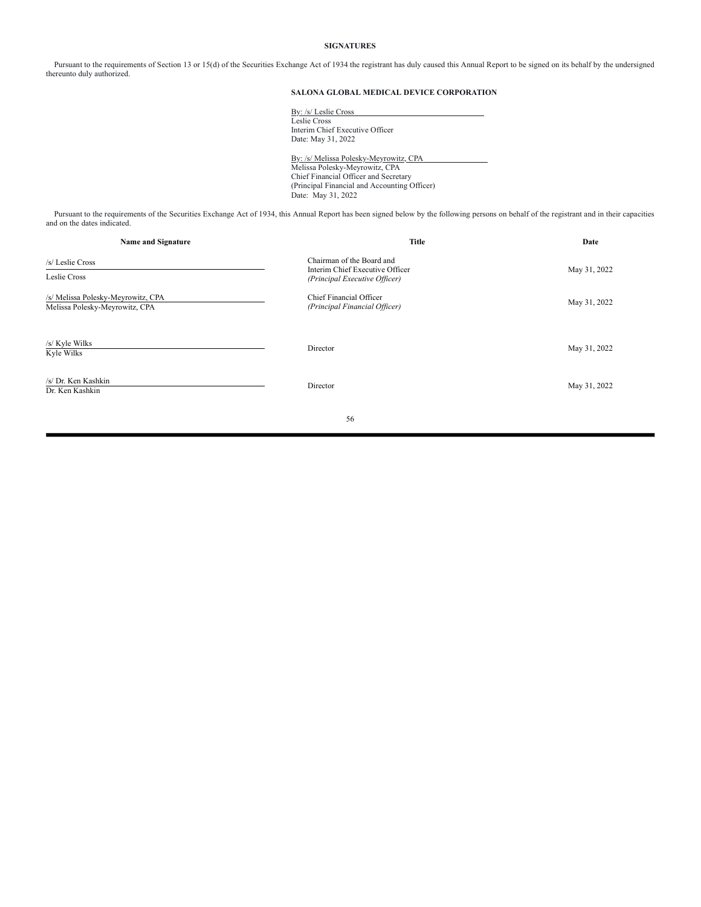# **SIGNATURES**

Pursuant to the requirements of Section 13 or 15(d) of the Securities Exchange Act of 1934 the registrant has duly caused this Annual Report to be signed on its behalf by the undersigned thereunto duly authorized.

# **SALONA GLOBAL MEDICAL DEVICE CORPORATION**

By: /s/ Leslie Cross Leslie Cross Interim Chief Executive Officer Date: May 31, 2022

By: /s/ Melissa Polesky-Meyrowitz, CPA Melissa Polesky-Meyrowitz, CPA Chief Financial Officer and Secretary (Principal Financial and Accounting Officer) Date: May 31, 2022

Pursuant to the requirements of the Securities Exchange Act of 1934, this Annual Report has been signed below by the following persons on behalf of the registrant and in their capacities and on the dates indicated.

| <b>Name and Signature</b>                                            | Title                                                        | Date         |
|----------------------------------------------------------------------|--------------------------------------------------------------|--------------|
| /s/ Leslie Cross                                                     | Chairman of the Board and<br>Interim Chief Executive Officer | May 31, 2022 |
| Leslie Cross                                                         | (Principal Executive Officer)                                |              |
| /s/ Melissa Polesky-Meyrowitz, CPA<br>Melissa Polesky-Meyrowitz, CPA | Chief Financial Officer<br>(Principal Financial Officer)     | May 31, 2022 |
| /s/ Kyle Wilks<br>Kyle Wilks                                         | Director                                                     | May 31, 2022 |
| /s/ Dr. Ken Kashkin<br>Dr. Ken Kashkin                               | Director                                                     | May 31, 2022 |
|                                                                      | 56                                                           |              |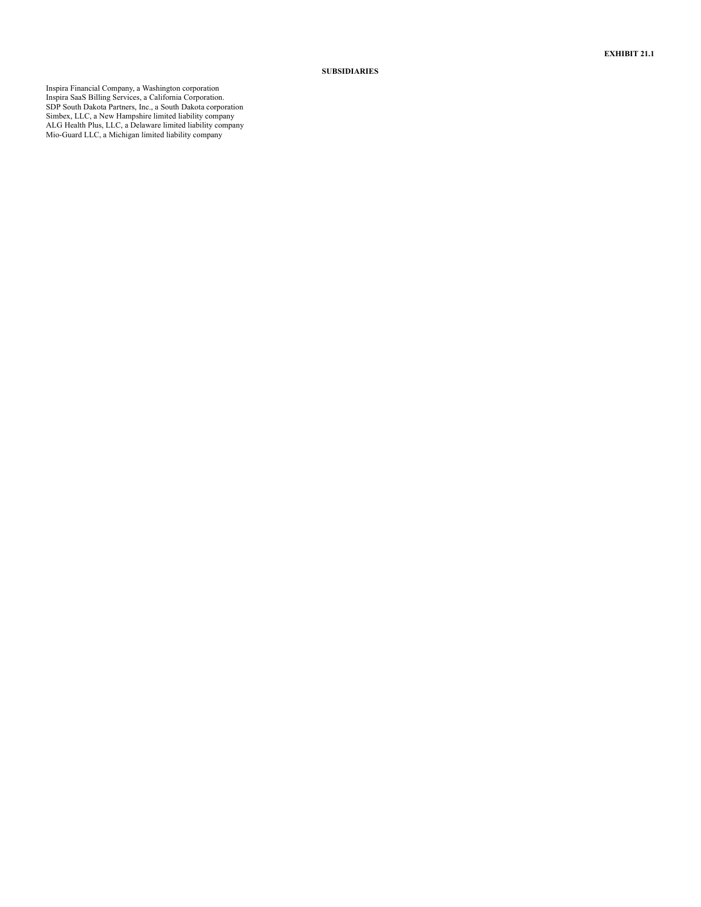# **SUBSIDIARIES**

Inspira Financial Company, a Washington corporation Inspira SaaS Billing Services, a California Corporation. SDP South Dakota Partners, Inc., a South Dakota corporation Simbex, LLC, a New Hampshire limited liability company ALG Health Plus, LLC, a Delaware limited liability company Mio-Guard LLC, a Michigan limited liability company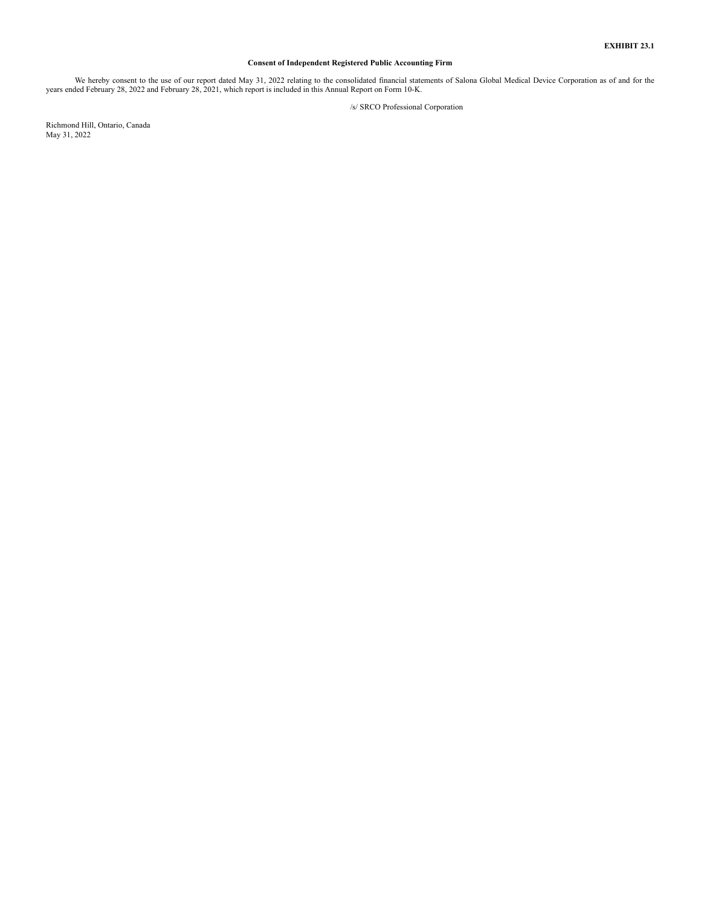# **Consent of Independent Registered Public Accounting Firm**

We hereby consent to the use of our report dated May 31, 2022 relating to the consolidated financial statements of Salona Global Medical Device Corporation as of and for the years ended February 28, 2022 and February 28, 2021, which report is included in this Annual Report on Form 10-K.

/s/ SRCO Professional Corporation

Richmond Hill, Ontario, Canada May 31, 2022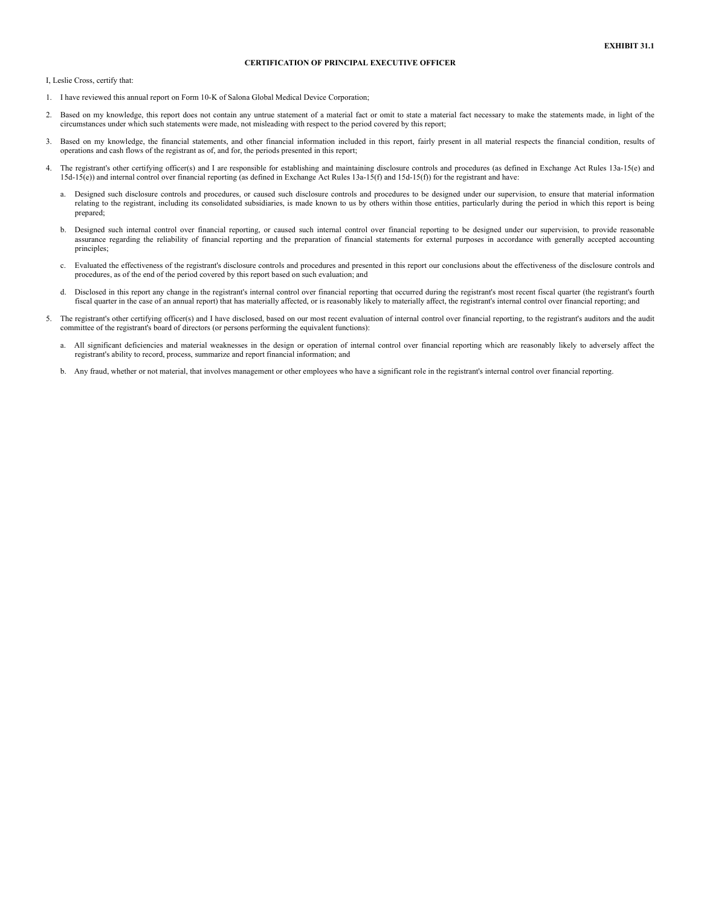# **CERTIFICATION OF PRINCIPAL EXECUTIVE OFFICER**

I, Leslie Cross, certify that:

- 1. I have reviewed this annual report on Form 10-K of Salona Global Medical Device Corporation;
- 2. Based on my knowledge, this report does not contain any untrue statement of a material fact or omit to state a material fact necessary to make the statements made, in light of the circumstances under which such statements were made, not misleading with respect to the period covered by this report;
- 3. Based on my knowledge, the financial statements, and other financial information included in this report, fairly present in all material respects the financial condition, results of operations and cash flows of the registrant as of, and for, the periods presented in this report;
- 4. The registrant's other certifying officer(s) and I are responsible for establishing and maintaining disclosure controls and procedures (as defined in Exchange Act Rules 13a-15(e) and 15d-15(e)) and internal control over financial reporting (as defined in Exchange Act Rules 13a-15(f) and 15d-15(f)) for the registrant and have:
	- a. Designed such disclosure controls and procedures, or caused such disclosure controls and procedures to be designed under our supervision, to ensure that material information relating to the registrant, including its consolidated subsidiaries, is made known to us by others within those entities, particularly during the period in which this report is being prepared;
	- b. Designed such internal control over financial reporting, or caused such internal control over financial reporting to be designed under our supervision, to provide reasonable assurance regarding the reliability of financial reporting and the preparation of financial statements for external purposes in accordance with generally accepted accounting principles;
	- c. Evaluated the effectiveness of the registrant's disclosure controls and procedures and presented in this report our conclusions about the effectiveness of the disclosure controls and procedures, as of the end of the period covered by this report based on such evaluation; and
	- d. Disclosed in this report any change in the registrant's internal control over financial reporting that occurred during the registrant's most recent fiscal quarter (the registrant's fourth fiscal quarter in the case of an annual report) that has materially affected, or is reasonably likely to materially affect, the registrant's internal control over financial reporting; and
- 5. The registrant's other certifying officer(s) and I have disclosed, based on our most recent evaluation of internal control over financial reporting, to the registrant's auditors and the audit committee of the registrant's board of directors (or persons performing the equivalent functions):
	- a. All significant deficiencies and material weaknesses in the design or operation of internal control over financial reporting which are reasonably likely to adversely affect the registrant's ability to record, process, summarize and report financial information; and
	- b. Any fraud, whether or not material, that involves management or other employees who have a significant role in the registrant's internal control over financial reporting.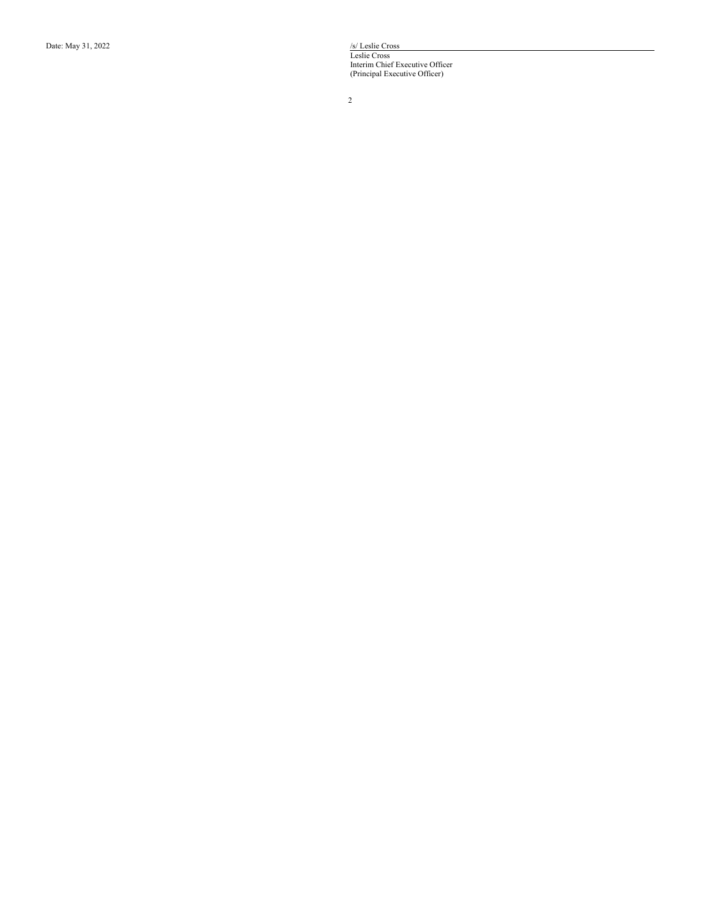Leslie Cross Interim Chief Executive Officer (Principal Executive Officer)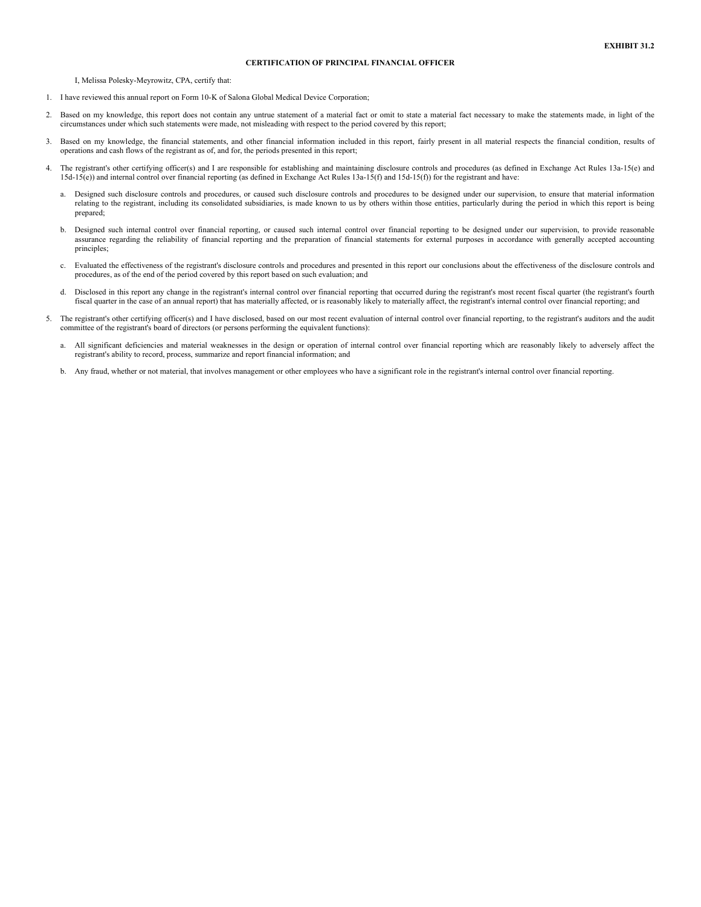# **CERTIFICATION OF PRINCIPAL FINANCIAL OFFICER**

I, Melissa Polesky-Meyrowitz, CPA, certify that:

- 1. I have reviewed this annual report on Form 10-K of Salona Global Medical Device Corporation;
- 2. Based on my knowledge, this report does not contain any untrue statement of a material fact or omit to state a material fact necessary to make the statements made, in light of the circumstances under which such statements were made, not misleading with respect to the period covered by this report;
- 3. Based on my knowledge, the financial statements, and other financial information included in this report, fairly present in all material respects the financial condition, results of operations and cash flows of the registrant as of, and for, the periods presented in this report;
- 4. The registrant's other certifying officer(s) and I are responsible for establishing and maintaining disclosure controls and procedures (as defined in Exchange Act Rules 13a-15(e) and 15d-15(e)) and internal control over financial reporting (as defined in Exchange Act Rules 13a-15(f) and 15d-15(f)) for the registrant and have:
	- a. Designed such disclosure controls and procedures, or caused such disclosure controls and procedures to be designed under our supervision, to ensure that material information relating to the registrant, including its consolidated subsidiaries, is made known to us by others within those entities, particularly during the period in which this report is being prepared;
	- b. Designed such internal control over financial reporting, or caused such internal control over financial reporting to be designed under our supervision, to provide reasonable assurance regarding the reliability of financial reporting and the preparation of financial statements for external purposes in accordance with generally accepted accounting principles;
	- c. Evaluated the effectiveness of the registrant's disclosure controls and procedures and presented in this report our conclusions about the effectiveness of the disclosure controls and procedures, as of the end of the period covered by this report based on such evaluation; and
	- d. Disclosed in this report any change in the registrant's internal control over financial reporting that occurred during the registrant's most recent fiscal quarter (the registrant's fourth fiscal quarter in the case of an annual report) that has materially affected, or is reasonably likely to materially affect, the registrant's internal control over financial reporting; and
- 5. The registrant's other certifying officer(s) and I have disclosed, based on our most recent evaluation of internal control over financial reporting, to the registrant's auditors and the audit committee of the registrant's board of directors (or persons performing the equivalent functions):
	- a. All significant deficiencies and material weaknesses in the design or operation of internal control over financial reporting which are reasonably likely to adversely affect the registrant's ability to record, process, summarize and report financial information; and
	- b. Any fraud, whether or not material, that involves management or other employees who have a significant role in the registrant's internal control over financial reporting.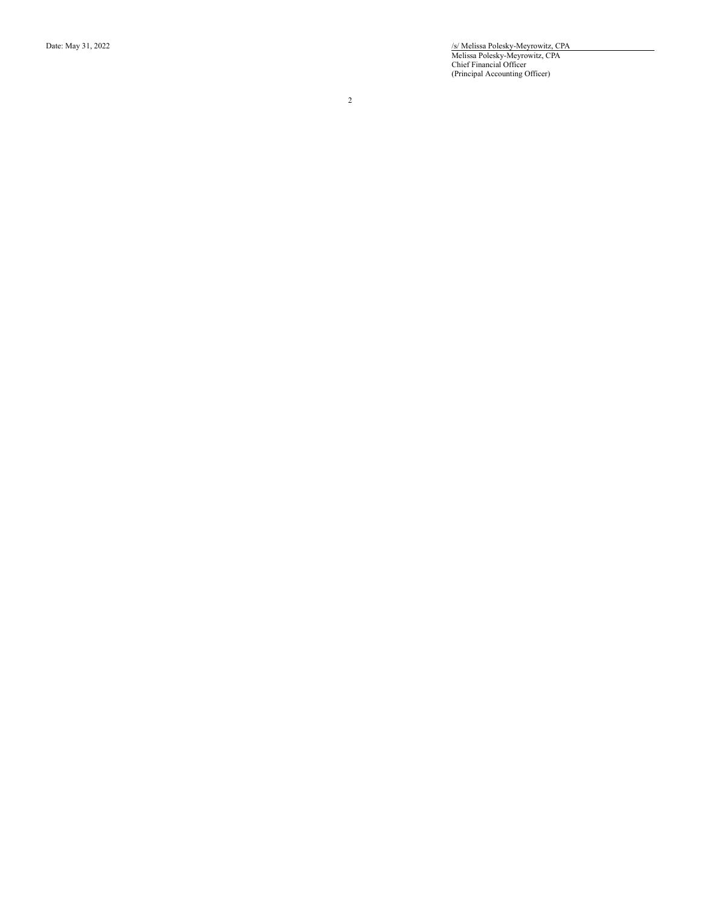Date: May 31, 2022 */s/ Melissa Polesky-Meyrowitz*, CPA Melissa Polesky-Meyrowitz, CPA Chief Financial Officer (Principal Accounting Officer)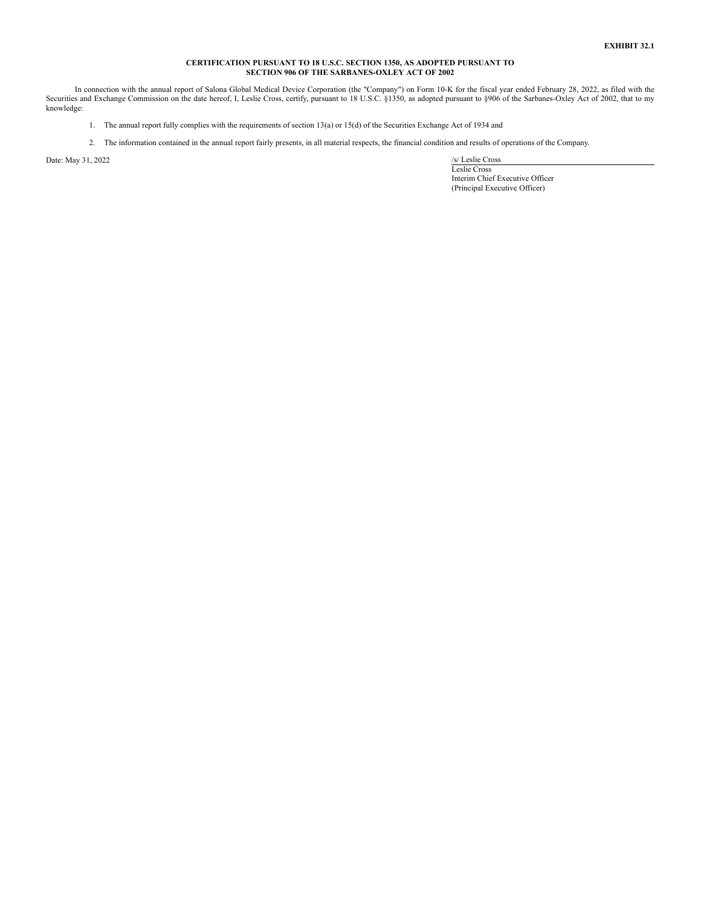## **CERTIFICATION PURSUANT TO 18 U.S.C. SECTION 1350, AS ADOPTED PURSUANT TO SECTION 906 OF THE SARBANES-OXLEY ACT OF 2002**

In connection with the annual report of Salona Global Medical Device Corporation (the "Company") on Form 10-K for the fiscal year ended February 28, 2022, as filed with the Securities and Exchange Commission on the date hereof, I, Leslie Cross, certify, pursuant to 18 U.S.C. §1350, as adopted pursuant to §906 of the Sarbanes-Oxley Act of 2002, that to my knowledge:

- 1. The annual report fully complies with the requirements of section 13(a) or 15(d) of the Securities Exchange Act of 1934 and
- 2. The information contained in the annual report fairly presents, in all material respects, the financial condition and results of operations of the Company.

Date: May 31, 2022 /s/ Leslie Cross

Leslie Cross Interim Chief Executive Officer (Principal Executive Officer)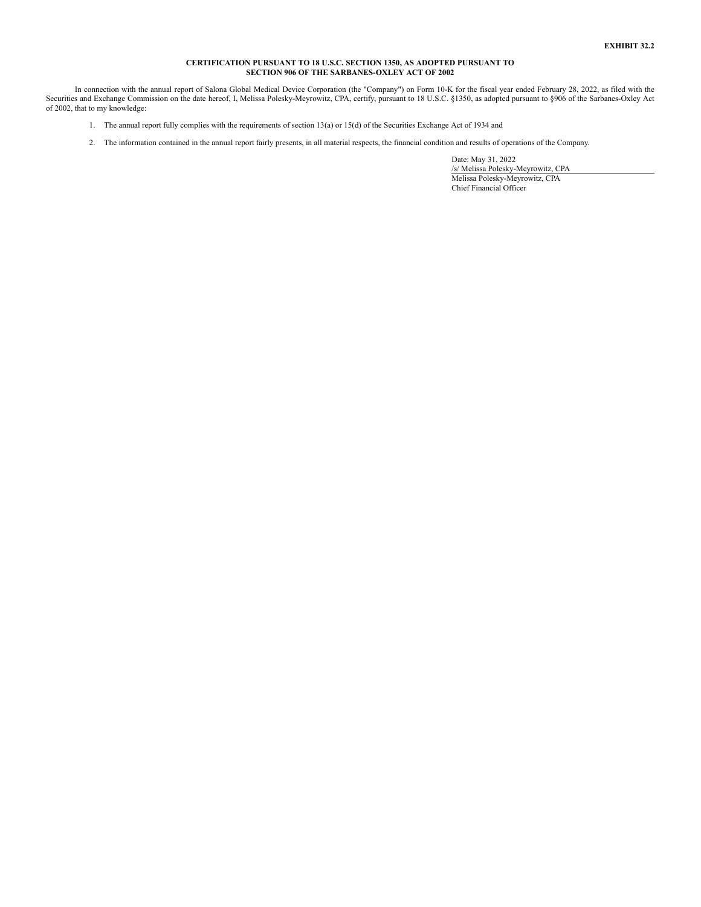#### **CERTIFICATION PURSUANT TO 18 U.S.C. SECTION 1350, AS ADOPTED PURSUANT TO SECTION 906 OF THE SARBANES-OXLEY ACT OF 2002**

In connection with the annual report of Salona Global Medical Device Corporation (the "Company") on Form 10-K for the fiscal year ended February 28, 2022, as filed with the Securities and Exchange Commission on the date hereof, I, Melissa Polesky-Meyrowitz, CPA, certify, pursuant to 18 U.S.C. §1350, as adopted pursuant to §906 of the Sarbanes-Oxley Act of 2002, that to my knowledge:

- 1. The annual report fully complies with the requirements of section 13(a) or 15(d) of the Securities Exchange Act of 1934 and
- 2. The information contained in the annual report fairly presents, in all material respects, the financial condition and results of operations of the Company.

Date: May 31, 2022 /s/ Melissa Polesky-Meyrowitz, CPA Melissa Polesky-Meyrowitz, CPA Chief Financial Officer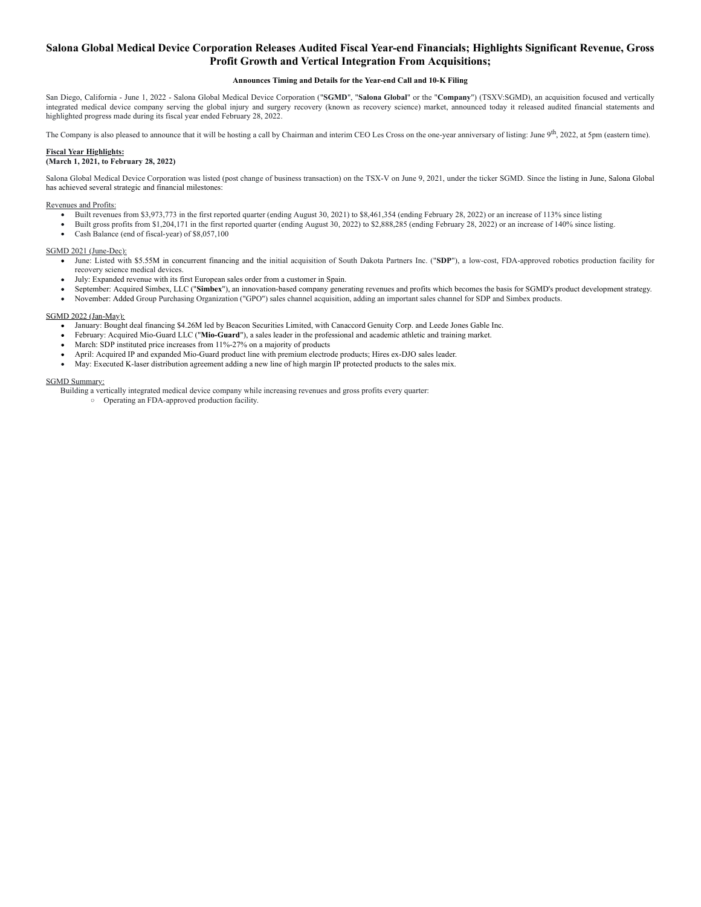# **Salona Global Medical Device Corporation Releases Audited Fiscal Year-end Financials; Highlights Significant Revenue, Gross Profit Growth and Vertical Integration From Acquisitions;**

# **Announces Timing and Details for the Year-end Call and 10-K Filing**

San Diego, California - June 1, 2022 - Salona Global Medical Device Corporation ("**SGMD**", "**Salona Global**" or the "**Company**") (TSXV:SGMD), an acquisition focused and vertically integrated medical device company serving the global injury and surgery recovery (known as recovery science) market, announced today it released audited financial statements and highlighted progress made during its fiscal year ended February 28, 2022.

The Company is also pleased to announce that it will be hosting a call by Chairman and interim CEO Les Cross on the one-year anniversary of listing: June 9<sup>th</sup>, 2022, at 5pm (eastern time).

### **Fiscal Year Highlights: (March 1, 2021, to February 28, 2022)**

Salona Global Medical Device Corporation was listed (post change of business transaction) on the TSX-V on June 9, 2021, under the ticker SGMD. Since the listing in June, Salona Global has achieved several strategic and financial milestones:

# Revenues and Profits:

- Built revenues from \$3,973,773 in the first reported quarter (ending August 30, 2021) to \$8,461,354 (ending February 28, 2022) or an increase of 113% since listing
- Built gross profits from \$1,204,171 in the first reported quarter (ending August 30, 2022) to \$2,888,285 (ending February 28, 2022) or an increase of 140% since listing.
- Cash Balance (end of fiscal-year) of \$8,057,100

# SGMD 2021 (June-Dec):

- June: Listed with \$5.55M in concurrent financing and the initial acquisition of South Dakota Partners Inc. ("**SDP**"), a low-cost, FDA-approved robotics production facility for recovery science medical devices.
- July: Expanded revenue with its first European sales order from a customer in Spain.
- September: Acquired Simbex, LLC ("**Simbex**"), an innovation-based company generating revenues and profits which becomes the basis for SGMD's product development strategy.
- November: Added Group Purchasing Organization ("GPO") sales channel acquisition, adding an important sales channel for SDP and Simbex products.

# SGMD 2022 (Jan-May):

- January: Bought deal financing \$4.26M led by Beacon Securities Limited, with Canaccord Genuity Corp. and Leede Jones Gable Inc.
- February: Acquired Mio-Guard LLC ("**Mio-Guard**"), a sales leader in the professional and academic athletic and training market.
- March: SDP instituted price increases from 11%-27% on a majority of products
- April: Acquired IP and expanded Mio-Guard product line with premium electrode products; Hires ex-DJO sales leader.
- May: Executed K-laser distribution agreement adding a new line of high margin IP protected products to the sales mix.

### SGMD Summary:

Building a vertically integrated medical device company while increasing revenues and gross profits every quarter:

Operating an FDA-approved production facility.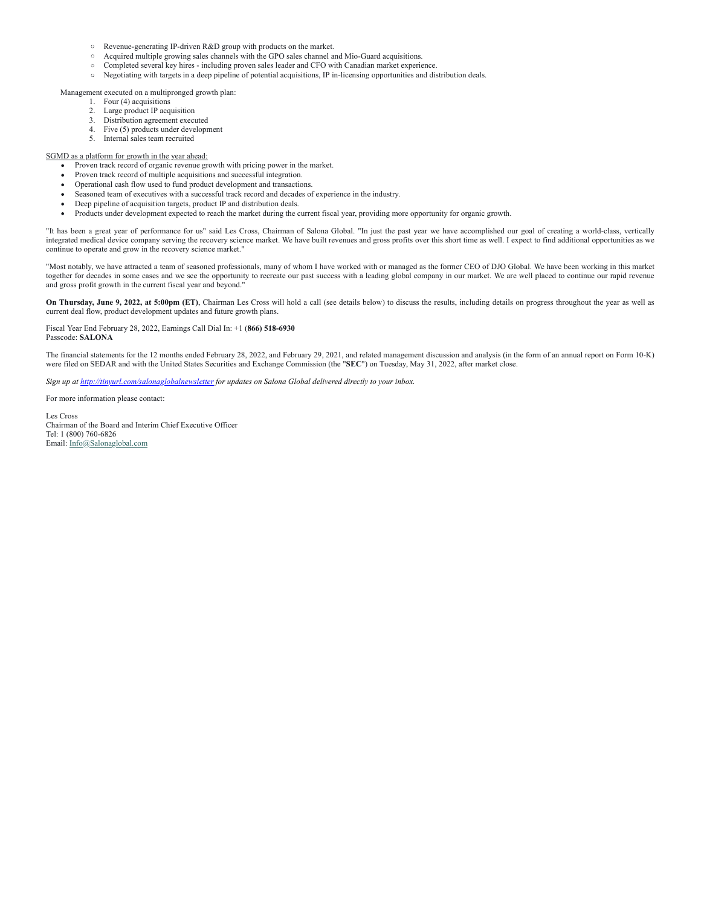- Revenue-generating IP-driven R&D group with products on the market.
- Acquired multiple growing sales channels with the GPO sales channel and Mio-Guard acquisitions.  $\sim$
- $\circ$ Completed several key hires - including proven sales leader and CFO with Canadian market experience.
- Negotiating with targets in a deep pipeline of potential acquisitions, IP in-licensing opportunities and distribution deals.

Management executed on a multipronged growth plan:

- 1. Four (4) acquisitions
- 2. Large product IP acquisition
- 3. Distribution agreement executed 4. Five (5) products under development
- 5. Internal sales team recruited

# SGMD as a platform for growth in the year ahead:

- Proven track record of organic revenue growth with pricing power in the market.  $\bullet$
- Proven track record of multiple acquisitions and successful integration.
- Operational cash flow used to fund product development and transactions.
- Seasoned team of executives with a successful track record and decades of experience in the industry.
- Deep pipeline of acquisition targets, product IP and distribution deals.
- Products under development expected to reach the market during the current fiscal year, providing more opportunity for organic growth.

"It has been a great year of performance for us" said Les Cross, Chairman of Salona Global. "In just the past year we have accomplished our goal of creating a world-class, vertically integrated medical device company serving the recovery science market. We have built revenues and gross profits over this short time as well. I expect to find additional opportunities as we continue to operate and grow in the recovery science market."

"Most notably, we have attracted a team of seasoned professionals, many of whom I have worked with or managed as the former CEO of DJO Global. We have been working in this market together for decades in some cases and we see the opportunity to recreate our past success with a leading global company in our market. We are well placed to continue our rapid revenue and gross profit growth in the current fiscal year and beyond."

**On Thursday, June 9, 2022, at 5:00pm (ET)**, Chairman Les Cross will hold a call (see details below) to discuss the results, including details on progress throughout the year as well as current deal flow, product development updates and future growth plans.

Fiscal Year End February 28, 2022, Earnings Call Dial In: +1 (**866) 518-6930** Passcode: **SALONA**

The financial statements for the 12 months ended February 28, 2022, and February 29, 2021, and related management discussion and analysis (in the form of an annual report on Form 10-K) were filed on SEDAR and with the United States Securities and Exchange Commission (the "**SEC**") on Tuesday, May 31, 2022, after market close.

*Sign up at http://tinyurl.com/salonaglobalnewsletter for updates on Salona Global delivered directly to your inbox.*

For more information please contact:

Les Cross Chairman of the Board and Interim Chief Executive Officer Tel: 1 (800) 760-6826 Email: Info@Salonaglobal.com